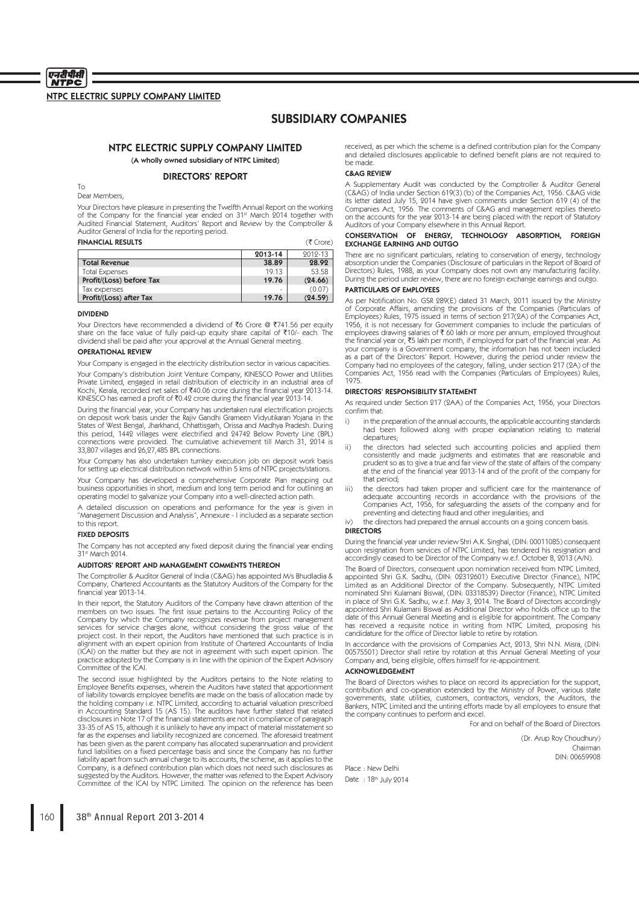# SUBSIDIARY COMPANIES

# NTPC ELECTRIC SUPPLY COMPANY LIMITED

(A wholly owned subsidiary of NTPC Limited)

#### DIRECTORS' REPORT

To

Dear Members,

Your Directors have pleasure in presenting the Twelfth Annual Report on the working<br>of the Company for the financial year ended on 31st March 2014 together with<br>Audited Financial Statement, Auditors' Report and Review by t Auditor General of India for the reporting period.

| <b>FINANCIAL RESULTS</b> |                          | $(5^{\circ}$ Crore) |
|--------------------------|--------------------------|---------------------|
|                          | 2013-14                  | 2012-13             |
| <b>Total Revenue</b>     | 38.89                    | 28.92               |
| <b>Total Expenses</b>    | 19.13                    | 53.58               |
| Profit/(Loss) before Tax | 19.76                    | (24.66)             |
| Tax expenses             | $\overline{\phantom{0}}$ | (0.07)              |
| Profit/(Loss) after Tax  | 19.76                    | (24.59)             |

#### DIVIDEND

Your Directors have recommended a dividend of  $\bar{\tau}$ 6 Crore @  $\bar{\tau}$ 741.56 per equity share on the face value of fully paid-up equity share capital of `10/- each. The dividend shall be paid after your approval at the Annual General meeting.

#### OPERATIONAL REVIEW

Your Company is engaged in the electricity distribution sector in various capacities. Your Company's distribution Joint Venture Company, KINESCO Power and Utilities Private Limited, engaged in retail distribution of electricity in an industrial area of<br>Kochi, Kerala, recorded net sales of ₹40.06 crore during the financial year 2013-14. KINESCO has earned a profit of ₹0.42 crore during the financial year 2013-14.

During the financial year, your Company has undertaken rural electrification projects on deposit work basis under the Rajiv Gandhi Grameen Vidyutikaran Yojana in the States of West Bengal, Jharkhand, Chhattisgarh, Orissa and Madhya Pradesh. During this period, 1442 villages were electrified and 24742 Below Poverty Line (BPL) connections were provided. The cumulative achievement till March 31, 2014 is 33,807 villages and 26,27,485 BPL connections.

Your Company has also undertaken turnkey execution job on deposit work basis for setting up electrical distribution network within 5 kms of NTPC projects/stations.

Your Company has developed a comprehensive Corporate Plan mapping out business opportunities in short, medium and long term period and for outlining an operating model to galvanize your Company into a well-directed action path.

A detailed discussion on operations and performance for the year is given in "Management Discussion and Analysis", Annexure - I included as a separate section to this report.

#### FIXED DEPOSITS

The Company has not accepted any fixed deposit during the financial year ending 31st March 2014.

#### AUDITORS' REPORT AND MANAGEMENT COMMENTS THEREON

The Comptroller & Auditor General of India (C&AG) has appointed M/s Bhudladia & Company, Chartered Accountants as the Statutory Auditors of the Company for the financial year 2013-14.

In their report, the Statutory Auditors of the Company have drawn attention of the members on two issues. The first issue pertains to the Accounting Policy of the Company by which the Company recognizes revenue from project management services for service charges alone, without considering the gross value of the project cost. In their report, the Auditors have mentioned that such practice is in alignment with an expert opinion from Institute of Chartered Accountants of India (ICAI) on the matter but they are not in agreement with such expert opinion. The practice adopted by the Company is in line with the opinion of the Expert Advisory Committee of the ICAI.

The second issue highlighted by the Auditors pertains to the Note relating to Employee Benefits expenses, wherein the Auditors have stated that apportionment of liability towards employee benefits are made on the basis of allocation made by the holding company i.e. NTPC Limited, according to actuarial valuation prescribed in Accounting Standard 15 (AS 15). The auditors have further stated that related disclosures in Note 17 of the financial statements are not in compliance of paragraph 33-35 of AS 15, although it is unlikely to have any impact of material misstatement so far as the expenses and liability recognized are concerned. The aforesaid treatment has been given as the parent company has allocated superannuation and provident fund liabilities on a fixed percentage basis and since the Company has no further liability apart from such annual charge to its accounts, the scheme, as it applies to the Company, is a defined contribution plan which does not need such disclosures as suggested by the Auditors. However, the matter was referred to the Expert Advisory Europestical by the *ICAI* by NTPC Limited. The opinion on the reference has been

received, as per which the scheme is a defined contribution plan for the Company and detailed disclosures applicable to defined benefit plans are not required to be made.

#### C&AG REVIEW

A Supplementary Audit was conducted by the Comptroller & Auditor General (C&AG) of India under Section 619(3) (b) of the Companies Act, 1956. C&AG vide its letter dated July 15, 2014 have given comments under Section 619 (4) of the Companies Act, 1956. The comments of C&AG and management replies thereto on the accounts for the year 2013-14 are being placed with the report of Statutory Auditors of your Company elsewhere in this Annual Report.

# CONSERVATION OF ENERGY, TECHNOLOGY ABSORPTION, FOREIGN EXCHANGE EARNING AND OUTGO

There are no significant particulars, relating to conservation of energy, technology absorption under the Companies (Disclosure of particulars in the Report of Board of Directors) Rules, 1988, as your Company does not own any manufacturing facility. During the period under review, there are no foreign exchange earnings and outgo. PARTICULARS OF EMPLOYEES

As per Notification No. GSR 289(E) dated 31 March, 2011 issued by the Ministry of Corporate Affairs, amending the provisions of the Companies (Particulars of Employees) Rules, 1975 issued in terms of section 217(2A) of the Companies Act, 1956, it is not necessary for Government companies to include the particulars of<br>employees drawing salaries of₹60 lakh or more per annum, employed throughout<br>the financial year or, ₹5 lakh per month, if employed for part your company is a Government company, the information has not been included as a part of the Directors' Report. However, during the period under review the Company had no employees of the category, falling, under section 217 (2A) of the Companies Act, 1956 read with the Companies (Particulars of Employees) Rules, 1975.

#### DIRECTORS' RESPONSIBILITY STATEMENT

As required under Section 217 (2AA) of the Companies Act, 1956, your Directors  $\overline{\text{confirm that}}$ 

- i) in the preparation of the annual accounts, the applicable accounting standards had been followed along with proper explanation relating to material departures;
- ii) the directors had selected such accounting policies and applied them consistently and made judgments and estimates that are reasonable and prudent so as to give a true and fair view of the state of affairs of the company at the end of the financial year 2013-14 and of the profit of the company for that period;
- iii) the directors had taken proper and sufficient care for the maintenance of adequate accounting records in accordance with the provisions of the Companies Act, 1956, for safeguarding the assets of the company and for preventing and detecting fraud and other irregularities; and
- iv) the directors had prepared the annual accounts on a going concern basis.

# DIRECTORS

During the financial year under review Shri A.K. Singhal, (DIN: 00011085) consequent upon resignation from services of NTPC Limited, has tendered his resignation and accordingly ceased to be Director of the Company w.e.f. October 8, 2013 (A/N).

The Board of Directors, consequent upon nomination received from NTPC Limited, appointed Shri G.K. Sadhu, (DIN: 02312601) Executive Director (Finance), NTPC<br>Limited as an Additional Director of the Company. Subsequently, NTPC Limited<br>nominated Shri Kulamani Biswal, (DIN: 03318539) Director (Finance), in place of Shri G.K. Sadhu, w.e.f. May 3, 2014. The Board of Directors accordingly appointed Shri Kulamani Biswal as Additional Director who holds offi ce up to the date of this Annual General Meeting and is eligible for appointment. The Company has received a requisite notice in writing from NTPC Limited, proposing his candidature for the office of Director liable to retire by rotation.

In accordance with the provisions of Companies Act, 2013, Shri N.N. Misra, (DIN: 00575501) Director shall retire by rotation at this Annual General Meeting of your Company and, being eligible, offers himself for re-appointment.

#### ACKNOWLEDGEMENT

The Board of Directors wishes to place on record its appreciation for the support, contribution and co-operation extended by the Ministry of Power, various state governments, state utilities, customers, contractors, vendors, the Auditors, the Bankers, NTPC Limited and the untiring efforts made by all employees to ensure that the company continues to perform and excel.

For and on behalf of the Board of Directors

(Dr. Arup Roy Choudhury) chairman anns an t-an an t-an an t-an an t-an an t-an an t-an an t-an an t-an an t-an an t-an an t-an an t-an DIN: 00659908

Place : New Delhi Date : 18th July 2014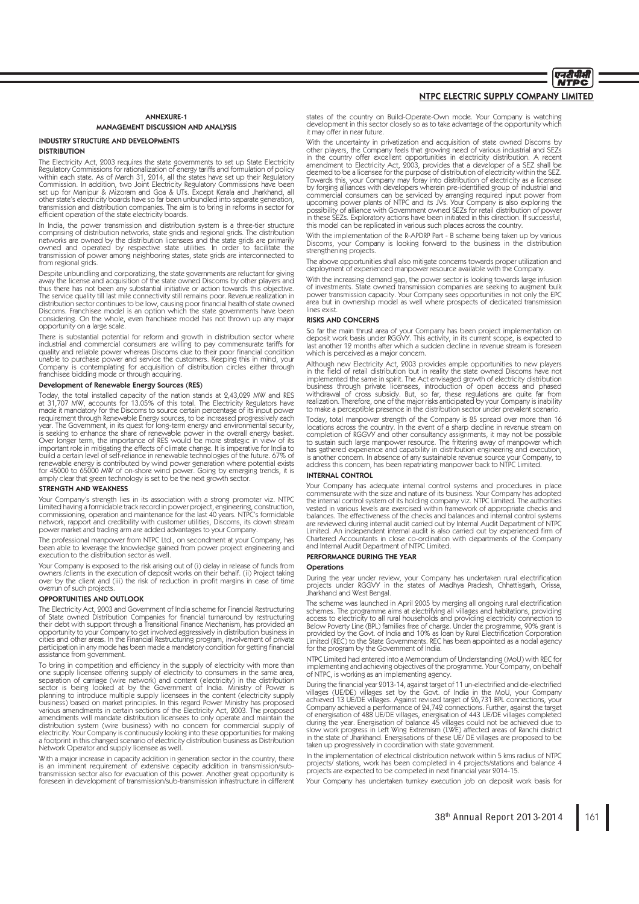एनदीपीसी **NTDC** 

# ANNEXURE-1 MANAGEMENT DISCUSSION AND ANALYSIS

#### INDUSTRY STRUCTURE AND DEVELOPMENTS **DISTRIBUTION**

The Electricity Act, 2003 requires the state governments to set up State Electricity Regulatory Commissions for rationalization of energy tariffs and formulation of policy<br>within each state. As of March 31, 2014, all the states have set up their Regulatory<br>Commission. In addition, two Joint Electricity Reg transmission and distribution companies. The aim is to bring in reforms in sector for efficient operation of the state electricity boards.

In India, the power transmission and distribution system is a three-tier structure comprising of distribution networks, state grids and regional grids. The distribution<br>networks are owned by the distribution licensees and the state grids are primarily<br>owned and operated by respective state utilitie transmission of power among neighboring states, state grids are interconnected to from regional grids.

Despite unbundling and corporatizing, the state governments are reluctant for giving away the license and acquisition of the state owned Discoms by other players and thus there has not been any substantial initiative or action towards this objective. The service quality till last mile connectivity still remains poor. Revenue realization in distribution sector continues to be low, causing poor financial health of state owned<br>Discoms. Franchisee model is an option which the state governments have been considering. On the whole, even franchisee model has not thrown up any major opportunity on a large scale.

There is substantial potential for reform and growth in distribution sector where<br>industrial and commercial consumers are willing to pay commensurate tariffs for<br>quality and reliable power whereas Discoms due to their poor unable to purchase power and service the customers. Keeping this in mind, your Company is contemplating for acquisition of distribution circles either through franchisee bidding mode or through acquiring.

#### Development of Renewable Energy Sources (RES)

Today, the total installed capacity of the nation stands at 2,43,029 MW and RES<br>at 31,707 MW, accounts for 13.05% of this total. The Electricity Regulators have<br>made it mandatory for the Discoms to source certain percentag requirement through Renewable Energy sources, to be increased progressively each<br>year. The Government, in its quest for long-term energy and environmental security<br>is seeking to enhance the share of renewable power in the amply clear that green technology is set to be the next growth sector.

#### STRENGTH AND WEAKNESS

Your Company's strength lies in its association with a strong promoter viz. NTPC Limited having a formidable track record in power project, engineering, construction,<br>commissioning, operation and maintenance for the last 40 years. NTPC's formidable<br>network, rapport and credibility with customer utiliti power market and trading arm are added advantages to your Company.

The professional manpower from NTPC Ltd., on secondment at your Company, has been able to leverage the knowledge gained from power project engineering and execution to the distribution sector as well.

Your Company is exposed to the risk arising out of (i) delay in release of funds from owners /clients in the execution of deposit works on their behalf. (ii) Project taking<br>over by the client and (iii) the risk of reduction in profit margins in case of time<br>overrun of such projects.

#### OPPORTUNITIES AND OUTLOOK

The Electricity Act, 2003 and Government of India scheme for Financial Restructuring<br>of State owned Distribution Companies for financial turnaround by restructuring<br>their debt with support through a Transitional Finance Me assistance from government.

To bring in competition and efficiency in the supply of electricity with more than<br>one supply licensee offering supply of electricity to consumers in the same area,<br>separation of carriage (wire network) and content (electr amendments will mandate distribution licensees to only operate and maintain the<br>distribution system (wire business) with no concern for commercial supply of<br>electricity. Your Company is continuously looking into these oppo a footprint in this changed scenario of electricity distribution business as Distribution Network Operator and supply licensee as well.

With a major increase in capacity addition in generation sector in the country, there<br>is an imminent requirement of extensive capacity addition in transmission/sub-<br>transmission sector also for evacuation of this power. An foreseen in development of transmission/sub-transmission infrastructure in different

states of the country on Build-Operate-Own mode. Your Company is watching development in this sector closely so as to take advantage of the opportunity which it may offer in near future.

With the uncertainty in privatization and acquisition of state owned Discoms other players, the Company feels that growing need of various industrial and SEZs<br>in the country offer excellent opportunities in electricity distribution. A recent<br>amendment to Electricity Act, 2003, provides that a devel Towards this, your Company may foray into distribution of electricity as a licensee by forging alliances with developers wherein pre-identifi ed group of industrial and commercial consumers can be serviced by arranging required input power from<br>upcoming power plants of NTPC and its JVs. Your Company is also exploring the<br>possibility of alliance with Government owned SEZs for retail distri this model can be replicated in various such places across the country.

With the implementation of the R-APDRP Part - B scheme being taken up by various Discoms, your Company is looking forward to the business in the distribution strengthening projects.

The above opportunities shall also mitigate concerns towards proper utilization and deployment of experienced manpower resource available with the Company.

With the increasing demand gap, the power sector is looking towards large infusion of investments. State owned transmission companies are seeking to augment bulk power transmission capacity. Your Company sees opportunities in not only the EPC area but in ownership model as well where prospects of dedicated transmission lines exist.

#### RISKS AND CONCERNS

So far the main thrust area of your Company has been project implementation on deposit work basis under RGGVY. This activity, in its current scope, is expected to last another 12 months after which a sudden decline in revenue stream is foreseen which is perceived as a major concern.

Although new Electricity Act, 2003 provides ample opportunities to new players<br>in the field of retail distribution but in reality the state owned Discoms have not implemented the same in spirit. The Act envisaged growth of electricity distribution<br>business through private licensees, introduction of open access and phased<br>withdrawal of cross subsidy. But, so far, these regulations ar to make a perceptible presence in the distribution sector under prevalent scenario.

Today, total manpower strength of the Company is 85 spread over more than 16<br>locations across the country. In the event of a sharp decline in revenue stream on<br>completion of RGGVY and other consultancy assignments, it may address this concern, has been repatriating manpower back to NTPC Limited.

#### INTERNAL CONTROL

Your Company has adequate internal control systems and procedures in place<br>commensurate with the size and nature of its business. Your Company has adopted<br>the internal control system of its holding company viz. NTPC Limite are reviewed during internal audit carried out by Internal Audit Department of NTPC Limited. An independent internal audit is also carried out by experienced firm of<br>Chartered Accountants in close co-ordination with departments of the Company<br>and Internal Audit Department of NTPC Limited.

#### PERFORMANCE DURING THE YEAR

#### **Operations**

During the year under review, your Company has undertaken rural electrification projects under RGGVY in the states of Madhya Pradesh, Chhattisgarh, Orissa, Jharkhand and West Bengal.

The scheme was launched in April 2005 by merging all ongoing rural electrification<br>schemes. The programme aims at electrifying all villages and habitations, providing<br>access to electricity to all rural households and provi Limited (REC) to the State Governments. REC has been appointed as a nodal agency for the program by the Government of India.

NTPC Limited had entered into a Memorandum of Understanding (MoU) with REC for implementing and achieving objectives of the programme. Your Company, on behalf of NTPC, is working as an implementing agency.

During the financial year 2013-14, against target of 11 un-electrified and de-electrified<br>villages (UE/DE) villages set by the Govt. of India in the MoU, your Company<br>achieved 13 UE/DE villages. Against revised target of 2 of energisation of 488 UE/DE villages, energisation of 443 UE/DE villages completed<br>during the year. Energisation of balance 45 villages could not be achieved due to<br>slow work progress in Left Wing Extremism (LWE) affected in the state of Jharkhand. Energisations of these UE/ DE villages are proposed to be taken up progressively in coordination with state government.

In the implementation of electrical distribution network within 5 kms radius of NTPC projects/ stations, work has been completed in 4 projects/stations and balance 4 projects are expected to be competed in next financial year 2014-15.

Your Company has undertaken turnkey execution job on deposit work basis for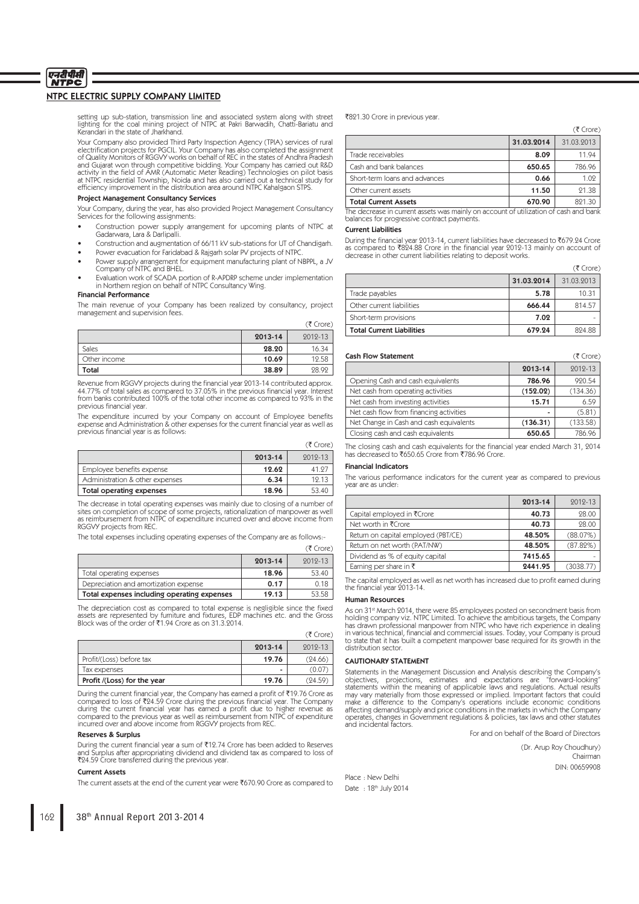एन्टीपीसी **NTPC** 

> setting up sub-station, transmission line and associated system along with street lighting for the coal mining project of NTPC at Pakri Barwadih, Chatti-Bariatu and Kerandari in the state of Jharkhand.

> Your Company also provided Third Party Inspection Agency (TPIA) services of rural electrification projects for PGCIL. Your Company has also completed the assignment<br>of Quality Monitors of RGGVY works on behalf of REC in the states of Andhra Pradesh and Gujarat won through competitive bidding. Your Company has carried out R&D<br>activity in the field of AMR (Automatic Meter Reading) Technologies on pilot basis<br>at NTPC residential Township, Noida and has also carried out

#### Project Management Consultancy Services

Your Company, during the year, has also provided Project Management Consultancy Services for the following assignments:

- Construction power supply arrangement for upcoming plants of NTPC at Gadarwara, Lara & Darlipalli.
- Construction and augmentation of 66/11 kV sub-stations for UT of Chandigarh.
- Power evacuation for Faridabad & Rajgarh solar PV projects of NTPC.
- Power supply arrangement for equipment manufacturing plant of NBPPL, a JV Company of NTPC and BHEL.
- Evaluation work of SCADA portion of R-APDRP scheme under implementation in Northern region on behalf of NTPC Consultancy Wing.

#### Financial Performance

The main revenue of your Company has been realized by consultancy, project management and supervision fees.

|         | 11111   |
|---------|---------|
| 2013-14 | 9019-13 |
| 28.20   | 16.34   |
| 10.69   | 12.58   |
| 38.89   | 28.92   |
|         |         |

Revenue from RGGVY projects during the financial year 2013-14 contributed approx. 44.77% of total sales as compared to 37.05% in the previous financial year. Interest<br>from banks contributed 100% of the total other income as compared to 93% in the previous financial year.

The expenditure incurred by your Company on account of Employee benefits<br>expense and Administration & other expenses for the current financial year as well as previous financial year is as follows:

|                                 |         | $(5$ Crore) |
|---------------------------------|---------|-------------|
|                                 | 2013-14 | 9019-13     |
| Employee benefits expense       | 12.62   | 41.97       |
| Administration & other expenses | 6.34    | 12.13       |
| Total operating expenses        | 18.96   | 53.40       |

The decrease in total operating expenses was mainly due to closing of a number of sites on completion of scope of some projects, rationalization of manpower as well as reimbursement from NTPC of expenditure incurred over and above income from RGGVY projects from REC.

The total expenses including operating expenses of the Company are as follows:-

|                                             |         | $(5$ Crore) |
|---------------------------------------------|---------|-------------|
|                                             | 2013-14 | 9019-13     |
| Total operating expenses                    | 18.96   | 53.40       |
| Depreciation and amortization expense       | 0.17    | 0.18        |
| Total expenses including operating expenses | 19.13   | 53.58       |

The depreciation cost as compared to total expense is negligible since the fixed assets are represented by furniture and fixtures. EDP machines etc. and the Gross assets are represented by furniture and fixtures, EDP machines etc. and the Gross<br>Block was of the order of ₹1.94 Crore as on 31.3.2014.

|                             |         | $\sqrt{2}$ |
|-----------------------------|---------|------------|
|                             | 2013-14 | 9019-13    |
| Profit/(Loss) before tax    | 19.76   | (24.66)    |
| Tax expenses                | ۰       | (0.07)     |
| Profit /(Loss) for the year | 19.76   | (24.59)    |

During the current financial year, the Company has earned a profit of ₹19.76 Crore as<br>compared to loss of ₹24.59 Crore during the previous financial year. The Company<br>during the current financial year has earned a profit compared to the previous year as well as reimbursement from NTPC of expenditure incurred over and above income from RGGVY projects from REC.

# Reserves & Surplus

During the current financial year a sum of  $\bar{\tau}$ 12.74 Crore has been added to Reserves and Surplus after appropriating dividend and dividend tax as compared to loss of and Surplus after appropriating dividend and dividend tax as compared to loss of `24.59 Crore transferred during the previous year.

#### Current Assets

The current assets at the end of the current year were  $\bar{t}$ 670.90 Crore as compared to

|                               |            | (₹ Crore)  |
|-------------------------------|------------|------------|
|                               | 31.03.2014 | 31.03.9013 |
| Trade receivables             | 8.09       | 11.94      |
| Cash and bank balances        | 650.65     | 786.96     |
| Short-term loans and advances | 0.66       | 1.09       |
| Other current assets          | 11.50      | 91.38      |
| <b>Total Current Assets</b>   | 670.90     | 821.30     |

The decrease in current assets was mainly on account of utilization of cash and bank balances for progressive contract payments.

#### Current Liabilities

 $(5$  Crore)

During the financial year 2013-14, current liabilities have decreased to ₹679.24 Crore<br>as compared to ₹824.88 Crore in the financial year 2012-13 mainly on account of decrease in other current liabilities relating to deposit works.

|                                  |            | $(5$ Crore) |
|----------------------------------|------------|-------------|
|                                  | 31.03.2014 | 31.03.2013  |
| Trade payables                   | 5.78       | 10.31       |
| Other current liabilities        | 666.44     | 814.57      |
| Short-term provisions            | 7.02       |             |
| <b>Total Current Liabilities</b> | 679.24     | 824.88      |

| <b>Cash Flow Statement</b>              |          | $(5$ Crore) |
|-----------------------------------------|----------|-------------|
|                                         | 2013-14  | 2012-13     |
| Opening Cash and cash equivalents       | 786.96   | 920.54      |
| Net cash from operating activities      | (152.02) | (134.36)    |
| Net cash from investing activities      | 15.71    | 6.59        |
| Net cash flow from financing activities | ۰        | (5.81)      |
| Net Change in Cash and cash equivalents | (136.31) | (133.58)    |
| Closing cash and cash equivalents       | 650.65   | 786.96      |

The closing cash and cash equivalents for the financial year ended March 31, 2014 has decreased to ₹650.65 Crore from ₹786.96 Crore.

#### Financial Indicators

The various performance indicators for the current year as compared to previous year are as under:

|                                     | 2013-14 | 9019-13     |
|-------------------------------------|---------|-------------|
| Capital employed in ₹Crore          | 40.73   | 98.00       |
| Net worth in ₹Crore                 | 40.73   | 98.00       |
| Return on capital employed (PBT/CE) | 48.50%  | (88.07%)    |
| Return on net worth (PAT/NW)        | 48.50%  | $(87.82\%)$ |
| Dividend as % of equity capital     | 7415.65 |             |
| Earning per share in $\bar{\tau}$   | 2441.95 | (3038.77)   |

The capital employed as well as net worth has increased due to profit earned during the financial year 2013-14.

#### Human Resources

 $(5$  Crore)

As on 31\* March 2014, there were 85 employees posted on secondment basis from<br>holding company viz. NTPC Limited. To achieve the ambitious targets, the Company<br>has drawn professional manpower from NTPC who have rich experie distribution sector.

#### CAUTIONARY STATEMENT

Statements in the Management Discussion and Analysis describing the Company's<br>objectives, projections, estimates and expectations are "forward-looking"<br>statements within the meaning of applicable laws and regulations. Actu may vary materially from those expressed or implied. Important factors that could make a difference to the Company's operations include economic conditions affecting demand/supply and price conditions in the markets in which the Company operates, changes in Government regulations & policies, tax laws and other statutes and incidental factors.

For and on behalf of the Board of Directors

(Dr. Arup Roy Choudhury) chairman anns an t-an an t-an an t-an an t-an an t-an an t-an an t-an an t-an an t-an an t-an an t-an an t-an

DIN: 00659908

Place : New Delhi Date : 18th July 2014

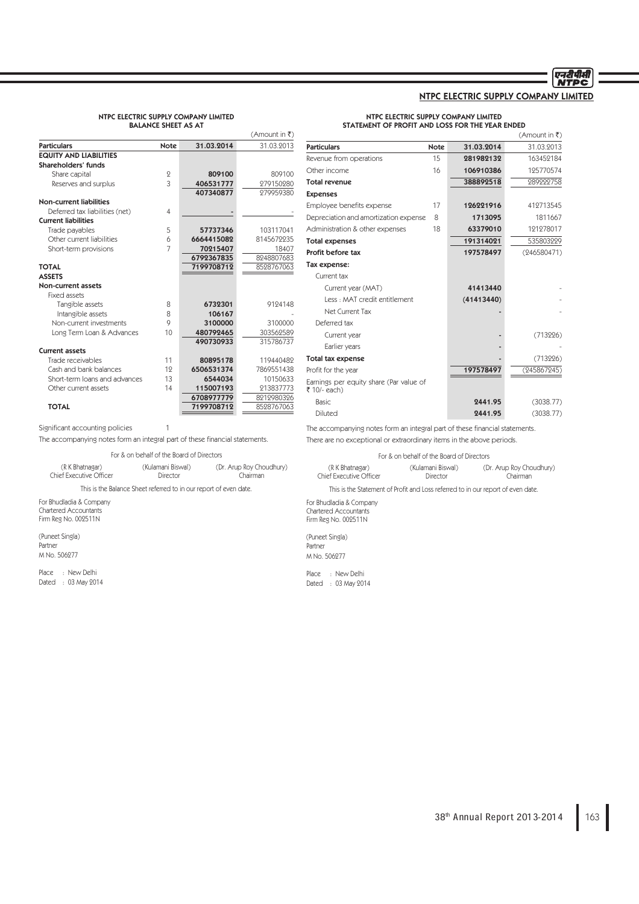# एनदीपीसी<br>NTPC

# NTPC ELECTRIC SUPPLY COMPANY LIMITED

#### NTPC ELECTRIC SUPPLY COMPANY LIMITED BALANCE SHEET AS AT

|                                |                |            | (Amount in ₹) |
|--------------------------------|----------------|------------|---------------|
| <b>Particulars</b>             | <b>Note</b>    | 31.03.2014 | 31.03.2013    |
| <b>EQUITY AND LIABILITIES</b>  |                |            |               |
| Shareholders' funds            |                |            |               |
| Share capital                  | $\mathbf{Q}$   | 809100     | 809100        |
| Reserves and surplus           | 3              | 406531777  | 279150280     |
|                                |                | 407340877  | 279959380     |
| Non-current liabilities        |                |            |               |
| Deferred tax liabilities (net) | $\overline{4}$ |            |               |
| <b>Current liabilities</b>     |                |            |               |
| Trade payables                 | 5              | 57737346   | 103117041     |
| Other current liabilities      | 6              | 6664415082 | 8145672235    |
| Short-term provisions          | $\overline{7}$ | 70215407   | 18407         |
|                                |                | 6792367835 | 8248807683    |
| <b>TOTAL</b>                   |                | 7199708712 | 8528767063    |
| <b>ASSETS</b>                  |                |            |               |
| Non-current assets             |                |            |               |
| Fixed assets                   |                |            |               |
| Tangible assets                | 8              | 6732301    | 9124148       |
| Intangible assets              | 8              | 106167     |               |
| Non-current investments        | 9              | 3100000    | 3100000       |
| Long Term Loan & Advances      | 10             | 480792465  | 303562589     |
|                                |                | 490730933  | 315786737     |
| <b>Current assets</b>          |                |            |               |
| Trade receivables              | 11             | 80895178   | 119440482     |
| Cash and bank balances         | 19             | 6506531374 | 7869551438    |
| Short-term loans and advances  | 13             | 6544034    | 10150633      |
| Other current assets           | 14             | 115007193  | 213837773     |
|                                |                | 6708977779 | 8212980326    |
| <b>TOTAL</b>                   |                | 7199708712 | 8528767063    |

Significant accounting policies 1

The accompanying notes form an integral part of these financial statements.

| For & on behalf of the Board of Directors |                   |                          |  |
|-------------------------------------------|-------------------|--------------------------|--|
| (R K Bhatnagar)                           | (Kulamani Biswal) | (Dr. Arup Roy Choudhury) |  |
| Chief Executive Officer                   | Director          | Chairman                 |  |

This is the Balance Sheet referred to in our report of even date.

For Bhudladia & Company Chartered Accountants Firm Reg No. 002511N

(Puneet Singla) Partner M No. 506277

Place : New Delhi Dated : 03 May 2014

| STATEMENT OF PROFIT AND LOSS FOR THE YEAR ENDED         |             |            |                  |
|---------------------------------------------------------|-------------|------------|------------------|
|                                                         |             |            | $(A$ mount in ₹) |
| <b>Particulars</b>                                      | <b>Note</b> | 31.03.2014 | 31.03.9013       |
| Revenue from operations                                 | 15          | 281982132  | 163459184        |
| Other income                                            | 16          | 106910386  | 195770574        |
| <b>Total revenue</b>                                    |             | 388892518  | 289222758        |
| <b>Expenses</b>                                         |             |            |                  |
| Employee benefits expense                               | 17          | 126221916  | 419713545        |
| Depreciation and amortization expense                   | 8           | 1713095    | 1811667          |
| Administration & other expenses                         | 18          | 63379010   | 191978017        |
| <b>Total expenses</b>                                   |             | 191314021  | 535803229        |
| Profit before tax                                       |             | 197578497  | (246580471)      |
| Tax expense:                                            |             |            |                  |
| Current tax                                             |             |            |                  |
| Current year (MAT)                                      |             | 41413440   |                  |
| Less: MAT credit entitlement                            |             | (41413440) |                  |
| Net Current Tax                                         |             |            |                  |
| Deferred tax                                            |             |            |                  |
| Current year                                            |             |            | (713226)         |
| Earlier years                                           |             |            |                  |
| <b>Total tax expense</b>                                |             |            | (713226)         |
| Profit for the year                                     |             | 197578497  | (245867245)      |
| Earnings per equity share (Par value of<br>₹ 10/- each) |             |            |                  |
| Basic                                                   |             | 2441.95    | (3038.77)        |
| Diluted                                                 |             | 2441.95    | (3038.77)        |

NTPC ELECTRIC SUPPLY COMPANY LIMITED

The accompanying notes form an integral part of these financial statements. There are no exceptional or extraordinary items in the above periods.

For & on behalf of the Board of Directors

| (R K Bhatnagar)         | (Kulamani Biswal) | (Dr. Arup Roy Choudhury) |
|-------------------------|-------------------|--------------------------|
| Chief Executive Officer | Director          | Chairman                 |
|                         |                   |                          |

This is the Statement of Profit and Loss referred to in our report of even date.

For Bhudladia & Company Chartered Accountants Firm Reg No. 002511N

(Puneet Singla) **Partner** M No. 506277

Place : New Delhi Dated : 03 May 2014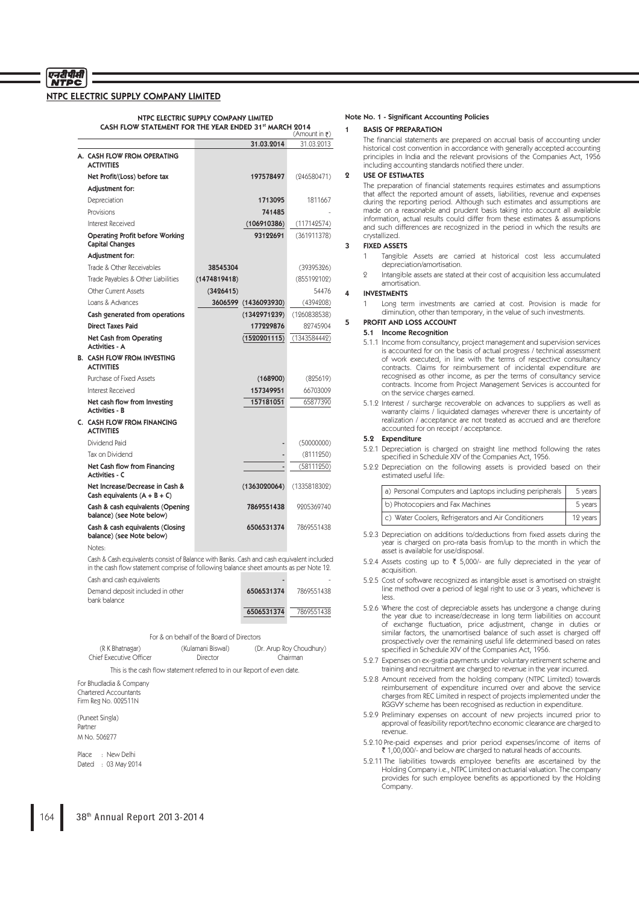एनरीपीसी **NTPC** 

> NTPC ELECTRIC SUPPLY COMPANY LIMITED CASH FLOW STATEMENT FOR THE YEAR ENDED 31st MARCH 2014  $(Am$ ount in  $\bar{x}$ )

|                                                                   |              | 31.03.2014           | 31.03.2013   |
|-------------------------------------------------------------------|--------------|----------------------|--------------|
| A. CASH FLOW FROM OPERATING<br><b>ACTIVITIES</b>                  |              |                      |              |
| Net Profit/(Loss) before tax                                      |              | 197578497            | (246580471)  |
| Adjustment for:                                                   |              |                      |              |
| Depreciation                                                      |              | 1713095              | 1811667      |
| Provisions                                                        |              | 741485               |              |
| Interest Received                                                 |              | (106910386)          | (117142574)  |
| <b>Operating Profit before Working</b><br><b>Capital Changes</b>  |              | 93122691             | (361911378)  |
| Adjustment for:                                                   |              |                      |              |
| Trade & Other Receivables                                         | 38545304     |                      | (39395326)   |
| Trade Payables & Other Liabilities                                | (1474819418) |                      | (855192102)  |
| Other Current Assets                                              | (3426415)    |                      | 54476        |
| Loans & Advances                                                  |              | 3606599 (1436093930) | (4394208)    |
| Cash generated from operations                                    |              | (1342971239)         | (1260838538) |
| <b>Direct Taxes Paid</b>                                          |              | 177229876            | 89745904     |
| <b>Net Cash from Operating</b><br><b>Activities - A</b>           |              | (1520201115)         | (1343584442) |
| <b>B. CASH FLOW FROM INVESTING</b><br><b>ACTIVITIES</b>           |              |                      |              |
| Purchase of Fixed Assets                                          |              | (168900)             | (825619)     |
| Interest Received                                                 |              | 157349951            | 66703009     |
| Net cash flow from Investing<br><b>Activities - B</b>             |              | 157181051            | 65877390     |
| C. CASH FLOW FROM FINANCING<br><b>ACTIVITIES</b>                  |              |                      |              |
| Dividend Paid                                                     |              |                      | (50000000)   |
| Tax on Dividend                                                   |              |                      | (8111250)    |
| Net Cash flow from Financing<br>Activities - C                    |              |                      | (58111250)   |
| Net Increase/Decrease in Cash &<br>Cash equivalents $(A + B + C)$ |              | (1363020064)         | (1335818302) |
| Cash & cash equivalents (Opening<br>balance) (see Note below)     |              | 7869551438           | 9205369740   |
| Cash & cash equivalents (Closing<br>balance) (see Note below)     |              | 6506531374           | 7869551438   |

Notes:

Cash & Cash equivalents consist of Balance with Banks. Cash and cash equivalent included in the cash flow statement comprise of following balance sheet amounts as per Note 12.

| Cash and cash equivalents                        |            |            |
|--------------------------------------------------|------------|------------|
| Demand deposit included in other<br>bank balance | 6506531374 | 7869551438 |
|                                                  | 6506531374 | 7869551438 |

For & on behalf of the Board of Directors (R K Bhatnagar) Chief Executive Officer (Kulamani Biswal) Director (Dr. Arup Roy Choudhury) Chairman This is the cash flow statement referred to in our Report of even date.

For Bhudladia & Company Chartered Accountants Firm Reg No. 002511N

(Puneet Singla) Partner M No. 506977

Place : New Delhi Dated : 03 May 2014

#### Note No. 1 - Significant Accounting Policies

#### 1 BASIS OF PREPARATION

The financial statements are prepared on accrual basis of accounting under historical cost convention in accordance with generally accepted accounting principles in India and the relevant provisions of the Companies Act, 1956 including accounting standards notified there under.

## 2 USE OF ESTIMATES

The preparation of financial statements requires estimates and assumptions that affect the reported amount of assets, liabilities, revenue and expenses during the reporting period. Although such estimates and assumptions are made on a reasonable and prudent basis taking into account all available information, actual results could differ from these estimates & assumptions and such differences are recognized in the period in which the results are crystallized.

#### 3 FIXED ASSETS

- 1 Tangible Assets are carried at historical cost less accumulated depreciation/amortisation.
- 2 Intangible assets are stated at their cost of acquisition less accumulated amortisation.

#### **INVESTMENTS**

 1 Long term investments are carried at cost. Provision is made for diminution, other than temporary, in the value of such investments.

# PROFIT AND LOSS ACCOUNT

# 5.1 Income Recognition

- 5.1.1 Income from consultancy, project management and supervision services is accounted for on the basis of actual progress / technical assessment of work executed, in line with the terms of respective consultancy contracts. Claims for reimbursement of incidental expenditure are recognised as other income, as per the terms of consultancy service contracts. Income from Project Management Services is accounted for on the service charges earned.
- 5.1.2 Interest / surcharge recoverable on advances to suppliers as well as warranty claims / liquidated damages wherever there is uncertainty of realization / acceptance are not treated as accrued and are therefore accounted for on receipt / acceptance.

#### 5.2 Expenditure

- 5.2.1 Depreciation is charged on straight line method following the rates specified in Schedule XIV of the Companies Act, 1956.
- 5.2.2 Depreciation on the following assets is provided based on their estimated useful life:

| a) Personal Computers and Laptops including peripherals | 5 years  |
|---------------------------------------------------------|----------|
| b) Photocopiers and Fax Machines                        | 5 years  |
| c) Water Coolers, Refrigerators and Air Conditioners    | 12 years |

- 5.2.3 Depreciation on additions to/deductions from fixed assets during the year is charged on pro-rata basis from/up to the month in which the asset is available for use/disposal.
- 5.2.4 Assets costing up to  $\bar{\tau}$  5,000/- are fully depreciated in the year of acquisition.
- 5.2.5 Cost of software recognized as intangible asset is amortised on straight line method over a period of legal right to use or 3 years, whichever is lecc
- 5.2.6 Where the cost of depreciable assets has undergone a change during the year due to increase/decrease in long term liabilities on account of exchange fluctuation, price adjustment, change in duties or similar factors, the unamortised balance of such asset is charged off prospectively over the remaining useful life determined based on rates specified in Schedule XIV of the Companies Act, 1956.
- 5.2.7 Expenses on ex-gratia payments under voluntary retirement scheme and training and recruitment are charged to revenue in the year incurred.
- 5.2.8 Amount received from the holding company (NTPC Limited) towards reimbursement of expenditure incurred over and above the service charges from REC Limited in respect of projects implemented under the RGGVY scheme has been recognised as reduction in expenditure.
- 5.2.9 Preliminary expenses on account of new projects incurred prior to approval of feasibility report/techno economic clearance are charged to revenue.
- 5.2.10 Pre-paid expenses and prior period expenses/income of items of  $\bar{\tau}$  1,00,000/- and below are charged to natural heads of accounts.
- 5.2.11 The liabilities towards employee benefits are ascertained by the Holding Company i.e., NTPC Limited on actuarial valuation. The company provides for such employee benefits as apportioned by the Holding Company.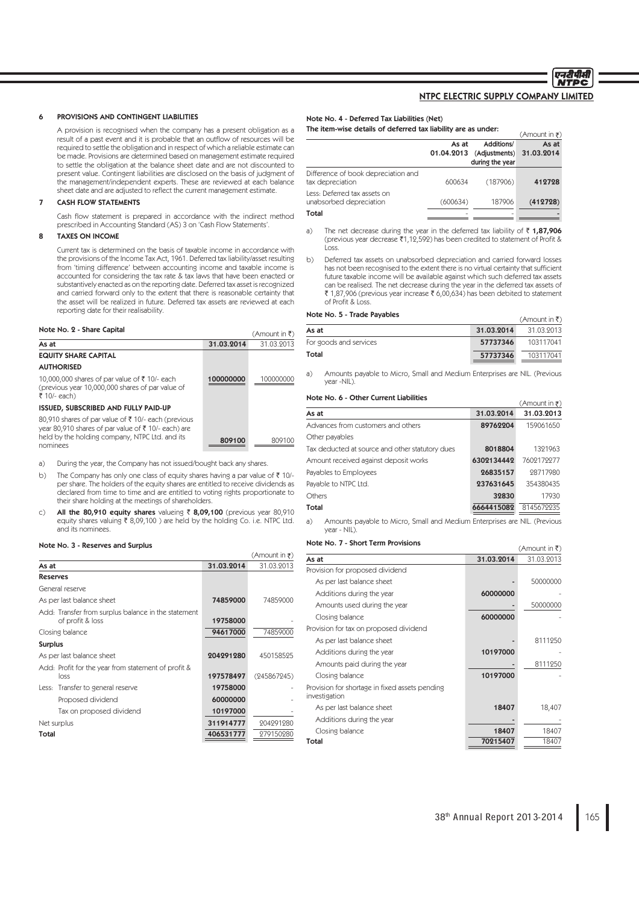#### 6 PROVISIONS AND CONTINGENT LIABILITIES

 A provision is recognised when the company has a present obligation as a result of a past event and it is probable that an outflow of resources will be required to settle the obligation and in respect of which a reliable estimate can be made. Provisions are determined based on management estimate required to settle the obligation at the balance sheet date and are not discounted to present value. Contingent liabilities are disclosed on the basis of judgment of the management/independent experts. These are reviewed at each balance sheet date and are adjusted to reflect the current management estimate.

## **CASH FLOW STATEMENTS**

Cash flow statement is prepared in accordance with the indirect method prescribed in Accounting Standard (AS) 3 on 'Cash Flow Statements'.

#### 8 TAXES ON INCOME

 Current tax is determined on the basis of taxable income in accordance with the provisions of the Income Tax Act, 1961. Deferred tax liability/asset resulting from 'timing difference' between accounting income and taxable income is accounted for considering the tax rate & tax laws that have been enacted or substantively enacted as on the reporting date. Deferred tax asset is recognized and carried forward only to the extent that there is reasonable certainty that the asset will be realized in future. Deferred tax assets are reviewed at each reporting date for their realisability.

#### Note No. 2 - Share Capital  $(4 \text{ mod } n)$

|                                                                                                                   |            | (ATIOUILITY) |
|-------------------------------------------------------------------------------------------------------------------|------------|--------------|
| As at                                                                                                             | 31.03.2014 | 31.03.2013   |
| <b>EQUITY SHARE CAPITAL</b>                                                                                       |            |              |
| <b>AUTHORISED</b>                                                                                                 |            |              |
| 10,000,000 shares of par value of ₹ 10/- each<br>(previous year 10,000,000 shares of par value of<br>₹ 10/- each) | 100000000  | 100000000    |
| ISSUED, SUBSCRIBED AND FULLY PAID-UP                                                                              |            |              |
| 80,910 shares of par value of ₹10/- each (previous<br>year 80,910 shares of par value of ₹10/- each) are          |            |              |

a) During the year, the Company has not issued/bought back any shares.

b) The Company has only one class of equity shares having a par value of  $\bar{t}$  10/per share. The holders of the equity shares are entitled to receive dividends as declared from time to time and are entitled to voting rights proportionate to their share holding at the meetings of shareholders.

held by the holding company, NTPC Ltd. and its nominees <sup>809100</sup> <sup>809100</sup>

c) All the 80,910 equity shares valueing  $\bar{\zeta}$  8,09,100 (previous year 80,910 equity shares valuing  $\bar{\tau}$  8,09,100 ) are held by the holding Co. i.e. NTPC Ltd. and its nominees.

#### Note No. 3 - Reserves and Surplus

|            | (Amount in $\bar{z}$ ) |
|------------|------------------------|
| 31.03.2014 | 31.03.2013             |
|            |                        |
|            |                        |
| 74859000   | 74859000               |
| 19758000   |                        |
| 94617000   | 74859000               |
|            |                        |
| 204291280  | 450158525              |
| 197578497  | (245867245)            |
| 19758000   |                        |
| 60000000   |                        |
| 10197000   |                        |
| 311914777  | 204291280              |
| 406531777  | 279150280              |
|            |                        |

# Note No. 4 - Deferred Tax Liabilities (Net)

The item-wise details of deferred tax liability are as under:

| The item-wise details of deferred tax liability are as under: |            |                 |                          |
|---------------------------------------------------------------|------------|-----------------|--------------------------|
|                                                               |            |                 | (Amount in $\bar{z}$ )   |
|                                                               | As at      | Additions/      | As at                    |
|                                                               | 01.04.2013 |                 | (Adjustments) 31.03.2014 |
|                                                               |            | during the year |                          |
| Difference of book depreciation and<br>tax depreciation       | 600634     | (187906)        | 412728                   |
| Less: Deferred tax assets on<br>unabsorbed depreciation       | (600634)   | 187906          | (412728)                 |
| Total                                                         |            |                 |                          |

NTPC ELECTRIC SUPPLY COMPANY LIMITED

एनदीपीसी **NTPC** 

 $(\Delta$ mount in  $\neq)$ 

a) The net decrease during the year in the deferred tax liability of  $\bar{\tau}$  1,87,906 (previous year decrease  $\bar{\bar{\epsilon}}$ 1,12,592) has been credited to statement of Profit & Loss.

b) Deferred tax assets on unabsorbed depreciation and carried forward losses has not been recognised to the extent there is no virtual certainty that sufficient future taxable income will be available against which such deferred tax assets can be realised. The net decrease during the year in the deferred tax assets of ₹ 1,87,906 (previous year increase ₹ 6,00,634) has been debited to statement of Profit & Loss.

#### Note No. 5 - Trade Payables

|                        |            | (Amount in 7) |
|------------------------|------------|---------------|
| As at                  | 31.03.2014 | 31.03.9013    |
| For goods and services | 57737346   | 103117041     |
| Total                  | 57737346   | 103117041     |

a) Amounts payable to Micro, Small and Medium Enterprises are NIL. (Previous year -NIL).

# Note No. 6 - Other Current Liabilities

|                                                 |            | (/ \\ I I U UI I L II I K <i>)</i> |
|-------------------------------------------------|------------|------------------------------------|
| As at                                           | 31.03.2014 | 31.03.2013                         |
| Advances from customers and others              | 89762204   | 159061650                          |
| Other payables                                  |            |                                    |
| Tax deducted at source and other statutory dues | 8018804    | 1321963                            |
| Amount received against deposit works           | 6302134442 | 7609179977                         |
| Payables to Employees                           | 26835157   | 28717980                           |
| Payable to NTPC Ltd.                            | 237631645  | 354380435                          |
| Others                                          | 32830      | 17930                              |
| Total                                           | 6664415082 | 8145672235                         |

a) Amounts payable to Micro, Small and Medium Enterprises are NIL. (Previous year - NIL).

#### Note No. 7 - Short Term Provisions

| Note No. 7 - Short Term Provisions                              |            | $(A$ mount in ₹) |
|-----------------------------------------------------------------|------------|------------------|
| As at                                                           | 31.03.2014 | 31.03.2013       |
| Provision for proposed dividend                                 |            |                  |
| As per last balance sheet                                       |            | 50000000         |
| Additions during the year                                       | 60000000   |                  |
| Amounts used during the year                                    |            | 50000000         |
| Closing balance                                                 | 60000000   |                  |
| Provision for tax on proposed dividend                          |            |                  |
| As per last balance sheet                                       |            | 8111250          |
| Additions during the year                                       | 10197000   |                  |
| Amounts paid during the year                                    |            | 8111250          |
| Closing balance                                                 | 10197000   |                  |
| Provision for shortage in fixed assets pending<br>investigation |            |                  |
| As per last balance sheet                                       | 18407      | 18,407           |
| Additions during the year                                       |            |                  |
| Closing balance                                                 | 18407      | 18407            |
| Total                                                           | 70215407   | 18407            |
|                                                                 |            |                  |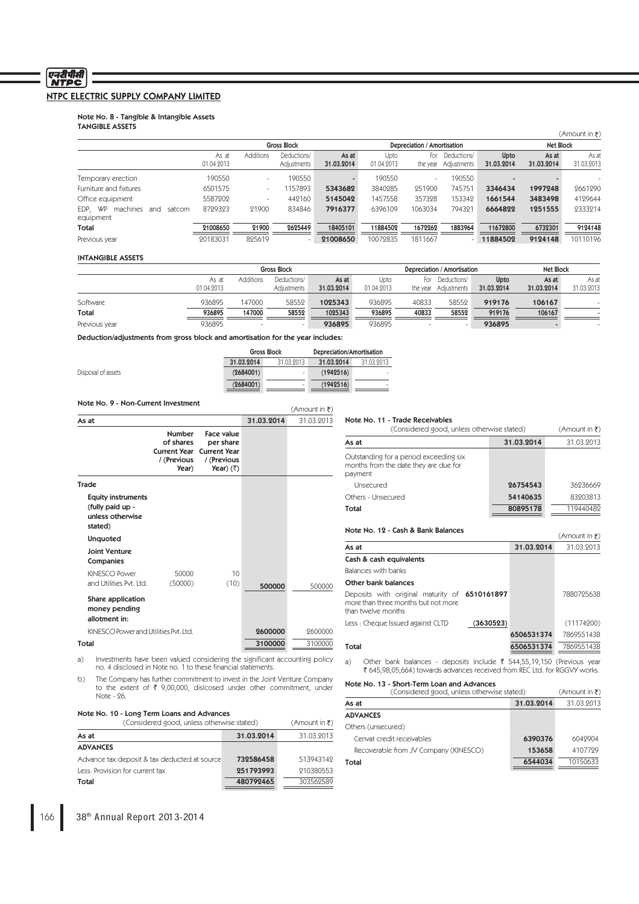# एनदीपीसी<br>NTPC

# NTPC ELECTRIC SUPPLY COMPANY LIMITED

# Note No. 8 - Tangible & Intangible Assets

TANGIBLE ASSETS

| IANGIBLE ASSETS                                                                 |                      |                                                      |                                     |                                     |                             |                                    |                                     |                                     |                     | (Amount in ₹)       |  |
|---------------------------------------------------------------------------------|----------------------|------------------------------------------------------|-------------------------------------|-------------------------------------|-----------------------------|------------------------------------|-------------------------------------|-------------------------------------|---------------------|---------------------|--|
|                                                                                 |                      |                                                      | <b>Gross Block</b>                  |                                     | Depreciation / Amortisation |                                    |                                     |                                     | <b>Net Block</b>    |                     |  |
|                                                                                 | As at<br>01.04.2013  | <b>Additions</b>                                     | Deductions/<br>Adjustments          | As at<br>31.03.2014                 | Upto<br>01.04.2013          | For                                | Deductions/<br>the year Adjustments | Upto<br>31.03.2014                  | As at<br>31.03.2014 | As at<br>31.03.2013 |  |
| Temporary erection<br>Furniture and fixtures                                    | 190550<br>6501575    | $\overline{\phantom{a}}$<br>$\overline{\phantom{a}}$ | 190550<br>1157893                   | $\overline{\phantom{a}}$<br>5343682 | 190550<br>3840285           | $\overline{\phantom{0}}$<br>251900 | 190550<br>745751                    | $\overline{\phantom{0}}$<br>3346434 | 1997248             | 2661290             |  |
| Office equipment<br><b>WP</b><br>machines<br>EDP.<br>satcom<br>and<br>equipment | 5587202<br>8729323   | $\overline{\phantom{0}}$<br>21900                    | 442160<br>834846                    | 5145042<br>7916377                  | 1457558<br>6396109          | 357328<br>1063034                  | 153342<br>794321                    | 1661544<br>6664822                  | 3483498<br>1251555  | 4129644<br>2333214  |  |
| Total<br>Previous year                                                          | 21008650<br>20183031 | 21900<br>825619                                      | 2625449<br>$\overline{\phantom{0}}$ | 18405101<br>21008650                | 11884502<br>10072835        | 1672262<br>1811667                 | 1883964<br>۰                        | 11672800<br>11884502                | 6732301<br>9124148  | 9124148<br>10110196 |  |

# INTANGIBLE ASSETS

|               | <b>Gross Block</b>  |                          |                            | Depreciation / Amortisation |                    |                          |                                         | <b>Net Block</b>   |                     |                     |
|---------------|---------------------|--------------------------|----------------------------|-----------------------------|--------------------|--------------------------|-----------------------------------------|--------------------|---------------------|---------------------|
|               | As at<br>01.04.2013 | <b>Additions</b>         | Deductions/<br>Adiustments | As at<br>31.03.2014         | Upto<br>01.04.2013 |                          | For Deductions/<br>the year Adiustments | Upto<br>31.03.2014 | As at<br>31.03.2014 | As at<br>31.03.2013 |
| Software      | 936895              | 147000                   | 58552                      | 1025343                     | 936895             | 40833                    | 58552                                   | 919176             | 106167              |                     |
| Total         | 936895              | 147000                   | 58552                      | 1025343                     | 936895             | 40833                    | 58552                                   | 919176             | 106167              |                     |
| Previous year | 936895              | $\overline{\phantom{a}}$ | $\overline{\phantom{a}}$   | 936895                      | 936895             | $\overline{\phantom{a}}$ | . .                                     | 936895             |                     |                     |

Deduction/adjustments from gross block and amortisation for the year includes:

|                    | <b>Gross Block</b> |                          | Depreciation/Amortisation |            |
|--------------------|--------------------|--------------------------|---------------------------|------------|
|                    | 31.03.2014         | 31.03.9013               | 31.03.2014                | 31.03.9013 |
| Disposal of assets | (2684001)          | $\overline{\phantom{0}}$ | (1942516)                 |            |
|                    | (2684001)          |                          | (1942516)                 |            |

# Note No. 9 - Non-Current Investment

| NOLE NO. 9 - NON-CUNENT MIVESUMENT                                           |                                                    |                                                                                                        |            | (Amount in ₹) |
|------------------------------------------------------------------------------|----------------------------------------------------|--------------------------------------------------------------------------------------------------------|------------|---------------|
| As at                                                                        |                                                    |                                                                                                        | 31.03.2014 | 31.03.2013    |
|                                                                              | <b>Number</b><br>of shares<br>/ (Previous<br>Year) | <b>Face value</b><br>per share<br><b>Current Year Current Year</b><br>/ (Previous<br>Year) $(\bar{z})$ |            |               |
| Trade                                                                        |                                                    |                                                                                                        |            |               |
| <b>Equity instruments</b><br>(fully paid up -<br>unless otherwise<br>stated) |                                                    |                                                                                                        |            |               |
| <b>Unquoted</b>                                                              |                                                    |                                                                                                        |            |               |
| <b>Joint Venture</b><br>Companies                                            |                                                    |                                                                                                        |            |               |
| <b>KINESCO Power</b><br>and Utilities Pvt. Ltd.                              | 50000<br>(50000)                                   | 10<br>(10)                                                                                             | 500000     | 500000        |
| Share application<br>money pending<br>allotment in:                          |                                                    |                                                                                                        |            |               |
| KINESCO Power and Utilities Pvt. Ltd.                                        |                                                    |                                                                                                        | 2600000    | 2600000       |
| Total                                                                        |                                                    |                                                                                                        | 3100000    | 3100000       |

a) Investments have been valued considering the significant accounting policy no. 4 disclosed in Note no. 1 to these financial statements.

b) The Company has further commitment to invest in the Joint Venture Company to the extent of ₹ 9,00,000, dislcosed under other commitment, under Note - 26.

# Note No. 10 - Long Term Loans and Advances

| (Considered good, unless otherwise stated)   |            | (Amount in $\bar{z}$ ) |
|----------------------------------------------|------------|------------------------|
| As at                                        | 31.03.2014 | 31.03.2013             |
| <b>ADVANCES</b>                              |            |                        |
| Advance tax deposit & tax deducted at source | 732586458  | 513943149              |
| Less: Provision for current tax              | 251793993  | 910380553              |
| Total                                        | 480792465  | 303562589              |

#### Note No. 11 - Trade Receivables

| (Considered good, unless otherwise stated)                                                 |          | (Amount in $\bar{z}$ ) |
|--------------------------------------------------------------------------------------------|----------|------------------------|
| 31.03.2014<br>As at                                                                        |          | 31.03.2013             |
| Outstanding for a period exceeding six<br>months from the date they are due for<br>payment |          |                        |
| Unsecured                                                                                  | 26754543 | 36936669               |
| Others - Unsecured                                                                         | 54140635 | 83903813               |
| Total                                                                                      | 80895178 | 119440482              |

#### Note No. 12 - Cash & Bank Balances

| Note No. 12 - Cash & Bank Balances                                                                         |           |            | (Amount in $\bar{z}$ ) |
|------------------------------------------------------------------------------------------------------------|-----------|------------|------------------------|
| As at                                                                                                      |           | 31.03.2014 | 31.03.9013             |
| Cash & cash equivalents                                                                                    |           |            |                        |
| Balances with banks                                                                                        |           |            |                        |
| Other bank balances                                                                                        |           |            |                        |
| Deposits with original maturity of 6510161897<br>more than three months but not more<br>than twelve months |           |            | 7880795638             |
| Less: Cheque Issued against CLTD                                                                           | (3630523) |            | (11174200)             |
|                                                                                                            |           | 6506531374 | 7869551438             |
| Total                                                                                                      |           | 6506531374 | 7869551438             |

a) Other bank balances - deposits include ₹ 544,55,19,150 (Previous year<br>₹ 645,98,05,664) towards advances received from REC Ltd. for RGGVY works.

#### Note No. 13 - Short-Term Loan and Advances

| (Considered good, unless otherwise stated) |            | (Amount in $\bar{z}$ ) |
|--------------------------------------------|------------|------------------------|
| As at                                      | 31.03.2014 | 31.03.9013             |
| <b>ADVANCES</b>                            |            |                        |
| Others (unsecured)                         |            |                        |
| Cenvat credit receivables                  | 6390376    | 6049904                |
| Recoverable from JV Company (KINESCO)      | 153658     | 4107729                |
| Total                                      | 6544034    | 10150633               |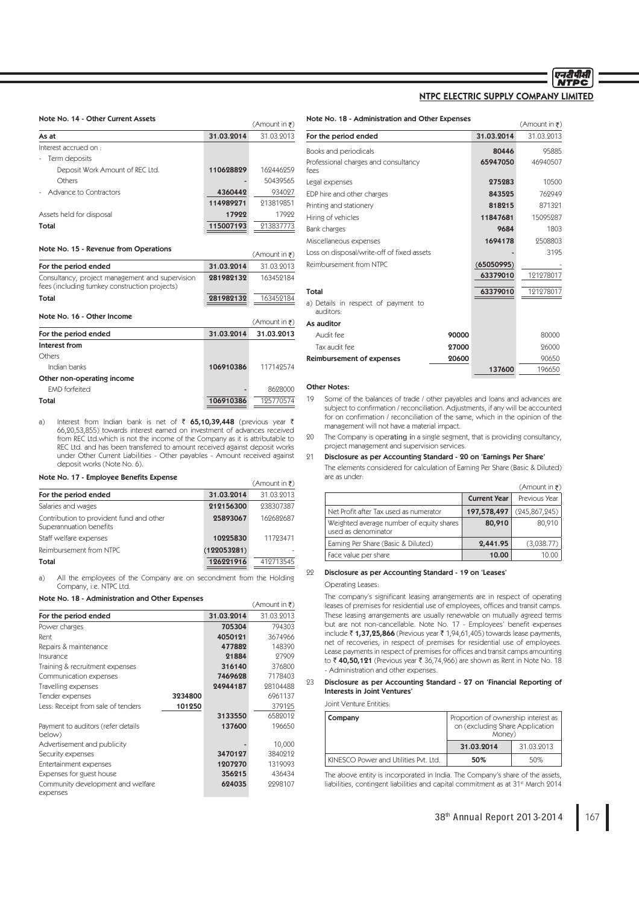एनदीपीसी **NTPC** 

#### Note No. 14 - Other Current Assets

| <b>NULE NU. 14 - ULIEI CUITEIIL ASSELS</b> |            | (Amount in $\bar{z}$ ) |
|--------------------------------------------|------------|------------------------|
| As at                                      | 31.03.2014 | 31.03.2013             |
| Interest accrued on :                      |            |                        |
| - Term deposits                            |            |                        |
| Deposit Work Amount of REC Ltd.            | 110628829  | 169446959              |
| Others                                     |            | 50439565               |
| - Advance to Contractors                   | 4360442    | 934027                 |
|                                            | 114989271  | 213819851              |
| Assets held for disposal                   | 17922      | 17999                  |
| Total                                      | 115007193  | 213837773              |
|                                            |            |                        |

#### Note No. 15 - Revenue from Operations

| For the period ended                                                                              | 31.03.2014 | 31.03.2013             |
|---------------------------------------------------------------------------------------------------|------------|------------------------|
| Consultancy, project management and supervision<br>fees (including turnkey construction projects) | 281982132  | 163459184              |
| Total                                                                                             | 281982132  | 163452184              |
| Note No. 16 - Other Income                                                                        |            | (Amount in $\bar{z}$ ) |
| For the period ended                                                                              | 31.03.2014 | 31.03.2013             |
| Interest from                                                                                     |            |                        |
| Others                                                                                            |            |                        |
| Indian banks                                                                                      | 106910386  | 117149574              |
| Other non-operating income                                                                        |            |                        |
| <b>EMD</b> forfeited                                                                              |            | 8628000                |

a) Interest from Indian bank is net of  $\bar{\tau}$  65,10,39,448 (previous year  $\bar{\tau}$ 66,20,53,855) towards interest earned on investment of advances received from REC Ltd.which is not the income of the Company as it is attributable to REC Ltd. and has been transferred to amount received against deposit works under Other Current Liabilities - Other payables - Amount received against deposit works (Note No. 6).

Total 106910386 125770574

#### Note No. 17 - Employee Benefits Expense

|                                                                     |             | $(7 \text{ N})$ |
|---------------------------------------------------------------------|-------------|-----------------|
| For the period ended                                                | 31.03.2014  | 31.03.2013      |
| Salaries and wages                                                  | 212156300   | 938307387       |
| Contribution to provident fund and other<br>Superannuation benefits | 25893067    | 169689687       |
| Staff welfare expenses                                              | 10225830    | 11793471        |
| Reimbursement from NTPC                                             | (122053281) |                 |
| Total                                                               | 126221916   | 412713545       |

a) All the employees of the Company are on secondment from the Holding Company, i.e. NTPC Ltd.

#### Note No. 18 - Administration and Other Expenses

| Note No. 18 - Administration and Other Expenses |         |            | (Amount in $\bar{z}$ ) |
|-------------------------------------------------|---------|------------|------------------------|
| For the period ended                            |         | 31.03.2014 | 31.03.2013             |
| Power charges                                   |         | 705304     | 794303                 |
| Rent                                            |         | 4050121    | 3674966                |
| Repairs & maintenance                           |         | 477882     | 148390                 |
| <i><u><b>Insurance</b></u></i>                  |         | 21884      | 27909                  |
| Training & recruitment expenses                 |         | 316140     | 376800                 |
| Communication expenses                          |         | 7469628    | 7178403                |
| Travelling expenses                             |         | 24944187   | 28104488               |
| Tender expenses                                 | 3234800 |            | 6961137                |
| Less: Receipt from sale of tenders              | 101250  |            | 379125                 |
|                                                 |         | 3133550    | 6589019                |
| Payment to auditors (refer details<br>below)    |         | 137600     | 196650                 |
| Advertisement and publicity                     |         |            | 10,000                 |
| Security expenses                               |         | 3470127    | 3840212                |
| Entertainment expenses                          |         | 1207270    | 1319093                |
| Expenses for guest house                        |         | 356215     | 436434                 |
| Community development and welfare<br>expenses   |         | 624035     | 2298107                |

| Note No. 18 - Administration and Other Expenses<br>(Amount in $\bar{z}$ ) |                   |
|---------------------------------------------------------------------------|-------------------|
| 31.03.2014                                                                | 31.03.2013        |
| 80446<br>65947050                                                         | 95885<br>46940507 |
| 275283<br>843525                                                          | 10500<br>769949   |
|                                                                           |                   |

Note No. 18 - Administration and Other Expenses

| EDP hire and other charges                       |       | 843525     | 762949    |
|--------------------------------------------------|-------|------------|-----------|
| Printing and stationery                          |       | 818215     | 871321    |
| Hiring of vehicles                               |       | 11847681   | 15095287  |
| Bank charges                                     |       | 9684       | 1803      |
| Miscellaneous expenses                           |       | 1694178    | 2508803   |
| Loss on disposal/write-off of fixed assets       |       |            | 3195      |
| Reimbursement from NTPC.                         |       | (65050995) |           |
|                                                  |       | 63379010   | 121278017 |
| Total                                            |       | 63379010   | 121278017 |
| a) Details in respect of payment to<br>auditors: |       |            |           |
| As auditor                                       |       |            |           |
| Audit fee                                        | 90000 |            | 80000     |
| Tax audit fee                                    | 27000 |            | 26000     |
| Reimbursement of expenses                        | 20600 |            | 90650     |
|                                                  |       | 137600     | 196650    |

#### Other Notes:

 $(Am$ ount in  $\overline{z}$ )

fees

(Amount in `)

- 19 Some of the balances of trade / other payables and loans and advances are subject to confirmation / reconciliation. Adjustments, if any will be accounted for on confirmation / reconciliation of the same, which in the opinion of the management will not have a material impact.
- 20 The Company is operating in a single segment, that is providing consultancy, project management and supervision services.

#### 21 Disclosure as per Accounting Standard - 20 on 'Earnings Per Share'

 The elements considered for calculation of Earning Per Share (Basic & Diluted) are as under:

|                                                                 |                     | (Amount in $\overline{\tau}$ ) |
|-----------------------------------------------------------------|---------------------|--------------------------------|
|                                                                 | <b>Current Year</b> | Previous Year                  |
| Net Profit after Tax used as numerator                          | 197,578,497         | (245, 867, 245)                |
| Weighted average number of equity shares<br>used as denominator | 80,910              | 80,910                         |
| Earning Per Share (Basic & Diluted)                             | 2,441.95            | (3,038.77)                     |
| Face value per share                                            | 10.00               | 10.00                          |

#### 22 Disclosure as per Accounting Standard - 19 on 'Leases'

#### Operating Leases:

The company's significant leasing arrangements are in respect of operating leases of premises for residential use of employees, offices and transit camps. These leasing arrangements are usually renewable on mutually agreed terms but are not non-cancellable. Note No. 17 - Employees' benefit expenses include  $\bar{\tau}$  1,37,25,866 (Previous year  $\bar{\tau}$  1,94,61,405) towards lease payments, net of recoveries, in respect of premises for residential use of employees. Lease payments in respect of premises for offices and transit camps amounting to  $\bar{\tau}$  40,50,121 (Previous year  $\bar{\tau}$  36,74,966) are shown as Rent in Note No. 18 - Administration and other expenses.

#### 23 Disclosure as per Accounting Standard - 27 on 'Financial Reporting of Interests in Joint Ventures'

Joint Venture Entities:

| Company                               | Proportion of ownership interest as<br>on (excluding Share Application<br>Money) |            |
|---------------------------------------|----------------------------------------------------------------------------------|------------|
|                                       | 31.03.2014                                                                       | 31.03.9013 |
| KINESCO Power and Utilities Pvt. Ltd. | 50%                                                                              | 50%        |

 The above entity is incorporated in India. The Company's share of the assets, liabilities, contingent liabilities and capital commitment as at 31st March 2014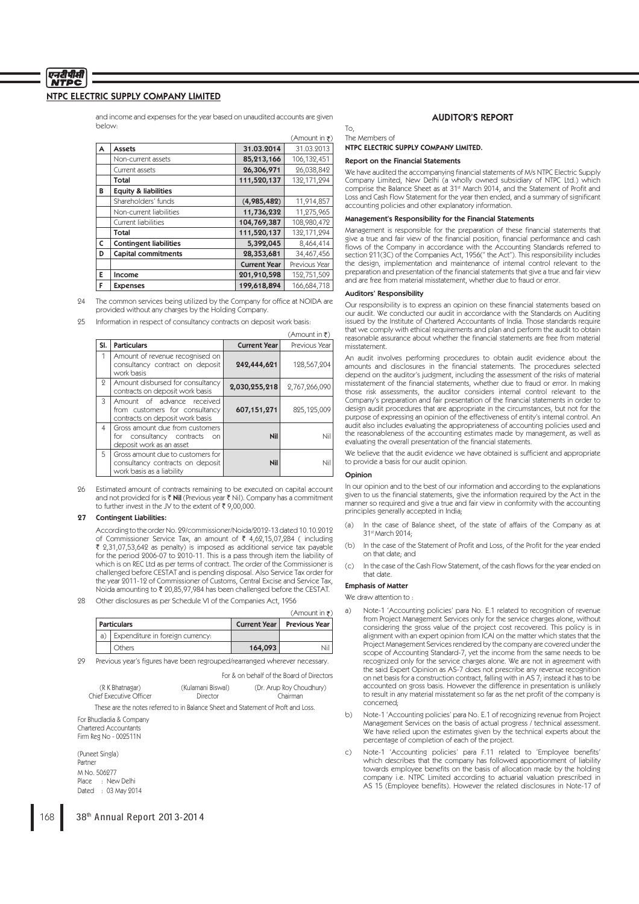एनरीपीसी **NTPC** 

> and income and expenses for the year based on unaudited accounts are given below:

|   |                                 |                     | (Amount in $\bar{z}$ ) |
|---|---------------------------------|---------------------|------------------------|
| A | <b>Assets</b>                   | 31.03.2014          | 31.03.2013             |
|   | Non-current assets              | 85,213,166          | 106,132,451            |
|   | Current assets                  | 26,306,971          | 26,038,842             |
|   | Total                           | 111,520,137         | 132, 171, 294          |
| В | <b>Equity &amp; liabilities</b> |                     |                        |
|   | Shareholders' funds             | (4,985,482)         | 11,914,857             |
|   | Non-current liabilities         | 11,736,232          | 11,275,965             |
|   | Current liabilities             | 104,769,387         | 108,980,472            |
|   | Total                           | 111,520,137         | 132, 171, 294          |
| C | <b>Contingent liabilities</b>   | 5,392,045           | 8,464,414              |
| D | <b>Capital commitments</b>      | 28,353,681          | 34,467,456             |
|   |                                 | <b>Current Year</b> | Previous Year          |
| E | Income                          | 201,910,598         | 152,751,509            |
| F | <b>Expenses</b>                 | 199,618,894         | 166,684,718            |

24 The common services being utilized by the Company for office at NOIDA are provided without any charges by the Holding Company.

25 Information in respect of consultancy contracts on deposit work basis:

|     |                                                                                                    | (Amount in $\bar{z}$ ) |               |
|-----|----------------------------------------------------------------------------------------------------|------------------------|---------------|
| SI. | <b>Particulars</b>                                                                                 | <b>Current Year</b>    | Previous Year |
| 1   | Amount of revenue recognised on<br>consultancy contract on deposit<br>work basis                   | 242,444,621            | 128,567,204   |
| 2   | Amount disbursed for consultancy<br>contracts on deposit work basis                                | 2,030,255,218          | 2,767,266,090 |
| 3   | Amount of advance received<br>from customers for consultancy<br>contracts on deposit work basis    | 607,151,271            | 825,125,009   |
| 4   | Gross amount due from customers<br>for consultancy contracts<br>on<br>deposit work as an asset     | <b>Nil</b>             | Nil           |
| 5   | Gross amount due to customers for<br>consultancy contracts on deposit<br>work basis as a liability | Nil                    | Nil           |

26 Estimated amount of contracts remaining to be executed on capital account and not provided for is ₹ Nil (Previous year ₹ Nil). Company has a commitment to further invest in the JV to the extent of  $\bar{\tau}$  9,00,000.

# 27 Contingent Liabilities:

 According to the order No. 29/commissioner/Noida/2012-13 dated 10.10.2012 of Commissioner Service Tax, an amount of  $\bar{\tau}$  4,62,15,07,284 ( including ₹ 2,31,07,53,642 as penalty) is imposed as additional service tax payable for the period 2006-07 to 2010-11. This is a pass through item the liability of which is on REC Ltd as per terms of contract. The order of the Commissioner is challenged before CESTAT and is pending disposal. Also Service Tax order for the year 2011-12 of Commissioner of Customs, Central Excise and Service Tax, Noida amounting to ₹ 20,85,97,984 has been challenged before the CESTAT.

28 Other disclosures as per Schedule VI of the Companies Act, 1956

|             |                                  |                     | $(Am$ ount in $\bar{x}$ ) |
|-------------|----------------------------------|---------------------|---------------------------|
| Particulars |                                  | <b>Current Year</b> | Previous Year I           |
| a)          | Expenditure in foreign currency: |                     |                           |
|             | Others                           | 164,093             |                           |

29 Previous year's figures have been regrouped/rearranged wherever necessary

|                                                                                   |                               | For & on behalf of the Board of Directors |
|-----------------------------------------------------------------------------------|-------------------------------|-------------------------------------------|
| (R K Bhatnagar)<br>Chief Executive Officer                                        | (Kulamani Biswal)<br>Director | (Dr. Arup Roy Choudhury)<br>Chairman      |
| These are the notes referred to in Balance Sheet and Statement of Proft and Loss. |                               |                                           |
| For Bhudladia & Company                                                           |                               |                                           |

Chartered Accountants Firm Reg No - 002511N

(Puneet Singla) Partner M No. 506977 Place : New Delhi Dated : 03 May 2014

AUDITOR'S REPORT

The Members of

To,

NTPC ELECTRIC SUPPLY COMPANY LIMITED.

#### Report on the Financial Statements

We have audited the accompanying financial statements of M/s NTPC Electric Supply Company Limited, New Delhi (a wholly owned subsidiary of NTPC Ltd.) which comprise the Balance Sheet as at 31<sup>st</sup> March 2014, and the Statement of Profit and Loss and Cash Flow Statement for the year then ended, and a summary of significant accounting policies and other explanatory information.

#### Management's Responsibility for the Financial Statements

Management is responsible for the preparation of these financial statements that give a true and fair view of the financial position, financial performance and cash flows of the Company in accordance with the Accounting Standards referred to section 211(3C) of the Companies Act, 1956(" the Act"). This responsibility includes the design, implementation and maintenance of internal control relevant to the preparation and presentation of the financial statements that give a true and fair view and are free from material misstatement, whether due to fraud or error.

#### Auditors' Responsibility

Our responsibility is to express an opinion on these financial statements based on our audit. We conducted our audit in accordance with the Standards on Auditing issued by the Institute of Chartered Accountants of India. Those standards require that we comply with ethical requirements and plan and perform the audit to obtain reasonable assurance about whether the financial statements are free from material misstatement.

An audit involves performing procedures to obtain audit evidence about the amounts and disclosures in the financial statements. The procedures selected depend on the auditor's judgment, including the assessment of the risks of material<br>misstatement of the financial statements, whether due to fraud or error. In making those risk assessments, the auditor considers internal control relevant to the Company's preparation and fair presentation of the financial statements in order to design audit procedures that are appropriate in the circumstances, but not for the purpose of expressing an opinion of the effectiveness of entity's internal control. An audit also includes evaluating the appropriateness of accounting policies used and the reasonableness of the accounting estimates made by management, as well as evaluating the overall presentation of the financial statements.

We believe that the audit evidence we have obtained is sufficient and appropriate to provide a basis for our audit opinion.

#### **Opinion**

In our opinion and to the best of our information and according to the explanations given to us the financial statements, give the information required by the Act in the manner so required and give a true and fair view in conformity with the accounting principles generally accepted in India;

- (a) In the case of Balance sheet, of the state of affairs of the Company as at 31st March 2014;
- (b) In the case of the Statement of Profit and Loss, of the Profit for the year ended on that date; and
- In the case of the Cash Flow Statement, of the cash flows for the year ended on that date.

#### Emphasis of Matter

We draw attention to :

- Note-1 'Accounting policies' para No. E.1 related to recognition of revenue from Project Management Services only for the service charges alone, without considering the gross value of the project cost recovered. This policy is in alignment with an expert opinion from ICAI on the matter which states that the Project Management Services rendered by the company are covered under the scope of Accounting Standard-7, yet the income from the same needs to be recognized only for the service charges alone. We are not in agreement with the said Expert Opinion as AS-7 does not prescribe any revenue recognition on net basis for a construction contract, falling with in AS 7; instead it has to be accounted on gross basis. However the difference in presentation is unlikely to result in any material misstatement so far as the net profit of the company is concerned;
- b) Note-1 'Accounting policies' para No. E.1 of recognizing revenue from Project Management Services on the basis of actual progress / technical assessment. We have relied upon the estimates given by the technical experts about the percentage of completion of each of the project.
- c) Note-1 'Accounting policies' para F.11 related to 'Employee benefits'<br>which describes that the company has followed apportionment of liability<br>towards employee benefits on the basis of allocation made by the holding company i.e. NTPC Limited according to actuarial valuation prescribed in AS 15 (Employee benefits). However the related disclosures in Note-17 of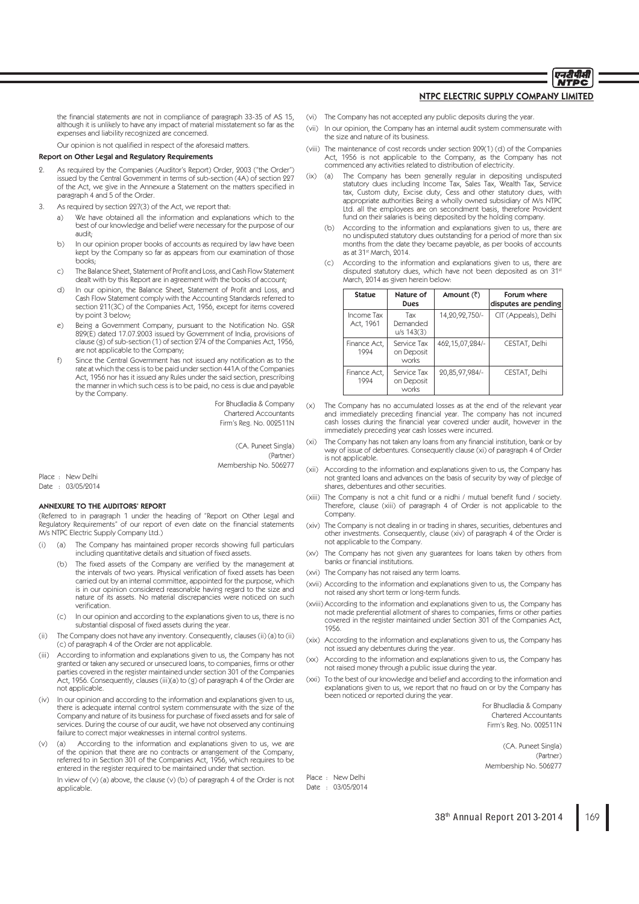

the financial statements are not in compliance of paragraph 33-35 of AS 15, although it is unlikely to have any impact of material misstatement so far as the expenses and liability recognized are concerned.

Our opinion is not qualified in respect of the aforesaid matters.

### Report on Other Legal and Regulatory Requirements

- 2. As required by the Companies (Auditor's Report) Order, 2003 ("the Order") issued by the Central Government in terms of sub-section (4A) of section 227 of the Act, we give in the Annexure a Statement on the matters specified in paragraph 4 and 5 of the Order.
- 3. As required by section 227(3) of the Act, we report that:
	- a) We have obtained all the information and explanations which to the best of our knowledge and belief were necessary for the purpose of our audit;
	- b) In our opinion proper books of accounts as required by law have been kept by the Company so far as appears from our examination of those books;
	- c) The Balance Sheet, Statement of Profit and Loss, and Cash Flow Statement dealt with by this Report are in agreement with the books of account;
	- d) In our opinion, the Balance Sheet, Statement of Profit and Loss, and Cash Flow Statement comply with the Accounting Standards referred to section 211(3C) of the Companies Act, 1956, except for items covered by point 3 below;
	- e) Being a Government Company, pursuant to the Notification No. GSR 829(E) dated 17.07.2003 issued by Government of India, provisions of clause (g) of sub-section (1) of section 274 of the Companies Act, 1956, are not applicable to the Company:
	- f) Since the Central Government has not issued any notification as to the rate at which the cess is to be paid under section 441A of the Companies Act, 1956 nor has it issued any Rules under the said section, prescribing the manner in which such cess is to be paid, no cess is due and payable by the Company.

For Bhudladia & Company Chartered Accountants Firm's Reg. No. 002511N

> (CA. Puneet Singla) (Partner)

Membership No. 506277

Place : New Delhi Date : 03/05/9014

#### ANNEXURE TO THE AUDITORS' REPORT

(Referred to in paragraph 1 under the heading of "Report on Other Legal and Regulatory Requirements" of our report of even date on the financial statements M/s NTPC Electric Supply Company Ltd.)

- (i) (a) The Company has maintained proper records showing full particulars including quantitative details and situation of fixed assets.
	- (b) The fixed assets of the Company are verified by the management at the intervals of two years. Physical verification of fixed assets has been carried out by an internal committee, appointed for the purpose, which is in our opinion considered reasonable having regard to the size and nature of its assets. No material discrepancies were noticed on such verification.
	- (c) In our opinion and according to the explanations given to us, there is no substantial disposal of fixed assets during the year.
- (ii) The Company does not have any inventory. Consequently, clauses (ii) (a) to (ii) (c) of paragraph 4 of the Order are not applicable.
- (iii) According to information and explanations given to us, the Company has not granted or taken any secured or unsecured loans, to companies, firms or other<br>parties covered in the register maintained under section 301 of the Companies Act, 1956. Consequently, clauses (iii)(a) to (g) of paragraph 4 of the Order are not applicable.
- (iv) In our opinion and according to the information and explanations given to us, there is adequate internal control system commensurate with the size of the Company and nature of its business for purchase of fixed assets and for sale of services. During the course of our audit, we have not observed any continuing failure to correct major weaknesses in internal control systems.
- According to the information and explanations given to us, we are of the opinion that there are no contracts or arrangement of the Company, referred to in Section 301 of the Companies Act, 1956, which requires to be entered in the register required to be maintained under that section.

In view of  $(v)$  (a) above, the clause  $(v)$  (b) of paragraph 4 of the Order is not applicable.

- (vi) The Company has not accepted any public deposits during the year.
- (vii) In our opinion, the Company has an internal audit system commensurate with the size and nature of its business.
- (viii) The maintenance of cost records under section 209(1) (d) of the Companies Act, 1956 is not applicable to the Company, as the Company has not commenced any activities related to distribution of electricity.
- (ix) (a) The Company has been generally regular in depositing undisputed statutory dues including Income Tax, Sales Tax, Wealth Tax, Service tax, Custom duty, Excise duty, Cess and other statutory dues, with appropriate authorities Being a wholly owned subsidiary of M/s NTPC Ltd. all the employees are on secondment basis, therefore Provident fund on their salaries is being deposited by the holding company.
- (b) According to the information and explanations given to us, there are no undisputed statutory dues outstanding for a period of more than six months from the date they became payable, as per books of accounts as at 31st March, 2014.
	- (c) According to the information and explanations given to us, there are disputed statutory dues, which have not been deposited as on 31st March, 2014 as given herein below:

| <b>Statue</b>           | Nature of<br><b>Dues</b>           | Amount $(\bar{z})$ | Forum where<br>disputes are pending |
|-------------------------|------------------------------------|--------------------|-------------------------------------|
| Income Tax<br>Act, 1961 | Tax<br>Demanded<br>u/s 143(3)      | 14, 20, 92, 750/-  | CIT (Appeals), Delhi                |
| Finance Act,<br>1994    | Service Tax<br>on Deposit<br>works | 462, 15, 07, 284/- | CESTAT, Delhi                       |
| Finance Act,<br>1994    | Service Tax<br>on Deposit<br>works | 20,85,97,984/-     | CESTAT, Delhi                       |

- (x) The Company has no accumulated losses as at the end of the relevant year and immediately preceding fi nancial year. The company has not incurred cash losses during the financial year covered under audit, however in the immediately preceding year cash losses were incurred.
- The Company has not taken any loans from any financial institution, bank or by way of issue of debentures. Consequently clause (xi) of paragraph 4 of Order is not applicable.
- (xii) According to the information and explanations given to us, the Company has not granted loans and advances on the basis of security by way of pledge of shares, debentures and other securities.
- (xiii) The Company is not a chit fund or a nidhi / mutual benefit fund / society. Therefore, clause (xiii) of paragraph 4 of Order is not applicable to the **Company**
- (xiv) The Company is not dealing in or trading in shares, securities, debentures and other investments. Consequently, clause (xiv) of paragraph 4 of the Order is not applicable to the Company.
- (xv) The Company has not given any guarantees for loans taken by others from banks or financial institutions.
- (xvi) The Company has not raised any term loams.

Place : New Delhi Date : 03/05/9014

- (xvii) According to the information and explanations given to us, the Company has not raised any short term or long-term funds.
- (xviii) According to the information and explanations given to us, the Company has not made preferential allotment of shares to companies, firms or other parties covered in the register maintained under Section 301 of the Companies Act, 1956.
- (xix) According to the information and explanations given to us, the Company has not issued any debentures during the year.
- (xx) According to the information and explanations given to us, the Company has not raised money through a public issue during the year.
- (xxi) To the best of our knowledge and belief and according to the information and explanations given to us, we report that no fraud on or by the Company has been noticed or reported during the year.

For Bhudladia & Company Chartered Accountants Firm's Reg. No. 002511N

> (CA. Puneet Singla) (Partner) Membership No. 506277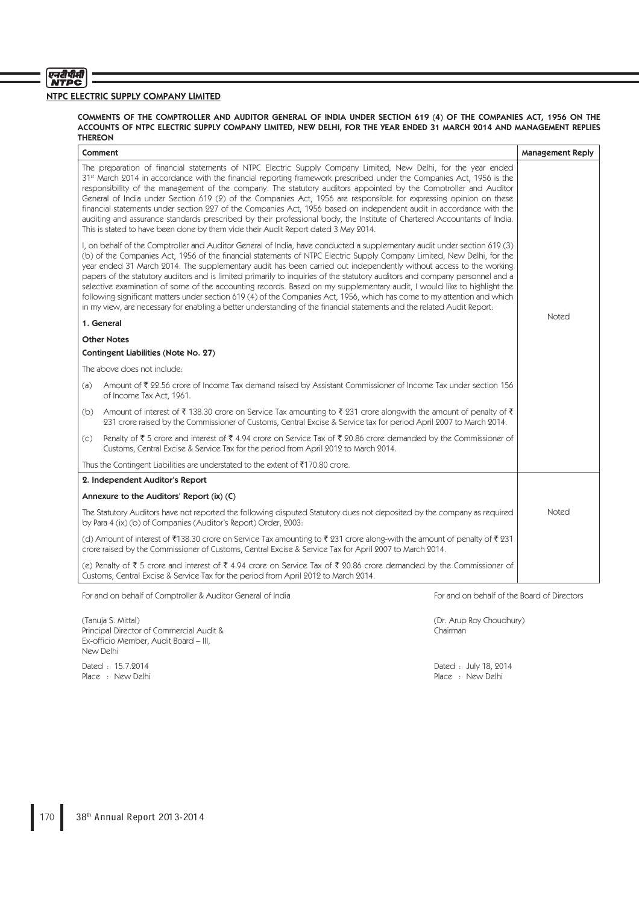एनदीपीसी<br>NTPC

# COMMENTS OF THE COMPTROLLER AND AUDITOR GENERAL OF INDIA UNDER SECTION 619 (4) OF THE COMPANIES ACT, 1956 ON THE ACCOUNTS OF NTPC ELECTRIC SUPPLY COMPANY LIMITED, NEW DELHI, FOR THE YEAR ENDED 31 MARCH 2014 AND MANAGEMENT REPLIES THEREON

| Comment                                                                                                                                                                                                                                                                                                                                                                                                                                                                                                                                                                                                                                                                                                                                                                                                                                                                                    | <b>Management Reply</b> |  |
|--------------------------------------------------------------------------------------------------------------------------------------------------------------------------------------------------------------------------------------------------------------------------------------------------------------------------------------------------------------------------------------------------------------------------------------------------------------------------------------------------------------------------------------------------------------------------------------------------------------------------------------------------------------------------------------------------------------------------------------------------------------------------------------------------------------------------------------------------------------------------------------------|-------------------------|--|
| The preparation of financial statements of NTPC Electric Supply Company Limited, New Delhi, for the year ended<br>31 <sup>st</sup> March 2014 in accordance with the financial reporting framework prescribed under the Companies Act, 1956 is the<br>responsibility of the management of the company. The statutory auditors appointed by the Comptroller and Auditor<br>General of India under Section 619 (2) of the Companies Act, 1956 are responsible for expressing opinion on these<br>financial statements under section 227 of the Companies Act, 1956 based on independent audit in accordance with the<br>auditing and assurance standards prescribed by their professional body, the Institute of Chartered Accountants of India.<br>This is stated to have been done by them vide their Audit Report dated 3 May 2014.                                                       |                         |  |
| I, on behalf of the Comptroller and Auditor General of India, have conducted a supplementary audit under section 619 (3)<br>(b) of the Companies Act, 1956 of the financial statements of NTPC Electric Supply Company Limited, New Delhi, for the<br>year ended 31 March 2014. The supplementary audit has been carried out independently without access to the working<br>papers of the statutory auditors and is limited primarily to inquiries of the statutory auditors and company personnel and a<br>selective examination of some of the accounting records. Based on my supplementary audit, I would like to highlight the<br>following significant matters under section 619 (4) of the Companies Act, 1956, which has come to my attention and which<br>in my view, are necessary for enabling a better understanding of the financial statements and the related Audit Report: |                         |  |
| 1. General                                                                                                                                                                                                                                                                                                                                                                                                                                                                                                                                                                                                                                                                                                                                                                                                                                                                                 | Noted                   |  |
| <b>Other Notes</b>                                                                                                                                                                                                                                                                                                                                                                                                                                                                                                                                                                                                                                                                                                                                                                                                                                                                         |                         |  |
| Contingent Liabilities (Note No. 27)                                                                                                                                                                                                                                                                                                                                                                                                                                                                                                                                                                                                                                                                                                                                                                                                                                                       |                         |  |
| The above does not include:                                                                                                                                                                                                                                                                                                                                                                                                                                                                                                                                                                                                                                                                                                                                                                                                                                                                |                         |  |
| Amount of ₹ 22.56 crore of Income Tax demand raised by Assistant Commissioner of Income Tax under section 156<br>(a)<br>of Income Tax Act, 1961.                                                                                                                                                                                                                                                                                                                                                                                                                                                                                                                                                                                                                                                                                                                                           |                         |  |
| Amount of interest of ₹138.30 crore on Service Tax amounting to ₹231 crore alongwith the amount of penalty of ₹<br>(b)<br>231 crore raised by the Commissioner of Customs, Central Excise & Service tax for period April 2007 to March 2014.                                                                                                                                                                                                                                                                                                                                                                                                                                                                                                                                                                                                                                               |                         |  |
| Penalty of ₹5 crore and interest of ₹4.94 crore on Service Tax of ₹20.86 crore demanded by the Commissioner of<br>(c)<br>Customs, Central Excise & Service Tax for the period from April 2012 to March 2014.                                                                                                                                                                                                                                                                                                                                                                                                                                                                                                                                                                                                                                                                               |                         |  |
| Thus the Contingent Liabilities are understated to the extent of ₹170.80 crore.                                                                                                                                                                                                                                                                                                                                                                                                                                                                                                                                                                                                                                                                                                                                                                                                            |                         |  |
| 2. Independent Auditor's Report                                                                                                                                                                                                                                                                                                                                                                                                                                                                                                                                                                                                                                                                                                                                                                                                                                                            |                         |  |
| Annexure to the Auditors' Report (ix) (C)                                                                                                                                                                                                                                                                                                                                                                                                                                                                                                                                                                                                                                                                                                                                                                                                                                                  |                         |  |
| The Statutory Auditors have not reported the following disputed Statutory dues not deposited by the company as required<br>by Para 4 (ix) (b) of Companies (Auditor's Report) Order, 2003:                                                                                                                                                                                                                                                                                                                                                                                                                                                                                                                                                                                                                                                                                                 | Noted                   |  |
| (d) Amount of interest of ₹138.30 crore on Service Tax amounting to ₹231 crore along-with the amount of penalty of ₹231<br>crore raised by the Commissioner of Customs, Central Excise & Service Tax for April 2007 to March 2014.                                                                                                                                                                                                                                                                                                                                                                                                                                                                                                                                                                                                                                                         |                         |  |
| (e) Penalty of ₹ 5 crore and interest of ₹ 4.94 crore on Service Tax of ₹ 20.86 crore demanded by the Commissioner of<br>Customs, Central Excise & Service Tax for the period from April 2012 to March 2014.                                                                                                                                                                                                                                                                                                                                                                                                                                                                                                                                                                                                                                                                               |                         |  |

For and on behalf of Comptroller & Auditor General of India For and School and on behalf of the Board of Directors

(Tanuja S. Mittal) Principal Director of Commercial Audit & Ex-officio Member, Audit Board – III, New Delhi

(Dr. Arup Roy Choudhury) Chairman

Dated : 15.7.2014 Place : New Delhi

Dated : July 18, 2014 Place : New Delhi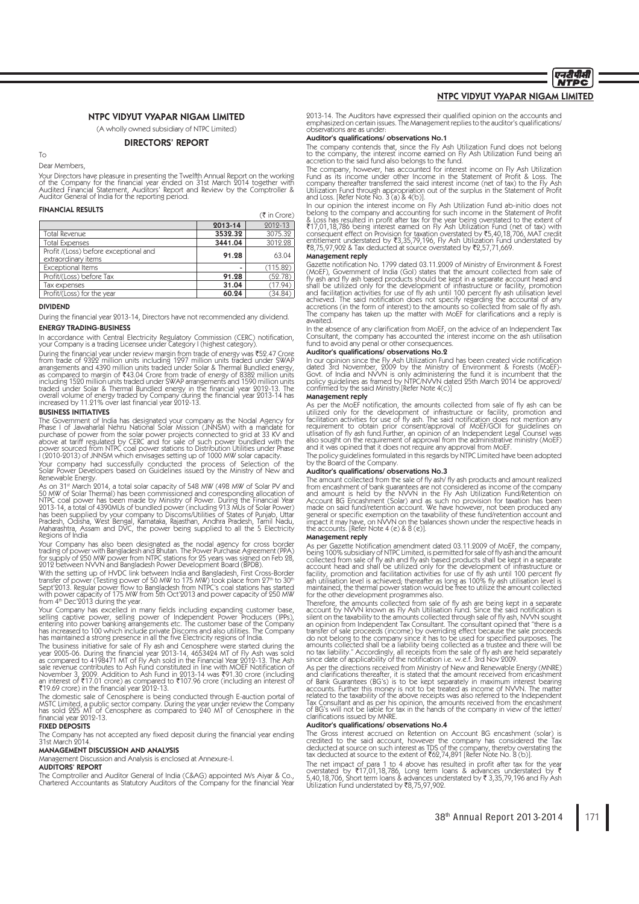

# NTPC VIDYUT VYAPAR NIGAM LIMITED

### NTPC VIDYUT VYAPAR NIGAM LIMITED

(A wholly owned subsidiary of NTPC Limited)

DIRECTORS' REPORT

To

Dear Members,

Your Directors have pleasure in presenting the Twelfth Annual Report on the working<br>of the Company for the financial year ended on 31st March 2014 together with<br>Audited Financial Statement, Auditors' Report and Review by t

#### FINANCIAL RESULTS

|                                                              |         | $(3\overline{5})$ in Crore) |
|--------------------------------------------------------------|---------|-----------------------------|
|                                                              | 2013-14 | 2012-13                     |
| Total Revenue                                                | 3532.32 | 3075.32                     |
| <b>Total Expenses</b>                                        | 3441.04 | 3012.28                     |
| Profit /(Loss) before exceptional and<br>extraordinary items | 91.28   | 63.04                       |
| <b>Exceptional Items</b>                                     |         | (115.82)                    |
| Profit/(Loss) before Tax                                     | 91.28   | (52.78)                     |
| Tax expenses                                                 | 31.04   | (17.94)                     |
| Profit/(Loss) for the year                                   | 60.24   | (34.84)                     |

#### DIVIDEND

During the financial year 9013-14. Directors have not recommended any dividend. ENERGY TRADING-BUSINESS

In accordance with Central Electricity Regulatory Commission (CERC) notification,<br>your Company is a trading Licensee under Category I (highest category).

During the financial year under review margin from trade of energy was ₹52.47 Crore<br>from trade of 9322 million units including 1997 million units traded under SWAP<br>arrangements and 4390 million units traded under Solar & T

# BUSINESS INITIATIVES

The Government of India has designated your company as the Nodal Agency for<br>Phase 1 of Jawaharlal Nehru National Solar Mission (JNNSM) with a mandate for<br>purchase of power from the solar power projects connected to grid at

Your company had successfully conducted the process of Selection of the Solar Power Developers based on Guidelines issued by the Ministry of New and

Renewable Energy.<br>As on 31% March 2014, a total solar capacity of 548 MW (498 MW of Solar PV and<br>As on 31% March 2014, a total solar commissioned and corresponding allocation of<br>SO MW of Solar Thermal) has been commissione

Your Company has also been designated as the nodal agency for cross border<br>trading of power with Bangladesh and Bhutan. The Power Purchase Agreement (PPA)<br>for supply of 250 MW power from NTPC stations for 25 years was sign

Your Company has excelled in many fields including expanding customer base,<br>selling captive power, selling power of Independent Power Producers (IPPs),<br>entering into power banking arangements etc. The customer base of the

The domestic sale of Cenosphere is being conducted through E-auction portal of<br>MSTC Limited, a public sector company. During the year under review the Company<br>has sold 225 MT of Cenosphere as compared to 240 MT of Cenosphe

# FIXED DEPOSITS

The Company has not accepted any fixed deposit during the financial year ending<br>31st March 2014.

#### MANAGEMENT DISCUSSION AND ANALYSIS

Management Discussion and Analysis is enclosed at Annexure-I.

#### AUDITORS' REPORT

The Comptroller and Auditor General of India (C&AG) appointed M/s Aiyar & Co., Chartered Accountants as Statutory Auditors of the Company for the fi nancial Year

2013-14. The Auditors have expressed their qualified opinion on the accounts and<br>emphasized on certain issues. The Management replies to the auditor's qualifications/ observations are as under:

#### Auditor's qualifications/ observations No.1

The company contends that, since the Fly Ash Utilization Fund does not belong to the company, the interest income earned on Fly Ash Utilization Fund being an accretion to the said fund also belongs to the fund.

The company, however, has accounted for interest income on Fly Ash Utilization<br>Fund as its income under other Income in the Statement of Profit & Loss. The<br>company thereafter transferred the said interest income (net of ta Utilization Fund through appropriation out of the surplus in the Statement of Profit<br>and Loss. [Refer Note No. 3 (a) & 4(b)].

In our opinion the interest income on Fly Ash Utilization Fund ab-initio does not belong to the company and accounting for such income in the Statement of Profit & Loss has resulted in profit after tax for the year being o

**Management reply**<br>
Management reply<br>
Gazette notification No. 1799 dated 03.11.2009 of Ministry of Environment & Forest<br>
GAOEF), Government of India (GoI) states that the amount collected from sale of<br>
fly ash and fly ash awaited.

In the absence of any clarification from MoEF, on the advice of an Independent Tax<br>Consultant, the company has accounted the interest income on the ash utilisation<br>fund to avoid any penal or other consequences.

#### Auditor's qualifications/ observations No.2

In our opinion since the Fly Ash Utilization Fund has been created vide notification<br>dated 3rd November, 2009 by the Ministry of Environment & Forests (MoEF)-<br>Govt. of India and NVVN is only administering the fund it is in

## Management reply

As per the MoEF notification, the amounts collected from sale of fly ash can be utilized only for the development of infrastructure or facility, promotion and facilitation activities for use of fly ash. The said notificati

and it was opined that it does not require any approval from MoEF. The policy guidelines formulated in this regards by NTPC Limited have been adopted by the Board of the Company.

**Auditor's qualifications/ observations No.3**<br>The amount collected from the sale of fly ash/fly ash products and amount realized The amount collected from the sale of fly ash/fly ash products and amount realized<br>from encashment of bank guarantees are not considered as income of the company<br>and amount is held by the NVVN in the Fly Ash Utilization Fu

**Management reply**<br>As per Gazette Notification amendment dated 03.11.2009 of MoEF, the company,<br>being 100% subsidiary of NTPC Limited, is permitted for sale of fly ash and the amount<br>collected from sale of fly ash and fly

for the other development programmes also.<br>Therefore, the amounts collected from sale of fly ash are being kept in a separate<br>Therefore, the amounts collected from sale of fly ash, the said notification is<br>silent on the ta

As per the directions received from Ministry of New and Renewable Energy (MNRE)<br>and clarifications thereafter, it is stated that the amount received from encashment<br>of Bank Guarantees (BG's) is to be kept separately in max

#### Auditor's qualifications/ observations No.4

The Gross interest accrued on Retention on Account BG encashment (solar) is<br>credited to the said account, however the company has considered the Tax<br>deducted at source on such interest as TDS of the company, thereby overst

The net impact of para 1 to 4 above has resulted in profit after tax for the year<br>overstated by ₹17,01,18,786, Long term Ioans & advances understated by ₹<br>5,40,18,706, Short term Ioans & advances understated by ₹ 3,35,79,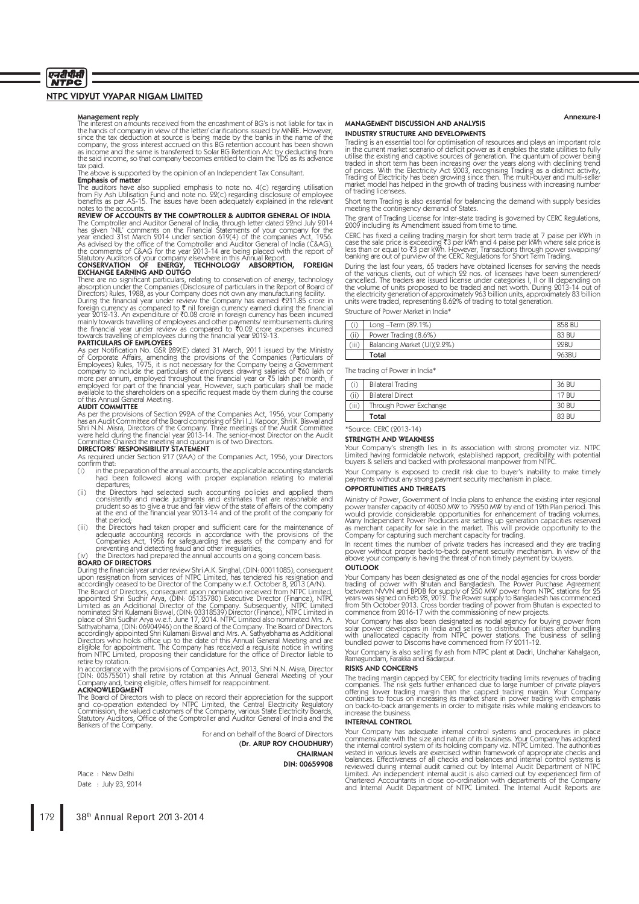# एनदीपीसी **NTPC** NTPC VIDYUT VYAPAR NIGAM LIMITED

**Management reply**<br>The interest on amounts received from the encashment of BG's is not liable for tax in the hands of company in view of the letter/ clarifications issued by MNRE. However,<br>since the tax deduction at source is being made by the banks in the name of the<br>company, the gross interest accrued on this BG retention a tax paid.

The above is supported by the opinion of an Independent Tax Consultant.

**Emphasis of matter**<br>The auditors have also supplied emphasis to note no. 4(c) regarding utilisation<br>from Fly Ash Utilisation Fund and note no. 22(c) regarding disclosure of employee<br>benefits as per AS-15. The issues have

**REVIEW OF ACCOUNTS BY THE COMPTROLLER & AUDITOR GENERAL OF INDIA**<br>The Comptroller and Auditor General of India, through letter dated 22nd July 2014<br>has given 'NIL' comments on the Financial Statements of your company for

There are no significant particulars, relating to conservation of energy, technology<br>absorption under the Companies (Disclosure of particulars in the Report of Board of

Directors) Rules, 1988, as your Company does not own any manufacturing facility.<br>During the financial year under review the Company has earned ₹211.85 crore in<br>foreign currency as compared to ₹ nil foreign currency earned

#### PARTICULARS OF EMPLOYEES

As per Notification No. GSR 289(E) dated 31 March, 2011 issued by the Ministry of Corporate Affairs, amending the provisions of the Companies (Particulars of Employees) Rules, 1975, it is not necessary for the Company bei of this Annual General Meeting.<br>**AUDIT COMMITTEE** 

As per the provisions of Section 292A of the Companies Act, 1956, your Company<br>has an Audit Committee of the Board comprising of Shri I.J. Kapoor, Shri K. Biswal and<br>Shri N.N. Misra, Directors of the Company. Three meeting

As required under Section 217 (2AA) of the Companies Act, 1956, your Directors<br>confirm that:

- (i) in the preparation of the annual accounts, the applicable accounting standards had been followed along with proper explanation relating to material departures;
- (ii) the Directors had selected such accounting policies and applied them<br>consistently and made judgments and estimates that are reasonable and<br>prudent so as to give a true and fair view of the state of affairs of the comp that period;
- (iii) the Directors had taken proper and sufficient care for the maintenance of adequate accounting records in accordance with the provisions of the Companies Act, 1956 for safeguarding the assets of the company and for pr
- (iv) the Directors had prepared the annual accounts on a going concern basis.<br>**BOARD OF DIRECTORS**

**BOARD OF DIRECTORS**<br>
During the financial year under review Shri A.K. Singhal, (DIN: 00011085), consequent<br>
During the financial year under review Shri A.K. Singhal, (DIN: 00011085), consequent<br>
upon resignation from serv

In accordance with the provisions of Companies Act, 2013, Shri N.N. Misra, Director<br>(DIN: 00575501) shall retire by rotation at this Annual General Meeting of your<br>Company and, being eligible, offers himself for reappointm

# **ACKNOWLEDGMENT**

The Board of Directors wish to place on record their appreciation for the support<br>and co-operation extended by NTPC Limited, the Central Electricity Regulatory<br>Commission, the valued customers of the Company, various State

For and on behalf of the Board of Directors (Dr. ARUP ROY CHOUDHURY) **CHAIRMAN** 

DIN: 00659908

|  | Place: New Delhi    |
|--|---------------------|
|  | Date: July 23, 2014 |

#### MANAGEMENT DISCUSSION AND ANALYSIS INDUSTRY STRUCTURE AND DEVELOPMENTS

Trading is an essential tool for optimisation of resources and plays an important role in the current market scenario of deficit power as it enables the state utilities to fully utilise the existing and captive sources of generation. The quantum of power being<br>traded in short term has been increasing over th of trading licensees.

Short term Trading is also essential for balancing the demand with supply besides meeting the contingency demand of States.

The grant of Trading License for Inter-state trading is governed by CERC Regulations, 2009 including its Amendment issued from time to time.

CERC has fixed a ceiling trading margin for short term trade at 7 paise per kWh in<br>case the sale price is exceeding ₹3 per kWh and 4 paise per kWh where sale price is<br>less than or equal to ₹3 per kWh. However, Transactions

During the last four years, 65 traders have obtained licenses for serving the needs of the various clients, out of which 22 nos. of licensees have been surrendered/<br>cancelled. The traders are issued license under categories I, II or III depending on<br>the volume of units proposed to be traded and net worth.

# Structure of Power Market in India\*

|       | $Long-Term (89.1%)$         | 858 BU |
|-------|-----------------------------|--------|
| (ii)  | Power Trading (8.6%)        | 83 BU  |
| 'iii) | Balancing Market (UI)(2.2%) | 99BU   |
|       | Total                       | 963BU  |

#### The trading of Power in India\*

|       | <b>Bilateral Trading</b> | 36 BU |
|-------|--------------------------|-------|
|       | <b>Bilateral Direct</b>  | 17 BU |
| (iii) | Through Power Exchange   | 30 BU |
|       | Total                    | 83 BU |

\*Source: CERC (2013-14)

#### STRENGTH AND WEAKNESS

Your Company's strength lies in its association with strong promoter viz. NTPC<br>Limited having formidable network, established rapport, credibility with potential<br>buyers & sellers and backed with professional manpower from

Your Company is exposed to credit risk due to buyer's inability to make timely payments without any strong payment security mechanism in place.

### OPPORTUNITIES AND THREATS

Ministry of Power, Government of India plans to enhance the existing inter regional power transfer capacity of 40050 MW to 72250 MW by end of 12th Plan period. This would provide considerable opportunities for enhancement of trading volumes.<br>Many Independent Power Producers are setting up generation capacities reserved<br>as merchant capacity for sale in the market. This will provide opp Company for capturing such merchant capacity for trading.

In recent times the number of private traders has increased and they are trading power without proper back-to-back payment security mechanism. In view of the above your company is having the threat of non timely payment by buyers.

## **OUTLOOK**

Your Company has been designated as one of the nodal agencies for cross border<br>trading of power with Bhutan and Bangladesh. The Power Purchase Agreement<br>between NVVN and BPDB for supply of 250 MW power from NTPC stations f

Your Company has also been designated as nodal agency for buying power from solar power developers in India and selling to distribution utilities after bundling<br>with unallocated capacity from NTPC power stations. The business of selling<br>bundled power to Discoms have commenced from FY 2011-12.

Your Company is also selling fly ash from NTPC plant at Dadri, Unchahar Kahalgaon,<br>Ramagundam, Farakka and Badarpur.

#### RISKS AND CONCERNS

The trading margin capped by CERC for electricity trading limits revenues of trading<br>companies. The risk gets further enhanced due to large number of private players<br>offering lower trading margin than the capped trading ma increase the business.

#### INTERNAL CONTROL

Your Company has adequate internal control systems and procedures in place<br>commensurate with the size and nature of its business. Your Company has adopted<br>the internal control system of its holding company viz. NTPC Limite reviewed during internal audit carried out by Internal Audit Department of NTPC<br>Limited. An independent internal audit is also carried out by experienced firm of<br>Chartered Accountants in close co-ordination with department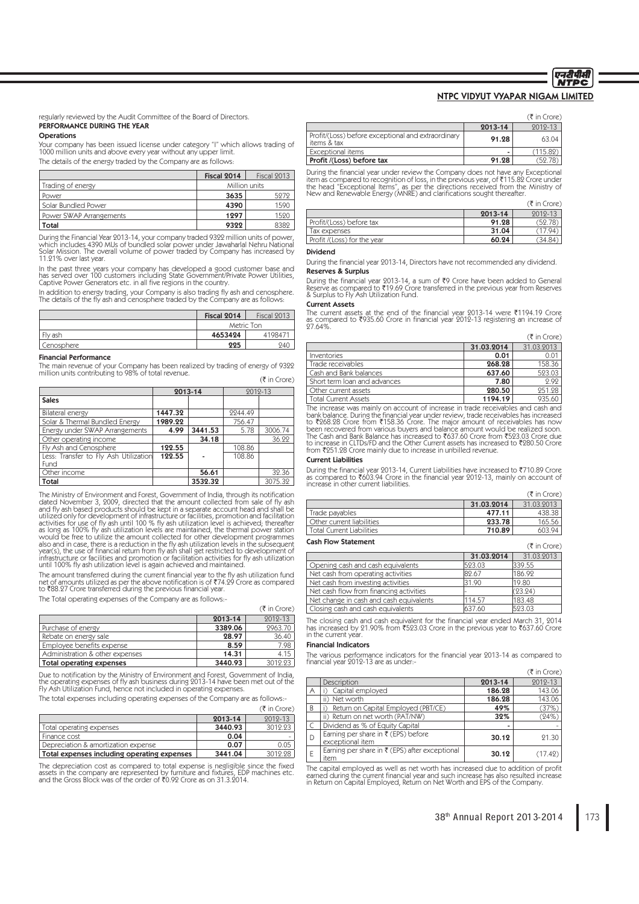# NTPC VIDYUT VYAPAR NIGAM LIMITED

एनदीपीसी **NTDC** 

| regularly reviewed by the Audit Committee of the Board of Directors. |
|----------------------------------------------------------------------|

#### Operations

Your company has been issued license under category "I" which allows trading of 1000 million units and above every year without any upper limit.

The details of the energy traded by the Company are as follows:  $\frac{1}{2}$  Fiscal 2014 Fiscal 2013

| Trading of energy       | Million units |      |
|-------------------------|---------------|------|
| Power                   | 3635          | 5979 |
| Solar Bundled Power     | 4390          | 1590 |
| Power SWAP Arrangements | 1297          | 1520 |
| Total                   | 9322          | 8389 |

During the Financial Year 2013-14, your company traded 9322 million units of power, which includes 4390 MUs of bundled solar power under Jawaharlal Nehru National Solar Mission. The overall volume of power traded by Company has increased by 11.21% over last year.

In the past three years your company has developed a good customer base and<br>has served over 100 customers including State Government/Private Power Utilities,<br>Captive Power Generators etc. in all five regions in the country

In addition to energy trading, your Company is also trading fly ash and cenosphere.<br>The details of the fly ash and cenosphere traded by the Company are as follows:

|            | Fiscal 2014 | Fiscal 9013 |
|------------|-------------|-------------|
|            |             | Metric Ton  |
| Fly ash    | 4653424     | 4198471     |
| Cenosphere | 225         | 240         |

#### Financial Performance

The main revenue of your Company has been realized by trading of energy of 9322 million units contributing to 98% of total revenue.  $(\bar{\bar{\tau}}$  in Crore)

|                                       | 2013-14 |         | 9019-13 |         |
|---------------------------------------|---------|---------|---------|---------|
| <b>Sales</b>                          |         |         |         |         |
| Bilateral energy                      | 1447.32 |         | 2244.49 |         |
| Solar & Thermal Bundled Energy        | 1989.22 |         | 756.47  |         |
| Energy under SWAP Arrangements        | 4.99    | 3441.53 | 5.78    | 3006.74 |
| Other operating income                |         | 34.18   |         | 36.99   |
| Fly Ash and Cenosphere                | 122.55  |         | 108.86  |         |
| Less: Transfer to Fly Ash Utilization | 122.55  |         | 108.86  |         |
| Fund                                  |         |         |         |         |
| Other income                          |         | 56.61   |         | 39.36   |
| Total                                 |         | 3532.32 |         | 3075.32 |

The Ministry of Environment and Forest, Government of India, through its notification dated November 3, 2009, directed that the amount collected from sale of fly ash<br>and fly ash based products should be kept in a separate account head and shall be<br>utilized only for development of infrastructure or facilitie activities for use of fly ash until 100 % fly ash utilization level is achieved; thereafter<br>as long as 100% fly ash utilization levels are maintained, the thermal power station<br>would be free to utilize the amount collected also and in case, there is a reduction in the fly ash utilization levels in the subsequent<br>year(s), the use of financial return from fly ash shall get restricted to development of<br>infrastructure or facilities and promotion until 100% fly ash utilization level is again achieved and maintained.

The amount transferred during the current financial year to the fly ash utilization fund<br>net of amounts utilized as per the above notification is of ₹74.29 Crore as compared to ₹88.27 Crore transferred during the previous financial year.

The Total operating expenses of the Company are as follows:-

|                                 | 2013-14 | 9019-13 |
|---------------------------------|---------|---------|
| Purchase of energy              | 3389.06 | 2963.70 |
| Rebate on energy sale           | 28.97   | 36.40   |
| Employee benefits expense       | 8.59    | 7.98    |
| Administration & other expenses | 14.31   | 4 1 5   |
| Total operating expenses        | 3440.93 | 3012.23 |

Due to notification by the Ministry of Environment and Forest, Government of India,<br>the operating expenses of fly ash business during 2013-14 have been met out of the Fly Ash Utilization Fund, hence not included in operating expenses.

The total expenses including operating expenses of the Company are as follows:-

|                                             |         | $(5$ in Crore) |
|---------------------------------------------|---------|----------------|
|                                             | 2013-14 | 9019-13        |
| Total operating expenses                    | 3440.93 | 3019.93        |
| Finance cost                                | 0.04    |                |
| Depreciation & amortization expense         | 0.07    | 0.05           |
| Total expenses including operating expenses | 3441.04 | 3012.28        |

The depreciation cost as compared to total expense is negligible since the fixed<br>assets in the company are represented by furniture and fixtures, EDP machines etc.<br>and the Gross Block was of the order of ₹0.92 Crore as on

|                                                                     |         | $(3 \nvert$ in Crore) |
|---------------------------------------------------------------------|---------|-----------------------|
|                                                                     | 2013-14 | 9019-13               |
| Profit/(Loss) before exceptional and extraordinary<br>l items & tax | 91.28   | 63.04                 |
| Exceptional items                                                   |         | (115.82)              |
| Profit /(Loss) before tax                                           | 91.28   | (52.78)               |

During the financial year under review the Company does not have any Exceptional<br>item as compared to recognition of loss, in the previous year, of ₹115.82 Crore under<br>the head "Exceptional Items", as per the directions rec

|                             |         | $(5 \nvert$ in Crore) |
|-----------------------------|---------|-----------------------|
|                             | 2013-14 | 2012-13               |
| Profit/(Loss) before tax    | 91.28   | (52.78)               |
| Tax expenses                | 31.04   | (17.94)               |
| Profit /(Loss) for the year | 60.24   | (34.84)               |

#### Dividend

#### During the financial year 2013-14, Directors have not recommended any dividend. Reserves & Surplus

During the financial year 2013-14, a sum of ₹9 Crore have been added to General<br>Reserve as compared to ₹19.69 Crore transferred in the previous year from Reserves<br>& Surplus to Fly Ash Utilization Fund.

#### Current Assets

The current assets at the end of the financial year 2013-14 were ₹1194.19 Crore<br>as compared to ₹935.60 Crore in financial year 2012-13 registering an increase of<br>27.64%.

|                              |            | $(3 \nvert n \nvert C)$ |
|------------------------------|------------|-------------------------|
|                              | 31.03.2014 | 31.03.2013              |
| Inventories                  | 0.01       | 0.01                    |
| Trade receivables            | 268.28     | 158.36                  |
| Cash and Bank balances       | 637.60     | 523.03                  |
| Short term loan and advances | 7.80       | 2.92                    |
| Other current assets         | 280.50     | 251.28                  |
| <b>Total Current Assets</b>  | 1194.19    | 935.60                  |
|                              |            |                         |

The increase was mainly on account of increase in trade receivables and cash and bank balance. During the financial year under review, trade receivables has increased to  $\approx$ 268.28 Crore from ₹158.36 Crore. The major amou

#### Current Liabilities

During the financial year 2013-14, Current Liabilities have increased to ₹710.89 Crore<br>as compared to ₹603.94 Crore in the financial year 2012-13, mainly on account of increase in other current liabilities.

|                                         |            | $(3\overline{5})$ in Crore) |
|-----------------------------------------|------------|-----------------------------|
|                                         | 31.03.2014 | 31.03.2013                  |
| Trade payables                          | 477.11     | 438.38                      |
| Other current liabilities               | 233.78     | 165.56                      |
| <b>Total Current Liabilities</b>        | 710.89     | 603.94                      |
| <b>Cash Flow Statement</b>              |            | $(3\overline{5})$ in Crore) |
|                                         | 31.03.2014 | 31.03.2013                  |
| Opening cash and cash equivalents       | 523.03     | 339.55                      |
| Net cash from operating activities      | 89.67      | 186.92                      |
| Net cash from investing activities      | 31.90      | 19.80                       |
| Net cash flow from financing activities |            | (23.24)                     |
| Net change in cash and cash equivalents | 114.57     | 183.48                      |
| Closing cash and cash equivalents       | 637.60     | 523.03                      |

The closing cash and cash equivalent for the financial year ended March 31, 2014<br>has increased by 21.90% from ₹523.03 Crore in the previous year to ₹637.60 Crore in the current year.

#### Financial Indicators

 $(3 \nvert \nvert n \nvert C)$ 

The various performance indicators for the financial year 2013-14 as compared to financial year 2012-13 are as under:

|   |                                                                    |         | (₹ in Crore) |
|---|--------------------------------------------------------------------|---------|--------------|
|   | Description                                                        | 2013-14 | 2012-13      |
| Α | Capital employed                                                   | 186.28  | 143.06       |
|   | ii) Net worth                                                      | 186.28  | 143.06       |
| B | Return on Capital Employed (PBT/CE)                                | 49%     | (37%)        |
|   | ii) Return on net worth (PAT/NW)                                   | 32%     | (24%)        |
| C | Dividend as % of Equity Capital                                    |         |              |
| D | Earning per share in $\bar{\tau}$ (EPS) before<br>exceptional item | 30.12   | 21.30        |
| E | Earning per share in $\bar{\tau}$ (EPS) after exceptional<br>item  | 30.12   |              |

The capital employed as well as net worth has increased due to addition of profit earned during the current financial year and such increase has also resulted increase<br>in Return on Capital Employed, Return on Net Worth and EPS of the Company.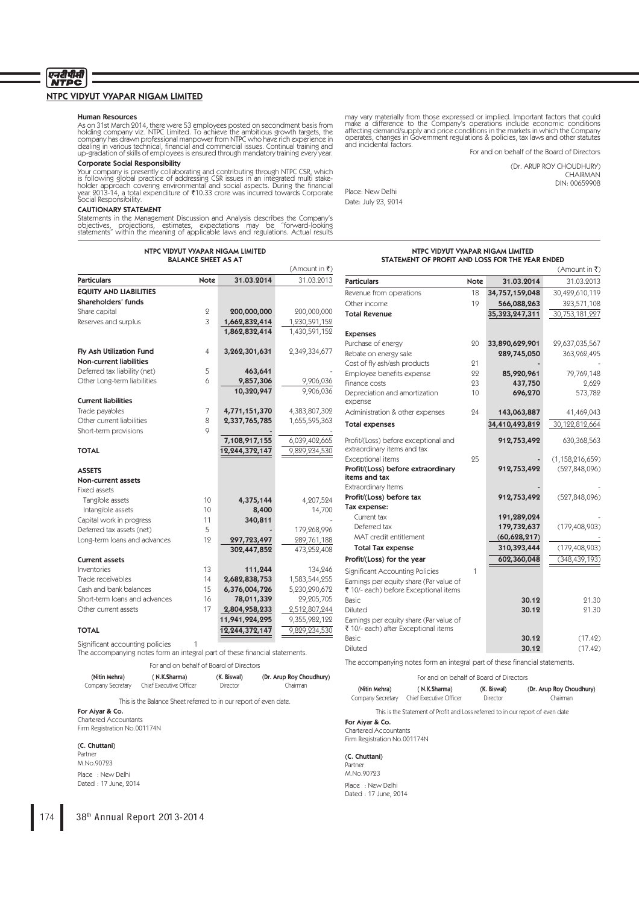# एन्टीपीसी **NTPC** NTPC VIDYUT VYAPAR NIGAM LIMITED

#### Human Resources

As on 31st March 2014, there were 53 employees posted on secondment basis from<br>holding company viz. NTPC Limited. To achieve the ambitious growth targets, the<br>company has drawn professional manpower from NTPC who have rich dealing in various technical, financial and commercial issues. Continual training and<br>up-gradation of skills of employees is ensured through mandatory training every year. Corporate Social Responsibility

Your company is presently collaborating and contributing through NTPC CSR, which<br>is following global practice of addressing CSR issues in an integrated multi stake-<br>holder approach covering environmental and social aspects

# CAUTIONARY STATEMENT

Statements in the Management Discussion and Analysis describes the Company's objectives, projections, estimates, expectations may be "forward-looking statements" within the meaning of applicable laws and regulations. Actual results

NTPC VIDYUT VYAPAR NIGAM LIMITED BALANCE SHEET AS AT  $(A$ mount in  $\bar{x}$ ) Particulars **Note** 31.03.2014 31.03.2013 EQUITY AND LIABILITIES Shareholders' funds Share capital 2 200.000,000 200.000,000 Reserves and surplus 3 1,662,832,414 1,230,591,152 1,862,832,414 1,430,591,152 Fly Ash Utilization Fund 4 3,262,301,631 2,349,334,677 Non-current liabilities Deferred tax liability (net) 5 463,641 Other Long-term liabilities 6 9,857,306 9,906,036 10,320,947 9,906,036 Current liabilities Trade payables 7 4.771,151,370 4,383,807,302 Other current liabilities 8 2,337,765,785 1,655,595,363 Short-term provisions 9  $\frac{9}{7,108,917,155}$   $\frac{1}{6,039,402,665}$  $7,108,917,155$ TOTAL 12,244,379,147 9,829,234,530 ASSETS Non-current assets Fixed assets Tangible assets 10 **4,375,144** 4,207,524 Intangible assets  $10 \overline{\smash)3400} \overline{3400} \overline{14.700}$ Capital work in progress 11 340,811 Deferred tax assets (net) 5 - 179,268,996 Long-term loans and advances 12 297,723,497 289,761,188 309 447 852 473,252,408 Current assets Inventories 13 111,244 134,246 Trade receivables 14 **2,682,838,753** 1,583,544,255<br>
Cash and bank balances 15 **6,376,004,726** 5,230,290,672 Cash and bank balances 15 6,376,004,726 Short-term loans and advances 16 78,011,339 29,205,705 Other current assets 17 2,804,958,233 2,512,807,244 11,941,924,295 9,355,982,122 TOTAL  $\overline{12,244,372,147}$   $\overline{9,829,234,530}$ 

# Significant accounting policies 1

The accompanying notes form an integral part of these financial statements.

For and on behalf of Board of Directors

| (Nitin Mehra)                                                      | (N.K.Sharma)            | (K. Biswal) | (Dr. Arup Roy Choudhury) |  |  |
|--------------------------------------------------------------------|-------------------------|-------------|--------------------------|--|--|
| Company Secretary                                                  | Chief Executive Officer | Director    | Chairman                 |  |  |
| This is the Delenas Chast referred to in a muse of a famous detail |                         |             |                          |  |  |

This is the Balance Sheet referred to in our report of even date.

For Aiyar & Co. Chartered Accountants Firm Registration No.001174N

#### (C. Chuttani) Partner

M.No.90723 Place : New Delhi Dated : 17 June, 2014

may vary materially from those expressed or implied. Important factors that could make a difference to the Company's operations include economic conditions affecting demand/supply and price conditions in the markets in which the Company operates, changes in Government regulations & policies, tax laws and other statutes and incidental factors. For and on behalf of the Board of Directors

(Dr. ARUP ROY CHOUDHURY)

 CHAIRMAN DIN: 00659908

Place: New Delhi Date: July 23, 2014

#### NTPC VIDYUT VYAPAR NIGAM LIMITED STATEMENT OF PROFIT AND LOSS FOR THE YEAR ENDED

|                                                                                  |             |                | (Amount in ₹)      |
|----------------------------------------------------------------------------------|-------------|----------------|--------------------|
| <b>Particulars</b>                                                               | <b>Note</b> | 31.03.2014     | 31.03.2013         |
| Revenue from operations                                                          | 18          | 34,757,159,048 | 30,429,610,119     |
| Other income                                                                     | 19          | 566,088,263    | 323,571,108        |
| <b>Total Revenue</b>                                                             |             | 35,323,247,311 | 30,753,181,227     |
| <b>Expenses</b>                                                                  |             |                |                    |
| Purchase of energy                                                               | 90          | 33,890,629,901 | 29,637,035,567     |
| Rebate on energy sale                                                            |             | 289,745,050    | 363,962,495        |
| Cost of fly ash/ash products                                                     | 91          |                |                    |
| Employee benefits expense                                                        | 22          | 85,920,961     | 79,769,148         |
| Finance costs                                                                    | 23          | 437,750        | 2,629              |
| Depreciation and amortization<br>expense                                         | 10          | 696,270        | 573,782            |
| Administration & other expenses                                                  | 24          | 143,063,887    | 41,469,043         |
| <b>Total expenses</b>                                                            |             | 34,410,493,819 | 30,122,812,664     |
| Profit/(Loss) before exceptional and<br>extraordinary items and tax              |             | 912,753,492    | 630,368,563        |
| <b>Exceptional items</b>                                                         | 25          |                | (1, 158, 216, 659) |
| Profit/(Loss) before extraordinary<br>items and tax                              |             | 912,753,492    | (527,848,096)      |
| <b>Extraordinary Items</b>                                                       |             |                |                    |
| Profit/(Loss) before tax                                                         |             | 912,753,492    | (527, 848, 096)    |
| Tax expense:                                                                     |             |                |                    |
| Current tax                                                                      |             | 191,289,024    |                    |
| Deferred tax                                                                     |             | 179,732,637    | (179, 408, 903)    |
| MAT credit entitlement                                                           |             | (60, 628, 217) |                    |
| <b>Total Tax expense</b>                                                         |             | 310,393,444    | (179, 408, 903)    |
| Profit/(Loss) for the year                                                       |             | 602,360,048    | (348, 439, 193)    |
| <b>Significant Accounting Policies</b>                                           | 1           |                |                    |
| Earnings per equity share (Par value of<br>₹ 10/- each) before Exceptional items |             |                |                    |
| Basic                                                                            |             | 30.12          | 91.30              |
| Diluted                                                                          |             | 30.12          | 21.30              |
| Earnings per equity share (Par value of<br>₹ 10/- each) after Exceptional items  |             |                |                    |
| Basic                                                                            |             | 30.12          | (17.42)            |
| Diluted                                                                          |             | 30.12          | (17.42)            |

The accompanying notes form an integral part of these financial statements.

|                   | For and on behalf of Board of Directors |             |                          |
|-------------------|-----------------------------------------|-------------|--------------------------|
| (Nitin Mehra)     | (N.K.Sharma)                            | (K. Biswal) | (Dr. Arup Roy Choudhury) |
| Company Secretary | Chief Executive Officer                 | Director    | Chairman                 |

This is the Statement of Profit and Loss referred to in our report of even date

For Aiyar & Co. Chartered Accountants

Firm Registration No.001174N

## (C. Chuttani)

Partner M.No.90723 Place : New Delhi Dated : 17 June, 2014

174 38<sup>th</sup> Annual Report 2013-2014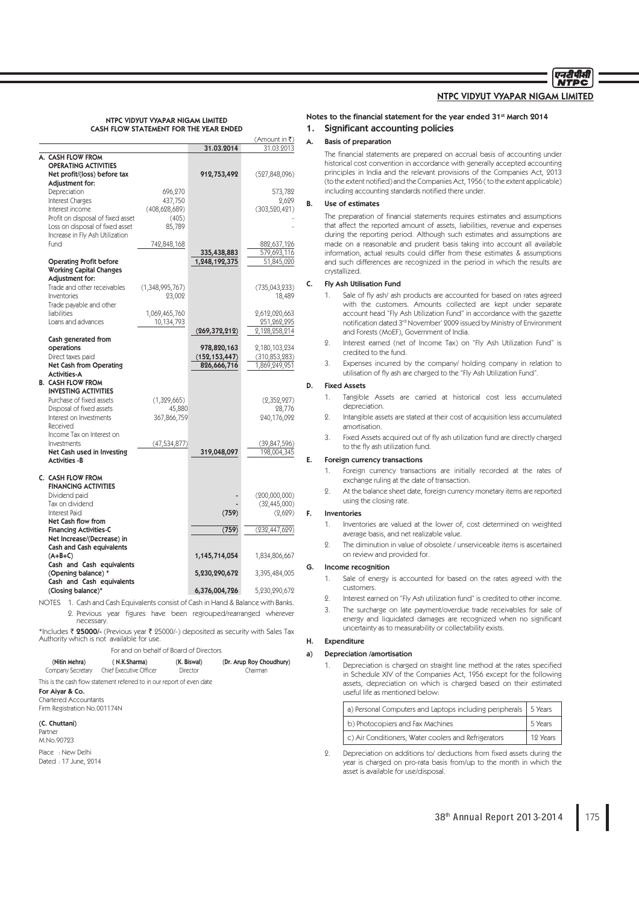#### NTPC VIDYUT VYAPAR NIGAM LIMITED CASH FLOW STATEMENT FOR THE YEAR ENDED

|                                   |                 |                 | (ATTIOUITUTITI) |
|-----------------------------------|-----------------|-----------------|-----------------|
|                                   |                 | 31.03.2014      | 31.03.2013      |
| A. CASH FLOW FROM                 |                 |                 |                 |
| <b>OPERATING ACTIVITIES</b>       |                 |                 |                 |
| Net profit/(loss) before tax      |                 | 912,753,492     | (527,848,096)   |
| Adjustment for:                   |                 |                 |                 |
| Depreciation                      | 696,270         |                 | 573,782         |
| Interest Charges                  | 437,750         |                 | 2,629           |
| Interest income                   | (408,628,689)   |                 | (303,520,421)   |
| Profit on disposal of fixed asset | (405)           |                 |                 |
| Loss on disposal of fixed asset   | 85,789          |                 |                 |
| Increase in Fly Ash Utilization   |                 |                 |                 |
| Fund                              | 742,848,168     |                 | 882,637,126     |
|                                   |                 | 335,438,883     |                 |
|                                   |                 |                 | 579,693,116     |
| <b>Operating Profit before</b>    |                 | 1,248,192,375   | 51,845,020      |
| <b>Working Capital Changes</b>    |                 |                 |                 |
| Adjustment for:                   |                 |                 |                 |
| Trade and other receivables       | (1,348,995,767) |                 | (735,043,233)   |
| Inventories                       | 23,002          |                 | 18,489          |
| Trade payable and other           |                 |                 |                 |
| liabilities                       | 1,069,465,760   |                 | 2,612,020,663   |
| Loans and advances                | 10,134,793      |                 | 251,262,295     |
|                                   |                 | (269, 372, 212) | 2,128,258,214   |
| Cash generated from               |                 |                 |                 |
| operations                        |                 | 978,820,163     | 2,180,103,234   |
| Direct taxes paid                 |                 | (152, 153, 447) | (310, 853, 283) |
| Net Cash from Operating           |                 | 826,666,716     | 1,869,249,951   |
| <b>Activities-A</b>               |                 |                 |                 |
| <b>B. CASH FLOW FROM</b>          |                 |                 |                 |
| <b>INVESTING ACTIVITIES</b>       |                 |                 |                 |
| Purchase of fixed assets          | (1,329,665)     |                 | (2,352,927)     |
| Disposal of fixed assets          | 45,880          |                 | 28,776          |
| Interest on Investments           | 367,866,759     |                 | 240,176,092     |
| Received                          |                 |                 |                 |
| Income Tax on Interest on         |                 |                 |                 |
| Investments                       | (47,534,877)    |                 | (39, 847, 596)  |
| Net Cash used in Investing        |                 | 319,048,097     | 198,004,345     |
| <b>Activities -B</b>              |                 |                 |                 |
|                                   |                 |                 |                 |
| C. CASH FLOW FROM                 |                 |                 |                 |
| <b>FINANCING ACTIVITIES</b>       |                 |                 |                 |
| Dividend paid                     |                 |                 | (200,000,000)   |
| Tax on dividend                   |                 |                 | (32, 445, 000)  |
| Interest Paid                     |                 | (759)           | (2,629)         |
| Net Cash flow from                |                 |                 |                 |
| <b>Financing Activities-C</b>     |                 | (759)           | (232, 447, 629) |
| Net Increase/(Decrease) in        |                 |                 |                 |
| <b>Cash and Cash equivalents</b>  |                 |                 |                 |
| $(A+B+C)$                         |                 | 1,145,714,054   | 1,834,806,667   |
| Cash and Cash equivalents         |                 |                 |                 |
| (Opening balance) *               |                 | 5,230,290,672   | 3,395,484,005   |
| Cash and Cash equivalents         |                 |                 |                 |
| (Closing balance)*                |                 | 6,376,004,726   | 5,230,290,672   |
|                                   |                 |                 |                 |

NOTES 1. Cash and Cash Equivalents consist of Cash in Hand & Balance with Banks. 2. Previous year figures have been regrouped/rearranged wherever necessary.

\*Includes ₹ **25000/-** (Previous year ₹ 25000/-) deposited as security with Sales Tax<br>Authority which is not available for use.

| (Nitin Mehra)     | ( N.K.Sharma)                                                          | (K. Biswal) | (Dr. Arup Roy Choudhury) |
|-------------------|------------------------------------------------------------------------|-------------|--------------------------|
| Company Secretary | Chief Executive Officer                                                | Director    | Chairman                 |
|                   | This is the cash flow statement referred to in our report of even date |             |                          |
| For Aivar & Co.   |                                                                        |             |                          |

# **For Aiyar & Co.**<br>Chartered Accountants

Firm Registration No.001174N

# (C. Chuttani)

.<br>Partner M.No.90723

Place : New Delhi

Dated : 17 June, 2014

# NTPC VIDYUT VYAPAR NIGAM LIMITED

एनदीपीसी **NTDC** 

# Notes to the financial statement for the year ended 31<sup>st</sup> March 2014 1. Significant accounting policies

#### A. Basis of preparation

 $(4$ mount in  $\bar{z}$ 

The financial statements are prepared on accrual basis of accounting under historical cost convention in accordance with generally accepted accounting principles in India and the relevant provisions of the Companies Act, 2013  $($  to the extent notified) and the Companies Act, 1956 $($  to the extent applicable) including accounting standards notified there under.

# B. Use of estimates

The preparation of financial statements requires estimates and assumptions that affect the reported amount of assets, liabilities, revenue and expenses during the reporting period. Although such estimates and assumptions are made on a reasonable and prudent basis taking into account all available information, actual results could differ from these estimates & assumptions and such differences are recognized in the period in which the results are crystallized.

#### C. Fly Ash Utilisation Fund

- 1. Sale of fly ash/ ash products are accounted for based on rates agreed with the customers. Amounts collected are kept under separate account head "Fly Ash Utilization Fund" in accordance with the gazette notification dated 3<sup>rd</sup> November' 2009 issued by Ministry of Environment and Forests (MoEF), Government of India.
- 2. Interest earned (net of Income Tax) on "Fly Ash Utilization Fund" is credited to the fund.
- 3. Expenses incurred by the company/ holding company in relation to utilisation of fly ash are charged to the "Fly Ash Utilization Fund".

#### D. Fixed Assets

- Tangible Assets are carried at historical cost less accumulated depreciation.
- 2. Intangible assets are stated at their cost of acquisition less accumulated amortisation.
- 3. Fixed Assets acquired out of fly ash utilization fund are directly charged to the fly ash utilization fund.

# E. Foreign currency transactions

- 1. Foreign currency transactions are initially recorded at the rates of exchange ruling at the date of transaction.
- 2. At the balance sheet date, foreign currency monetary items are reported using the closing rate.

#### F. Inventories

- 1. Inventories are valued at the lower of, cost determined on weighted average basis, and net realizable value.
- 2. The diminution in value of obsolete / unserviceable items is ascertained on review and provided for.

#### G. Income recognition

- 1. Sale of energy is accounted for based on the rates agreed with the customers.
- 2. Interest earned on "Fly Ash utilization fund" is credited to other income.
- 3. The surcharge on late payment/overdue trade receivables for sale of energy and liquidated damages are recognized when no significant uncertainty as to measurability or collectability exists.

# H. Expenditure

#### a) Depreciation /amortisation

1. Depreciation is charged on straight line method at the rates specified in Schedule XIV of the Companies Act, 1956 except for the following assets, depreciation on which is charged based on their estimated useful life as mentioned below:

| a) Personal Computers and Laptops including peripherals   5 Years |          |
|-------------------------------------------------------------------|----------|
| b) Photocopiers and Fax Machines                                  | 5 Years  |
| c) Air Conditioners, Water coolers and Refrigerators              | 19 Years |

Depreciation on additions to/ deductions from fixed assets during the year is charged on pro-rata basis from/up to the month in which the asset is available for use/disposal.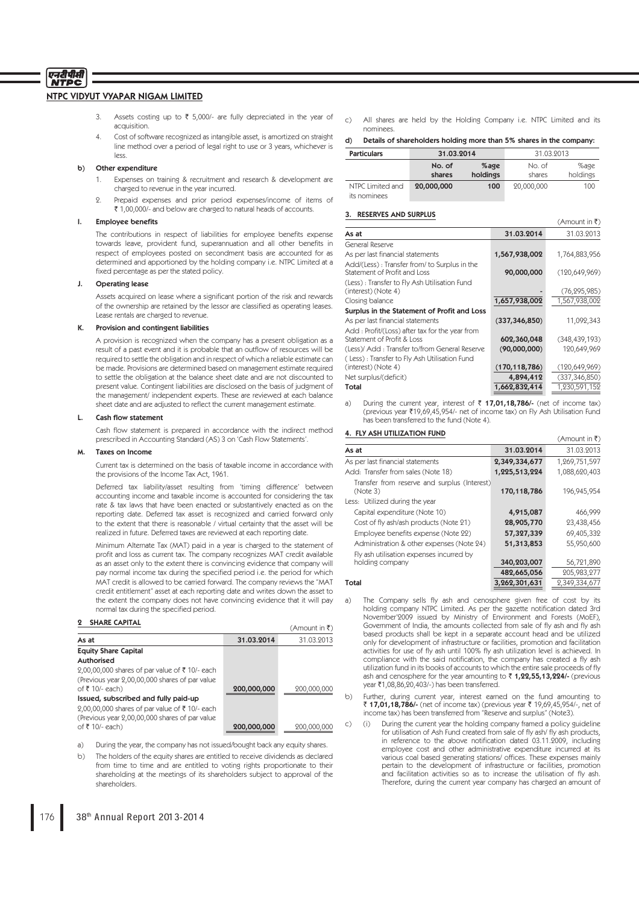# NTPC VIDYUT VYAPAR NIGAM LIMITED

एन्टीपीसी **NTPC** 

- 3. Assets costing up to  $\bar{\tau}$  5,000/- are fully depreciated in the year of acquisition.
- 4. Cost of software recognized as intangible asset, is amortized on straight line method over a period of legal right to use or 3 years, whichever is less.

#### b) Other expenditure

- Expenses on training & recruitment and research & development are charged to revenue in the year incurred.
- 2. Prepaid expenses and prior period expenses/income of items of ₹ 1,00,000/- and below are charged to natural heads of accounts.

#### I. Employee benefits

The contributions in respect of liabilities for employee benefits expense towards leave, provident fund, superannuation and all other benefits in respect of employees posted on secondment basis are accounted for as determined and apportioned by the holding company i.e. NTPC Limited at a fixed percentage as per the stated policy.

#### J. Operating lease

Assets acquired on lease where a significant portion of the risk and rewards of the ownership are retained by the lessor are classified as operating leases. Lease rentals are charged to revenue.

#### Provision and contingent liabilities

 A provision is recognized when the company has a present obligation as a result of a past event and it is probable that an outflow of resources will be required to settle the obligation and in respect of which a reliable estimate can be made. Provisions are determined based on management estimate required to settle the obligation at the balance sheet date and are not discounted to present value. Contingent liabilities are disclosed on the basis of judgment of the management/ independent experts. These are reviewed at each balance sheet date and are adjusted to reflect the current management estimate.

#### L. Cash flow statement

Cash flow statement is prepared in accordance with the indirect method prescribed in Accounting Standard (AS) 3 on 'Cash Flow Statements'.

#### Taxes on Income

 Current tax is determined on the basis of taxable income in accordance with the provisions of the Income Tax Act, 1961.

 Deferred tax liability/asset resulting from 'timing difference' between accounting income and taxable income is accounted for considering the tax rate & tax laws that have been enacted or substantively enacted as on the reporting date. Deferred tax asset is recognized and carried forward only to the extent that there is reasonable / virtual certainty that the asset will be realized in future. Deferred taxes are reviewed at each reporting date.

 Minimum Alternate Tax (MAT) paid in a year is charged to the statement of profit and loss as current tax. The company recognizes MAT credit available as an asset only to the extent there is convincing evidence that company will pay normal income tax during the specified period i.e. the period for which MAT credit is allowed to be carried forward. The company reviews the "MAT credit entitlement" asset at each reporting date and writes down the asset to the extent the company does not have convincing evidence that it will pay normal tax during the specified period.

#### 2 SHARE CAPITAL

|                                                |             | (AINOUNTER) |
|------------------------------------------------|-------------|-------------|
| As at                                          | 31.03.2014  | 31.03.2013  |
| <b>Equity Share Capital</b>                    |             |             |
| Authorised                                     |             |             |
| 2,00,00,000 shares of par value of ₹10/- each  |             |             |
| (Previous year 2,00,00,000 shares of par value |             |             |
| of ₹ 10/- each)                                | 200,000,000 | 200,000,000 |
| Issued, subscribed and fully paid-up           |             |             |
| 2,00,00,000 shares of par value of ₹10/- each  |             |             |
| (Previous year 2,00,00,000 shares of par value |             |             |
| of ₹ 10/- each)                                | 200,000,000 | 200.000.000 |

- a) During the year, the company has not issued/bought back any equity shares.
- b) The holders of the equity shares are entitled to receive dividends as declared from time to time and are entitled to voting rights proportionate to their shareholding at the meetings of its shareholders subject to approval of the shareholders.

c) All shares are held by the Holding Company i.e. NTPC Limited and its nominees.

#### d) Details of shareholders holding more than 5% shares in the company:

| <b>Particulars</b>               | 31.03.2014       |                  | 31.03.2013       |                  |
|----------------------------------|------------------|------------------|------------------|------------------|
|                                  | No. of<br>shares | %age<br>holdings | No. of<br>shares | %age<br>holdings |
| NTPC Limited and<br>its nominees | 20,000,000       | 100              | 20,000,000       | 100              |

#### 3. RESERVES AND SURPLUS

| J.<br>INEJEINY EJ MIND JUINFLUJ                                              |                 | $(A$ mount in ₹) |
|------------------------------------------------------------------------------|-----------------|------------------|
| As at                                                                        | 31.03.2014      | 31.03.2013       |
| General Reserve                                                              |                 |                  |
| As per last financial statements                                             | 1,567,938,002   | 1,764,883,956    |
| Add/(Less): Transfer from/ to Surplus in the<br>Statement of Profit and Loss | 90,000,000      | (120, 649, 969)  |
| (Less): Transfer to Fly Ash Utilisation Fund                                 |                 |                  |
| (interest) (Note 4)                                                          |                 | (76, 295, 985)   |
| Closing balance                                                              | 1,657,938,002   | 1,567,938,002    |
| Surplus in the Statement of Profit and Loss                                  |                 |                  |
| As per last financial statements                                             | (337, 346, 850) | 11,092,343       |
| Add: Profit/(Loss) after tax for the year from                               |                 |                  |
| Statement of Profit & Loss                                                   | 602,360,048     | (348, 439, 193)  |
| (Less)/ Add : Transfer to/from General Reserve                               | (90,000,000)    | 120,649,969      |
| (Less): Transfer to Fly Ash Utilisation Fund                                 |                 |                  |
| (interest) (Note 4)                                                          | (170, 118, 786) | (120, 649, 969)  |
| Net surplus/(deficit)                                                        | 4,894,412       | (337, 346, 850)  |
| Total                                                                        | 1,662,832,414   | 1,230,591,152    |
|                                                                              |                 |                  |

During the current year, interest of  $\bar{\tau}$  17,01,18,786/- (net of income tax) (previous year `19,69,45,954/- net of income tax) on Fly Ash Utilisation Fund has been transferred to the fund (Note 4).

#### 4. FLY ASH UTILIZATION FUND

 $\lambda$  (Amount in ).

| 4. FLY ASH UTILIZATION FUND                                                               |               | (Amount in ₹) |
|-------------------------------------------------------------------------------------------|---------------|---------------|
| As at                                                                                     | 31.03.2014    | 31.03.2013    |
| As per last financial statements                                                          | 2,349,334,677 | 1,269,751,597 |
| Add: Transfer from sales (Note 18)                                                        | 1,225,513,224 | 1,088,620,403 |
| Transfer from reserve and surplus (Interest)<br>(Note3)<br>Less: Utilized during the year | 170,118,786   | 196,945,954   |
| Capital expenditure (Note 10)                                                             | 4,915,087     | 466,999       |
| Cost of fly ash/ash products (Note 21)                                                    | 28,905,770    | 23,438,456    |
| Employee benefits expense (Note 22)                                                       | 57,327,339    | 69,405,332    |
| Administration & other expenses (Note 24)                                                 | 51,313,853    | 55,950,600    |
| Fly ash utilisation expenses incurred by<br>holding company                               | 340,203,007   | 56,721,890    |
|                                                                                           | 482,665,056   | 205,983,277   |
| Total                                                                                     | 3,262,301,631 | 2,349,334,677 |

- a) The Company sells fly ash and cenosphere given free of cost by its holding company NTPC Limited. As per the gazette notification dated 3rd November'2009 issued by Ministry of Environment and Forests (MoEF), Government of India, the amounts collected from sale of fly ash and fly ash based products shall be kept in a separate account head and be utilized only for development of infrastructure or facilities, promotion and facilitation activities for use of fly ash until 100% fly ash utilization level is achieved. In compliance with the said notification, the company has created a fly ash utilization fund in its books of accounts to which the entire sale proceeds of fly ash and cenosphere for the year amounting to  $\bar{\tau}$  1,22,55,13,224/- (previous year ₹1,08,86,20,403/-) has been transferred.
- b) Further, during current year, interest earned on the fund amounting to ₹ 17,01,18,786/- (net of income tax) (previous year ₹ 19,69,45,954/-, net of income tax) has been transferred from "Reserve and surplus" (Note3).
- c) (i) During the current year the holding company framed a policy guideline for utilisation of Ash Fund created from sale of fly ash/ fly ash products, in reference to the above notification dated  $03.11.2009$ , including employee cost and other administrative expenditure incurred at its various coal based generating stations/ offices. These expenses mainly pertain to the development of infrastructure or facilities, promotion<br>and facilitation activities so as to increase the utilisation of fly ash. Therefore, during the current year company has charged an amount of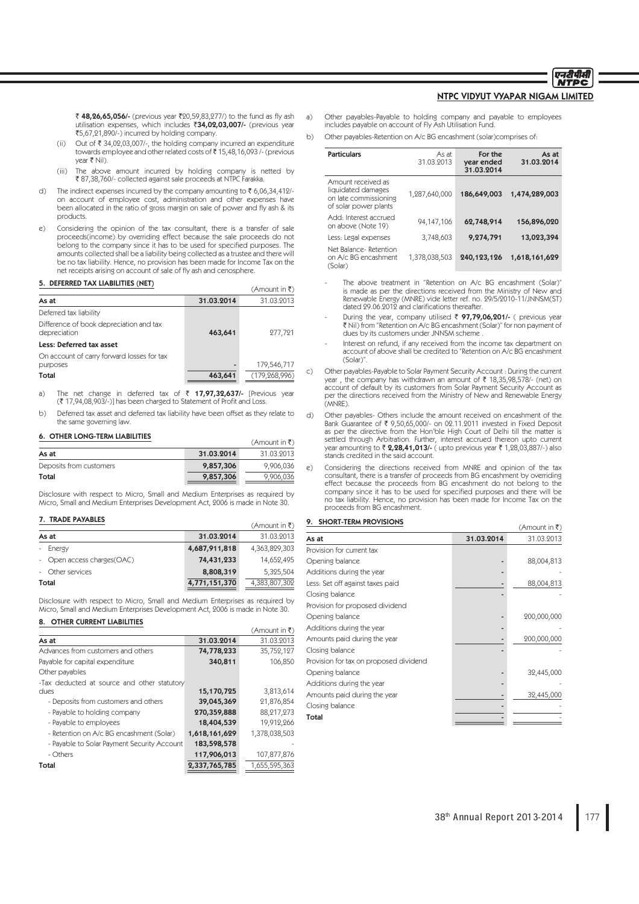

# NTPC VIDYUT VYAPAR NIGAM LIMITED

₹ 48,26,65,056/- (previous year ₹20,59,83,277/) to the fund as fly ash utilisation expenses, which includes ₹34,02,03,007/- (previous year `5,67,21,890/-) incurred by holding company.

- (ii) Out of  $\bar{\tau}$  34,02,03,007/-, the holding company incurred an expenditure towards employee and other related costs of  $\bar{\bar{\xi}}$  15,48,16,093 /- (previous vear ₹ Nil).
- (iii) The above amount incurred by holding company is netted by ` 87,38,760/- collected against sale proceeds at NTPC Farakka.
- d) The indirect expenses incurred by the company amounting to  $\bar{\tau}$  6,06,34,412/on account of employee cost, administration and other expenses have been allocated in the ratio of gross margin on sale of power and fly ash & its products.
- e) Considering the opinion of the tax consultant, there is a transfer of sale proceeds(income) by overriding effect because the sale proceeds do not belong to the company since it has to be used for specified purposes. The amounts collected shall be a liability being collected as a trustee and there will be no tax liability. Hence, no provision has been made for Income Tax on the net receipts arising on account of sale of fly ash and cenosphere.

(Amount in  $\bar{z}$ )

 $(Am \cap ln t \text{ in } \bar{t})$ 

### 5. DEFERRED TAX LIABILITIES (NET)

| As at                                                   | 31.03.2014 | 31.03.2013      |
|---------------------------------------------------------|------------|-----------------|
| Deferred tax liability                                  |            |                 |
| Difference of book depreciation and tax<br>depreciation | 463,641    | 277,721         |
| Less: Deferred tax asset                                |            |                 |
| On account of carry forward losses for tax<br>purposes  |            | 179,546,717     |
| Total                                                   | 463,641    | (179, 268, 996) |

a) The net change in deferred tax of  $\bar{\tau}$  17,97,32,637/- [Previous year (` 17,94,08,903/-)] has been charged to Statement of Profi t and Loss.

b) Deferred tax asset and deferred tax liability have been offset as they relate to the same governing law.

#### 6. OTHER LONG-TERM LIABILITIES

|                         |            | $\sqrt{2}$ $\frac{1}{2}$ $\frac{1}{2}$ $\frac{1}{2}$ $\frac{1}{2}$ $\frac{1}{2}$ $\frac{1}{2}$ $\frac{1}{2}$ $\frac{1}{2}$ $\frac{1}{2}$ $\frac{1}{2}$ $\frac{1}{2}$ |
|-------------------------|------------|----------------------------------------------------------------------------------------------------------------------------------------------------------------------|
| As at                   | 31.03.2014 | 31.03.9013                                                                                                                                                           |
| Deposits from customers | 9,857,306  | 9,906,036                                                                                                                                                            |
| Total                   | 9,857,306  | 9,906,036                                                                                                                                                            |

Disclosure with respect to Micro, Small and Medium Enterprises as required by Micro, Small and Medium Enterprises Development Act, 2006 is made in Note 30.

#### 7. TRADE PAYABLES

|       |                             |               | $($ ATIOUIIUIII |
|-------|-----------------------------|---------------|-----------------|
| As at |                             | 31.03.2014    | 31.03.2013      |
|       | - Energy                    | 4,687,911,818 | 4,363,829,303   |
|       | - Open access charges (OAC) | 74,431,233    | 14,652,495      |
|       | - Other services            | 8,808,319     | 5,325,504       |
| Total |                             | 4,771,151,370 | 4,383,807,302   |

Disclosure with respect to Micro, Small and Medium Enterprises as required by Micro, Small and Medium Enterprises Development Act, 2006 is made in Note 30.

# 8. OTHER CURRENT LIABILITIES

|                                             |               | (Amount in ₹) |
|---------------------------------------------|---------------|---------------|
| As at                                       | 31.03.2014    | 31.03.2013    |
| Advances from customers and others          | 74,778,233    | 35,752,127    |
| Payable for capital expenditure             | 340,811       | 106,850       |
| Other payables                              |               |               |
| -Tax deducted at source and other statutory |               |               |
| dues                                        | 15,170,725    | 3,813,614     |
| - Deposits from customers and others        | 39,045,369    | 21,876,854    |
| - Payable to holding company                | 270,359,888   | 88,217,273    |
| - Payable to employees                      | 18,404,539    | 19,912,266    |
| - Retention on A/c BG encashment (Solar)    | 1,618,161,629 | 1,378,038,503 |
| - Payable to Solar Payment Security Account | 183,598,578   |               |
| - Others                                    | 117,906,013   | 107,877,876   |
| Total                                       | 2,337,765,785 | 1,655,595,363 |

- a) Other payables-Payable to holding company and payable to employees includes payable on account of Fly Ash Utilisation Fund.
- b) Other payables-Retention on A/c BG encashment (solar)comprises of:

| <b>Particulars</b>                                                                         | As at<br>31.03.9013 | For the<br>year ended<br>31.03.2014 | As at<br>31.03.2014 |
|--------------------------------------------------------------------------------------------|---------------------|-------------------------------------|---------------------|
| Amount received as<br>liquidated damages<br>on late commissioning<br>of solar power plants | 1,287,640,000       | 186,649,003                         | 1,474,289,003       |
| Add: Interest accrued<br>on above (Note 19)                                                | 94,147,106          | 62,748,914                          | 156,896,020         |
| Less: Legal expenses                                                                       | 3,748,603           | 9,274,791                           | 13,023,394          |
| Net Balance-Retention<br>on A/c BG encashment<br>(Solar)                                   | 1,378,038,503       | 240,123,126                         | 1,618,161,629       |

- The above treatment in "Retention on A/c BG encashment (Solar)" is made as per the directions received from the Ministry of New and Renewable Energy (MNRE) vide letter ref. no. 29/5/2010-11/JNNSM(ST) dated 29.06.2012 and clarifications thereafter.
- During the year, company utilised  $\bar{\zeta}$  97,79,06,201/- ( previous year ` Nil) from "Retention on A/c BG encashment (Solar)" for non payment of dues by its customers under JNNSM scheme .
- Interest on refund, if any received from the income tax department on account of above shall be credited to "Retention on A/c BG encashment (Solar)".
- c) Other payables-Payable to Solar Payment Security Account : During the current year, the company has withdrawn an amount of  $\bar{\tau}$  18,35,98,578/- (net) on account of default by its customers from Solar Payment Security Account as per the directions received from the Ministry of New and Renewable Energy (MNRE).
- d) Other payables- Others include the amount received on encashment of the Bank Guarantee of ` 9,50,65,000/- on 02.11.2011 invested in Fixed Deposit as per the directive from the Hon'ble High Court of Delhi till the matter is settled through Arbitration. Further, interest accrued thereon upto current year amounting to ₹ 2,28,41,013/- ( upto previous year ₹ 1,28,03,887/-) also stands credited in the said account.
- e) Considering the directions received from MNRE and opinion of the tax consultant, there is a transfer of proceeds from BG encashment by overriding effect because the proceeds from BG encashment do not belong to the<br>company since it has to be used for specified purposes and there will be no tax liability. Hence, no provision has been made for Income Tax on the proceeds from BG encashment.

# (Amount in ₹) 9. SHORT-TERM PROVISIONS

|                                        |            | $(Am$ ount in ₹) |
|----------------------------------------|------------|------------------|
| As at                                  | 31.03.2014 | 31.03.2013       |
| Provision for current tax              |            |                  |
| Opening balance                        |            | 88,004,813       |
| Additions during the year              |            |                  |
| Less: Set off against taxes paid       |            | 88,004,813       |
| Closing balance                        |            |                  |
| Provision for proposed dividend        |            |                  |
| Opening balance                        |            | 200,000,000      |
| Additions during the year              |            |                  |
| Amounts paid during the year           |            | 200,000,000      |
| Closing balance                        |            |                  |
| Provision for tax on proposed dividend |            |                  |
| Opening balance                        |            | 32,445,000       |
| Additions during the year              |            |                  |
| Amounts paid during the year           |            | 32,445,000       |
| Closing balance                        |            |                  |
| Total                                  |            |                  |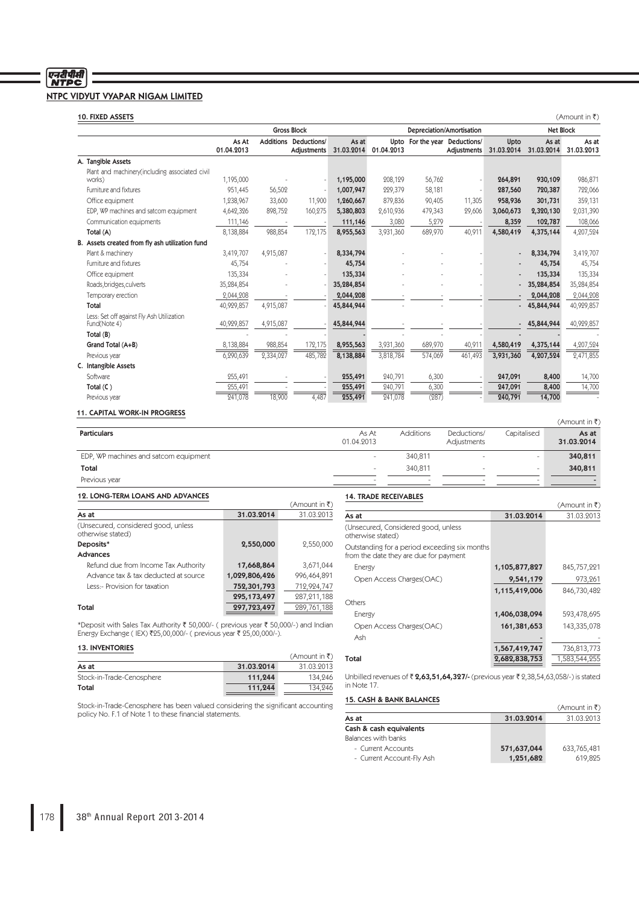# एनदीपीसी<br>NTPC NTPC VIDYUT VYAPAR NIGAM LIMITED

10. FIXED ASSETS (Amount in ₹)

|                                                           |                     |           | <b>Gross Block</b>                          |                     | Depreciation/Amortisation |                               |             | <b>Net Block</b>   |                     |                     |
|-----------------------------------------------------------|---------------------|-----------|---------------------------------------------|---------------------|---------------------------|-------------------------------|-------------|--------------------|---------------------|---------------------|
|                                                           | As At<br>01.04.2013 |           | Additions Deductions/<br><b>Adjustments</b> | As at<br>31.03.2014 | 01.04.2013                | Upto For the year Deductions/ | Adjustments | Upto<br>31.03.2014 | As at<br>31.03.2014 | As at<br>31.03.2013 |
| A. Tangible Assets                                        |                     |           |                                             |                     |                           |                               |             |                    |                     |                     |
| Plant and machinery (including associated civil<br>works) | 1,195,000           |           |                                             | 1,195,000           | 208,129                   | 56,762                        |             | 264,891            | 930,109             | 986,871             |
| Furniture and fixtures                                    | 951,445             | 56,502    |                                             | 1,007,947           | 229,379                   | 58,181                        |             | 287,560            | 720,387             | 722,066             |
| Office equipment                                          | 1,238,967           | 33,600    | 11,900                                      | 1,260,667           | 879,836                   | 90,405                        | 11,305      | 958,936            | 301,731             | 359,131             |
| EDP, WP machines and satcom equipment                     | 4,642,326           | 898,752   | 160,275                                     | 5,380,803           | 2,610,936                 | 479,343                       | 29,606      | 3,060,673          | 2,320,130           | 2,031,390           |
| Communication equipments                                  | 111,146             |           |                                             | 111,146             | 3,080                     | 5,279                         |             | 8,359              | 102,787             | 108,066             |
| Total (A)                                                 | 8,138,884           | 988,854   | 172,175                                     | 8,955,563           | 3,931,360                 | 689,970                       | 40,911      | 4,580,419          | 4,375,144           | 4,207,524           |
| B. Assets created from fly ash utilization fund           |                     |           |                                             |                     |                           |                               |             |                    |                     |                     |
| Plant & machinery                                         | 3,419,707           | 4,915,087 |                                             | 8,334,794           |                           |                               |             |                    | 8,334,794           | 3,419,707           |
| Furniture and fixtures                                    | 45,754              |           |                                             | 45,754              |                           |                               |             |                    | 45,754              | 45,754              |
| Office equipment                                          | 135,334             |           |                                             | 135,334             |                           |                               |             |                    | 135,334             | 135,334             |
| Roads, bridges, culverts                                  | 35,284,854          |           |                                             | 35,284,854          |                           |                               |             |                    | 35,284,854          | 35,284,854          |
| Temporary erection                                        | 2,044,208           |           |                                             | 2,044,208           |                           |                               |             |                    | 2,044,208           | 2,044,208           |
| Total                                                     | 40,929,857          | 4,915,087 |                                             | 45,844,944          |                           |                               |             |                    | 45,844,944          | 40,929,857          |
| Less: Set off against Fly Ash Utilization<br>Fund(Note 4) | 40,929,857          | 4,915,087 |                                             | 45,844,944          |                           |                               |             |                    | 45,844,944          | 40,929,857          |
| Total $(B)$                                               |                     |           |                                             |                     |                           |                               |             |                    |                     |                     |
| Grand Total (A+B)                                         | 8,138,884           | 988,854   | 172,175                                     | 8,955,563           | 3,931,360                 | 689,970                       | 40,911      | 4,580,419          | 4,375,144           | 4,207,524           |
| Previous year                                             | 6,290,639           | 2,334,027 | 485,782                                     | 8,138,884           | 3,818,784                 | 574,069                       | 461,493     | 3,931,360          | 4,207,524           | 2,471,855           |
| C. Intangible Assets                                      |                     |           |                                             |                     |                           |                               |             |                    |                     |                     |
| Software                                                  | 255,491             |           |                                             | 255,491             | 240,791                   | 6,300                         |             | 247,091            | 8,400               | 14,700              |
| Total (C)                                                 | 255,491             |           |                                             | 255,491             | 240,791                   | 6,300                         |             | 247,091            | 8,400               | 14,700              |
| Previous year                                             | 241,078             | 18,900    | 4.487                                       | 255,491             | 241,078                   | (287)                         |             | 240,791            | 14,700              |                     |

## 11. CAPITAL WORK-IN PROGRESS

| <b>Particulars</b>                    | As At<br>01.04.2013      | <b>Additions</b> | Deductions/<br>Adjustments | Capitalised | As at<br>31.03.2014 |
|---------------------------------------|--------------------------|------------------|----------------------------|-------------|---------------------|
| EDP, WP machines and satcom equipment | $\overline{\phantom{a}}$ | 340.811          | -                          |             | 340,811             |
| Total                                 | . .                      | 340.811          |                            |             | 340,811             |
| Previous year                         | . .                      | $\sim$           | -                          |             |                     |

# 12. LONG-TERM LOANS AND ADVANCES (Amount in  $\overline{\mathfrak{k}}$ ) As at 31.03.2014 31.03.2013 (Unsecured, considered good, unless otherwise stated) Deposits\* 2,550,000 2,550,000 Advances Refund due from Income Tax Authority **17,668,864** 3,671,044<br>Advance tax & tax deducted at source **1,029,806,426** 996,464,891 Advance tax & tax deducted at source **1,029,806,426** 996,464,891 Less:- Provision for taxation 752,301,793 712,924,747 295,173,497 287,211,188

\*Deposit with Sales Tax Authority ₹ 50,000/- ( previous year ₹ 50,000/-) and Indian<br>Energy Exchange ( IEX) ₹25,00,000/- ( previous year ₹ 25,00,000/-).

Total 297,723,497 289,761,188

### 13. INVENTORIES

| 13. INVENTURIES           |            | $(A$ mount in ₹) |
|---------------------------|------------|------------------|
| As at                     | 31.03.2014 | 31.03.2013       |
| Stock-in-Trade-Cenosphere | 111,244    | 134,246          |
| Total                     | 111,244    | 134.246          |

Stock-in-Trade-Cenosphere has been valued considering the significant accounting policy No. F.1 of Note 1 to these financial statements.

#### 14. TRADE RECEIVABLES

|                                                                                         |               | $(Am$ ount in ₹) |
|-----------------------------------------------------------------------------------------|---------------|------------------|
| As at                                                                                   | 31.03.2014    | 31.03.2013       |
| (Unsecured, Considered good, unless<br>otherwise stated)                                |               |                  |
| Outstanding for a period exceeding six months<br>from the date they are due for payment |               |                  |
| Energy                                                                                  | 1,105,877,827 | 845,757,221      |
| Open Access Charges (OAC)                                                               | 9,541,179     | 973,261          |
|                                                                                         | 1,115,419,006 | 846,730,482      |
| Others                                                                                  |               |                  |
| Energy                                                                                  | 1,406,038,094 | 593,478,695      |
| Open Access Charges(OAC)                                                                | 161,381,653   | 143,335,078      |
| Ash                                                                                     |               |                  |
|                                                                                         | 1,567,419,747 | 736,813,773      |
| Total                                                                                   | 2,682,838,753 | 1,583,544,255    |

 $(\Delta$ mount in  $\bar{x}$ )

Unbilled revenues of ₹ 2,63,51,64,327/- (previous year ₹ 2,38,54,63,058/-) is stated in Note 17.

# 15. CASH & BANK BALANCES

|                           |             | $(Am$ ount in ₹) |
|---------------------------|-------------|------------------|
| As at                     | 31.03.2014  | 31.03.2013       |
| Cash & cash equivalents   |             |                  |
| Balances with banks       |             |                  |
| - Current Accounts        | 571,637,044 | 633,765,481      |
| - Current Account-Fly Ash | 1,251,682   | 619,825          |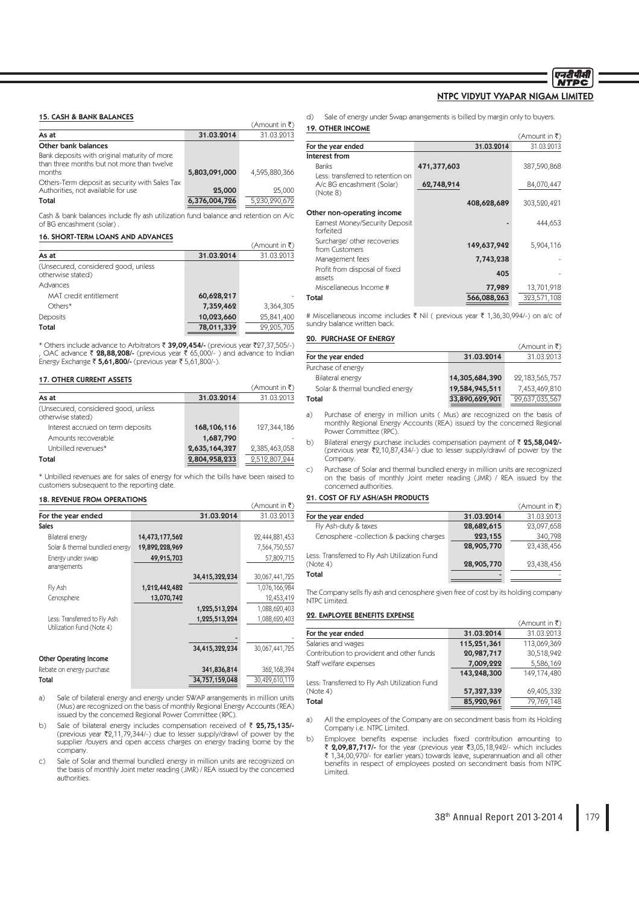#### 15. CASH & BANK BALANCES

|                                                                                                      |               | (Amount in ₹) |
|------------------------------------------------------------------------------------------------------|---------------|---------------|
| As at                                                                                                | 31.03.2014    | 31.03.2013    |
| Other bank balances                                                                                  |               |               |
| Bank deposits with original maturity of more<br>than three months but not more than twelve<br>months | 5,803,091,000 | 4,595,880,366 |
| Others-Term deposit as security with Sales Tax<br>Authorities, not available for use                 | 25,000        | 25,000        |
| Total                                                                                                | 6,376,004,726 | 5,230,290,672 |

Cash & bank balances include fly ash utilization fund balance and retention on A/c of BG encashment (solar) .

#### 16. SHORT-TERM LOANS AND ADVANCES

|            | $\frac{1}{2}$ |
|------------|---------------|
| 31.03.2014 | 31.03.2013    |
|            |               |
|            |               |
| 60,628,217 |               |
| 7,359,462  | 3,364,305     |
| 10,023,660 | 25,841,400    |
| 78,011,339 | 29,205,705    |
|            |               |

\* Others include advance to Arbitrators ₹ **39,09,454/-** (previous year ₹27,37,505/-)<br>, OAC advance ₹ **28,88,208/-** (previous year ₹ 65,000/- ) and advance to Indian Energy Exchange  $\bar{x}$  5,61,800/- (previous year  $\bar{x}$  5,61,800/-).

# 17. OTHER CURRENT ASSETS

|               | (Amount in ₹) |
|---------------|---------------|
| 31.03.2014    | 31.03.2013    |
|               |               |
| 168,106,116   | 127,344,186   |
| 1,687,790     |               |
| 2,635,164,327 | 2,385,463,058 |
| 2,804,958,233 | 2,512,807,244 |
|               |               |

\* Unbilled revenues are for sales of energy for which the bills have been raised to customers subsequent to the reporting date.

#### 18. REVENUE FROM OPERATIONS

|                                |                |                | (Amount in ₹)  |
|--------------------------------|----------------|----------------|----------------|
| For the year ended             |                | 31.03.2014     | 31.03.2013     |
| <b>Sales</b>                   |                |                |                |
| Bilateral energy               | 14,473,177,562 |                | 22,444,881,453 |
| Solar & thermal bundled energy | 19,892,228,969 |                | 7,564,750,557  |
| Energy under swap              | 49,915,703     |                | 57,809,715     |
| arrangements                   |                |                |                |
|                                |                | 34,415,322,234 | 30,067,441,725 |
| Fly Ash                        | 1,212,442,482  |                | 1,076,166,984  |
| Cenosphere                     | 13,070,742     |                | 12,453,419     |
|                                |                | 1,225,513,224  | 1,088,620,403  |
| Less: Transferred to Fly Ash   |                | 1,225,513,224  | 1,088,620,403  |
| Utilization Fund (Note 4)      |                |                |                |
|                                |                |                |                |
|                                |                | 34,415,322,234 | 30,067,441,725 |
| <b>Other Operating Income</b>  |                |                |                |
| Rebate on energy purchase      |                | 341,836,814    | 362,168,394    |
| Total                          |                | 34,757,159,048 | 30,429,610,119 |

- a) Sale of bilateral energy and energy under SWAP arrangements in million units (Mus) are recognized on the basis of monthly Regional Energy Accounts (REA) issued by the concerned Regional Power Committee (RPC).
- b) Sale of bilateral energy includes compensation received of  $\bar{\tau}$  25,75,135/-(previous year ₹2,11,79,344/-) due to lesser supply/drawl of power by the<br>supplier /buyers and open access charges on energy trading borne by the company.
- c) Sale of Solar and thermal bundled energy in million units are recognized on the basis of monthly Joint meter reading (JMR) / REA issued by the concerned authorities.

# NTPC VIDYUT VYAPAR NIGAM LIMITED

एनदीपीसी **NTDC** 

d) Sale of energy under Swap arrangements is billed by margin only to buyers.

| <b>19. OTHER INCOME</b>                                                    |             |             |               |
|----------------------------------------------------------------------------|-------------|-------------|---------------|
|                                                                            |             |             | (Amount in ₹) |
| For the year ended                                                         |             | 31.03.2014  | 31.03.2013    |
| Interest from                                                              |             |             |               |
| <b>Banks</b>                                                               | 471,377,603 |             | 387,590,868   |
| Less: transferred to retention on<br>A/c BG encashment (Solar)<br>(Note 8) | 62,748,914  |             | 84,070,447    |
|                                                                            |             | 408,628,689 | 303,520,421   |
| Other non-operating income                                                 |             |             |               |
| Earnest Money/Security Deposit<br>forfeited                                |             |             | 444,653       |
| Surcharge/ other recoveries<br>from Customers                              |             | 149,637,942 | 5,904,116     |
| Management fees                                                            |             | 7,743,238   |               |
| Profit from disposal of fixed<br>assets                                    |             | 405         |               |
| Miscellaneous Income #                                                     |             | 77,989      | 13,701,918    |
| Total                                                                      |             | 566,088,263 | 323,571,108   |

# Miscellaneous income includes ₹ Nil ( previous year ₹ 1,36,30,994/-) on a/c of sundry balance written back.

#### 20. PURCHASE OF ENERGY

 $(4$ mount in  $\bar{z}$ )

|                                |                | $(A$ mount in ₹) |
|--------------------------------|----------------|------------------|
| For the year ended             | 31.03.2014     | 31.03.2013       |
| Purchase of energy             |                |                  |
| Bilateral energy               | 14,305,684,390 | 22,183,565,757   |
| Solar & thermal bundled energy | 19,584,945,511 | 7,453,469,810    |
| Total                          | 33,890,629,901 | 29,637,035,567   |

a) Purchase of energy in million units ( Mus) are recognized on the basis of monthly Regional Energy Accounts (REA) issued by the concerned Regional Power Committee (RPC).

- b) Bilateral energy purchase includes compensation payment of  $\bar{\tau}$  25,58,042/-(previous year `2,10,87,434/-) due to lesser supply/drawl of power by the Company
- c) Purchase of Solar and thermal bundled energy in million units are recognized on the basis of monthly Joint meter reading (JMR) / REA issued by the concerned authorities.

# 21. COST OF FLY ASH/ASH PRODUCTS

|                                               |            | $(Am$ ount in ₹) |
|-----------------------------------------------|------------|------------------|
| For the year ended                            | 31.03.2014 | 31.03.2013       |
| Fly Ash-duty & taxes                          | 28,682,615 | 23,097,658       |
| Cenosphere -collection & packing charges      | 223,155    | 340,798          |
|                                               | 28,905,770 | 23,438,456       |
| Less: Transferred to Fly Ash Utilization Fund |            |                  |
| (Note 4)                                      | 28,905,770 | 23,438,456       |
| Total                                         |            |                  |
|                                               |            |                  |

The Company sells fly ash and cenosphere given free of cost by its holding company NTPC Limited.

#### 22. EMPLOYEE BENEFITS EXPENSE

|                                               |             | (Amount in ₹) |
|-----------------------------------------------|-------------|---------------|
| For the year ended                            | 31.03.2014  | 31.03.2013    |
| Salaries and wages                            | 115,251,361 | 113,069,369   |
| Contribution to provident and other funds     | 20,987,717  | 30,518,942    |
| Staff welfare expenses                        | 7,009,222   | 5,586,169     |
|                                               | 143,248,300 | 149,174,480   |
| Less: Transferred to Fly Ash Utilization Fund |             |               |
| (Note 4)                                      | 57,327,339  | 69,405,332    |
| Total                                         | 85,920,961  | 79,769,148    |
|                                               |             |               |

a) All the employees of the Company are on secondment basis from its Holding Company i.e. NTPC Limited.

b) Employee benefits expense includes fixed contribution amounting to  $\bar{\zeta}$  **2,09,87,717/-** for the year (previous year  $\bar{\zeta}$ 3,05,18,942/- which includes ₹ 1,34,00,970/- for earlier years) towards leave, superannuation and all other benefits in respect of employees posted on secondment basis from NTPC Limited.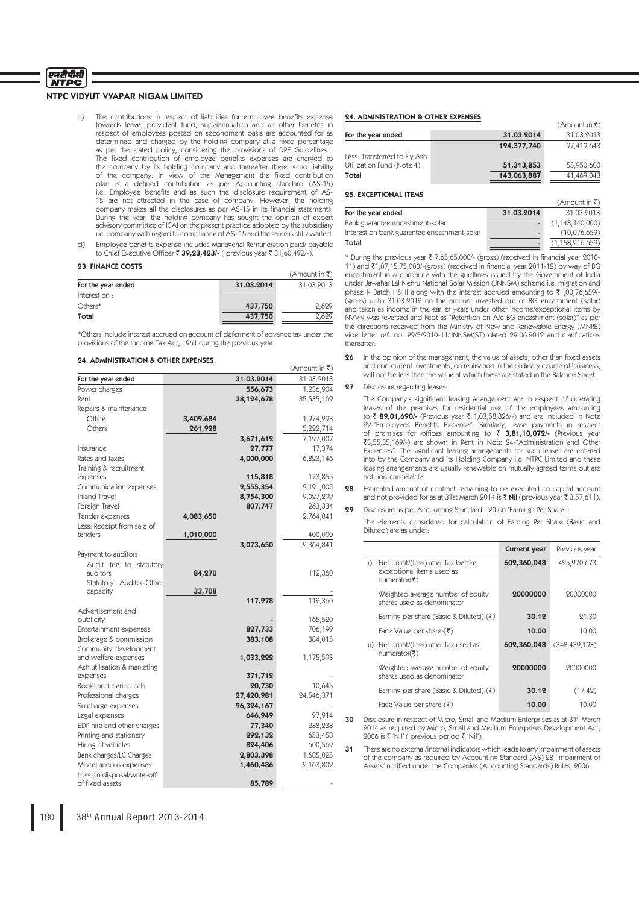# एन्टीपीसी **NTPC** NTPC VIDYUT VYAPAR NIGAM LIMITED

- c) The contributions in respect of liabilities for employee benefits expense towards leave, provident fund, superannuation and all other benefits in<br>respect of employees posted on secondment basis are accounted for as determined and charged by the holding company at a fixed percentage as per the stated policy, considering the provisions of DPE Guidelines .<br>The fixed contribution of employee benefits expenses are charged to the company by its holding company and thereafter there is no liability<br>of the company. In view of the Management the fixed contribution<br>plan is a defined contribution as per Accounting standard (AS-15) i.e. Employee benefits and as such the disclosure requirement of AS-15 are not attracted in the case of company. However, the holding company makes all the disclosures as per AS-15 in its fi nancial statements. During the year, the holding company has sought the opinion of expert advisory committee of ICAI on the present practice adopted by the subsidiary i.e. company with regard to compliance of AS- 15 and the same is still awaited.
- d) Employee benefits expense includes Managerial Remuneration paid/ payable to Chief Executive Officer  $\bar{\tau}$  39,23,423/- ( previous year  $\bar{\tau}$  31,60,492/-)

|                    |            | (Amount in ₹) |
|--------------------|------------|---------------|
| For the year ended | 31.03.2014 | 31.03.2013    |
| Interest on :      |            |               |
| $Others*$          | 437,750    | 2.629         |
| Total              | 437,750    | 2.629         |

\*Others include interest accrued on account of deferment of advance tax under the provisions of the Income Tax Act, 1961 during the previous year.

#### 24. ADMINISTRATION & OTHER EXPENSES

|                                         |           |            | (Amount in र) |
|-----------------------------------------|-----------|------------|---------------|
| For the year ended                      |           | 31.03.2014 | 31.03.2013    |
| Power charges                           |           | 556,673    | 1,236,904     |
| Rent                                    |           | 38,124,678 | 35,535,169    |
| Repairs & maintenance                   |           |            |               |
| Office.                                 | 3,409,684 |            | 1,974,293     |
| Others                                  | 261,928   |            | 5,222,714     |
|                                         |           | 3,671,612  | 7,197,007     |
| Insurance                               |           | 27,777     | 17,374        |
| Rates and taxes                         |           | 4,000,000  | 6,823,146     |
| Training & recruitment                  |           |            |               |
| expenses                                |           | 115,818    | 173,855       |
| Communication expenses                  |           | 2,555,354  | 2,191,005     |
| Inland Travel                           |           | 8,754,300  | 9,027,299     |
| Foreign Travel                          |           | 807,747    | 263,334       |
| Tender expenses                         | 4,083,650 |            | 2,764,841     |
| Less: Receipt from sale of<br>tenders   | 1,010,000 |            | 400,000       |
|                                         |           | 3,073,650  | 2,364,841     |
| Payment to auditors                     |           |            |               |
| Audit fee to statutory                  |           |            |               |
| auditors                                | 84,270    |            | 112,360       |
| Statutory Auditor-Other                 |           |            |               |
| capacity                                | 33,708    |            |               |
|                                         |           | 117,978    | 112,360       |
| Advertisement and                       |           |            |               |
| publicity                               |           |            | 165,520       |
| Entertainment expenses                  |           | 827,733    | 706,199       |
| Brokerage & commission                  |           | 383,108    | 384,015       |
| Community development                   |           |            |               |
| and welfare expenses                    |           | 1,033,222  | 1,175,593     |
| Ash utilisation & marketing<br>expenses |           | 371,712    |               |
| Books and periodicals                   |           | 20,730     | 10,645        |
| Professional charges                    |           | 27,420,981 | 24,546,371    |
| Surcharge expenses                      |           | 96,324,167 |               |
| Legal expenses                          |           | 646,949    | 97,914        |
| EDP hire and other charges              |           | 77,340     | 288,238       |
| Printing and stationery                 |           | 292,132    | 653,458       |
| Hiring of vehicles                      |           | 824,406    | 600,569       |
| Bank charges/LC Charges                 |           | 2,803,398  | 1,685,025     |
| Miscellaneous expenses                  |           | 1,460,486  | 2,163,802     |
| Loss on disposal/write-off              |           |            |               |
| of fixed assets                         |           | 85,789     |               |

#### 24. ADMINISTRATION & OTHER EXPENSES

|                              |  |             | (Amount in ₹) |
|------------------------------|--|-------------|---------------|
| For the year ended           |  | 31.03.2014  | 31.03.2013    |
|                              |  | 194,377,740 | 97,419,643    |
| Less: Transferred to Fly Ash |  |             |               |
| Utilization Fund (Note 4)    |  | 51,313,853  | 55,950,600    |
| Total                        |  | 143,063,887 | 41,469,043    |
|                              |  |             |               |

# 25. EXCEPTIONAL ITEMS

|                                             |            | $(M)$ liourit in $U$ |
|---------------------------------------------|------------|----------------------|
| For the year ended                          | 31.03.2014 | 31.03.2013           |
| Bank guarantee encashment-solar             |            | (1, 148, 140, 000)   |
| Interest on bank guarantee encashment-solar |            | (10,076,659)         |
| Total                                       |            | (1, 158, 216, 659)   |

(Amount in  $\mathbb{R}$ )

\* During the previous year  $\bar{\tau}$  7,65,65,000/- (gross) (received in financial year 2010-11) and ₹1,07,15,75,000/-(gross) (received in financial year 2011-12) by way of BG encashment in accordance with the guidlines issued by the Government of India under Jawahar Lal Nehru National Solar Mission (JNNSM) scheme i.e. migration and phase I- Batch I & II along with the interest accrued amounting to ₹1,00,76,659/-(gross) upto 31.03.2012 on the amount invested out of BG encashment (solar) and taken as income in the earlier years under other income/exceptional items by NVVN was reversed and kept as "Retention on A/c BG encashment (solar)" as per the directions received from the Ministry of New and Renewable Energy (MNRE) vide letter ref. no. 29/5/2010-11/JNNSM(ST) dated 29.06.2012 and clarifications thereafter.

- 26 In the opinion of the management, the value of assets, other than fixed assets and non-current investments, on realisation in the ordinary course of business, will not be less than the value at which these are stated in the Balance Sheet.
- 27 Disclosure regarding leases:

 $\mathcal{A}$  in  $\mathcal{A}$ 

The Company's significant leasing arrangement are in respect of operating leases of the premises for residential use of the employees amounting to ₹ **89,01,690/-** (Previous year ₹ 1,03,58,826/-) and are included in Note<br>22-"Employees Benefits Expense". Similarly, lease payments in respect<br>of premises for offices amounting to ₹ **3,81,10,072/-** (Previous year `3,55,35,169/-) are shown in Rent in Note 24-"Administration and Other Expenses". The significant leasing arrangements for such leases are entered into by the Company and its Holding Company i.e. NTPC Limited and these leasing arrangements are usually renewable on mutually agreed terms but are not non-cancelable.

28 Estimated amount of contract remaining to be executed on capital account and not provided for as at 31st March 2014 is ₹ Nil (previous year ₹ 3,57,611).

29 Disclosure as per Accounting Standard - 20 on 'Earnings Per Share'

 The elements considered for calculation of Earning Per Share (Basic and Diluted) are as under:

|    |                                                                                              | <b>Current year</b> | Previous year   |
|----|----------------------------------------------------------------------------------------------|---------------------|-----------------|
| i) | Net profit/(loss) after Tax before<br>exceptional items used as<br>numerator( $\bar{\tau}$ ) | 602,360,048         | 425,970,673     |
|    | Weighted average number of equity<br>shares used as denominator                              | 20000000            | 20000000        |
|    | Earning per share (Basic & Diluted)- $(\bar{\tau})$                                          | 30.12               | 21.30           |
|    | Face Value per share- $(\bar{\tau})$                                                         | 10.00               | 10.00           |
|    | ii) Net profit/(loss) after Tax used as<br>numerator( $\bar{\tau}$ )                         | 602,360,048         | (348, 439, 193) |
|    | Weighted average number of equity<br>shares used as denominator                              | 20000000            | 20000000        |
|    | Earning per share (Basic & Diluted)- $(\bar{\tau})$                                          | 30.12               | (17.42)         |
|    | Face Value per share- $(\bar{\tau})$                                                         | 10.00               | 10.00           |

30 Disclosure in respect of Micro, Small and Medium Enterprises as at 31<sup>st</sup> March 2014 as required by Micro, Small and Medium Enterprises Development Act, 2006 is  $\bar{\tau}$  'Nil' ( previous period  $\bar{\tau}$  'Nil').

31 There are no external/internal indicators which leads to any impairment of assets of the company as required by Accounting Standard (AS) 28 'Impairment of Assets' notified under the Companies (Accounting Standards) Rules, 2006.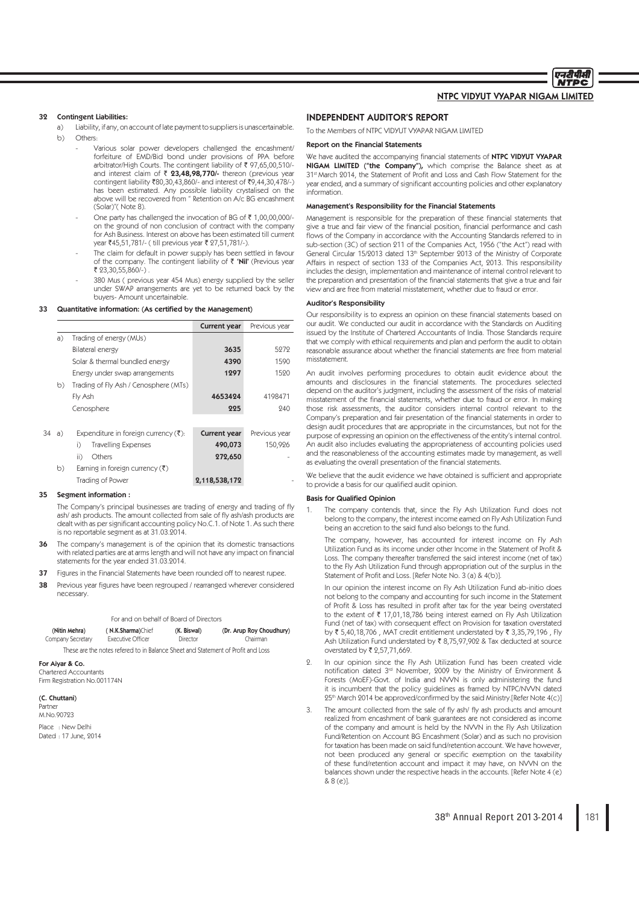NTPC VIDYUT VYAPAR NIGAM LIMITED

एनटीपीसी **NTDC** 

#### 32 Contingent Liabilities:

- a) Liability, if any, on account of late payment to suppliers is unascertainable. b) Others:
	- Various solar power developers challenged the encashment/ forfeiture of EMD/Bid bond under provisions of PPA before arbitrator/High Courts. The contingent liability of ` 97,65,00,510/ and interest claim of  $\bar{\tau}$  23,48,98,770/- thereon (previous year contingent liability  $\overline{x}80,30,43,860/2$  and interest of  $\overline{x}9,44,30,478/2$ has been estimated. Any possible liability crystalised on the above will be recovered from " Retention on A/c BG encashment (Solar)"( Note 8).
	- One party has challenged the invocation of BG of  $\bar{\tau}$  1,00,00,000/on the ground of non conclusion of contract with the company for Ash Business. Interest on above has been estimated till currrent year ₹45,51,781/- ( till previous year ₹ 27,51,781/-).
	- The claim for default in power supply has been settled in favour of the company. The contingent liability of  $\bar{\tau}$  'Nil' (Previous year ₹ 23,30,55,860/-)
	- 380 Mus ( previous year 454 Mus) energy supplied by the seller under SWAP arrangements are yet to be returned back by the buyers- Amount uncertainable.

### 33 Quantitative information: (As certified by the Management)

|          |                                                   | <b>Current year</b> | Previous year |
|----------|---------------------------------------------------|---------------------|---------------|
| a)       | Trading of energy (MUs)                           |                     |               |
|          | Bilateral energy                                  | 3635                | 5272          |
|          | Solar & thermal bundled energy                    | 4390                | 1590          |
|          | Energy under swap arrangements                    | 1297                | 1590          |
| b)       | Trading of Fly Ash / Cenosphere (MTs)             |                     |               |
|          | Fly Ash                                           | 4653424             | 4198471       |
|          | Cenosphere                                        | 225                 | 940           |
|          |                                                   |                     |               |
| 34<br>a) | Expenditure in foreign currency $(\bar{\zeta})$ . | <b>Current year</b> | Previous year |
|          | i)<br><b>Travelling Expenses</b>                  | 490,073             | 150,926       |
|          | Others<br>ii)                                     | 272,650             |               |
| b)       | Earning in foreign currency $(\bar{\tau})$        |                     |               |
|          | Trading of Power                                  | 2,118,538,172       |               |

#### 35 Segment information :

The Company's principal businesses are trading of energy and trading of fly ash/ ash products. The amount collected from sale of fly ash/ash products are dealt with as per significant accounting policy No.C.1. of Note 1. As such there is no reportable segment as at 31.03.2014.

- 36 The company's management is of the opinion that its domestic transactions with related parties are at arms length and will not have any impact on financial statements for the year ended 31.03.2014.
- 37 Figures in the Financial Statements have been rounded off to nearest rupee.
- 38 Previous year figures have been regrouped / rearranged wherever considered necessary.

#### For and on behalf of Board of Directors

| (Nitin Mehra)     | (N.K.Sharma)Chief                                                                | (K. Biswal) | (Dr. Arup Roy Choudhury) |
|-------------------|----------------------------------------------------------------------------------|-------------|--------------------------|
| Company Secretary | Executive Officer                                                                | Director    | Chairman                 |
|                   | These are the notes refered to in Balance Sheet and Statement of Profit and Loss |             |                          |

For Aiyar & Co.

Chartered Accountants Firm Registration No.001174N

#### (C. Chuttani)

Partner M.No.90723 Place : New Delhi Dated : 17 June, 2014

# INDEPENDENT AUDITOR'S REPORT

To the Members of NTPC VIDYUT VYAPAR NIGAM LIMITED

#### Report on the Financial Statements

We have audited the accompanying financial statements of NTPC VIDYUT VYAPAR NIGAM LIMITED ("the Company"), which comprise the Balance sheet as at 31<sup>st</sup> March 2014, the Statement of Profit and Loss and Cash Flow Statement for the year ended, and a summary of significant accounting policies and other explanatory information.

#### Management's Responsibility for the Financial Statements

Management is responsible for the preparation of these financial statements that give a true and fair view of the financial position, financial performance and cash flows of the Company in accordance with the Accounting Standards referred to in sub-section (3C) of section 211 of the Companies Act, 1956 ("the Act") read with General Circular 15/2013 dated 13<sup>th</sup> September 2013 of the Ministry of Corporate Affairs in respect of section 133 of the Companies Act, 2013. This responsibility includes the design, implementation and maintenance of internal control relevant to the preparation and presentation of the financial statements that give a true and fair view and are free from material misstatement, whether due to fraud or error.

#### Auditor's Responsibility

Our responsibility is to express an opinion on these financial statements based on our audit. We conducted our audit in accordance with the Standards on Auditing issued by the Institute of Chartered Accountants of India. Those Standards require that we comply with ethical requirements and plan and perform the audit to obtain reasonable assurance about whether the financial statements are free from material misstatement.

An audit involves performing procedures to obtain audit evidence about the amounts and disclosures in the financial statements. The procedures selected depend on the auditor's judgment, including the assessment of the risks of material misstatement of the financial statements, whether due to fraud or error. In making those risk assessments, the auditor considers internal control relevant to the Company's preparation and fair presentation of the financial statements in order to design audit procedures that are appropriate in the circumstances, but not for the purpose of expressing an opinion on the effectiveness of the entity's internal control. An audit also includes evaluating the appropriateness of accounting policies used and the reasonableness of the accounting estimates made by management, as well as evaluating the overall presentation of the financial statements.

We believe that the audit evidence we have obtained is sufficient and appropriate to provide a basis for our qualified audit opinion.

### **Basis for Qualified Opinion**

1. The company contends that, since the Fly Ash Utilization Fund does not belong to the company, the interest income earned on Fly Ash Utilization Fund being an accretion to the said fund also belongs to the fund.

 The company, however, has accounted for interest income on Fly Ash Utilization Fund as its income under other Income in the Statement of Profit & Loss. The company thereafter transferred the said interest income (net of tax) to the Fly Ash Utilization Fund through appropriation out of the surplus in the Statement of Profit and Loss. [Refer Note No. 3 (a) & 4(b)].

 In our opinion the interest income on Fly Ash Utilization Fund ab-initio does not belong to the company and accounting for such income in the Statement of Profit & Loss has resulted in profit after tax for the year being overstated to the extent of ₹ 17,01,18,786 being interest earned on Fly Ash Utilization Fund (net of tax) with consequent effect on Provision for taxation overstated by  $\bar{\tau}$  5,40,18,706, MAT credit entitlement understated by  $\bar{\tau}$  3,35,79,196, Fly Ash Utilization Fund understated by ₹8,75,97,902 & Tax deducted at source overstated by  $\bar{\tau}$  2,57,71,669.

- 2. In our opinion since the Fly Ash Utilization Fund has been created vide notification dated 3rd November, 2009 by the Ministry of Environment & Forests (MoEF)-Govt. of India and NVVN is only administering the fund it is incumbent that the policy guidelines as framed by NTPC/NVVN dated 25th March 2014 be approved/confirmed by the said Ministry.[Refer Note 4(c)]
	- The amount collected from the sale of fly ash/ fly ash products and amount realized from encashment of bank guarantees are not considered as income of the company and amount is held by the NVVN in the Fly Ash Utilization Fund/Retention on Account BG Encashment (Solar) and as such no provision for taxation has been made on said fund/retention account. We have however not been produced any general or specific exemption on the taxability of these fund/retention account and impact it may have, on NVVN on the balances shown under the respective heads in the accounts. [Refer Note 4 (e) & 8 (e)].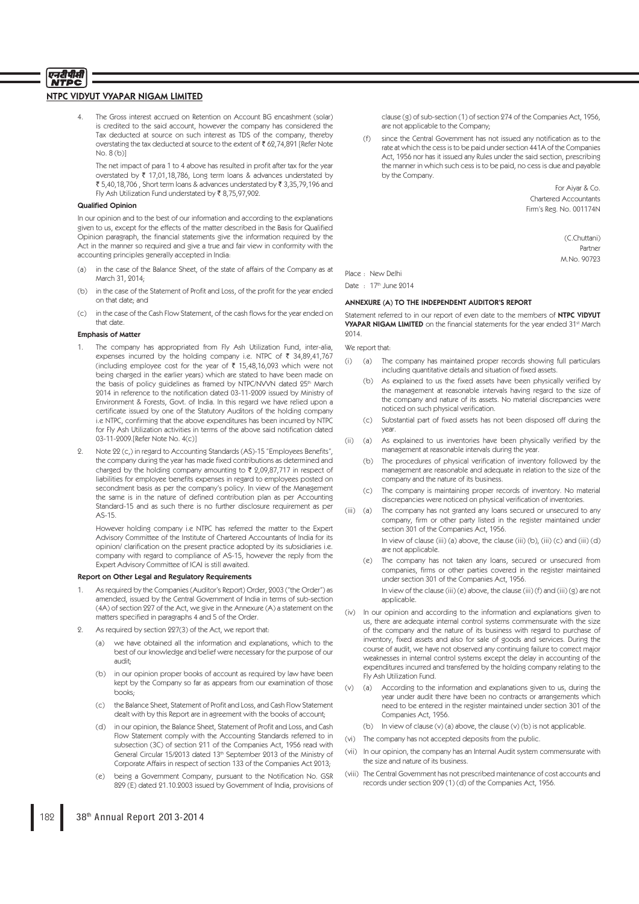# एन्टीपीसी **NTPC** NTPC VIDYUT VYAPAR NIGAM LIMITED

The Gross interest accrued on Retention on Account BG encashment (solar) is credited to the said account, however the company has considered the Tax deducted at source on such interest as TDS of the company, thereby overstating the tax deducted at source to the extent of  $\bar{\tau}$  62,74,891 [Refer Note No. 8 (b)]

The net impact of para 1 to 4 above has resulted in profit after tax for the year overstated by ₹ 17,01,18,786, Long term loans & advances understated by  $\bar{\mathcal{F}}$  5,40,18,706 , Short term loans & advances understated by  $\bar{\mathcal{F}}$  3,35,79,196 and Fly Ash Utilization Fund understated by  $\bar{\tau}$  8,75,97,902.

#### **Qualified Opinion**

In our opinion and to the best of our information and according to the explanations given to us, except for the effects of the matter described in the Basis for Qualified Opinion paragraph, the financial statements give the information required by the Act in the manner so required and give a true and fair view in conformity with the accounting principles generally accepted in India:

- (a) in the case of the Balance Sheet, of the state of affairs of the Company as at March 31, 2014;
- (b) in the case of the Statement of Profit and Loss, of the profit for the year ended on that date; and
- (c) in the case of the Cash Flow Statement, of the cash flows for the year ended on that date.

### Emphasis of Matter

- The company has appropriated from Fly Ash Utilization Fund, inter-alia. expenses incurred by the holding company i.e. NTPC of  $\bar{\tau}$  34,89,41,767 (including employee cost for the year of  $\bar{\tau}$  15,48,16,093 which were not being charged in the earlier years) which are stated to have been made on the basis of policy guidelines as framed by NTPC/NVVN dated 25<sup>th</sup> March 2014 in reference to the notification dated 03-11-2009 issued by Ministry of Environment & Forests, Govt. of India. In this regard we have relied upon a certificate issued by one of the Statutory Auditors of the holding company i.e NTPC, confirming that the above expenditures has been incurred by NTPC for Fly Ash Utilization activities in terms of the above said notification dated 03-11-2009.[Refer Note No. 4(c)]
- Note 22 (c,) in regard to Accounting Standards (AS)-15 "Employees Benefits" the company during the year has made fixed contributions as determined and charged by the holding company amounting to  $\bar{\tau}$  2,09,87,717 in respect of liabilities for employee benefits expenses in regard to employees posted on secondment basis as per the company's policy. In view of the Management the same is in the nature of defined contribution plan as per Accounting Standard-15 and as such there is no further disclosure requirement as per AS-15.

 However holding company i.e NTPC has referred the matter to the Expert Advisory Committee of the Institute of Chartered Accountants of India for its opinion/ clarification on the present practice adopted by its subsidiaries i.e. company with regard to compliance of AS-15, however the reply from the Expert Advisory Committee of ICAI is still awaited.

#### Report on Other Legal and Regulatory Requirements

- As required by the Companies (Auditor's Report) Order, 2003 ("the Order") as amended, issued by the Central Government of India in terms of sub-section (4A) of section 227 of the Act, we give in the Annexure (A) a statement on the matters specified in paragraphs 4 and 5 of the Order.
- As required by section 227(3) of the Act, we report that:
	- (a) we have obtained all the information and explanations, which to the best of our knowledge and belief were necessary for the purpose of our audit;
	- (b) in our opinion proper books of account as required by law have been kept by the Company so far as appears from our examination of those books;
	- (c) the Balance Sheet, Statement of Profit and Loss, and Cash Flow Statement dealt with by this Report are in agreement with the books of account;
	- (d) in our opinion, the Balance Sheet, Statement of Profit and Loss, and Cash Flow Statement comply with the Accounting Standards referred to in subsection (3C) of section 211 of the Companies Act, 1956 read with General Circular 15/2013 dated 13<sup>th</sup> September 2013 of the Ministry of Corporate Affairs in respect of section 133 of the Companies Act 2013;
	- being a Government Company, pursuant to the Notification No. GSR 829 (E) dated 21.10.2003 issued by Government of India, provisions of

clause (g) of sub-section (1) of section 274 of the Companies Act, 1956, are not applicable to the Company;

(f) since the Central Government has not issued any notification as to the rate at which the cess is to be paid under section 441A of the Companies Act, 1956 nor has it issued any Rules under the said section, prescribing the manner in which such cess is to be paid, no cess is due and payable by the Company.

> For Aiyar & Co. Chartered Accountants Firm's Reg. No. 001174N

(C.Chuttani) **Partner Partner** M.No. 90723

Place : New Delhi

Date : 17th June 2014

#### ANNEXURE (A) TO THE INDEPENDENT AUDITOR'S REPORT

Statement referred to in our report of even date to the members of NTPC VIDYUT VYAPAR NIGAM LIMITED on the financial statements for the year ended  $31<sup>st</sup>$  March 2014.

We report that:

- (i) (a) The company has maintained proper records showing full particulars including quantitative details and situation of fixed assets.
	- (b) As explained to us the fixed assets have been physically verified by the management at reasonable intervals having regard to the size of the company and nature of its assets. No material discrepancies were noticed on such physical verification.
	- (c) Substantial part of fixed assets has not been disposed off during the year.
- (ii) (a) As explained to us inventories have been physically verified by the management at reasonable intervals during the year.
	- (b) The procedures of physical verification of inventory followed by the management are reasonable and adequate in relation to the size of the company and the nature of its business.
	- (c) The company is maintaining proper records of inventory. No material discrepancies were noticed on physical verification of inventories.
- (iii) (a) The company has not granted any loans secured or unsecured to any company, firm or other party listed in the register maintained under section 301 of the Companies Act, 1956.

 In view of clause (iii) (a) above, the clause (iii) (b), (iii) (c) and (iii) (d) are not applicable.

 (e) The company has not taken any loans, secured or unsecured from companies, firms or other parties covered in the register maintained under section 301 of the Companies Act, 1956.

 In view of the clause (iii) (e) above, the clause (iii) (f) and (iii) (g) are not applicable.

- (iv) In our opinion and according to the information and explanations given to us, there are adequate internal control systems commensurate with the size of the company and the nature of its business with regard to purchase of inventory, fixed assets and also for sale of goods and services. During the course of audit, we have not observed any continuing failure to correct major weaknesses in internal control systems except the delay in accounting of the expenditures incurred and transferred by the holding company relating to the Fly Ash Utilization Fund.
- (v) (a) According to the information and explanations given to us, during the year under audit there have been no contracts or arrangements which need to be entered in the register maintained under section 301 of the Companies Act, 1956.
	- (b) In view of clause  $(v)$  (a) above, the clause  $(v)$  (b) is not applicable.
- (vi) The company has not accepted deposits from the public.
- (vii) In our opinion, the company has an Internal Audit system commensurate with the size and nature of its business.
- (viii) The Central Government has not prescribed maintenance of cost accounts and records under section 209 (1) (d) of the Companies Act, 1956.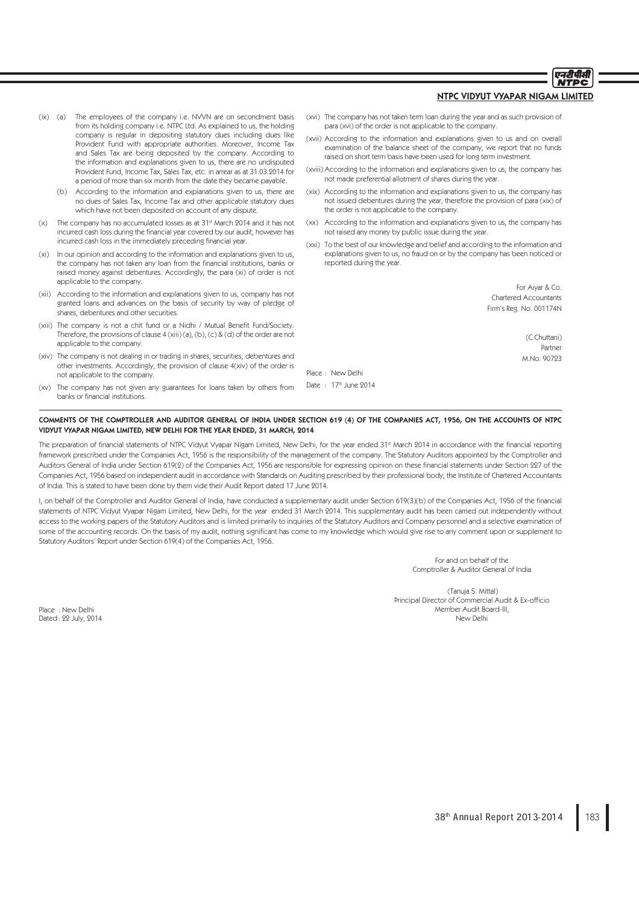# NTPC VIDYUT VYAPAR NIGAM LIMITED

एनटीपीसी **NTDC** 

- (ix) (a) The employees of the company i.e. NVVN are on secondment basis from its holding company i.e. NTPC Ltd. As explained to us, the holding company is regular in depositing statutory dues including dues like Provident Fund with appropriate authorities. Moreover, Income Tax and Sales Tax are being deposited by the company. According to the information and explanations given to us, there are no undisputed Provident Fund, Income Tax, Sales Tax, etc. in arrear as at 31.03.2014 for a period of more than six month from the date they became payable.
	- (b) According to the information and explanations given to us, there are no dues of Sales Tax, Income Tax and other applicable statutory dues which have not been deposited on account of any dispute.
- (x) The company has no accumulated losses as at 31st March 2014 and it has not incurred cash loss during the financial year covered by our audit, however has incurred cash loss in the immediately preceding financial year.
- (xi) In our opinion and according to the information and explanations given to us, the company has not taken any loan from the financial institutions, banks or raised money against debentures. Accordingly, the para (xi) of order is not applicable to the company.
- (xii) According to the information and explanations given to us, company has not granted loans and advances on the basis of security by way of pledge of shares, debentures and other securities.
- (xiii) The company is not a chit fund or a Nidhi / Mutual Benefit Fund/Society. Therefore, the provisions of clause  $4$  (xiii) (a), (b), (c) & (d) of the order are not applicable to the company.
- (xiv) The company is not dealing in or trading in shares, securities, debentures and other investments. Accordingly, the provision of clause 4(xiv) of the order is not applicable to the company.
- (xv) The company has not given any guarantees for loans taken by others from banks or financial institutions.
- (xvi) The company has not taken term loan during the year and as such provision of para (xvi) of the order is not applicable to the company.
- (xvii) According to the information and explanations given to us and on overall examination of the balance sheet of the company, we report that no funds raised on short term basis have been used for long term investment.
- (xviii) According to the information and explanations given to us, the company has not made preferential allotment of shares during the year.
- (xix) According to the information and explanations given to us, the company has not issued debentures during the year, therefore the provision of para (xix) of the order is not applicable to the company.
- (xx) According to the information and explanations given to us, the company has not raised any money by public issue during the year.
- (xxi) To the best of our knowledge and belief and according to the information and explanations given to us, no fraud on or by the company has been noticed or reported during the year.

For Aiyar & Co. Chartered Accountants Firm's Reg. No. 001174N

(C.Chuttani) **Partner Partner** M.No. 90723

Place : New Delhi Date: 17th June 2014

## COMMENTS OF THE COMPTROLLER AND AUDITOR GENERAL OF INDIA UNDER SECTION 619 (4) OF THE COMPANIES ACT, 1956, ON THE ACCOUNTS OF NTPC VIDYUT VYAPAR NIGAM LIMITED, NEW DELHI FOR THE YEAR ENDED, 31 MARCH, 2014

The preparation of financial statements of NTPC Vidyut Vyapar Nigam Limited, New Delhi, for the year ended 31st March 2014 in accordance with the financial reporting framework prescribed under the Companies Act, 1956 is the responsibility of the management of the company. The Statutory Auditors appointed by the Comptroller and Auditors General of India under Section 619(2) of the Companies Act, 1956 are responsible for expressing opinion on these financial statements under Section 227 of the Companies Act, 1956 based on independent audit in accordance with Standards on Auditing prescribed by their professional body, the Institute of Chartered Accountants of India. This is stated to have been done by them vide their Audit Report dated 17 June 2014.

I, on behalf of the Comptroller and Auditor General of India, have conducted a supplementary audit under Section 619(3)(b) of the Companies Act, 1956 of the financial statements of NTPC Vidyut Vyapar Nigam Limited, New Delhi, for the year ended 31 March 2014. This supplementary audit has been carried out independently without access to the working papers of the Statutory Auditors and is limited primarily to inquiries of the Statutory Auditors and Company personnel and a selective examination of some of the accounting records. On the basis of my audit, nothing significant has come to my knowledge which would give rise to any comment upon or supplement to Statutory Auditors' Report under Section 619(4) of the Companies Act, 1956.

> For and on behalf of the Comptroller & Auditor General of India

 (Tanuja S. Mittal) Principal Director of Commercial Audit & Ex-officion Member Audit Board-III, New Delhi

Place : New Delhi Dated : 22 July, 2014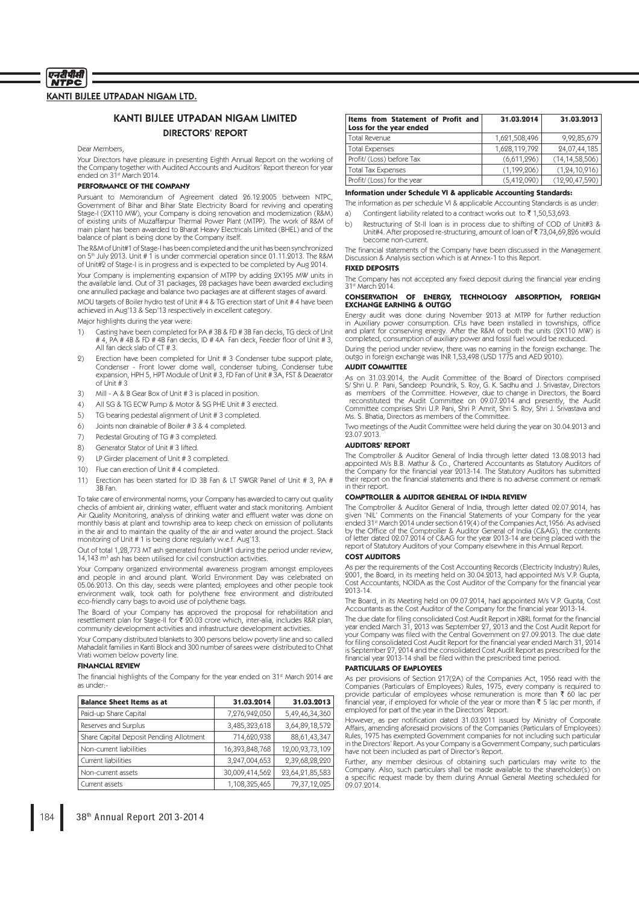# एन्टीपीसी **NTPC** KANTI BIJLEE UTPADAN NIGAM LTD.

# KANTI BIJLEE UTPADAN NIGAM LIMITED DIRECTORS' REPORT

#### Dear Members,

Your Directors have pleasure in presenting Eighth Annual Report on the working of the Company together with Audited Accounts and Auditors' Report thereon for year ended on 31st March 2014.

#### **PERFORMANCE OF THE COMPANY**

Pursuant to Memorandum of Agreement dated 26.12.2005 between NTPC, Government of Bihar and Bihar State Electricity Board for reviving and operating Stage-I (2X110 MW), your Company is doing renovation and modernization (R&M) of existing units of Muzaffarpur Thermal Power Plant (MTPP). The work of R&M of main plant has been awarded to Bharat Heavy Electricals Limited (BHEL) and of the balance of plant is being done by the Company itself.

The R&M of Unit#1 of Stage-I has been completed and the unit has been synchronized on 5th July 2013. Unit # 1 is under commercial operation since 01.11.2013. The R&M of Unit#2 of Stage-I is in progress and is expected to be completed by Aug 2014.

Your Company is implementing expansion of MTPP by adding 2X195 MW units in the available land. Out of 31 packages, 28 packages have been awarded excluding one annulled package and balance two packages are at different stages of award.

MOU targets of Boiler hydro test of Unit # 4 & TG erection start of Unit # 4 have been achieved in Aug'13 & Sep'13 respectively in excellent category.

Major highlights during the year were:

- 1) Casting have been completed for PA # 3B & FD # 3B Fan decks, TG deck of Unit # 4, PA # 4B & FD # 4B Fan decks, ID # 4A Fan deck, Feeder floor of Unit # 3, All fan deck slab of CT # 3.
- 2) Erection have been completed for Unit # 3 Condenser tube support plate, Condenser - Front lower dome wall, condenser tubing, Condenser tube expansion, HPH 5, HPT Module of Unit # 3, FD Fan of Unit # 3A, FST & Deaerator of Unit # 3
- 3) Mill A & B Gear Box of Unit # 3 is placed in position.
- 4) All SG & TG ECW Pump & Motor & SG PHE Unit # 3 erected.
- 5) TG bearing pedestal alignment of Unit # 3 completed.
- 6) Joints non drainable of Boiler # 3 & 4 completed.
- 7) Pedestal Grouting of TG # 3 completed.
- 8) Generator Stator of Unit # 3 lifted.
- 9) LP Girder placement of Unit # 3 completed.
- 10) Flue can erection of Unit # 4 completed.

11) Erection has been started for ID 3B Fan & LT SWGR Panel of Unit # 3, PA # 3B Fan.

To take care of environmental norms, your Company has awarded to carry out quality checks of ambient air, drinking water, effluent water and stack monitoring. Ambient<br>Air Quality Monitoring, analysis of drinking water and effluent water was done on monthly basis at plant and township area to keep check on emission of pollutants in the air and to maintain the quality of the air and water around the project. Stack monitoring of Unit # 1 is being done regularly w.e.f. Aug'13.

Out of total 1,28,773 MT ash generated from Unit#1 during the period under review, 14,143 m<sup>3</sup> ash has been utilised for civil construction activities.

Your Company organized environmental awareness program amongst employees and people in and around plant. World Environment Day was celebrated on 05.06.2013. On this day, seeds were planted; employees and other people took environment walk, took oath for polythene free environment and distributed eco-friendly carry bags to avoid use of polythene bags.

The Board of your Company has approved the proposal for rehabilitation and resettlement plan for Stage-II for ₹ 20.03 crore which, inter-alia, includes R&R plan, community development activities and infrastructure development activities.

Your Company distributed blankets to 300 persons below poverty line and so called Mahadalit families in Kanti Block and 300 number of sarees were distributed to Chhat Vrati women below poverty line.

### **FINANCIAL REVIEW**

The financial highlights of the Company for the year ended on 31<sup>st</sup> March 2014 are as under:-

| <b>Balance Sheet Items as at</b>        | 31.03.2014     | 31.03.2013      |
|-----------------------------------------|----------------|-----------------|
| Paid-up Share Capital                   | 7,276,942,050  | 5,49,46,34,360  |
| Reserves and Surplus                    | 3,485,323,618  | 3,64,89,18,572  |
| Share Capital Deposit Pending Allotment | 714,620,938    | 88,61,43,347    |
| Non-current liabilities                 | 16,393,848,768 | 12,00,93,73,109 |
| Current liabilities                     | 3,247,004,653  | 2,39,68,28,220  |
| Non-current assets                      | 30,009,414,562 | 23,64,21,85,583 |
| Current assets                          | 1,108,325,465  | 79,37,12,025    |

| Items from Statement of Profit and<br>Loss for the year ended | 31.03.2014    | 31.03.2013        |
|---------------------------------------------------------------|---------------|-------------------|
| Total Revenue                                                 | 1,621,508,496 | 9,92,85,679       |
| <b>Total Expenses</b>                                         | 1,628,119,792 | 24,07,44,185      |
| Profit/ (Loss) before Tax                                     | (6,611,296)   | (14, 14, 58, 506) |
| <b>Total Tax Expenses</b>                                     | (1, 199, 206) | (1, 24, 10, 916)  |
| Profit/ (Loss) for the year                                   | (5,412,090)   | (12,90,47,590)    |

**Information under Schedule VI & applicable Accounting Standards:**

- The information as per schedule VI & applicable Accounting Standards is as under:
- a) Contingent liability related to a contract works out to  $\bar{\tau}$  1,50,53,693.
- b) Restructuring of St-II loan is in process due to shifting of COD of Unit#3 & Unit#4. After proposed re-structuring, amount of loan of ` 73,04,69,826 would become non-current.

The financial statements of the Company have been discussed in the Management Discussion & Analysis section which is at Annex-1 to this Report.

# **FIXED DEPOSITS**

The Company has not accepted any fixed deposit during the financial year ending 31<sup>st</sup> March 2014.

# **CONSERVATION OF ENERGY, TECHNOLOGY ABSORPTION, FOREIGN EXCHANGE EARNING & OUTGO**

Energy audit was done during November 2013 at MTPP for further reduction in Auxiliary power consumption. CFLs have been installed in townships, office<br>and plant for conserving energy. After the R&M of both the units (2X110 MW) is<br>completed, consumption of auxiliary power and fossil fuel would b

During the period under review, there was no earning in the foreign exchange. The outgo in foreign exchange was INR 1,53,498 (USD 1775 and AED 2010).

#### **AUDIT COMMITTEE**

As on 31.03.2014, the Audit Committee of the Board of Directors comprised S/ Shri U. P. Pani, Sandeep Poundrik, S. Roy, G. K. Sadhu and J. Srivastav, Directors as members of the Committee. However, due to change in Directors, the Board reconstituted the Audit Committee on 09.07.2014 and presently, the Audit Committee comprises Shri U.P. Pani, Shri P. Amrit, Shri S. Roy, Shri J. Srivastava and Ms. S. Bhatia, Directors as members of the Committee.

Two meetings of the Audit Committee were held during the year on 30.04.2013 and 23.07.2013.

#### **AUDITORS' REPORT**

The Comptroller & Auditor General of India through letter dated 13.08.2013 had appointed M/s B.B. Mathur & Co., Chartered Accountants as Statutory Auditors of the Company for the financial year 2013-14. The Statutory Auditors has submitted<br>their report on the financial statements and there is no adverse comment or remark in their report.

#### **COMPTROLLER & AUDITOR GENERAL OF INDIA REVIEW**

The Comptroller & Auditor General of India, through letter dated 02.07.2014, has given 'NIL' Comments on the Financial Statements of your Company for the year ended 31st March 2014 under section 619(4) of the Companies Act,1956. As advised<br>by the Office of the Comptroller & Auditor General of India (C&AG), the contents<br>of letter dated 02.07.2014 of C&AG for the year 2013-14 are report of Statutory Auditors of your Company elsewhere in this Annual Report.

#### **COST AUDITORS**

As per the requirements of the Cost Accounting Records (Electricity Industry) Rules, 2001, the Board, in its meeting held on 30.04.2013, had appointed M/s V.P. Gupta,<br>Cost Accountants, NOIDA as the Cost Auditor of the Company for the financial year 2013-14.

The Board, in its Meeting held on 09.07.2014, had appointed M/s V.P. Gupta, Cost<br>Accountants as the Cost Auditor of the Company for the financial year 2013-14.

The due date for filing consolidated Cost Audit Report in XBRL format for the financial<br>year ended March 31, 2013 was September 27, 2013 and the Cost Audit Report for your Company was filed with the Central Government on 27.09.2013. The due date<br>for filing consolidated Cost Audit Report for the financial year ended March 31, 2014 is September 27, 2014 and the consolidated Cost Audit Report as prescribed for the financial year 2013-14 shall be filed within the prescribed time period.

#### **PARTICULARS OF EMPLOYEES**

As per provisions of Section 217(2A) of the Companies Act, 1956 read with the Companies (Particulars of Employees) Rules, 1975, every company is required to provide particular of employees whose remuneration is more than ₹ 60 lac per<br>financial year, if employed for whole of the year or more than ₹ 5 lac per month, if employed for part of the year in the Directors' Report.

However, as per notification dated 31.03.2011 issued by Ministry of Corporate Affairs, amending aforesaid provisions of the Companies (Particulars of Employees) Rules, 1975 has exempted Government companies for not including such particular in the Directors' Report. As your Company is a Government Company, such particulars have not been included as part of Director's Report.

Further, any member desirous of obtaining such particulars may write to the Company. Also, such particulars shall be made available to the shareholder(s) on a specifi c request made by them during Annual General Meeting scheduled for 09.07.2014.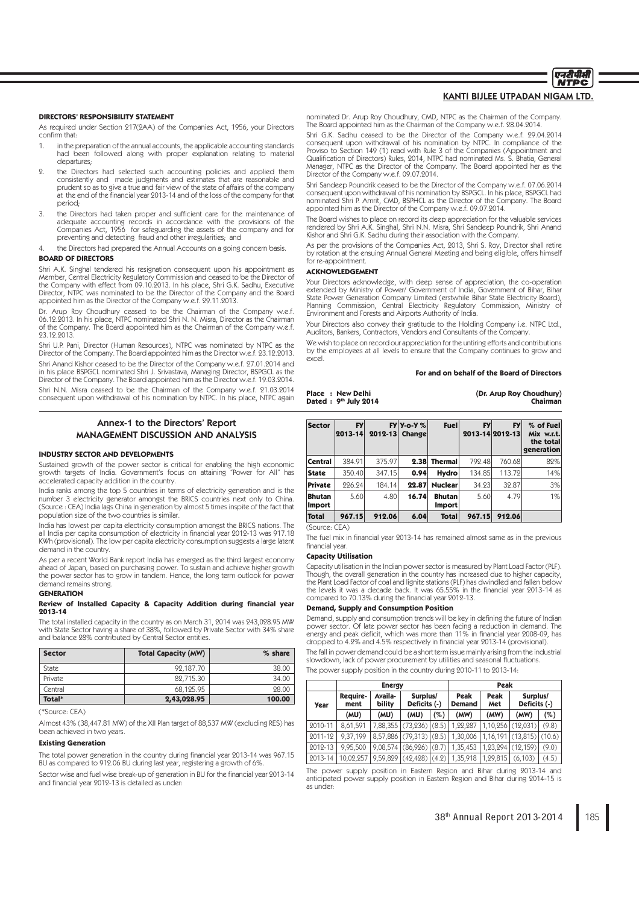एनदीपीसी **NTDC** 

#### **DIRECTORS' RESPONSIBILITY STATEMENT**

As required under Section 217(2AA) of the Companies Act, 1956, your Directors confirm that

- 1. in the preparation of the annual accounts, the applicable accounting standards had been followed along with proper explanation relating to material departures;
- 2. the Directors had selected such accounting policies and applied them consistently and made judgments and estimates that are reasonable and prudent so as to give a true and fair view of the state of affairs of the company<br>at the end of the financial year 2013-14 and of the loss of the company for that period;
- the Directors had taken proper and sufficient care for the maintenance of adequate accounting records in accordance with the provisions of the Companies Act, 1956 for safeguarding the assets of the company and for preventing and detecting fraud and other irregularities; and
- the Directors had prepared the Annual Accounts on a going concern basis.

#### **BOARD OF DIRECTORS**

Shri A.K. Singhal tendered his resignation consequent upon his appointment as Member, Central Electricity Regulatory Commission and ceased to be the Director of<br>the Company with effect from 09.10.2013. In his place, Shri G.K. Sadhu, Executive<br>Director, NTPC was nominated to be the Director of the Co appointed him as the Director of the Company w.e.f. 29.11.2013.

Dr. Arup Roy Choudhury ceased to be the Chairman of the Company w.e.f. 06.12.2013. In his place, NTPC nominated Shri N. N. Misra, Director as the Chairman of the Company. The Board appointed him as the Chairman of the Company w.e.f. 23.12.2013.

Shri U.P. Pani, Director (Human Resources), NTPC was nominated by NTPC as the Director of the Company. The Board appointed him as the Director w.e.f. 23.12.2013. Shri Anand Kishor ceased to be the Director of the Company w.e.f. 27.01.2014 and in his place BSPGCL nominated Shri J. Srivastava, Managing Director, BSPGCL as the Director of the Company. The Board appointed him as the Director w.e.f. 19.03.2014. Shri N.N. Misra ceased to be the Chairman of the Company w.e.f. 21.03.2014 consequent upon withdrawal of his nomination by NTPC. In his place, NTPC again

## Annex-1 to the Directors' Report MANAGEMENT DISCUSSION AND ANALYSIS

#### **INDUSTRY SECTOR AND DEVELOPMENTS**

Sustained growth of the power sector is critical for enabling the high economic growth targets of India. Government's focus on attaining "Power for All" has accelerated capacity addition in the country.

India ranks among the top 5 countries in terms of electricity generation and is the number 3 electricity generator amongst the BRICS countries next only to China. (Source : CEA) India lags China in generation by almost 5 times inspite of the fact that population size of the two countries is similar.

India has lowest per capita electricity consumption amongst the BRICS nations. The all India per capita consumption of electricity in financial year 2012-13 was 917.18 KWh (provisional). The low per capita electricity consumption suggests a large latent demand in the country.

As per a recent World Bank report India has emerged as the third largest economy ahead of Japan, based on purchasing power. To sustain and achieve higher growth the power sector has to grow in tandem. Hence, the long term outlook for power demand remains strong.

# **GENERATION**

#### Review of Installed Capacity & Capacity Addition during financial year **2013-14**

The total installed capacity in the country as on March 31, 2014 was 243,028.95 MW with State Sector having a share of 38%, followed by Private Sector with 34% share and balance 28% contributed by Central Sector entities.

| <b>Sector</b> | <b>Total Capacity (MW)</b> | $%$ share |
|---------------|----------------------------|-----------|
| State         | 92.187.70                  | 38.00     |
| Private.      | 82.715.30                  | 34.00     |
| Central       | 68.125.95                  | 28.00     |
| Total*        | 2,43,028.95                | 100.00    |

#### (\*Source: CEA)

Almost 43% (38,447.81 MW) of the XII Plan target of 88,537 MW (excluding RES) has been achieved in two years.

#### **Existing Generation**

The total power generation in the country during financial year 2013-14 was 967.15 BU as compared to 912.06 BU during last year, registering a growth of 6%.

Sector wise and fuel wise break-up of generation in BU for the financial year 2013-14 and financial year 2012-13 is detailed as under

nominated Dr. Arup Roy Choudhury, CMD, NTPC as the Chairman of the Company. The Board appointed him as the Chairman of the Company w.e.f. 28.04.2014.

Shri G.K. Sadhu ceased to be the Director of the Company w.e.f. 29.04.2014 consequent upon withdrawal of his nomination by NTPC. In compliance of the<br>Proviso to Section 149 (1) read with Rule 3 of the Companies (Appointment and<br>Qualification of Directors) Rules, 2014, NTPC had nominated Ms. S. Bh Director of the Company w.e.f. 09.07.2014.

Shri Sandeep Poundrik ceased to be the Director of the Company w.e.f. 07.06.2014 consequent upon withdrawal of his nomination by BSPGCL. In his place, BSPGCL had nominated Shri P. Amrit, CMD, BSPHCL as the Director of the Company. The Board appointed him as the Director of the Company w.e.f. 09.07.2014.

The Board wishes to place on record its deep appreciation for the valuable services rendered by Shri A.K. Singhal, Shri N.N. Misra, Shri Sandeep Poundrik, Shri Anand Kishor and Shri G.K. Sadhu during their association with the Company.

As per the provisions of the Companies Act, 2013, Shri S. Roy, Director shall retire by rotation at the ensuing Annual General Meeting and being eligible, offers himself for re-appointment.

#### **ACKNOWLEDGEMENT**

Your Directors acknowledge, with deep sense of appreciation, the co-operation extended by Ministry of Power/ Government of India, Government of Bihar, Bihar State Power Generation Company Limited (erstwhile Bihar State Electricity Board), Planning Commission, Central Electricity Regulatory Commission, Ministry of Environment and Forests and Airports Authority of India.

Your Directors also convey their gratitude to the Holding Company i.e. NTPC Ltd., Auditors, Bankers, Contractors, Vendors and Consultants of the Company.

We wish to place on record our appreciation for the untiring efforts and contributions by the employees at all levels to ensure that the Company continues to grow and excel.

#### **For and on behalf of the Board of Directors**

**Place : New Delhi (Dr. Arup Roy Choudhury)** Dated : 11000 Definition of the Contract Contract Contract Contract Contract Contract Chairmann Chairmann Chairman

| <b>Sector</b>                  | <b>FY</b><br>$ 2013 - 14 $ | $2012 - 13$ | $FY Y$ -o-Y %<br><b>Change</b> | <b>Fuel</b>                    | FY     | <b>FY</b><br>2013-14 2012-13 | % of Fuel<br>Mix w.r.t.<br>the total<br>generation |
|--------------------------------|----------------------------|-------------|--------------------------------|--------------------------------|--------|------------------------------|----------------------------------------------------|
| Central                        | 384.91                     | 375.97      | 2.38                           | Thermal                        | 792.48 | 760.68                       | 82%                                                |
| State                          | 350.40                     | 347.15      | 0.94                           | Hydro                          | 134.85 | 113.72                       | 14%                                                |
| Private                        | 226.24                     | 184.14      | 22.87                          | <b>Nuclear</b>                 | 34.23  | 32.87                        | 3%                                                 |
| <b>Bhutan</b><br><b>Import</b> | 5.60                       | 4.80        | 16.74                          | <b>Bhutan</b><br><b>Import</b> | 5.60   | 4.79                         | 1%                                                 |
| Total                          | 967.15                     | 912.06      | 6.04                           | <b>Total</b>                   | 967.15 | 912.06                       |                                                    |

(Source: CEA)

The fuel mix in financial year 2013-14 has remained almost same as in the previous ...<br>financial year.

#### **Capacity Utilisation**

Capacity utilisation in the Indian power sector is measured by Plant Load Factor (PLF). Though, the overall generation in the country has increased due to higher capacity,<br>the Plant Load Factor of coal and lignite stations (PLF) has dwindled and fallen below<br>the levels it was a decade back. It was 65.55% in t compared to 70.13% during the financial year 2012-13.

#### **Demand, Supply and Consumption Position**

Demand, supply and consumption trends will be key in defining the future of Indian power sector. Of late power sector has been facing a reduction in demand. The<br>energy and peak deficit, which was more than 11% in financial year 2008-09, has<br>dropped to 4.2% and 4.5% respectively in financial year 2013-14

The fall in power demand could be a short term issue mainly arising from the industrial<br>slowdown, lack of power procurement by utilities and seasonal fluctuations.

The power supply position in the country during 2010-11 to 2013-14:

|         | <b>Energy</b>    |                   |                           |     |                       | Peak        |                          |       |
|---------|------------------|-------------------|---------------------------|-----|-----------------------|-------------|--------------------------|-------|
| Year    | Require-<br>ment | Availa-<br>bility | Surplus/<br>Deficits (-)  |     | Peak<br><b>Demand</b> | Peak<br>Met | Surplus/<br>Deficits (-) |       |
|         | (MU)             | (MU)              | (MU)                      | (%) | (MW)                  | (MW)        | (MW)                     | (%)   |
| 2010-11 | 8,61,591         |                   | 7,88,355 (73,236) (8.5)   |     | 1,22,287              |             | 1,10,256 (12,031)        | (9.8) |
| 2011-12 | 9,37,199         |                   | $8,57,886$ (79,313) (8.5) |     | 1,30,006              | 1,16,191    | $(13,815)$ (10.6)        |       |
| 2012-13 | 9.95.500         |                   | $9,08,574$ (86,926) (8.7) |     | 1,35,453              | 1,23,294    | (12.159)                 | (9.0) |
| 2013-14 | 10.02.257        |                   | $9,59,829$ (42,428) (4.2) |     | 1,35,918              | 1,29,815    | (6, 103)                 | (4.5) |

The power supply position in Eastern Region and Bihar during 2013-14 and anticipated power supply position in Eastern Region and Bihar during 2014-15 is as under: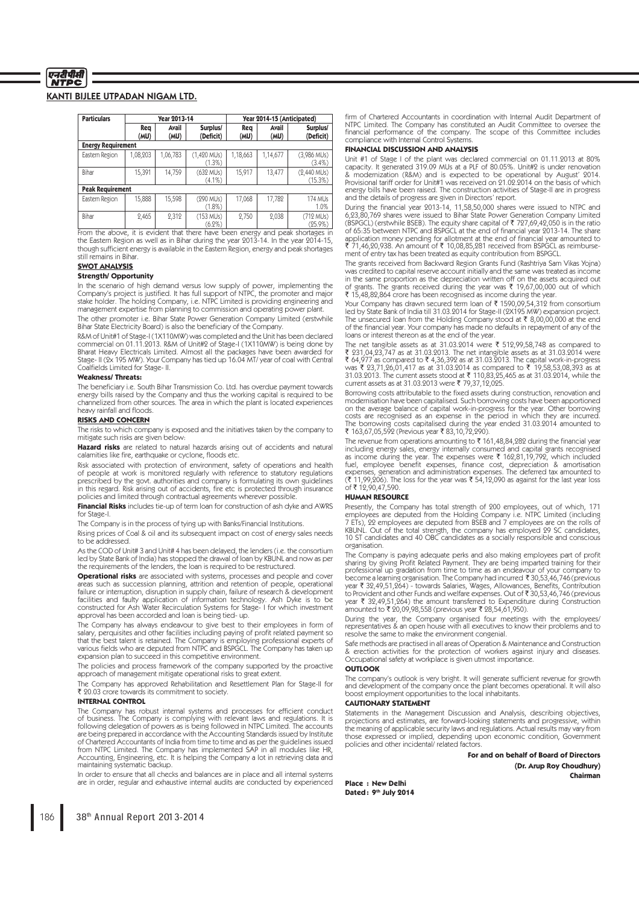एन्टीपीसी **NTPC** 

| <b>Particulars</b>        | <b>Year 2013-14</b> |               |                          |             | Year 2014-15 (Anticipated) |                             |
|---------------------------|---------------------|---------------|--------------------------|-------------|----------------------------|-----------------------------|
|                           | Req<br>(MU)         | Avail<br>(MU) | Surplus/<br>(Deficit)    | Rea<br>(MU) | Avail<br>(MU)              | Surplus/<br>(Deficit)       |
| <b>Energy Requirement</b> |                     |               |                          |             |                            |                             |
| Eastern Region            | 1,08,203            | 1,06,783      | $(1,420$ MUs)<br>(1.3%)  | 1,18,663    | 1,14,677                   | $(3,986$ MUs)<br>$(3.4\%)$  |
| Bihar                     | 15,391              | 14,759        | $(632$ MUs)<br>$(4.1\%)$ | 15,917      | 13,477                     | $(2,440$ MUs)<br>$(15.3\%)$ |
| <b>Peak Requirement</b>   |                     |               |                          |             |                            |                             |
| Eastern Region            | 15,888              | 15,598        | (290 MUs)<br>$(1.8\%)$   | 17,068      | 17,782                     | 174 MUs<br>1.0%             |
| Bihar                     | 2,465               | 2,312         | (153 MUs)<br>$(6.2\%)$   | 2,750       | 2,038                      | (712 MUs)<br>$(25.9\%)$     |

(6.2%) (25.9%) From the above, it is evident that there have been energy and peak shortages in the Eastern Region as well as in Bihar during the year 2013-14. In the year 2014-15, though sufficient energy is available in the Eastern Region, energy and peak shortages still remains in Bihar.

#### **SWOT ANALYSIS**

#### **Strength/ Opportunity**

In the scenario of high demand versus low supply of power, implementing the<br>Company's project is justified. It has full support of NTPC, the promoter and major<br>stake holder. The holding Company, i.e. NTPC Limited is provid management expertise from planning to commission and operating power plant. The other promoter i.e. Bihar State Power Generation Company Limited (erstwhile

Bihar State Electricity Board) is also the beneficiary of the Company.

R&M of Unit#1 of Stage-I (1X110MW) was completed and the Unit has been declared commercial on 01.11.2013. R&M of Unit#2 of Stage-I (1X110MW) is being done by Bharat Heavy Electricals Limited. Almost all the packages have been awarded for Stage- II (2x 195 MW). Your Company has tied up 16.04 MT/ year of coal with Central Coalfields Limited for Stage- II.

#### **Weakness/ Threats:**

The beneficiary i.e. South Bihar Transmission Co. Ltd. has overdue payment towards energy bills raised by the Company and thus the working capital is required to be channelized from other sources. The area in which the plant is located experiences<br>heavy rainfall and floods.

#### **RISKS AND CONCERN**

The risks to which company is exposed and the initiatives taken by the company to mitigate such risks are given below:

**Hazard risks** are related to natural hazards arising out of accidents and natural calamities like fire, earthquake or cyclone, floods etc.

Risk associated with protection of environment, safety of operations and health of people at work is monitored regularly with reference to statutory regulations prescribed by the govt. authorities and company is formulating its own guidelines<br>in this regard. Risk arising out of accidents, fire etc is protected through insurance policies and limited through contractual agreements wherever possible.

**Financial Risks** includes tie-up of term loan for construction of ash dyke and AWRS for Stage-I

The Company is in the process of tying up with Banks/Financial Institutions.

Rising prices of Coal & oil and its subsequent impact on cost of energy sales needs to be addressed.

As the COD of Unit# 3 and Unit# 4 has been delayed, the lenders (i.e. the consortium led by State Bank of India) has stopped the drawal of loan by KBUNL and now as per the requirements of the lenders, the loan is required to be restructured.

**Operational risks** are associated with systems, processes and people and cover areas such as succession planning, attrition and retention of people, operational failure or interruption, disruption in supply chain, failure of research & development facilities and faulty application of information technology. Ash Dyke is to be constructed for Ash Water Recirculation Systems for Stage- I for which investment approval has been accorded and loan is being tied- up.

The Company has always endeavour to give best to their employees in form of salary, perquisites and other facilities including paying of profit related payment so<br>that the best talent is retained. The Company is employing professional experts of<br>various fields who are deputed from NTPC and BSPGCL. expansion plan to succeed in this competitive environment.

The policies and process framework of the company supported by the proactive approach of management mitigate operational risks to great extent.

The Company has approved Rehabilitation and Resettlement Plan for Stage-II for ₹ 20.03 crore towards its commitment to society.

#### **INTERNAL CONTROL**

The Company has robust internal systems and processes for efficient conduct of business. The Company is complying with relevant laws and regulations. It is<br>following delegation of powers as is being followed in NTPC Limited. The accounts<br>are being prepared in accordance with the Accounting Standar of Chartered Accountants of India from time to time and as per the guidelines issued from NTPC Limited. The Company has implemented SAP in all modules like HR, Accounting, Engineering, etc. It is helping the Company a lot in retrieving data and maintaining systematic backup.

In order to ensure that all checks and balances are in place and all internal systems are in order, regular and exhaustive internal audits are conducted by experienced firm of Chartered Accountants in coordination with Internal Audit Department of NTPC Limited. The Company has constituted an Audit Committee to oversee the financial performance of the company. The scope of this Committee includes<br>compliance.with.Internal.Control.Systems.

#### **FINANCIAL DISCUSSION AND ANALYSIS**

Unit #1 of Stage I of the plant was declared commercial on 01.11.2013 at 80% capacity. It generated 319.09 MUs at a PLF of 80.05%. Unit#2 is under renovation & modernization (R&M) and is expected to be operational by August' 2014. Provisional tariff order for Unit#1 was received on 21.02.2014 on the basis of which energy bills have been raised. The construction activities of Stage-II are in progress and the details of progress are given in Directors' report.

During the financial year 2013-14, 11,58,50,000 shares were issued to NTPC and 6,23,80,769 shares were issued to Bihar State Power Generation Company Limited<br>(BSPGCL) (erstwhile BSEB). The equity share capital of ₹ 727,69,42,050 is in the ratio of 65:35 between NTPC and BSPGCL at the end of financial year 2013-14. The share<br>application money pending for allotment at the end of financial year amounted to<br>₹ 71,46,20,938. An amount of ₹ 10,08,85,281 received from B ment of entry tax has been treated as equity contribution from BSPGCL.

The grants received from Backward Region Grants Fund (Rashtriya Sam Vikas Yojna) was credited to capital reserve account initially and the same was treated as income in the same proportion as the depreciation written off on the assets acquired out<br>of grants. The grants received during the year was ₹ 19,67,00,000 out of which The straints is 15,48,82,864 crore has been recognised as income during the year.<br>The 45,48,82,864 crore has been recognised as income during the year.

Your Company has drawn secured term loan of ₹ 1590,09,54,312 from consortium led by State Bank of India till 31.03.2014 for Stage-II (2X195 MW) expansion project.<br>The unsecured Ioan from the Holding Company stood at ₹ 8,00,00,000 at the end of the financial year. Your company has made no defaults in repayment of any of the loans or interest thereon as at the end of the year.

The net tangible assets as at 31.03.2014 were  $\bar{\xi}$  512.99.58.748 as compared to  $\bar{\ell}$  231,04,23,747 as at 31.03.2013. The net intangible assets as at 31.03.2014 were ₹ 64,977 as compared to ₹ 4,36,392 as at 31.03.2013. The capital work-in-progress<br>was ₹ 23,71,26,01,417 as at 31.03.2014 as compared to ₹ 19,58,53,08,393 as at 31.03.2013. The current assets stood at ₹ 110,83,25,465 as at 31.03.2014, while the<br>current assets as at 31.03.2013 were ₹ 79,37,12,025.

Borrowing costs attributable to the fixed assets during construction, renovation and modernisation have been capitalised. Such borrowing costs have been apportioned on the average balance of capital work-in-progress for the year. Other borrowing costs are recognised as an expense in the period in which they are incurred. The borrowing costs capitalised during the year ended 31.03.2014 amounted to<br>₹ 163,67,05,592 (Previous year ₹ 83,10,72,290).

The revenue from operations amounting to  $\bar{\tau}$  161,48,84,982 during the financial year including energy sales, energy internally consumed and capital grants recognised as income during the year. The expenses were ₹ 162,81,19,792, which included fuel, employee benefit expenses, finance cost, depreciation & amortisation expenses, finance cost, depreciation & amortisation expenses. The def

#### **HUMAN RESOURCE**

Presently, the Company has total strength of 200 employees, out of which, 171 employees are deputed from the Holding Company i.e. NTPC Limited (including 7 ETs), 22 employees are deputed from BSEB and 7 employees are on the rolls of KBUNL. Out of the total strength, the company has employed 29 SC candidates, 10 ST candidates and 40 OBC candidates as a socially responsible and conscious organisation.

The Company is paying adequate perks and also making employees part of profit<br>sharing by giving Profit Related Payment. They are being imparted training for their professional up gradation from time to time as an endeavour of your company to become a learning organisation. The Company had incurred ₹30,53,46,746 (previous<br>year ₹ 32,49,51,264) - towards Salaries, Wages, Allowances, Benefits, Contribution<br>to Provident and other Funds and welfare expenses. Out of year  $\bar{\tau}$  32,49,51,264) the amount transferred to Expenditure during Construction amounted to ₹ 20,09,98,558 (previous year ₹ 28,54,61,950).

During the year, the Company organised four meetings with the employees/ banny the year, the company organised four meetings with the employees representatives & an open house with all executives to know their problems and to resolve the same to make the environment congenial.

Safe methods are practised in all areas of Operation & Maintenance and Construction & erection activities for the protection of workers against injury and diseases. Occupational safety at workplace is given utmost importance.

# **OUTLOOK**

The company's outlook is very bright. It will generate sufficient revenue for growth and development of the company once the plant becomes operational. It will also boost employment opportunities to the local inhabitants.

#### **CAUTIONARY STATEMENT**

Statements in the Management Discussion and Analysis, describing objectives,<br>projections and estimates, are forward-looking statements and progressive, within<br>the meaning of applicable security laws and regulations. Actual those expressed or implied, depending upon economic condition, Government policies and other incidental/ related factors.

**For and on behalf of Board of Directors**

**(Dr. Arup Roy Choudhury)**

**Chairman**

**Place : New Delhi Dated : 9th July 2014**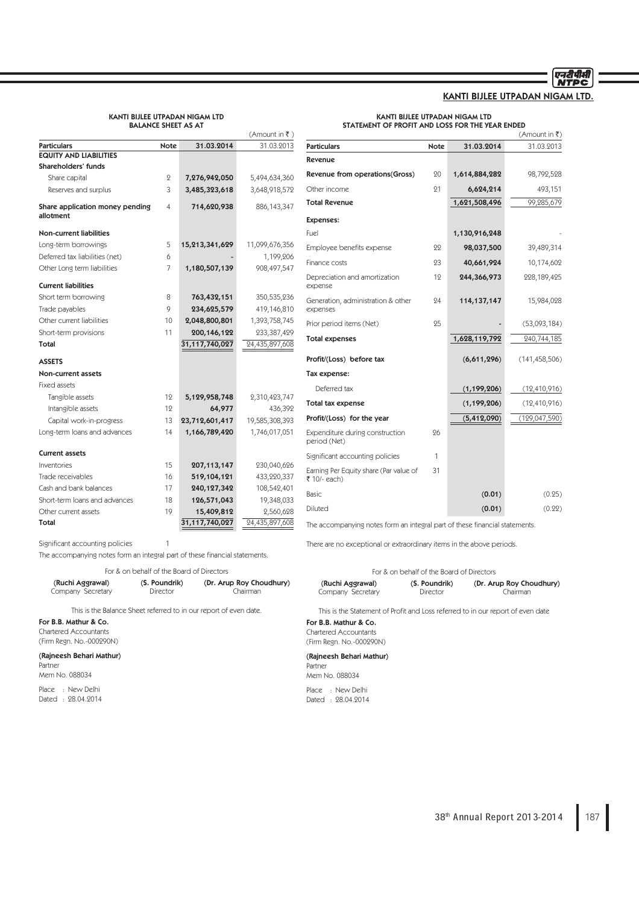(Amount in  $\overline{\tau}$ )

एनटीपीसी<br>NTPC

#### KANTI BIJLEE UTPADAN NIGAM LTD BALANCE SHEET AS AT

| KANTI BIJLEE UTPADAN NIGAM LTD                  |  |
|-------------------------------------------------|--|
| STATEMENT OF PROFIT AND LOSS FOR THE YEAR ENDED |  |

|                                              |             |                | (Amount in ₹)  |
|----------------------------------------------|-------------|----------------|----------------|
| <b>Particulars</b>                           | <b>Note</b> | 31.03.2014     | 31.03.2013     |
| <b>EQUITY AND LIABILITIES</b>                |             |                |                |
| Shareholders' funds                          |             |                |                |
| Share capital                                | $\mathbf 2$ | 7,276,942,050  | 5,494,634,360  |
| Reserves and surplus                         | 3           | 3,485,323,618  | 3,648,918,572  |
| Share application money pending<br>allotment | 4           | 714,620,938    | 886, 143, 347  |
| <b>Non-current liabilities</b>               |             |                |                |
| Long-term borrowings                         | 5           | 15,213,341,629 | 11,099,676,356 |
| Deferred tax liabilities (net)               | 6           |                | 1,199,206      |
| Other Long term liabilities                  | 7           | 1,180,507,139  | 908,497,547    |
| <b>Current liabilities</b>                   |             |                |                |
| Short term borrowing                         | 8           | 763,432,151    | 350,535,236    |
| Trade payables                               | 9           | 234,625,579    | 419,146,810    |
| Other current liabilities                    | 10          | 2,048,800,801  | 1,393,758,745  |
| Short-term provisions                        | 11          | 200, 146, 122  | 233,387,429    |
| Total                                        |             | 31,117,740,027 | 24,435,897,608 |
| <b>ASSETS</b>                                |             |                |                |
| <b>Non-current assets</b>                    |             |                |                |
| Fixed assets                                 |             |                |                |
| Tangible assets                              | 12          | 5,129,958,748  | 2,310,423,747  |
| Intangible assets                            | 12          | 64,977         | 436,392        |
| Capital work-in-progress                     | 13          | 23,712,601,417 | 19,585,308,393 |
| Long-term loans and advances                 | 14          | 1,166,789,420  | 1,746,017,051  |
| <b>Current assets</b>                        |             |                |                |
| Inventories                                  | 15          | 207, 113, 147  | 230,040,626    |
| Trade receivables                            | 16          | 519,104,121    | 433,220,337    |
| Cash and bank balances                       | 17          | 240,127,342    | 108,542,401    |
| Short-term loans and advances                | 18          | 126,571,043    | 19,348,033     |
| Other current assets                         | 19          | 15,409,812     | 2,560,628      |
| Total                                        |             | 31,117,740,027 | 24,435,897,608 |

| <b>Particulars</b>                                     | Note | 31.03.2014    | 31.03.2013      |
|--------------------------------------------------------|------|---------------|-----------------|
| Revenue                                                |      |               |                 |
| Revenue from operations(Gross)                         | 90   | 1,614,884,282 | 98,792,528      |
| Other income                                           | 21   | 6,624,214     | 493,151         |
| <b>Total Revenue</b>                                   |      | 1,621,508,496 | 99,285,679      |
| <b>Expenses:</b>                                       |      |               |                 |
| Fuel                                                   |      | 1,130,916,248 |                 |
| Employee benefits expense                              | 22   | 98,037,500    | 39,489,314      |
| Finance costs                                          | 93   | 40,661,924    | 10,174,602      |
| Depreciation and amortization<br>expense               | 19   | 244,366,973   | 228,189,425     |
| Generation, administration & other<br>expenses         | 24   | 114,137,147   | 15,984,028      |
| Prior period items (Net)                               | 25   |               | (53,093,184)    |
| <b>Total expenses</b>                                  |      | 1,628,119,792 | 240,744,185     |
| Profit/(Loss) before tax                               |      | (6,611,296)   | (141, 458, 506) |
| Tax expense:                                           |      |               |                 |
| Deferred tax                                           |      | (1, 199, 206) | (12, 410, 916)  |
| Total tax expense                                      |      | (1, 199, 206) | (12, 410, 916)  |
| Profit/(Loss) for the year                             |      | (5,412,090)   | (129, 047, 590) |
| Expenditure during construction<br>period (Net)        | 26   |               |                 |
| Significant accounting policies                        | 1    |               |                 |
| Earning Per Equity share (Par value of<br>₹ 10/- each) | 31   |               |                 |
| Basic                                                  |      | (0.01)        | (0.25)          |
| Diluted                                                |      | (0.01)        | (0.22)          |
|                                                        |      |               |                 |

Significant accounting policies 1

The accompanying notes form an integral part of these financial statements.

|                   | For & on behalf of the Board of Directors |                          |  |
|-------------------|-------------------------------------------|--------------------------|--|
| (Ruchi Aggrawal)  | (S. Poundrik)                             | (Dr. Arup Roy Choudhury) |  |
| Company Secretary | Director                                  | Chairman                 |  |

This is the Balance Sheet referred to in our report of even date.

For B.B. Mathur & Co. Chartered Accountants

# (Firm Regn. No.-000290N) (Rajneesh Behari Mathur)

Partner

Mem No. 088034 Place : New Delhi

Dated : 28.04.2014

The accompanying notes form an integral part of these financial statements.

There are no exceptional or extraordinary items in the above periods.

#### For & on behalf of the Board of Directors

| (Ruchi Aggrawal)  | (S. Poundrik) | (Dr. Arup Roy Choudhury) |
|-------------------|---------------|--------------------------|
| Company Secretary | Director      | Chairman                 |

This is the Statement of Profit and Loss referred to in our report of even date

#### For B.B. Mathur & Co. Chartered Accountants (Firm Regn. No.-000290N)

#### (Rajneesh Behari Mathur) Partner

Mem No. 088034

Place : New Delhi Dated : 28.04.2014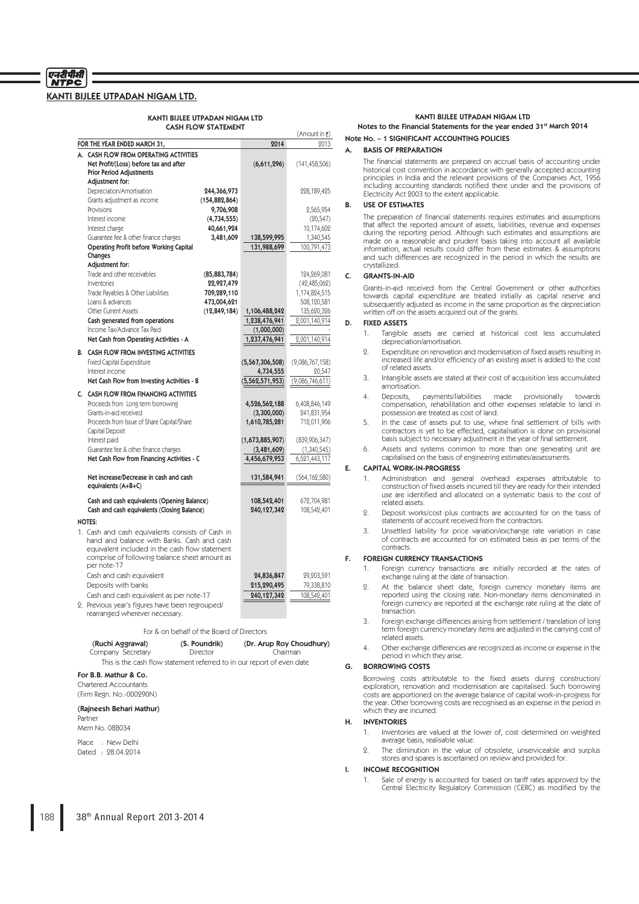# एन्टीपीसी **NTPC** KANTI BIJLEE UTPADAN NIGAM LTD.

KANTI BIJLEE UTPADAN NIGAM LTD CASH FLOW STATEMENT

|                                                  |                 |                 | (Amount in ₹)   |
|--------------------------------------------------|-----------------|-----------------|-----------------|
| FOR THE YEAR ENDED MARCH 31,                     |                 | 2014            | 2013            |
| A. CASH FLOW FROM OPERATING ACTIVITIES           |                 |                 |                 |
| Net Profit/(Loss) before tax and after           |                 | (6,611,296)     | (141, 458, 506) |
| <b>Prior Period Adjustments</b>                  |                 |                 |                 |
| Adjustment for:                                  |                 |                 |                 |
| Depreciation/Amortisation                        | 244,366,973     |                 | 228,189,425     |
| Grants adjustment as income                      | (154, 882, 864) |                 |                 |
| Provisions                                       | 9,706,908       |                 | 2,565,954       |
| Interest income                                  | (4, 734, 555)   |                 | (20, 547)       |
| Interest charge                                  | 40,661,924      |                 | 10,174,602      |
| Guarantee fee & other finance charges            | 3,481,609       | 138,599,995     | 1,340,545       |
| <b>Operating Profit before Working Capital</b>   |                 | 131,988,699     | 100,791,473     |
| Changes                                          |                 |                 |                 |
| Adjustment for:                                  |                 |                 |                 |
|                                                  |                 |                 |                 |
| Trade and other receivables                      | (85, 883, 784)  |                 | 124,269,081     |
| Inventories                                      | 22,927,479      |                 | (42, 485, 062)  |
| Trade Payables & Other Liabilities               | 709,289,110     |                 | 1,174,824,515   |
| Loans & advances                                 | 473,004,621     |                 | 508,120,581     |
| Other Current Assets                             | (12, 849, 184)  | 1,106,488,242   | 135,620,326     |
| Cash generated from operations                   |                 | 1,238,476,941   | 2,001,140,914   |
| Income Tax/Advance Tax Paid                      |                 | (1,000,000)     |                 |
| Net Cash from Operating Activities - A           |                 | 1,237,476,941   | 2,001,140,914   |
| <b>B. CASH FLOW FROM INVESTING ACTIVITIES</b>    |                 |                 |                 |
| <b>Fixed Capital Expenditure</b>                 |                 | (5,567,306,508) | (9,086,767,158) |
| Interest income                                  |                 | 4,734,555       | 20,547          |
| Net Cash Flow from Investing Activities - B      |                 | (5,562,571,953) | (9,086,746,611) |
|                                                  |                 |                 |                 |
| C. CASH FLOW FROM FINANCING ACTIVITIES           |                 |                 |                 |
| Proceeds from Long term borrowing                |                 | 4,526,562,188   | 6,408,846,149   |
| Grants-in-aid received                           |                 | (3,300,000)     | 241,831,954     |
| Proceeds from Issue of Share Capital/Share       |                 | 1,610,785,281   | 712,011,906     |
| Capital Deposit                                  |                 |                 |                 |
| Interest paid                                    |                 | (1,673,885,907) | (839,906,347)   |
| Guarantee fee & other finance charges            |                 | (3,481,609)     | (1,340,545)     |
| Net Cash Flow from Financing Activities - C      |                 | 4,456,679,953   | 6,521,443,117   |
|                                                  |                 |                 |                 |
| Net increase/Decrease in cash and cash           |                 | 131,584,941     | (564, 162, 580) |
| equivalents (A+B+C)                              |                 |                 |                 |
|                                                  |                 |                 |                 |
| Cash and cash equivalents (Opening Balance)      |                 | 108,542,401     | 672,704,981     |
| Cash and cash equivalents (Closing Balance)      |                 | 240,127,342     | 108,542,401     |
| <b>NOTES:</b>                                    |                 |                 |                 |
| 1. Cash and cash equivalents consists of Cash in |                 |                 |                 |
| hand and balance with Banks. Cash and cash       |                 |                 |                 |
| equivalent included in the cash flow statement   |                 |                 |                 |
| comprise of following balance sheet amount as    |                 |                 |                 |
| per note-17                                      |                 |                 |                 |
| Cash and cash equivalent                         |                 | 24,836,847      | 29,203,591      |
| Deposits with banks                              |                 | 215,290,495     | 79,338,810      |
| Cash and cash equivalent as per note-17          |                 | 240,127,342     | 108,542,401     |
| 2. Previous year's figures have been regrouped/  |                 |                 |                 |
| rearranged wherever necessary.                   |                 |                 |                 |
|                                                  |                 |                 |                 |

#### For & on behalf of the Board of Directors

| (Ruchi Aggrawal)  | (S. Poundrik) | (Dr. Arup Roy Choudhury)                                               |
|-------------------|---------------|------------------------------------------------------------------------|
| Company Secretary | Director      | Chairman                                                               |
|                   |               | This is the cash flow statement referred to in our report of even date |

# For B.B. Mathur & Co.

Chartered Accountants (Firm Regn. No.-000290N)

# (Rajneesh Behari Mathur)

Partner Mem No. 088034

Place : New Delhi Dated : 28.04.2014

#### KANTI BIJLEE UTPADAN NIGAM LTD Notes to the Financial Statements for the year ended 31<sup>st</sup> March 2014

#### Note No. – 1 SIGNIFICANT ACCOUNTING POLICIES

#### A. BASIS OF PREPARATION

The financial statements are prepared on accrual basis of accounting under historical cost convention in accordance with generally accepted accounting principles in India and the relevant provisions of the Companies Act, 1956 including accounting standards notified there under and the provisions of Electricity Act 2003 to the extent applicable.

#### B. USE OF ESTIMATES

The preparation of financial statements requires estimates and assumptions that affect the reported amount of assets, liabilities, revenue and expenses during the reporting period. Although such estimates and assumptions are made on a reasonable and prudent basis taking into account all available information, actual results could differ from these estimates & assumptions and such differences are recognized in the period in which the results are crystallized.

#### C. GRANTS-IN-AID

 Grants-in-aid received from the Central Government or other authorities towards capital expenditure are treated initially as capital reserve and subsequently adjusted as income in the same proportion as the depreciation written off on the assets acquired out of the grants.

### D. FIXED ASSETS

- 1. Tangible assets are carried at historical cost less accumulated depreciation/amortisation.
- 2. Expenditure on renovation and modernisation of fixed assets resulting in increased life and/or efficiency of an existing asset is added to the cost of related assets.
- 3. Intangible assets are stated at their cost of acquisition less accumulated amortisation.
- 4. Deposits, payments/liabilities made provisionally towards compensation, rehabilitation and other expenses relatable to land in possession are treated as cost of land.
- 5. In the case of assets put to use, where final settlement of bills with contractors is yet to be effected, capitalisation is done on provisional basis subject to necessary adjustment in the year of final settlement.
	- 6. Assets and systems common to more than one generating unit are capitalised on the basis of engineering estimates/assessments.

#### E. CAPITAL WORK-IN-PROGRESS

- 1. Administration and general overhead expenses attributable to construction of fixed assets incurred till they are ready for their intended use are identified and allocated on a systematic basis to the cost of related assets.
- 2. Deposit works/cost plus contracts are accounted for on the basis of statements of account received from the contractors.
- 3. Unsettled liability for price variation/exchange rate variation in case of contracts are accounted for on estimated basis as per terms of the contracts.

#### F. FOREIGN CURRENCY TRANSACTIONS

- 1. Foreign currency transactions are initially recorded at the rates of exchange ruling at the date of transaction.
- 2. At the balance sheet date, foreign currency monetary items are reported using the closing rate. Non-monetary items denominated in foreign currency are reported at the exchange rate ruling at the date of transaction.
	- 3. Foreign exchange differences arising from settlement / translation of long term foreign currency monetary items are adjusted in the carrying cost of related assets.
	- 4. Other exchange differences are recognized as income or expense in the period in which they arise.

### G. BORROWING COSTS

Borrowing costs attributable to the fixed assets during construction/ exploration, renovation and modernisation are capitalised. Such borrowing costs are apportioned on the average balance of capital work-in-progress for the year. Other borrowing costs are recognised as an expense in the period in which they are incurred.

#### H. INVENTORIES

- 1. Inventories are valued at the lower of, cost determined on weighted average basis, realisable value.
- 2. The diminution in the value of obsolete, unserviceable and surplus stores and spares is ascertained on review and provided for.

#### I. INCOME RECOGNITION

Sale of energy is accounted for based on tariff rates approved by the Central Electricity Regulatory Commission (CERC) as modified by the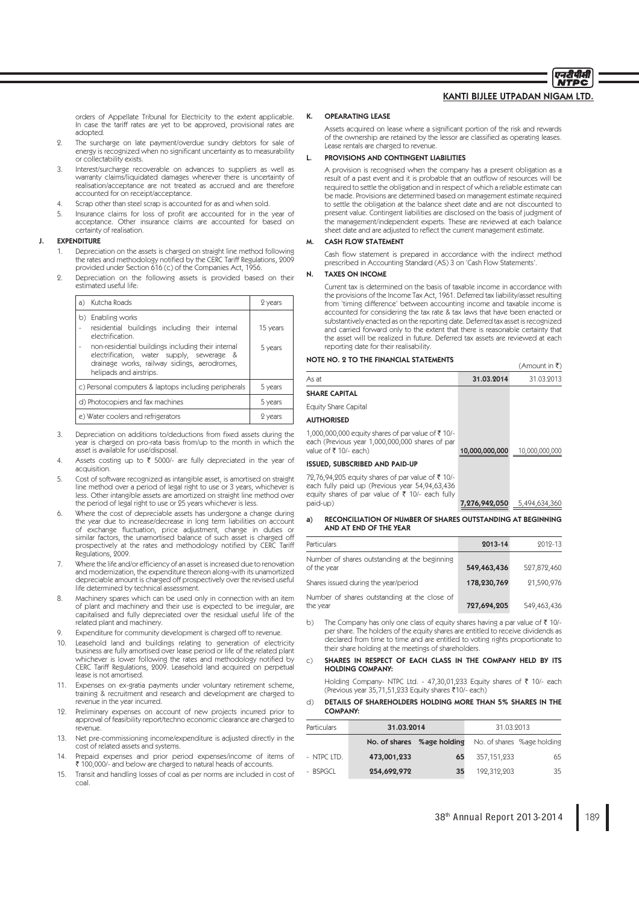एनदीपीसी **NTDC** 

 $(Amoint in \bar{z})$ 

orders of Appellate Tribunal for Electricity to the extent applicable. In case the tariff rates are yet to be approved, provisional rates are adopted.

- 2. The surcharge on late payment/overdue sundry debtors for sale of energy is recognized when no significant uncertainty as to measurability or collectability exists.
- 3. Interest/surcharge recoverable on advances to suppliers as well as warranty claims/liquidated damages wherever there is uncertainty of realisation/acceptance are not treated as accrued and are therefore accounted for on receipt/acceptance.
- 4. Scrap other than steel scrap is accounted for as and when sold.
- 5. Insurance claims for loss of profit are accounted for in the year of acceptance. Other insurance claims are accounted for based on certainty of realisation.

#### J. EXPENDITURE

- Depreciation on the assets is charged on straight line method following the rates and methodology notified by the CERC Tariff Regulations, 2009 provided under Section 616 (c) of the Companies Act, 1956.
- 2. Depreciation on the following assets is provided based on their estimated useful life:

|                                    | a) Kutcha Roads                                                                                                                               | 2 years             |
|------------------------------------|-----------------------------------------------------------------------------------------------------------------------------------------------|---------------------|
|                                    | b) Enabling works<br>residential buildings including their internal<br>electrification.<br>non-residential buildings including their internal | 15 years<br>5 years |
|                                    | electrification, water supply, sewerage &<br>drainage works, railway sidings, aerodromes,<br>helipads and airstrips.                          |                     |
|                                    | c) Personal computers & laptops including peripherals                                                                                         | 5 years             |
|                                    | d) Photocopiers and fax machines                                                                                                              | 5 years             |
| e) Water coolers and refrigerators |                                                                                                                                               | 2 years             |

- 3. Depreciation on additions to/deductions from fixed assets during the year is charged on pro-rata basis from/up to the month in which the asset is available for use/disposal.
- 4. Assets costing up to  $\bar{\tau}$  5000/- are fully depreciated in the year of acquisition.
- 5. Cost of software recognized as intangible asset, is amortised on straight line method over a period of legal right to use or 3 years, whichever is less. Other intangible assets are amortized on straight line method over the period of legal right to use or 25 years whichever is less.
- 6. Where the cost of depreciable assets has undergone a change during the year due to increase/decrease in long term liabilities on account of exchange fluctuation, price adjustment, change in duties or<br>similar factors, the unamortised balance of such asset is charged off prospectively at the rates and methodology notified by CERC Tariff Regulations, 2009.
- 7. Where the life and/or efficiency of an asset is increased due to renovation and modernization, the expenditure thereon along-with its unamortized depreciable amount is charged off prospectively over the revised useful life determined by technical assessment.
- 8. Machinery spares which can be used only in connection with an item of plant and machinery and their use is expected to be irregular, are capitalised and fully depreciated over the residual useful life of the related plant and machinery.
- 9. Expenditure for community development is charged off to revenue.
- 10. Leasehold land and buildings relating to generation of electricity business are fully amortised over lease period or life of the related plant whichever is lower following the rates and methodology notified by<br>CERC Tariff Regulations, 2009. Leasehold land acquired on perpetual lease is not amortised.
- 11. Expenses on ex-gratia payments under voluntary retirement scheme, training & recruitment and research and development are charged to revenue in the year incurred.
- 12. Preliminary expenses on account of new projects incurred prior to approval of feasibility report/techno economic clearance are charged to revenue.
- 13. Net pre-commissioning income/expenditure is adjusted directly in the cost of related assets and systems.
- 14. Prepaid expenses and prior period expenses/income of items of ₹ 100,000/- and below are charged to natural heads of accounts
- 15. Transit and handling losses of coal as per norms are included in cost of coal

#### K. OPEARATING LEASE

Assets acquired on lease where a significant portion of the risk and rewards of the ownership are retained by the lessor are classified as operating leases. Lease rentals are charged to revenue.

### L. PROVISIONS AND CONTINGENT LIABILITIES

 A provision is recognised when the company has a present obligation as a result of a past event and it is probable that an outflow of resources will be required to settle the obligation and in respect of which a reliable estimate can be made. Provisions are determined based on management estimate required to settle the obligation at the balance sheet date and are not discounted to present value. Contingent liabilities are disclosed on the basis of judgment of the management/independent experts. These are reviewed at each balance sheet date and are adjusted to reflect the current management estimate.

#### M. CASH FLOW STATEMENT

Cash flow statement is prepared in accordance with the indirect method prescribed in Accounting Standard (AS) 3 on 'Cash Flow Statements'.

### N. TAXES ON INCOME

 Current tax is determined on the basis of taxable income in accordance with the provisions of the Income Tax Act, 1961. Deferred tax liability/asset resulting from 'timing difference' between accounting income and taxable income is accounted for considering the tax rate & tax laws that have been enacted or substantively enacted as on the reporting date. Deferred tax asset is recognized and carried forward only to the extent that there is reasonable certainty that the asset will be realized in future. Deferred tax assets are reviewed at each reporting date for their realisability.

# NOTE NO. 2 TO THE FINANCIAL STATEMENTS

| As at                                                                                                                                                             | 31.03.2014     | 31.03.2013     |
|-------------------------------------------------------------------------------------------------------------------------------------------------------------------|----------------|----------------|
| <b>SHARE CAPITAL</b>                                                                                                                                              |                |                |
| Equity Share Capital                                                                                                                                              |                |                |
| <b>AUTHORISED</b>                                                                                                                                                 |                |                |
| 1,000,000,000 equity shares of par value of ₹10/-<br>each (Previous year 1,000,000,000 shares of par<br>value of ₹ 10/- each)                                     | 10,000,000,000 | 10,000,000,000 |
| <b>ISSUED, SUBSCRIBED AND PAID-UP</b>                                                                                                                             |                |                |
| 72,76,94,205 equity shares of par value of ₹10/-<br>each fully paid up (Previous year 54,94,63,436<br>equity shares of par value of ₹ 10/- each fully<br>paid-up) | 7,276,942,050  | 5,494,634,360  |
|                                                                                                                                                                   |                |                |

#### a) RECONCILIATION OF NUMBER OF SHARES OUTSTANDING AT BEGINNING AND AT END OF THE YEAR

| Particulars                                                  | 2013-14     | 2012-13     |
|--------------------------------------------------------------|-------------|-------------|
| Number of shares outstanding at the beginning<br>of the year | 549,463,436 | 527,872,460 |
| Shares issued during the year/period                         | 178,230,769 | 21,590,976  |
| Number of shares outstanding at the close of<br>the year     | 727,694,205 | 549,463,436 |

- The Company has only one class of equity shares having a par value of  $\bar{\tau}$  10/per share. The holders of the equity shares are entitled to receive dividends as declared from time to time and are entitled to voting rights proportionate to their share holding at the meetings of shareholders.
- c) SHARES IN RESPECT OF EACH CLASS IN THE COMPANY HELD BY ITS HOLDING COMPANY:

Holding Company- NTPC Ltd. - 47,30,01,233 Equity shares of  $\bar{\tau}$  10/- each (Previous year 35,71,51,233 Equity shares  $\bar{x}$ 10/- each)

#### d) DETAILS OF SHAREHOLDERS HOLDING MORE THAN 5% SHARES IN THE **COMPANY**

| <b>Particulars</b> | 31.03.2014  |                            | 31.03.2013    |                            |
|--------------------|-------------|----------------------------|---------------|----------------------------|
|                    |             | No. of shares %age holding |               | No. of shares %age holding |
| $-$ NTPC LTD.      | 473,001,233 | 65                         | 357, 151, 233 | 65                         |
| - BSPGCL           | 254,692,972 | 35                         | 192,312,203   | 35                         |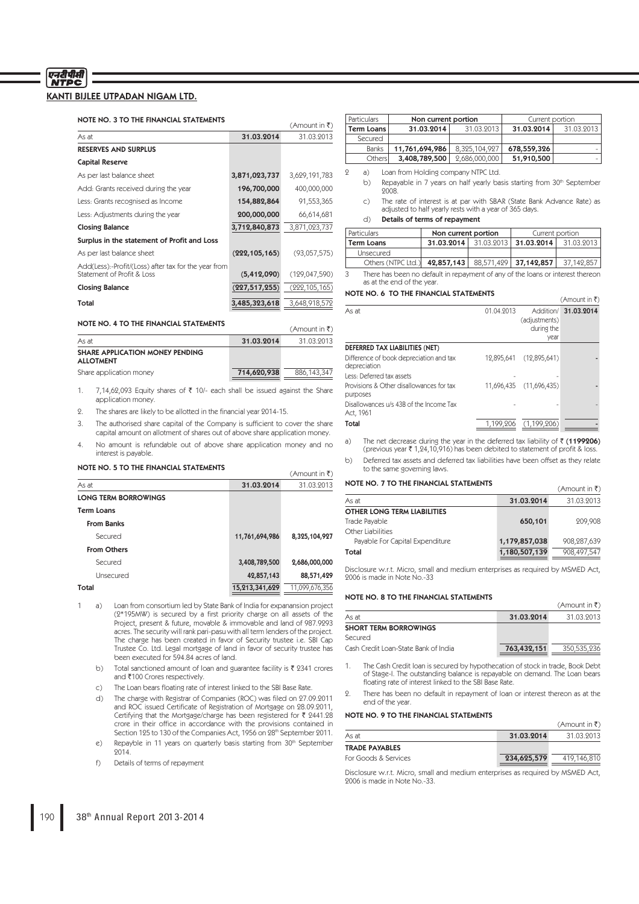# एनदीपीसी **NTPC** KANTI BIJLEE UTPADAN NIGAM LTD.

#### NOTE NO. 3 TO THE FINANCIAL STATEMENTS

|                                                                                    |                 | (Amount in ₹)   |
|------------------------------------------------------------------------------------|-----------------|-----------------|
| As at                                                                              | 31.03.2014      | 31.03.2013      |
| <b>RESERVES AND SURPLUS</b>                                                        |                 |                 |
| <b>Capital Reserve</b>                                                             |                 |                 |
| As per last balance sheet                                                          | 3,871,023,737   | 3,629,191,783   |
| Add: Grants received during the year                                               | 196,700,000     | 400,000,000     |
| Less: Grants recognised as Income                                                  | 154,882,864     | 91,553,365      |
| Less: Adjustments during the year                                                  | 200,000,000     | 66,614,681      |
| <b>Closing Balance</b>                                                             | 3,712,840,873   | 3,871,023,737   |
| Surplus in the statement of Profit and Loss                                        |                 |                 |
| As per last balance sheet                                                          | (222, 105, 165) | (93,057,575)    |
| Add(Less):-Profit/(Loss) after tax for the year from<br>Statement of Profit & Loss | (5,412,090)     | (129, 047, 590) |
| <b>Closing Balance</b>                                                             | (227, 517, 255) | (222, 105, 165) |
| Total                                                                              | 3,485,323,618   | 3,648,918,572   |

| NOTE NO. 4 TO THE FINANCIAL STATEMENTS |  |
|----------------------------------------|--|
|----------------------------------------|--|

| As at                                               | 31.03.2014  | 31.03.9013    |
|-----------------------------------------------------|-------------|---------------|
| SHARE APPLICATION MONEY PENDING<br><b>ALLOTMENT</b> |             |               |
| Share application money                             | 714,620,938 | 886, 143, 347 |

(Amount in  $\bar{z}$ )

1. 7,14,62,093 Equity shares of  $\bar{\tau}$  10/- each shall be issued against the Share application money.

2. The shares are likely to be allotted in the financial year 2014-15.

3. The authorised share capital of the Company is sufficient to cover the share capital amount on allotment of shares out of above share application money.

4. No amount is refundable out of above share application money and no interest is payable.

#### NOTE NO. 5 TO THE FINANCIAL STATEMENTS

| 1101 L 110. J TO THE HIMARCAL JIATLIMENTJ |                | $(A$ mount in ₹) |
|-------------------------------------------|----------------|------------------|
| As at                                     | 31.03.2014     | 31.03.2013       |
| <b>LONG TERM BORROWINGS</b>               |                |                  |
| <b>Term Loans</b>                         |                |                  |
| <b>From Banks</b>                         |                |                  |
| Secured                                   | 11,761,694,986 | 8,325,104,927    |
| <b>From Others</b>                        |                |                  |
| Secured                                   | 3,408,789,500  | 2,686,000,000    |
| Unsecured                                 | 42,857,143     | 88,571,429       |
| Total                                     | 15,213,341,629 | 11,099,676,356   |

a) Loan from consortium led by State Bank of India for expanansion project (2\*195MW) is secured by a first priority charge on all assets of the Project, present & future, movable & immovable and land of 987.9293 acres. The security will rank pari-pasu with all term lenders of the project. The charge has been created in favor of Security trustee i.e. SBI Cap Trustee Co. Ltd. Legal mortgage of land in favor of security trustee has been executed for 594.84 acres of land.

b) Total sanctioned amount of loan and guarantee facility is  $\bar{\tau}$  2341 crores and ₹100 Crores respectively.

c) The Loan bears floating rate of interest linked to the SBI Base Rate.

- d) The charge with Registrar of Companies (ROC) was filed on 27.09.2011 and ROC issued Certificate of Registration of Mortgage on 28.09.2011, Certifying that the Mortgage/charge has been registered for  $\bar{\tau}$  2441.28 crore in their office in accordance with the provisions contained in Section 125 to 130 of the Companies Act, 1956 on 28th September 2011.
- e) Repayble in 11 years on quarterly basis starting from 30<sup>th</sup> September 2014.
- f) Details of terms of repayment

| l Particulars | Non current portion                 |               | Current portion |            |
|---------------|-------------------------------------|---------------|-----------------|------------|
| Term Loans    | 31.03.2014                          | 31.03.2013    | 31.03.2014      | 31.03.2013 |
| Secured       |                                     |               |                 |            |
| Banks         | 11,761,694,986                      | 8.325.104.927 | 678,559,326     |            |
| Others        | 3,408,789,500                       | 2,686,000,000 | 51,910,500      |            |
| 9<br>a)       | Loan from Holding company NTPC Ltd. |               |                 |            |

- b) Repayable in 7 years on half yearly basis starting from 30<sup>th</sup> September 2008.
- c) The rate of interest is at par with SBAR (State Bank Advance Rate) as adjusted to half yearly rests with a year of 365 days.

#### d) Details of terms of repayment

| Particulars                                             | Non current portion |  | Current portion                                     |            |
|---------------------------------------------------------|---------------------|--|-----------------------------------------------------|------------|
| Term Loans                                              |                     |  | $31.03.2014$   31.03.2013   31.03.2014   31.03.2013 |            |
| Unsecured                                               |                     |  |                                                     |            |
| Others (NTPC Ltd.) 42,857,143   88,571,429   37,142,857 |                     |  |                                                     | 37.142.857 |

3 There has been no default in repayment of any of the loans or interest thereon as at the end of the year.

#### NOTE NO. 6 TO THE FINANCIAL STATEMENTS

| NOTE NO. 6 TO THE FINANCIAL STATEMENTS                  |            |                                     | $(Am$ ount in ₹)     |
|---------------------------------------------------------|------------|-------------------------------------|----------------------|
| As at                                                   | 01.04.9013 | (adjustments)<br>during the<br>year | Addition/ 31.03.2014 |
| DEFERRED TAX LIABILITIES (NET)                          |            |                                     |                      |
| Difference of book depreciation and tax<br>depreciation | 12,895,641 | (12,895,641)                        |                      |
| Less: Deferred tax assets                               |            |                                     |                      |
| Provisions & Other disallowances for tax<br>purposes    |            | 11,696,435 (11,696,435)             |                      |
| Disallowances u/s 43B of the Income Tax<br>Act, 1961    |            |                                     |                      |
| Total                                                   | 1,199,206  | (1, 199, 206)                       |                      |

a) The net decrease during the year in the deferred tax liability of  $\bar{\tau}$  (1199206) (previous year  $\bar{\tau}$  1,24,10,916) has been debited to statement of profit & loss.

b) Deferred tax assets and deferred tax liabilities have been offset as they relate to the same governing laws.

# NOTE NO. 7 TO THE FINANCIAL STATEMENTS

| <b>INVIE NO. 7 TO THE FINANCIAL STATEMENTS</b> |               | (Amount in ₹) |
|------------------------------------------------|---------------|---------------|
| As at                                          | 31.03.2014    | 31.03.2013    |
| <b>OTHER LONG TERM LIABILITIES</b>             |               |               |
| Trade Payable                                  | 650,101       | 209,908       |
| Other Liabilities                              |               |               |
| Payable For Capital Expenditure                | 1,179,857,038 | 908, 287, 639 |
| Total                                          | 1,180,507,139 | 908,497,547   |

Disclosure w.r.t. Micro, small and medium enterprises as required by MSMED Act, 2006 is made in Note No.-33

#### NOTE NO. 8 TO THE FINANCIAL STATEMENTS

|                                      |             | (Amount in ₹) |
|--------------------------------------|-------------|---------------|
| As at                                | 31.03.2014  | 31.03.9013    |
| <b>SHORT TERM BORROWINGS</b>         |             |               |
| Secured                              |             |               |
| Cash Credit Loan-State Bank of India | 763,432,151 | 350.535.236   |

- 1. The Cash Credit loan is secured by hypothecation of stock in trade, Book Debt of Stage-I. The outstanding balance is repayable on demand. The Loan bears floating rate of interest linked to the SBI Base Rate.
- 2. There has been no default in repayment of loan or interest thereon as at the end of the year.

 $\lambda$  (Amount in  $\blacksquare$ )

# NOTE NO. 9 TO THE FINANCIAL STATEMENTS

|                       |             | $($ $\sim$ $\sim$ $\sim$ $\sim$ $\sim$ |
|-----------------------|-------------|----------------------------------------|
| As at                 | 31.03.2014  | 31.03.9013                             |
| <b>TRADE PAYABLES</b> |             |                                        |
| For Goods & Services  | 234,625,579 | 419.146.810                            |

Disclosure w.r.t. Micro, small and medium enterprises as required by MSMED Act, 2006 is made in Note No.-33.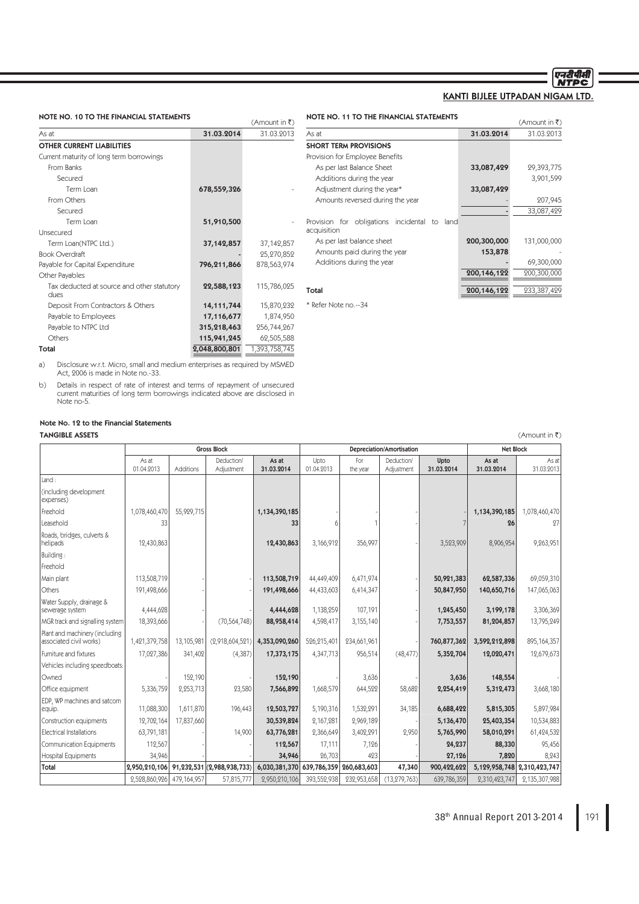एनरीपीसी<br>NTPC

#### NOTE NO. 10 TO THE FINANCIAL STATEMENTS

# NOTE NO. 11 TO THE FINANCIAL STATEMENTS

| NOTE NO. 10 TO THE FINANCIAL STATEMENTS            |               | (Amount in ₹) |
|----------------------------------------------------|---------------|---------------|
| As at                                              | 31.03.2014    | 31.03.2013    |
| <b>OTHER CURRENT LIABILITIES</b>                   |               |               |
| Current maturity of long term borrowings           |               |               |
| From Banks                                         |               |               |
| Secured                                            |               |               |
| Term Loan                                          | 678,559,326   |               |
| From Others                                        |               |               |
| Secured                                            |               |               |
| Term Loan                                          | 51,910,500    |               |
| Unsecured                                          |               |               |
| Term Loan(NTPC Ltd.)                               | 37,142,857    | 37,142,857    |
| <b>Book Overdraft</b>                              |               | 25,270,852    |
| Payable for Capital Expenditure                    | 796,211,866   | 878,563,974   |
| Other Payables                                     |               |               |
| Tax deducted at source and other statutory<br>dues | 22,588,123    | 115,786,025   |
| Deposit From Contractors & Others                  | 14,111,744    | 15,870,232    |
| Payable to Employees                               | 17,116,677    | 1,874,950     |
| Payable to NTPC Ltd                                | 315,218,463   | 256,744,267   |
| Others                                             | 115,941,245   | 62,505,588    |
| Total                                              | 2,048,800,801 | 1,393,758,745 |

| NOTE NO. 11 TO THE FINANCIAL STATEMENTS                              |             | $(Am$ ount in ₹) |
|----------------------------------------------------------------------|-------------|------------------|
| As at                                                                | 31.03.2014  | 31.03.2013       |
| <b>SHORT TERM PROVISIONS</b>                                         |             |                  |
| Provision for Employee Benefits                                      |             |                  |
| As per last Balance Sheet                                            | 33,087,429  | 29,393,775       |
| Additions during the year                                            |             | 3,901,599        |
| Adjustment during the year*                                          | 33,087,429  |                  |
| Amounts reversed during the year                                     |             | 207,945          |
|                                                                      |             | 33,087,429       |
| Provision for obligations<br>incidental<br>land<br>to<br>acquisition |             |                  |
| As per last balance sheet                                            | 200,300,000 | 131,000,000      |
| Amounts paid during the year                                         | 153,878     |                  |
| Additions during the year                                            |             | 69,300,000       |
|                                                                      | 200,146,122 | 200,300,000      |
| Total                                                                | 200,146,122 | 233,387,429      |
| * Refer Note no.--34                                                 |             |                  |

a) Disclosure w.r.t. Micro, small and medium enterprises as required by MSMED Act, 2006 is made in Note no.-33.

b) Details in respect of rate of interest and terms of repayment of unsecured current maturities of long term borrowings indicated above are disclosed in Note no-5.

# Note No. 12 to the Financial Statements **TANGIBLE ASSETS** (Amount in  $\vec{\tau}$ )

|                                                           |                           |            | <b>Gross Block</b>                       |                     |                    |                 | <b>Depreciation/Amortisation</b> |                    | <b>Net Block</b>            |                     |  |
|-----------------------------------------------------------|---------------------------|------------|------------------------------------------|---------------------|--------------------|-----------------|----------------------------------|--------------------|-----------------------------|---------------------|--|
|                                                           | As at<br>01.04.2013       | Additions  | Deduction/<br>Adjustment                 | As at<br>31.03.2014 | Upto<br>01.04.2013 | For<br>the year | Deduction/<br>Adjustment         | Upto<br>31.03.2014 | As at<br>31.03.2014         | As at<br>31.03.2013 |  |
| Land:                                                     |                           |            |                                          |                     |                    |                 |                                  |                    |                             |                     |  |
| (including development<br>expenses)                       |                           |            |                                          |                     |                    |                 |                                  |                    |                             |                     |  |
| Freehold                                                  | 1,078,460,470             | 55,929,715 |                                          | 1,134,390,185       |                    |                 |                                  |                    | 1,134,390,185               | 1,078,460,470       |  |
| Leasehold                                                 | 33                        |            |                                          | 33                  |                    |                 |                                  |                    | 26                          | 97                  |  |
| Roads, bridges, culverts &<br>helipads                    | 12,430,863                |            |                                          | 12,430,863          | 3,166,912          | 356,997         |                                  | 3,523,909          | 8,906,954                   | 9,263,951           |  |
| Building:                                                 |                           |            |                                          |                     |                    |                 |                                  |                    |                             |                     |  |
| Freehold                                                  |                           |            |                                          |                     |                    |                 |                                  |                    |                             |                     |  |
| Main plant                                                | 113,508,719               |            |                                          | 113,508,719         | 44,449,409         | 6,471,974       |                                  | 50,921,383         | 62,587,336                  | 69,059,310          |  |
| Others                                                    | 191,498,666               |            |                                          | 191,498,666         | 44,433,603         | 6,414,347       |                                  | 50,847,950         | 140,650,716                 | 147,065,063         |  |
| Water Supply, drainage &<br>sewerage system               | 4,444,628                 |            |                                          | 4,444,628           | 1,138,259          | 107,191         |                                  | 1,245,450          | 3,199,178                   | 3,306,369           |  |
| MGR track and signalling system                           | 18,393,666                |            | (70, 564, 748)                           | 88,958,414          | 4,598,417          | 3,155,140       |                                  | 7,753,557          | 81,204,857                  | 13,795,249          |  |
| Plant and machinery (including<br>associated civil works) | 1,421,379,758             | 13,105,981 | (2,918,604,521)                          | 4,353,090,260       | 526,215,401        | 234,661,961     |                                  | 760,877,362        | 3,592,212,898               | 895,164,357         |  |
| Furniture and fixtures                                    | 17,027,386                | 341,402    | (4,387)                                  | 17,373,175          | 4,347,713          | 956,514         | (48, 477)                        | 5,352,704          | 12,020,471                  | 12,679,673          |  |
| Vehicles including speedboats:                            |                           |            |                                          |                     |                    |                 |                                  |                    |                             |                     |  |
| Owned                                                     |                           | 152,190    |                                          | 152,190             |                    | 3,636           |                                  | 3,636              | 148,554                     |                     |  |
| Office equipment                                          | 5,336,759                 | 2,253,713  | 23,580                                   | 7,566,892           | 1,668,579          | 644,522         | 58,682                           | 2,254,419          | 5,312,473                   | 3,668,180           |  |
| EDP, WP machines and satcom<br>equip.                     | 11,088,300                | 1,611,870  | 196,443                                  | 12,503,727          | 5,190,316          | 1,532,291       | 34,185                           | 6,688,422          | 5,815,305                   | 5,897,984           |  |
| Construction equipments                                   | 12,702,164                | 17,837,660 |                                          | 30,539,824          | 2,167,281          | 2,969,189       |                                  | 5,136,470          | 25,403,354                  | 10,534,883          |  |
| <b>Electrical Installations</b>                           | 63,791,181                |            | 14,900                                   | 63,776,281          | 2,366,649          | 3,402,291       | 2,950                            | 5,765,990          | 58,010,291                  | 61,424,532          |  |
| <b>Communication Equipments</b>                           | 112,567                   |            |                                          | 112,567             | 17,111             | 7,126           |                                  | 24,237             | 88,330                      | 95,456              |  |
| <b>Hospital Equipments</b>                                | 34,946                    |            |                                          | 34,946              | 26.703             | 423             |                                  | 27,126             | 7,820                       | 8,243               |  |
| Total                                                     |                           |            | 2,950,210,106 91,232,531 (2,988,938,733) | 6,030,381,370       | 639,786,359        | 260,683,603     | 47,340                           | 900,422,622        | 5,129,958,748 2,310,423,747 |                     |  |
|                                                           | 2,528,860,926 479,164,957 |            | 57,815,777                               | 2,950,210,106       | 393,552,938        | 232,953,658     | (13, 279, 763)                   | 639,786,359        | 2,310,423,747               | 2,135,307,988       |  |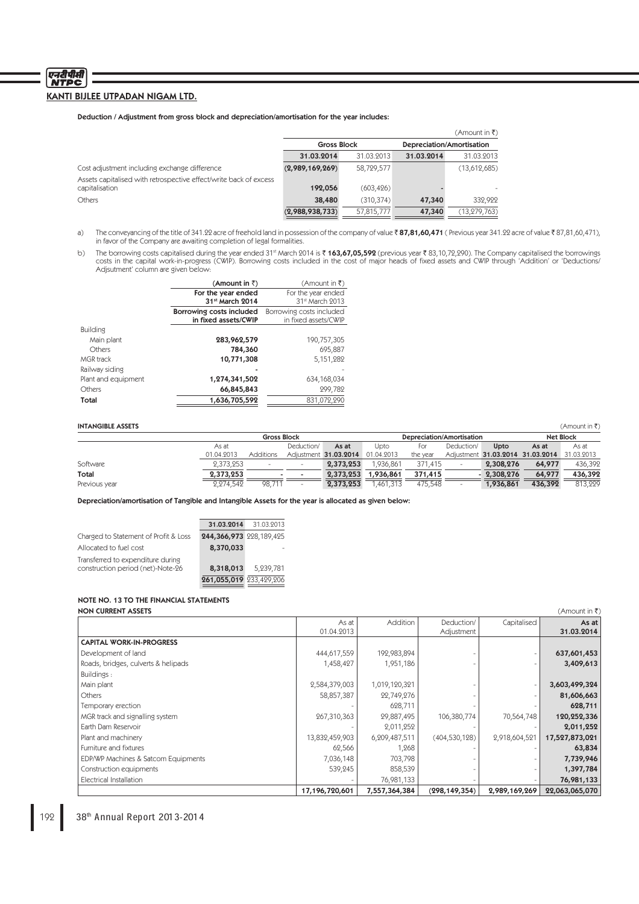# एनरीपीसी<br>NTPC KANTI BIJLEE UTPADAN NIGAM LTD.

Deduction / Adjustment from gross block and depreciation/amortisation for the year includes:

|                                                                                     |                    |            |                           | $(Am$ ount in ₹) |
|-------------------------------------------------------------------------------------|--------------------|------------|---------------------------|------------------|
|                                                                                     | <b>Gross Block</b> |            | Depreciation/Amortisation |                  |
|                                                                                     | 31.03.2014         | 31.03.2013 | 31.03.2014                | 31.03.2013       |
| Cost adjustment including exchange difference                                       | (2,989,169,269)    | 58,729,577 |                           | (13,612,685)     |
| Assets capitalised with retrospective effect/write back of excess<br>capitalisation | 192,056            | (603.426)  |                           |                  |
| <b>Others</b>                                                                       | 38,480             | (310, 374) | 47,340                    | 332.922          |
|                                                                                     | (2,988,938,733)    | 57,815,777 | 47,340                    | (13, 279, 763)   |

a) The conveyancing of the title of 341.22 acre of freehold land in possession of the company of value  $\bar{\epsilon}$  87,81,60,471 (Previous year 341.22 acre of value  $\bar{\epsilon}$  87,81,60,471), in favor of the Company are awaiting completion of legal formalities.

b) The borrowing costs capitalised during the year ended 31<sup>st</sup> March 2014 is ₹ 163,67,05,592 (previous year ₹ 83,10,72,290). The Company capitalised the borrowings costs in the capital work-in-progress (CWIP). Borrowing costs included in the cost of major heads of fixed assets and CWIP through 'Addition' or 'Deductions/<br>Adjsutment' column are given below:

|                     | (Amount in ₹)               | (Amount in ₹)            |
|---------------------|-----------------------------|--------------------------|
|                     | For the year ended          | For the year ended       |
|                     | 31 <sup>st</sup> March 2014 | 31st March 2013          |
|                     | Borrowing costs included    | Borrowing costs included |
|                     | in fixed assets/CWIP        | in fixed assets/CWIP     |
| <b>Building</b>     |                             |                          |
| Main plant          | 283,962,579                 | 190,757,305              |
| Others              | 784,360                     | 695,887                  |
| MGR track           | 10,771,308                  | 5,151,282                |
| Railway siding      |                             |                          |
| Plant and equipment | 1,274,341,502               | 634,168,034              |
| Others              | 66,845,843                  | 299,782                  |
| Total               | 1,636,705,592               | 831,072,290              |
|                     |                             |                          |

| <b>INTANGIBLE ASSETS</b> |                    |                  |                          |                                  |                           |          |            |           |                                             | (Amount in ₹)    |
|--------------------------|--------------------|------------------|--------------------------|----------------------------------|---------------------------|----------|------------|-----------|---------------------------------------------|------------------|
|                          | <b>Gross Block</b> |                  |                          |                                  | Depreciation/Amortisation |          |            |           |                                             | <b>Net Block</b> |
|                          | As at              |                  | Deduction/               | As at                            | Upto                      | For      | Deduction/ | Upto      | As at                                       | As at            |
|                          | 01.04.2013         | <b>Additions</b> |                          | Adjustment 31.03.2014 01.04.2013 |                           | the year |            |           | Adjustment 31.03.2014 31.03.2014 31.03.2013 |                  |
| Software                 | 2.373.253          | -                | $\sim$                   | 2,373,253                        | 1.936.861                 | 371.415  |            | 2,308,276 | 64,977                                      | 436,392          |
| Total                    | 2,373,253          |                  |                          | 2,373,253                        | 1,936,861                 | 371,415  |            | 2,308,276 | 64,977                                      | 436,392          |
| Previous year            | 2,274,542          | 98.711           | $\overline{\phantom{a}}$ | 2.373.253                        | .461.313                  | 475.548  |            | 1,936,861 | 436,392                                     | 813.229          |

Depreciation/amortisation of Tangible and Intangible Assets for the year is allocated as given below:

|                                                                        | 31.03.2014              | 31.03.2013 |
|------------------------------------------------------------------------|-------------------------|------------|
| Charged to Statement of Profit & Loss                                  | 244,366,973 228,189,425 |            |
| Allocated to fuel cost                                                 | 8,370,033               |            |
| Transferred to expenditure during<br>construction period (net)-Note-26 | 8,318,013               | 5,239,781  |
|                                                                        | 261,055,019 233,429,206 |            |

# NOTE NO. 13 TO THE FINANCIAL STATEMENTS

**NON CURRENT ASSETS** (Amount in ₹)

|                                     | As at<br>01.04.2013 | Addition      | Deduction/<br>Adjustment | Capitalised   | As at<br>31.03.2014 |
|-------------------------------------|---------------------|---------------|--------------------------|---------------|---------------------|
| <b>CAPITAL WORK-IN-PROGRESS</b>     |                     |               |                          |               |                     |
| Development of land                 | 444,617,559         | 192,983,894   |                          |               | 637,601,453         |
| Roads, bridges, culverts & helipads | 1,458,427           | 1,951,186     |                          |               | 3,409,613           |
| Buildings:                          |                     |               |                          |               |                     |
| Main plant                          | 2,584,379,003       | 1,019,120,321 |                          |               | 3,603,499,324       |
| Others                              | 58,857,387          | 22,749,276    |                          |               | 81,606,663          |
| Temporary erection                  |                     | 628,711       |                          |               | 628,711             |
| MGR track and signalling system     | 267,310,363         | 29,887,495    | 106,380,774              | 70,564,748    | 120,252,336         |
| Earth Dam Reservoir                 |                     | 2,011,252     |                          |               | 2,011,252           |
| Plant and machinery                 | 13,832,459,903      | 6,209,487,511 | (404, 530, 128)          | 2,918,604,521 | 17,527,873,021      |
| Furniture and fixtures              | 62,566              | 1,268         |                          |               | 63,834              |
| EDP/WP Machines & Satcom Equipments | 7,036,148           | 703,798       |                          |               | 7,739,946           |
| Construction equipments             | 539,245             | 858,539       |                          |               | 1,397,784           |
| Electrical Installation             |                     | 76,981,133    |                          |               | 76,981,133          |
|                                     | 17,196,720,601      | 7,557,364,384 | (298, 149, 354)          | 2,989,169,269 | 22,063,065,070      |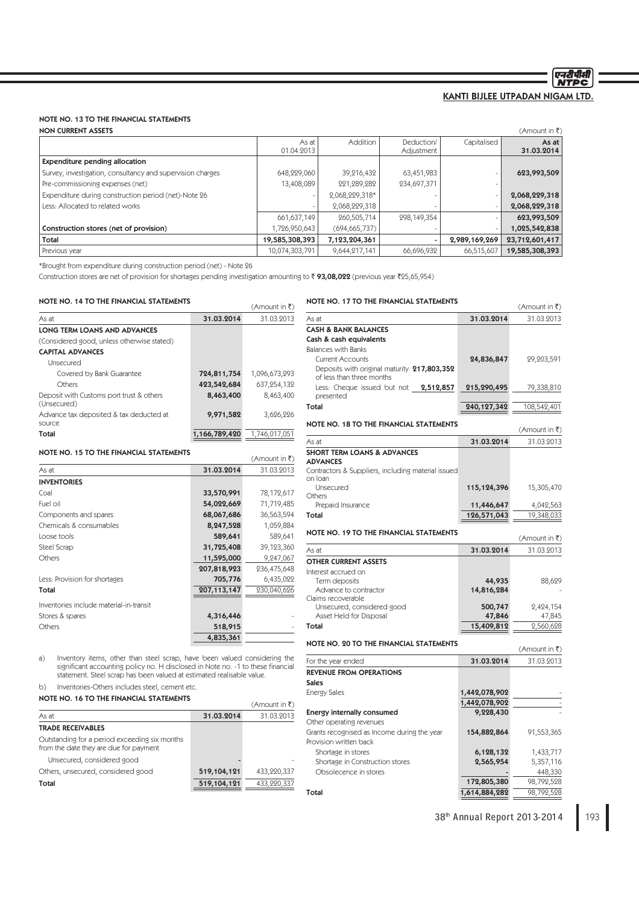# एनदीपीसी **NTPC** KANTI BIJLEE UTPADAN NIGAM LTD.

# NOTE NO. 13 TO THE FINANCIAL STATEMENTS

**NON CURRENT ASSETS** (Amount in ₹)

|                                                            | As at          | <b>Addition</b> | Deduction/  | Capitalised              | As at          |
|------------------------------------------------------------|----------------|-----------------|-------------|--------------------------|----------------|
|                                                            | 01.04.2013     |                 | Adjustment  |                          | 31.03.2014     |
| <b>Expenditure pending allocation</b>                      |                |                 |             |                          |                |
| Survey, investigation, consultancy and supervision charges | 648,229,060    | 39,216,432      | 63,451,983  | ۰                        | 623,993,509    |
| Pre-commissioning expenses (net)                           | 13,408,089     | 221,289,282     | 234,697,371 |                          |                |
| Expenditure during construction period (net)-Note 26       |                | 2,068,229,318*  |             | $\overline{\phantom{a}}$ | 2,068,229,318  |
| Less: Allocated to related works                           |                | 2,068,229,318   |             | $\overline{\phantom{a}}$ | 2,068,229,318  |
|                                                            | 661,637,149    | 260,505,714     | 298,149,354 | $\overline{\phantom{a}}$ | 623,993,509    |
| Construction stores (net of provision)                     | 1,726,950,643  | (694, 665, 737) |             |                          | 1,025,542,838  |
| Total                                                      | 19,585,308,393 | 7,123,204,361   |             | 2,989,169,269            | 23,712,601,417 |
| Previous year                                              | 10,074,303,791 | 9,644,217,141   | 66,696,932  | 66,515,607               | 19,585,308,393 |

\*Brought from expenditure during construction period (net) - Note 26

Construction stores are net of provision for shortages pending investigation amounting to ₹ 93,08,022 (previous year ₹25,65,954)

(Amount in  $\bar{z}$ )

(Amount in  $\bar{z}$ )

### NOTE NO. 14 TO THE FINANCIAL STATEMENTS

| As at                                                   | 31.03.2014    | 31.03.9013    |
|---------------------------------------------------------|---------------|---------------|
| <b>LONG TERM LOANS AND ADVANCES</b>                     |               |               |
| (Considered good, unless otherwise stated)              |               |               |
| <b>CAPITAL ADVANCES</b>                                 |               |               |
| Unsecured                                               |               |               |
| Covered by Bank Guarantee                               | 724,811,754   | 1,096,673,293 |
| Others                                                  | 423,542,684   | 637, 254, 132 |
| Deposit with Customs port trust & others<br>(Unsecured) | 8,463,400     | 8,463,400     |
| Advance tax deposited & tax deducted at<br>SOUICE.      | 9,971,582     | 3,626,226     |
| Total                                                   | 1,166,789,420 | 1,746,017,051 |

# NOTE NO. 15 TO THE FINANCIAL STATEMENTS

| As at                                   | 31.03.2014    | 31.03.2013  |
|-----------------------------------------|---------------|-------------|
| <b>INVENTORIES</b>                      |               |             |
| Coal                                    | 33,570,991    | 78,172,617  |
| Fuel oil                                | 54,022,669    | 71,719,485  |
| Components and spares                   | 68,067,686    | 36,563,594  |
| Chemicals & consumables                 | 8,247,528     | 1,059,884   |
| Loose tools                             | 589,641       | 589,641     |
| Steel Scrap                             | 31,725,408    | 39,123,360  |
| Others                                  | 11,595,000    | 9,247,067   |
|                                         | 207,818,923   | 236,475,648 |
| Less: Provision for shortages           | 705,776       | 6,435,022   |
| Total                                   | 207, 113, 147 | 230,040,626 |
| Inventories include material-in-transit |               |             |
| Stores & spares                         | 4,316,446     |             |
| Others                                  | 518,915       |             |
|                                         | 4,835,361     |             |

a) Inventory items, other than steel scrap, have been valued considering the significant accounting policy no. H disclosed in Note no. -1 to these financial statement. Steel scrap has been valued at estimated realisable va

# b) Inventories-Others includes steel, cement etc. NOTE NO. 16 TO THE FINANCIAL STATEMENTS

| NOTE NO. 16 TO THE FINANCIAL STATEMENTS                                                 |             | (Amount in ₹) |
|-----------------------------------------------------------------------------------------|-------------|---------------|
| As at                                                                                   | 31.03.2014  | 31.03.2013    |
| <b>TRADE RECEIVABLES</b>                                                                |             |               |
| Outstanding for a period exceeding six months<br>from the date they are due for payment |             |               |
| Unsecured, considered good                                                              |             |               |
| Others, unsecured, considered good                                                      | 519,104,121 | 433,220,337   |
| Total                                                                                   | 519,104,121 | 433,220,337   |

| NOTE NO. 17 TO THE FINANCIAL STATEMENTS                                  |               | (Amount in ₹) |
|--------------------------------------------------------------------------|---------------|---------------|
| As at                                                                    | 31.03.2014    | 31.03.2013    |
| <b>CASH &amp; BANK BALANCES</b>                                          |               |               |
| Cash & cash equivalents                                                  |               |               |
| <b>Balances with Banks</b>                                               |               |               |
| <b>Current Accounts</b>                                                  | 24,836,847    | 29,203,591    |
| Deposits with original maturity 217,803,352<br>of less than three months |               |               |
| Less: Cheque issued but not 2,512,857<br>presented                       | 215,290,495   | 79,338,810    |
| Total                                                                    | 240,127,342   | 108,542,401   |
| NOTE NO. 18 TO THE FINANCIAL STATEMENTS                                  |               | (Amount in ₹) |
| As at                                                                    | 31.03.2014    | 31.03.2013    |
| <b>SHORT TERM LOANS &amp; ADVANCES</b>                                   |               |               |
| <b>ADVANCES</b>                                                          |               |               |
| Contractors & Suppliers, including material issued                       |               |               |
| on Ioan                                                                  |               |               |
| Unsecured<br>Others                                                      | 115,124,396   | 15,305,470    |
| Prepaid Insurance                                                        | 11,446,647    | 4,042,563     |
| Total                                                                    | 126,571,043   | 19,348,033    |
|                                                                          |               |               |
| NOTE NO. 19 TO THE FINANCIAL STATEMENTS                                  |               | (Amount in ₹) |
| As at                                                                    | 31.03.2014    | 31.03.2013    |
| <b>OTHER CURRENT ASSETS</b>                                              |               |               |
| Interest accrued on                                                      |               |               |
| Term deposits                                                            | 44,935        | 88,629        |
| Advance to contractor                                                    | 14,816,284    |               |
| Claims recoverable<br>Unsecured, considered good                         | 500,747       | 2,424,154     |
| Asset Held for Disposal                                                  | 47,846        | 47,845        |
| Total                                                                    | 15,409,812    | 2,560,628     |
|                                                                          |               |               |
| NOTE NO. 20 TO THE FINANCIAL STATEMENTS                                  |               | (Amount in ₹) |
| For the year ended                                                       | 31.03.2014    | 31.03.2013    |
| <b>REVENUE FROM OPERATIONS</b>                                           |               |               |
| <b>Sales</b>                                                             |               |               |
| <b>Energy Sales</b>                                                      | 1,442,078,902 |               |
|                                                                          | 1,442,078,902 |               |
| <b>Energy internally consumed</b>                                        | 9,228,430     |               |
| Other operating revenues                                                 |               |               |
| Grants recognised as Income during the year                              | 154,882,864   | 91,553,365    |
| Provision written back                                                   |               |               |
| Shortage in stores                                                       | 6,128,132     | 1,433,717     |
| Shortage in Construction stores                                          | 2,565,954     | 5,357,116     |
| Obsolecence in stores                                                    |               | 448,330       |
|                                                                          | 172,805,380   | 98,792,528    |
| Total                                                                    | 1,614,884,282 | 98,792,528    |

38<sup>th</sup> Annual Report 2013-2014 193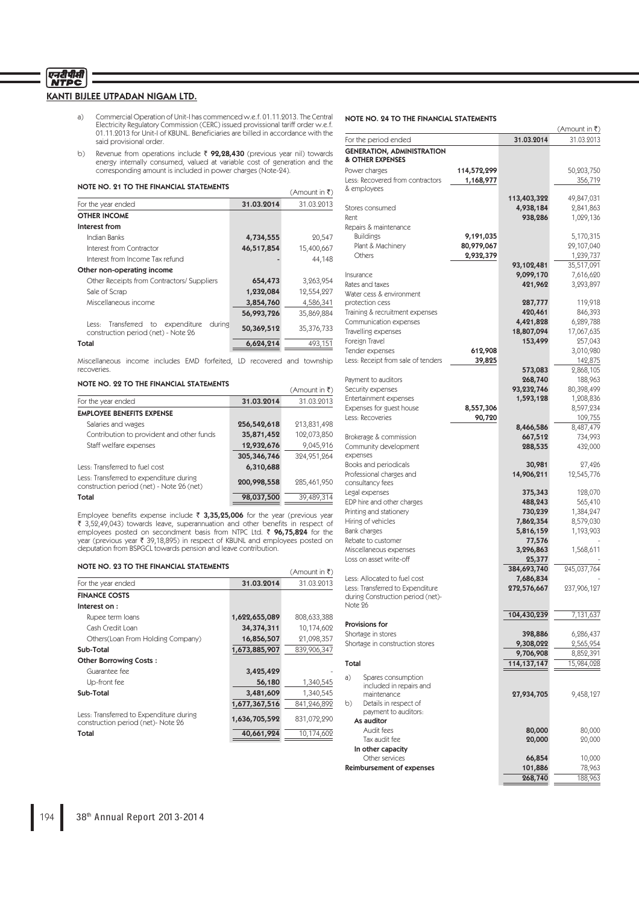# एनरीपीसी<br>NTPC KANTI BIJLEE UTPADAN NIGAM LTD.

- a) Commercial Operation of Unit-I has commenced w.e.f. 01.11.2013. The Central Electricity Regulatory Commission (CERC) issued provissional tariff order w.e.f.<br>01.11.2013 for Unit-I of KBUNL. Beneficiaries are billed in accordance with the said provisional order.
- b) Revenue from operations include  $\bar{\tau}$  92,28,430 (previous year nil) towards energy internally consumed, valued at variable cost of generation and the corresponding amount is included in power charges (Note-24).

#### NOTE NO. 21 TO THE FINANCIAL STATEMENTS

| NOTE NO. 21 TO THE FINANCIAL STATEMENTS                                                 |            | $(Am$ ount in ₹) |
|-----------------------------------------------------------------------------------------|------------|------------------|
| For the year ended                                                                      | 31.03.2014 | 31.03.2013       |
| <b>OTHER INCOME</b>                                                                     |            |                  |
| Interest from                                                                           |            |                  |
| Indian Banks                                                                            | 4,734,555  | 20,547           |
| Interest from Contractor                                                                | 46,517,854 | 15,400,667       |
| Interest from Income Tax refund                                                         |            | 44,148           |
| Other non-operating income                                                              |            |                  |
| Other Receipts from Contractors/ Suppliers                                              | 654,473    | 3,263,954        |
| Sale of Scrap                                                                           | 1,232,084  | 12,554,227       |
| Miscellaneous income                                                                    | 3,854,760  | 4,586,341        |
|                                                                                         | 56,993,726 | 35,869,884       |
| during<br>Transferred to<br>expenditure<br>Less:<br>construction period (net) - Note 26 | 50,369,512 | 35,376,733       |
| Total                                                                                   | 6,624,214  | 493,151          |

Miscellaneous income includes EMD forfeited, LD recovered and township recoveries.

# NOTE NO. 22 TO THE FINANCIAL STATEMENTS

| NOTE NO. 22 TO THE FINANCIAL STATEMENTS                                              |             | (Amount in ₹) |
|--------------------------------------------------------------------------------------|-------------|---------------|
| For the year ended                                                                   | 31.03.2014  | 31.03.2013    |
| <b>EMPLOYEE BENEFITS EXPENSE</b>                                                     |             |               |
| Salaries and wages                                                                   | 256,542,618 | 213,831,498   |
| Contribution to provident and other funds                                            | 35,871,452  | 102,073,850   |
| Staff welfare expenses                                                               | 12,932,676  | 9,045,916     |
|                                                                                      | 305,346,746 | 324,951,264   |
| Less: Transferred to fuel cost                                                       | 6,310,688   |               |
| Less: Transferred to expenditure during<br>construction period (net) - Note 26 (net) | 200,998,558 | 285,461,950   |
| Total                                                                                | 98,037,500  | 39,489,314    |

Employee benefits expense include  $\bar{\tau}$  3,35,25,006 for the year (previous year ₹ 3,52,49,043) towards leave, superannuation and other benefits in respect of<br>employees posted on secondment basis from NTPC Ltd. ₹ **96,75,824** for the<br>year (previous year ₹ 39,18,995) in respect of KBUNL and employees p

#### NOTE NO. 23 TO THE FINANCIAL STATEMENTS

| <b>INOTE INO. 23 TO THE FINANCIAL STATEMENTS</b>                              |               | $(Am$ ount in ₹) |
|-------------------------------------------------------------------------------|---------------|------------------|
| For the year ended                                                            | 31.03.2014    | 31.03.2013       |
| <b>FINANCE COSTS</b>                                                          |               |                  |
| Interest on:                                                                  |               |                  |
| Rupee term loans                                                              | 1,622,655,089 | 808,633,388      |
| Cash Credit Loan                                                              | 34,374,311    | 10,174,602       |
| Others(Loan From Holding Company)                                             | 16,856,507    | 21,098,357       |
| Sub-Total                                                                     | 1,673,885,907 | 839,906,347      |
| <b>Other Borrowing Costs:</b>                                                 |               |                  |
| Guarantee fee                                                                 | 3,425,429     |                  |
| Up-front fee                                                                  | 56,180        | 1,340,545        |
| Sub-Total                                                                     | 3,481,609     | 1,340,545        |
|                                                                               | 1,677,367,516 | 841, 246, 892    |
| Less: Transferred to Expenditure during<br>construction period (net)- Note 26 | 1,636,705,592 | 831,072,290      |
| Total                                                                         | 40,661,924    | 10,174,602       |

#### NOTE NO. 24 TO THE FINANCIAL STATEMENTS

|                                                       |             |                         | (Amount in ₹)           |
|-------------------------------------------------------|-------------|-------------------------|-------------------------|
| For the period ended                                  |             | 31.03.2014              | 31.03.2013              |
| <b>GENERATION, ADMINISTRATION</b><br>& OTHER EXPENSES |             |                         |                         |
| Power charges                                         | 114,572,299 |                         | 50,203,750              |
| Less: Recovered from contractors                      | 1,168,977   |                         | 356,719                 |
| & employees                                           |             |                         |                         |
|                                                       |             | 113,403,322             | 49,847,031              |
| Stores consumed                                       |             | 4,938,184               | 2,841,863               |
| Rent<br>Repairs & maintenance                         |             | 938,286                 | 1,029,136               |
| <b>Buildings</b>                                      | 9,191,035   |                         | 5,170,315               |
| Plant & Machinery                                     | 80,979,067  |                         | 29,107,040              |
| Others                                                | 2,932,379   |                         | 1,239,737               |
|                                                       |             | 93,102,481              | 35,517,091              |
| Insurance                                             |             | 9,099,170               | 7,616,620               |
| Rates and taxes                                       |             | 421,962                 | 3,293,897               |
| Water cess & environment<br>protection cess           |             | 287,777                 | 119,918                 |
| Training & recruitment expenses                       |             | 420,461                 | 846,393                 |
| Communication expenses                                |             | 4,421,828               | 6,289,788               |
| Travelling expenses                                   |             | 18,807,094              | 17,067,635              |
| Foreign Travel                                        |             | 153,499                 | 257,043                 |
| Tender expenses                                       | 612,908     |                         | 3,010,980               |
| Less: Receipt from sale of tenders                    | 39,825      |                         | 142,875                 |
|                                                       |             | 573,083                 | 2,868,105               |
| Payment to auditors                                   |             | 268,740                 | 188,963                 |
| Security expenses<br>Entertainment expenses           |             | 93,232,746<br>1,593,128 | 80,398,499<br>1,208,836 |
| Expenses for guest house                              | 8,557,306   |                         | 8,597,234               |
| Less: Recoveries                                      | 90,720      |                         | 109,755                 |
|                                                       |             | 8,466,586               | 8,487,479               |
| Brokerage & commission                                |             | 667,512                 | 734,993                 |
| Community development                                 |             | 288,535                 | 432,000                 |
| expenses                                              |             |                         |                         |
| Books and periodicals<br>Professional charges and     |             | 30,981<br>14,906,211    | 27,426<br>12,545,776    |
| consultancy fees                                      |             |                         |                         |
| Legal expenses                                        |             | 375,343                 | 128,070                 |
| EDP hire and other charges                            |             | 488,243                 | 565,410                 |
| Printing and stationery                               |             | 730,239                 | 1,384,247               |
| Hiring of vehicles                                    |             | 7,862,354               | 8,579,030               |
| Bank charges                                          |             | 5,816,159               | 1,193,903               |
| Rebate to customer<br>Miscellaneous expenses          |             | 77,576<br>3,296,863     | 1,568,611               |
| Loss on asset write-off                               |             | 25,377                  |                         |
|                                                       |             | 384,693,740             | 245,037,764             |
| Less: Allocated to fuel cost                          |             | 7,686,834               |                         |
| Less: Transferred to Expenditure                      |             | 272,576,667             | 237,906,127             |
| during Construction period (net)-<br>Note 96          |             |                         |                         |
|                                                       |             | 104,430,239             | 7,131,637               |
| <b>Provisions for</b>                                 |             |                         |                         |
| Shortage in stores                                    |             | 398,886                 | 6,286,437               |
| Shortage in construction stores                       |             | 9,308,022               | 2,565,954               |
|                                                       |             | 9,706,908               | 8,852,391               |
| Total                                                 |             | 114,137,147             | 15,984,028              |
| a)<br>Spares consumption                              |             |                         |                         |
| included in repairs and                               |             |                         |                         |
| maintenance<br>Details in respect of<br>b)            |             | 27,934,705              | 9,458,127               |
| payment to auditors:                                  |             |                         |                         |
| As auditor                                            |             |                         |                         |
| Audit fees                                            |             | 80,000                  | 80,000                  |
| Tax audit fee                                         |             | 20,000                  | 20,000                  |
| In other capacity                                     |             |                         |                         |
| Other services<br>Reimbursement of expenses           |             | 66,854<br>101,886       | 10,000<br>78,963        |
|                                                       |             | 268,740                 | 188,963                 |
|                                                       |             |                         |                         |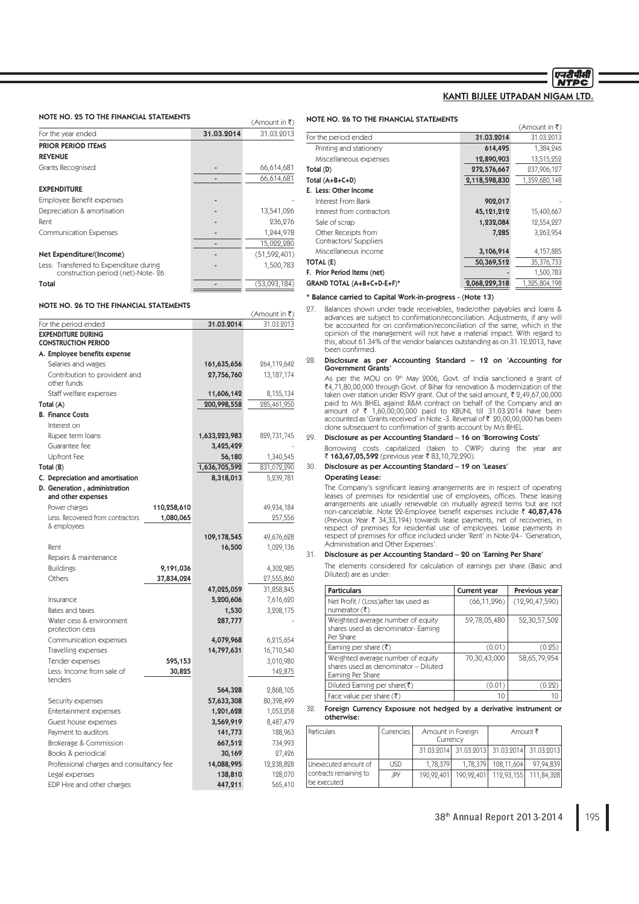#### NOTE NO. 25 TO THE FINANCIAL STATEMENTS

# NOTE NO. 26 TO THE FINANCIAL STATEMENTS

| For the year ended                                                           | 31.03.2014 | 31.03.2013     |
|------------------------------------------------------------------------------|------------|----------------|
| <b>PRIOR PERIOD ITEMS</b>                                                    |            |                |
| <b>REVENUE</b>                                                               |            |                |
| Grants Recognised                                                            |            | 66,614,681     |
|                                                                              |            | 66,614,681     |
| <b>EXPENDITURE</b>                                                           |            |                |
| Employee Benefit expenses                                                    |            |                |
| Depreciation & amortisation                                                  |            | 13,541,026     |
| Rent                                                                         |            | 236,276        |
| <b>Communication Expenses</b>                                                |            | 1,244,978      |
|                                                                              |            | 15,022,280     |
| Net Expenditure/(Income)                                                     |            | (51, 592, 401) |
| Less: Transferred to Expenditure during<br>construction period (net)-Note-26 |            | 1,500,783      |
| Total                                                                        |            | (53,093,184)   |

(Amount in  $\bar{z}$ )

#### NOTE NO. 26 TO THE FINANCIAL STATEMENTS

|                                                     |             |               | (Amount in ₹) |
|-----------------------------------------------------|-------------|---------------|---------------|
| For the period ended                                |             | 31.03.2014    | 31.03.2013    |
| EXPENDITURE DURING                                  |             |               |               |
| CONSTRUCTION PERIOD                                 |             |               |               |
| A. Employee benefits expense                        |             |               |               |
| Salaries and wages                                  |             | 161,635,656   | 264,119,642   |
| Contribution to provident and<br>other funds        |             | 27,756,760    | 13,187,174    |
| Staff welfare expenses                              |             | 11,606,142    | 8,155,134     |
| Total (A)                                           |             | 200,998,558   | 285,461,950   |
| <b>B. Finance Costs</b>                             |             |               |               |
| Interest on                                         |             |               |               |
| Rupee term loans                                    |             | 1,633,223,983 | 829,731,745   |
| Guarantee fee                                       |             | 3,425,429     |               |
| Upfront Fee                                         |             | 56,180        | 1,340,545     |
| Total (B)                                           |             | 1,636,705,592 | 831,072,290   |
| C. Depreciation and amortisation                    |             | 8,318,013     | 5,239,781     |
| D. Generation, administration<br>and other expenses |             |               |               |
| Power charges                                       | 110,258,610 |               | 49,934,184    |
| Less: Recovered from contractors                    | 1,080,065   |               | 257,556       |
| & employees                                         |             |               |               |
|                                                     |             | 109,178,545   | 49,676,628    |
| Rent                                                |             | 16,500        | 1,029,136     |
| Repairs & maintenance                               |             |               |               |
| <b>Buildings</b>                                    | 9,191,036   |               | 4,302,985     |
| Others                                              | 37,834,024  |               | 27,555,860    |
|                                                     |             | 47,025,059    | 31,858,845    |
| Insurance                                           |             | 5,200,606     | 7,616,620     |
| Rates and taxes                                     |             | 1,530         | 3,208,175     |
| Water cess & environment<br>protection cess         |             | 287,777       |               |
| Communication expenses                              |             | 4,079,968     | 6,215,654     |
| Travelling expenses                                 |             | 14,797,631    | 16,710,540    |
| Tender expenses                                     | 595,153     |               | 3,010,980     |
| Less: Income from sale of                           | 30,825      |               | 142,875       |
| tenders                                             |             |               |               |
|                                                     |             | 564,328       | 2,868,105     |
| Security expenses                                   |             | 57,633,308    | 80,398,499    |
| Entertainment expenses                              |             | 1,201,628     | 1,053,258     |
| Guest house expenses                                |             | 3,569,919     | 8,487,479     |
| Payment to auditors                                 |             | 141,773       | 188,963       |
| Brokerage & Commission                              |             | 667,512       | 734,993       |
| Books & periodical                                  |             | 30,169        | 27,426        |
| Professional charges and consultancy fee            |             | 14,088,995    | 12,238,828    |
| Legal expenses                                      |             | 138,810       | 128,070       |
| EDP Hire and other charges                          |             | 447,211       | 565,410       |

| NOTE NO. 26 TO THE FINANCIAL STATEMENTS      |               |               |
|----------------------------------------------|---------------|---------------|
|                                              |               | (Amount in ₹) |
| For the period ended                         | 31.03.2014    | 31.03.2013    |
| Printing and stationery                      | 614,495       | 1,384,246     |
| Miscellaneous expenses                       | 12,890,903    | 13,515,252    |
| Total (D)                                    | 272,576,667   | 237,906,127   |
| Total (A+B+C+D)                              | 2,118,598,830 | 1,359,680,148 |
| E. Less: Other Income                        |               |               |
| Interest From Bank                           | 902,017       |               |
| Interest from contractors                    | 45,121,212    | 15,400,667    |
| Sale of scrap                                | 1,232,084     | 12,554,227    |
| Other Receipts from<br>Contractors/Suppliers | 7,285         | 3,263,954     |
| Miscellaneous income                         | 3,106,914     | 4,157,885     |
| TOTAL (E)                                    | 50,369,512    | 35,376,733    |
| F. Prior Period Items (net)                  |               | 1,500,783     |
| GRAND TOTAL (A+B+C+D-E+F)*                   | 2,068,229,318 | 1,325,804,198 |
|                                              |               |               |

KANTI BIJLEE UTPADAN NIGAM LTD.

एनदीपीसी **NTDC** 

# \* Balance carried to Capital Work-in-progress - (Note 13)

27. Balances shown under trade receivables, trade/other payables and loans & advances are subject to confirmation/reconciliation. Adjustments, if any will<br>be accounted for on confirmation/reconciliation of the same, which in the opinion of the management will not have a material impact. With regard to this, about 61.34% of the vendor balances outstanding as on 31.12.2013, have been confirmed.

28. Disclosure as per Accounting Standard – 12 on 'Accounting for Government Grants'

As per the MOU on 9<sup>th</sup> May 2006, Govt. of India sanctioned a grant of<br>₹4,71,80,00,000 through Govt. of Bihar for renovation & modernization of the<br>taken over station under RSVY grant. Out of the said amount, ₹ 2,49,67, paid to M/s BHEL against R&M contract on behalf of the Company and an<br>amount of ₹ 1,60,00,00,000 paid to KBUNL till 31.03.2014 have been<br>accounted as 'Grants received' in Note -3. Reversal of₹ 20,00,00,000 has been done subsequent to confirmation of grants account by M/s BHEL

# 29. Disclosure as per Accounting Standard – 16 on 'Borrowing Costs'

Borrowing costs capitalized (taken to CWIP) during the year are<br>**₹163,67,05,592** (previous year ₹83,10,72,290).

# 30. Disclosure as per Accounting Standard – 19 on 'Leases'

#### Operating Lease:

The Company's significant leasing arrangements are in respect of operating leases of premises for residential use of employees, offices. These leasing<br>arrangements are usually renewable on mutually agreed terms but are not non-cancelable. Note 22-Employee benefit expenses include **₹ 40,87,476**<br>(Previous Year ₹ 34,33,194) towards lease payments, net of recoveries, in<br>respect of premises for residential use of employees. Lease payments in<br>res Administration and Other Expenses'.

#### 31. Disclosure as per Accounting Standard – 20 on 'Earning Per Share'

 The elements considered for calculation of earnings per share (Basic and Diluted) are as under:

| <b>Particulars</b>                                                                             | <b>Current year</b> | Previous year  |
|------------------------------------------------------------------------------------------------|---------------------|----------------|
| Net Profit / (Loss) after tax used as<br>numerator $(\bar{\bar{\tau}})$                        | (66, 11, 296)       | (12,90,47,590) |
| Weighted average number of equity<br>shares used as denominator- Earning<br>Per Share          | 59,78,05,480        | 52,30,57,502   |
| Earning per share $(\bar{\zeta})$                                                              | (0.01)              | (0.25)         |
| Weighted average number of equity<br>shares used as denominator - Diluted<br>Earning Per Share | 70,30,43,000        | 58,65,79,954   |
| Diluted Earning per share(₹)                                                                   | (0.01)              | (0.22)         |
| Face value per share $(\bar{\tau})$                                                            | 10                  | 10             |

#### 32. Foreign Currency Exposure not hedged by a derivative instrument or otherwise:

|  | Particulars                                                   | Currencies I | Amount in Foreign<br>Currency |  | Amount ₹                                    |           |
|--|---------------------------------------------------------------|--------------|-------------------------------|--|---------------------------------------------|-----------|
|  |                                                               |              |                               |  | 31.03.2014 31.03.2013 31.03.2014 31.03.2013 |           |
|  | Unexecuted amount of<br>contracts remaining to<br>be executed | <b>USD</b>   | 1.78.379                      |  | 1,78,379 108,11,604                         | 97.94.839 |
|  |                                                               | JPY          | 190.92.401                    |  | 190,92,401 112,93,155 111,84,328            |           |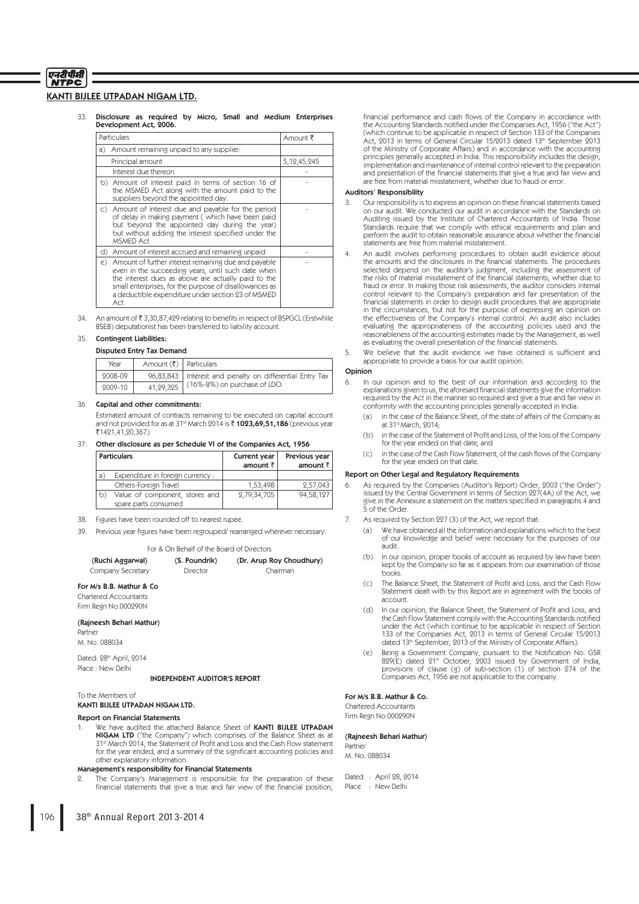एनरीपीसी **NTPC** 

> 33. Disclosure as required by Micro, Small and Medium Enterprises Development Act, 2006.

| Particulars                                                                                                                                                                                                                                                                                 | Amount ₹       |
|---------------------------------------------------------------------------------------------------------------------------------------------------------------------------------------------------------------------------------------------------------------------------------------------|----------------|
| a) Amount remaining unpaid to any supplier.                                                                                                                                                                                                                                                 |                |
| Principal amount                                                                                                                                                                                                                                                                            | 5, 12, 45, 245 |
| Interest due thereon                                                                                                                                                                                                                                                                        |                |
| b) Amount of interest paid in terms of section 16 of<br>the MSMED Act along with the amount paid to the<br>suppliers beyond the appointed day.                                                                                                                                              |                |
| c) Amount of interest due and payable for the period<br>of delay in making payment (which have been paid<br>but beyond the appointed day during the year)<br>but without adding the interest specified under the<br><b>MSMED Act</b>                                                        |                |
| d) Amount of interest accrued and remaining unpaid                                                                                                                                                                                                                                          |                |
| e) Amount of further interest remaining due and payable<br>even in the succeeding years, until such date when<br>the interest dues as above are actually paid to the<br>small enterprises, for the purpose of disallowances as<br>a deductible expenditure under section 23 of MSMED<br>Act |                |

34. An amount of ₹3,30,87,429 relating to benefits in respect of BSPGCL (Erstwhile BSEB) deputationist has been transferred to liability account.

# 35. Contingent Liabilities:

#### Disputed Entry Tax Demand

| Year    | Amount (₹)   Particulars |                                                            |
|---------|--------------------------|------------------------------------------------------------|
| 2008-09 |                          | 96,83,843   Interest and penalty on differential Entry Tax |
| 9009-10 | 41.29.325                | (16%-8%) on purchase of LDO.                               |

#### 36. Capital and other commitments:

 Estimated amount of contracts remaining to be executed on capital account and not provided for as at 31<sup>st</sup> March 2014 is  $\bar{\tau}$  **1023,69,51,186** (previous year `1421,41,20,367).

#### 37. Other disclosure as per Schedule VI of the Companies Act, 1956

|   |   | <b>Particulars</b>                                     | Current year<br>amount $\bar{z}$ | Previous year<br>amount $\bar{\tau}$ |
|---|---|--------------------------------------------------------|----------------------------------|--------------------------------------|
| a |   | Expenditure in foreign currency:                       |                                  |                                      |
|   |   | Others-Foreign Travel                                  | 1,53,498                         | 2.57.043                             |
|   | b | Value of component, stores and<br>spare parts consumed | 2,79,34,705                      | 94.58.127                            |

- 38. Figures have been rounded off to nearest rupee.
- 39. Previous year figures have been regrouped/ rearranged wherever necessary.

#### For & On Behalf of the Board of Directors

| (Ruchi Aggarwal)  | (S. Poundrik) | (Dr. Arup Roy Choudhury) |
|-------------------|---------------|--------------------------|
| Company Secretary | Director      | Chairman                 |

#### For M/s B.B. Mathur & Co

Chartered Accountants Firm Regn No.000290N

# (Rajneesh Behari Mathur)

Partner

M. No. 088034

Dated: 98th April, 9014 Place : New Delhi

#### INDEPENDENT AUDITOR'S REPORT

To the Members of

# KANTI BIJLEE UTPADAN NIGAM LTD.

#### Report on Financial Statements

We have audited the attached Balance Sheet of KANTI BIJLEE UTPADAN NIGAM LTD ("the Company") which comprises of the Balance Sheet as at 31st March 2014, the Statement of Profit and Loss and the Cash Flow statement for the year ended, and a summary of the significant accounting policies and other explanatory information.

#### Management's responsibility for Financial Statements

2. The Company's Management is responsible for the preparation of these fi nancial statements that give a true and fair view of the fi nancial position,

financial performance and cash flows of the Company in accordance with the Accounting Standards notified under the Companies Act, 1956 ("the Act") (which continue to be applicable in respect of Section 133 of the Companies Act, 2013 in terms of General Circular 15/2013 dated 13<sup>th</sup> September 2013<br>of the Ministry of Corporate Affairs) and in accordance with the accounting principles generally accepted in India. This responsibility includes the design, implementation and maintenance of internal control relevant to the preparation and presentation of the financial statements that give a true and fair view and are free from material misstatement, whether due to fraud or error.

#### Auditors' Responsibility

- Our responsibility is to express an opinion on these financial statements based on our audit. We conducted our audit in accordance with the Standards on Auditing issued by the Institute of Chartered Accountants of India. Those Standards require that we comply with ethical requirements and plan and perform the audit to obtain reasonable assurance about whether the financial statements are free from material misstatement.
- 4. An audit involves performing procedures to obtain audit evidence about the amounts and the disclosures in the financial statements. The procedures selected depend on the auditor's judgment, including the assessment of the risks of material misstatement of the financial statements, whether due to fraud or error. In making those risk assessments, the auditor considers internal control relevant to the Company's preparation and fair presentation of the financial statements in order to design audit procedures that are appropriate in the circumstances, but not for the purpose of expressing an opinion on the effectiveness of the Company's internal control. An audit also includes evaluating the appropriateness of the accounting policies used and the reasonableness of the accounting estimates made by the Management, as well as evaluating the overall presentation of the financial statements.
- 5. We believe that the audit evidence we have obtained is sufficient and appropriate to provide a basis for our audit opinion.

#### Opinion

- 6. In our opinion and to the best of our information and according to the explanations given to us, the aforesaid financial statements give the information required by the Act in the manner so required and give a true and fair view in conformity with the accounting principles generally accepted in India:
	- (a) in the case of the Balance Sheet, of the state of affairs of the Company as at 31st March, 2014;
	- (b) in the case of the Statement of Profit and Loss, of the loss of the Company for the year ended on that date; and
	- (c) in the case of the Cash Flow Statement, of the cash flows of the Company for the year ended on that date.

#### Report on Other Legal and Regulatory Requirements

- 6. As required by the Companies (Auditor's Report) Order, 2003 ("the Order") issued by the Central Government in terms of Section 227(4A) of the Act, we give in the Annexure a statement on the matters specified in paragraphs 4 and 5 of the Order.
- 7. As required by Section 227 (3) of the Act, we report that:
	- (a) We have obtained all the information and explanations which to the best of our knowledge and belief were necessary for the purposes of our audit.
	- (b) In our opinion, proper books of account as required by law have been kept by the Company so far as it appears from our examination of those books.
	- (c) The Balance Sheet, the Statement of Profit and Loss, and the Cash Flow Statement dealt with by this Report are in agreement with the books of account.
- (d) In our opinion, the Balance Sheet, the Statement of Profit and Loss, and<br>the Cash Flow Statement comply with the Accounting Standards notified under the Act (which continue to be applicable in respect of Section 133 of the Companies Act, 2013 in terms of General Circular 15/2013 dated 13th September, 2013 of the Ministry of Corporate Affairs).
- e) Being a Government Company, pursuant to the Notification No. GSR<br>829(E) dated 21st October, 2003 issued by Government of India,<br>provisions of clause (g) of sub-section (1) of section 274 of the Companies Act, 1956 are not applicable to the company.

#### For M/s B.B. Mathur & Co.

Chartered Accountants

# Firm Regn No.000290N

#### (Rajneesh Behari Mathur)

Partner M. No. 088034

Dated : April 28, 2014 Place : New Delhi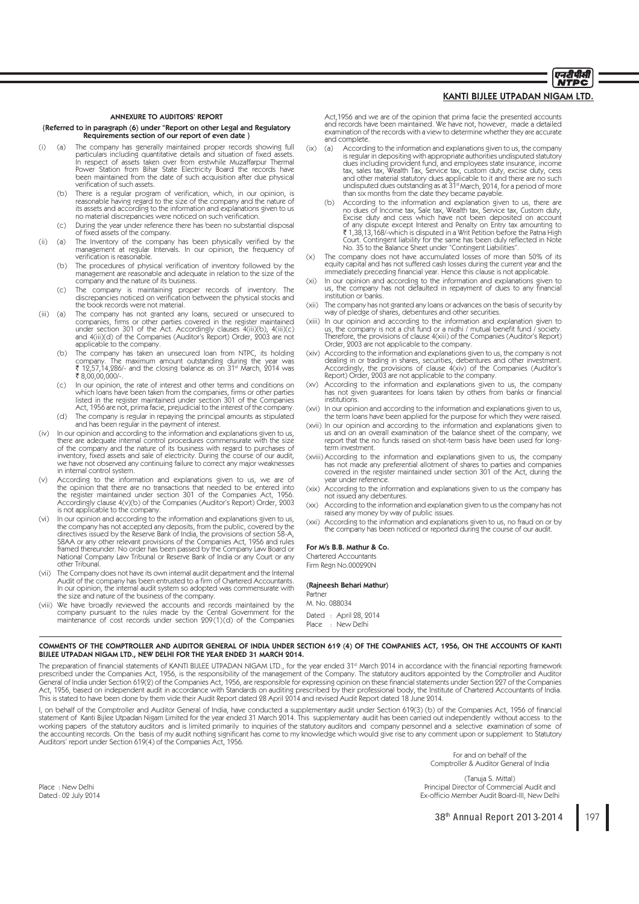एनदीपीसी **NTDC** 

#### ANNEXURE TO AUDITORS' REPORT

#### {Referred to in paragraph (6) under "Report on other Legal and Regulatory Requirements section of our report of even date }

- (i) (a) The company has generally maintained proper records showing full<br>particulars including quantitative details and situation of fixed assets. In respect of assets taken over from erstwhile Muzaffarpur Thermal Power Station from Bihar State Electricity Board the records have been maintained from the date of such acquisition after due physical verification of such assets.
- (b) There is a regular program of verifi cation, which, in our opinion, is reasonable having regard to the size of the company and the nature of its assets and according to the information and explanations given to us no material discrepancies were noticed on such verifi cation.
	- (c) During the year under reference there has been no substantial disposal of fixed assets of the company.
- (ii) (a) The Inventory of the company has been physically verified by the management at regular Intervals. In our opinion, the frequency of verification is reasonable.
	- (b) The procedures of physical verification of inventory followed by the management are reasonable and adequate in relation to the size of the company and the nature of its business.
- (c) The company is maintaining proper records of inventory. The discrepancies noticed on verifi cation between the physical stocks and the book records were not material.
- iii) (a) The company has not granted any loans, secured or unsecured to companies, firms or other parties covered in the register maintained companies, firms or other parties companies, in the condingly clauses 4(iii)(b), and 4(iii)(d) of the Companies (Auditor's Report) Order, 2003 are not applicable to the company.
	- (b) The company has taken an unsecured loan from NTPC, its holding company. The maximum amount outstanding during the year was<br>₹ 12,57,14,286/- and the closing balance as on 31¤ March, 2014 was  $78,00,00,000/$ -
- (c) In our opinion, the rate of interest and other terms and conditions on which loans have been taken from the companies, fi rms or other parties listed in the register maintained under section 301 of the Companies Act, 1956 are not, prima facie, prejudicial to the interest of the company.
- (d) The company is regular in repaying the principal amounts as stipulated and has been regular in the payment of interest.
- (iv) In our opinion and according to the information and explanations given to us, there are adequate internal control procedures commensurate with the size of the company and the nature of its business with regard to purchases of inventory, fixed assets and sale of electricity. During the course of our audit,<br>we have not observed any continuing failure to correct any major weaknesses in internal control system.
- (v) According to the information and explanations given to us, we are of the opinion that there are no transactions that needed to be entered into the register maintained under section 301 of the Companies Act, 1956. Accordingly clause 4(v)(b) of the Companies (Auditor's Report) Order, 2003 is not applicable to the company.
- (vi) In our opinion and according to the information and explanations given to us, the company has not accepted any deposits, from the public, covered by the directives issued by the Reserve Bank of India, the provisions of section 58-A, 58AA or any other relevant provisions of the Companies Act, 1956 an other Tribunal.
- vii) The Company does not have its own internal audit department and the Internal)<br>Audit of the company has been entrusted to a firm of Chartered Accountants.<br>In our opinion, the internal audit system so adopted was commen the size and nature of the business of the company.
- (viii) We have broadly reviewed the accounts and records maintained by the company pursuant to the rules made by the Central Government for the maintenance of cost records under section 209(1)(d) of the Companies

Act,1956 and we are of the opinion that prima facie the presented accounts and records have been maintained. We have not, however, made a detailed examination of the records with a view to determine whether they are accurate and complete.

- (ix) (a) According to the information and explanations given to us, the company is regular in depositing with appropriate authorities undisputed statutory dues including provident fund, and employees state insurance, inco
- (b) According to the information and explanation given to us, there are no dues of Income tax, Sale tax, Wealth tax, Service tax, Custom duty, Excise duty and cess which have not been deposited on account of any dispute e Court. Contingent liability for the same has been duly reflected in Note<br>No. 35 to the Balance Sheet under "Contingent Liabilities".
- (x) The company does not have accumulated losses of more than 50% of its equity capital and has not suffered cash losses during the current year and the<br>immediately preceding financial year. Hence this clause is not applicable.
- (xi) In our opinion and according to the information and explanations given to the company has not defaulted in repayment of dues to any financial institution or banks.
- (xii) The company has not granted any loans or advances on the basis of security by way of pledge of shares, debentures and other securities.
- (xiii) In our opinion and according to the information and explanation given to us, the company is not a chit fund or a nidhi / mutual benefit fund / society.<br>Therefore, the provisions of clause 4(xiii) of the Companies (A
- (xiv) According to the information and explanations given to us, the company is not dealing in or trading in shares, securities, debentures and other investment. Accordingly, the provisions of clause 4(xiv) of the Companies (Auditor's Report) Order, 2003 are not applicable to the company.
- (xv) According to the information and explanations given to us, the company has not given guarantees for loans taken by others from banks or financial institutions.
- (xvi) In our opinion and according to the information and explanations given to us, the term loans have been applied for the purpose for which they were raised.
- (xvii) In our opinion and according to the information and explanations given to us and on an overall examination of the balance sheet of the company, we report that the no funds raised on shot-term basis have been used for longterm investment.
- (xviii) According to the information and explanations given to us, the company has not made any preferential allotment of shares to parties and companies covered in the register maintained under section 301 of the Act, during the year under reference.
- (xix) According to the information and explanations given to us the company has not issued any debentures.
- (xx) According to the information and explanation given to us the company has not raised any money by way of public issues.
- (xxi) According to the information and explanations given to us, no fraud on or by the company has been noticed or reported during the course of our audit.

#### For M/s B.B. Mathur & Co.

Chartered Accountants Firm Regn No.000290N

Partner M. No. 088034 Dated : April 28, 2014 Place : New Delhi

#### COMMENTS OF THE COMPTROLLER AND AUDITOR GENERAL OF INDIA UNDER SECTION 619 (4) OF THE COMPANIES ACT, 1956, ON THE ACCOUNTS OF KANTI BIJLEE UTPADAN NIGAM LTD., NEW DELHI FOR THE YEAR ENDED 31 MARCH 2014.

The preparation of financial statements of KANTI BIJLEE UTPADAN NIGAM LTD., for the year ended 31<sup>st</sup> March 2014 in accordance with the financial reporting framework prescribed under the Companies Act, 1956, is the responsibility of the management of the Company. The statutory auditors appointed by the Comptroller and Auditor General of India under Section 619(2) of the Companies Act, 1956, are responsible for expressing opinion on these financial statements under Section 227 of the Companies<br>Act, 1956, based on independent audit in accordance This is stated to have been done by them vide their Audit Report dated 28 April 2014 and revised Audit Report dated 18 June 2014.

I, on behalf of the Comptroller and Auditor General of India, have conducted a supplementary audit under Section 619(3) (b) of the Companies Act, 1956 of financial<br>statement of Kanti Bijlee Utpadan Nigam Limited for the ye working papers of the statutory auditors and is limited primarily to inquiries of the statutory auditors and company personnel and a selective examination of some of the accounting records. On the basis of my audit nothing significant has come to my knowledge which would give rise to any comment upon or supplement to Statutory<br>Auditors' report under Section 619(4) of the Companies Ac

> For and on behalf of the Comptroller & Auditor General of India

(Tanuja S. Mittal) Principal Director of Commercial Audit and Ex-officio Member Audit Board-III, New Delhi

Place : New Delhi Dated : 02 July 2014

38<sup>th</sup> Annual Report 2013-2014 197

<sup>(</sup>Rajneesh Behari Mathur)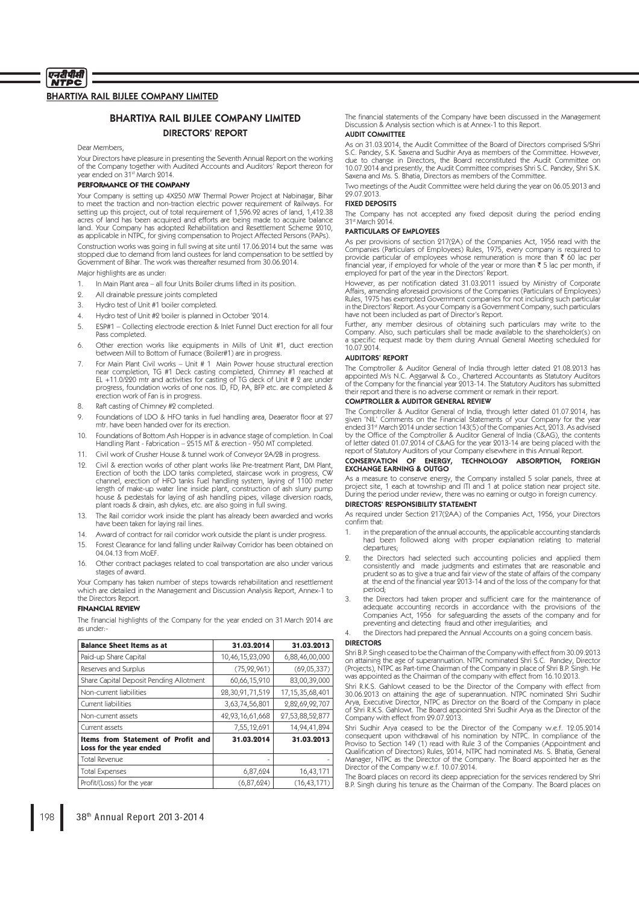# एन्टीपीसी **NTDC** BHARTIYA RAIL BIJLEE COMPANY LIMITED

# BHARTIYA RAIL BIJLEE COMPANY LIMITED DIRECTORS' REPORT

Dear Members,

Your Directors have pleasure in presenting the Seventh Annual Report on the working of the Company together with Audited Accounts and Auditors' Report thereon for year ended on 31st March 2014.

#### **PERFORMANCE OF THE COMPANY**

Your Company is setting up 4X250 MW Thermal Power Project at Nabinagar, Bihar to meet the traction and non-traction electric power requirement of Railways. For setting up this project, out of total requirement of 1,596.92 acres of land, 1,412.38 acres of land has been acquired and efforts are being made to acquire balance land. Your Company has adopted Rehabilitation and Resettlement Scheme 2010, as applicable in NTPC, for giving compensation to Project Affected Persons (PAPs).

Construction works was going in full swing at site until 17.06.2014 but the same was stopped due to demand from land oustees for land compensation to be settled by Government of Bihar. The work was thereafter resumed from 30.06.2014.

Major highlights are as under:

- 1. In Main Plant area all four Units Boiler drums lifted in its position.
- 2. All drainable pressure joints completed
- 3. Hydro test of Unit #1 boiler completed.
- 4. Hydro test of Unit #2 boiler is planned in October '2014.
- 5. ESP#1 Collecting electrode erection & Inlet Funnel Duct erection for all four Pass completed.
- 6. Other erection works like equipments in Mills of Unit #1, duct erection between Mill to Bottom of Furnace (Boiler#1) are in progress.
- 7. For Main Plant Civil works Unit # 1 Main Power house structural erection near completion, TG #1 Deck casting completed, Chimney #1 reached at EL +11.0/220 mtr and activities for casting of TG deck of Unit # 2 are under progress, foundation works of one nos. ID, FD, PA, BFP etc. are completed & erection work of Fan is in progress.
- 8. Raft casting of Chimney #2 completed.
- 9. Foundations of LDO & HFO tanks in fuel handling area, Deaerator floor at 27 mtr. have been handed over for its erection.
- 10. Foundations of Bottom Ash Hopper is in advance stage of completion. In Coal Handling Plant - Fabrication – 2515 MT & erection - 950 MT completed.
- 11. Civil work of Crusher House & tunnel work of Conveyor 2A/2B in progress.
- 12. Civil & erection works of other plant works like Pre-treatment Plant, DM Plant, Erection of both the LDO tanks completed, staircase work in progress, CW channel, erection of HFO tanks Fuel handling system, laying of 1100 meter length of make-up water line inside plant, construction of ash slurry pump house & pedestals for laying of ash handling pipes, village diversion roads, plant roads & drain, ash dykes, etc. are also going in full swing.
- 13. The Rail corridor work inside the plant has already been awarded and works have been taken for laying rail lines.
- 14. Award of contract for rail corridor work outside the plant is under progress.
- 15. Forest Clearance for land falling under Railway Corridor has been obtained on 04.04.13 from MoEF.
- 16. Other contract packages related to coal transportation are also under various stages of award.

Your Company has taken number of steps towards rehabilitation and resettlement which are detailed in the Management and Discussion Analysis Report, Annex-1 to the Directors Report.

#### **FINANCIAL REVIEW**

The financial highlights of the Company for the year ended on 31 March 2014 are as under:-

| <b>Balance Sheet Items as at</b>                              | 31.03.2014      | 31.03.2013          |
|---------------------------------------------------------------|-----------------|---------------------|
| Paid-up Share Capital                                         | 10,46,15,23,090 | 6,88,46,00,000      |
| Reserves and Surplus                                          | (75, 92, 961)   | (69,05,337)         |
| Share Capital Deposit Pending Allotment                       | 60,66,15,910    | 83,00,39,000        |
| Non-current liabilities                                       | 28,30,91,71,519 | 17, 15, 35, 68, 401 |
| Current liabilities                                           | 3,63,74,56,801  | 2,82,69,92,707      |
| Non-current assets                                            | 42,93,16,61,668 | 27,53,88,52,877     |
| Current assets                                                | 7,55,12,691     | 14,94,41,894        |
| Items from Statement of Profit and<br>Loss for the year ended | 31.03.2014      | 31.03.2013          |
| <b>Total Revenue</b>                                          |                 |                     |
| <b>Total Expenses</b>                                         | 6,87,624        | 16,43,171           |
| Profit/(Loss) for the year                                    | (6, 87, 624)    | (16, 43, 171)       |

The financial statements of the Company have been discussed in the Management Discussion & Analysis section which is at Annex-1 to this Report.

### AUDIT COMMITTEE

As on 31.03.2014, the Audit Committee of the Board of Directors comprised S/Shri S.C. Pandey, S.K. Saxena and Sudhir Arya as members of the Committee. However, due to change in Directors, the Board reconstituted the Audit Committee on 10.07.2014 and presently, the Audit Committee comprises Shri S.C. Pandey, Shri S.K. Saxena and Ms. S. Bhatia, Directors as members of the Committee.

Two meetings of the Audit Committee were held during the year on 06.05.2013 and 29.07.2013.

### FIXED DEPOSITS

The Company has not accepted any fixed deposit during the period ending 31st March 2014.

# PARTICULARS OF EMPLOYEES

As per provisions of section 217(2A) of the Companies Act, 1956 read with the Companies (Particulars of Employees) Rules, 1975, every company is required to provide particular of employees whose remuneration is more than  $\bar{\tau}$  60 lac per financial year, if employed for whole of the year or more than  $\bar{\tau}$  5 lac per month, if employed for part of the year in the Directors' Report.

However, as per notification dated 31.03.2011 issued by Ministry of Corporate Affairs, amending aforesaid provisions of the Companies (Particulars of Employees) Rules, 1975 has exempted Government companies for not including such particular in the Directors' Report. As your Company is a Government Company, such particulars have not been included as part of Director's Report.

Further, any member desirous of obtaining such particulars may write to the Company. Also, such particulars shall be made available to the shareholder(s) on a specific request made by them during Annual General Meeting scheduled for 10.07.2014.

#### AUDITORS' REPORT

The Comptroller & Auditor General of India through letter dated 21.08.2013 has appointed M/s N.C. Aggarwal & Co., Chartered Accountants as Statutory Auditors<br>of the Company for the financial year 2013-14. The Statutory Auditors has submitted their report and there is no adverse comment or remark in their report.

# COMPTROLLER & AUDITOR GENERAL REVIEW

The Comptroller & Auditor General of India, through letter dated 01.07.2014, has given 'NIL' Comments on the Financial Statements of your Company for the year ended 31st March 2014 under section 143(5) of the Companies Act, 2013. As advised by the Office of the Comptroller & Auditor General of India (C&AG), the contents<br>of letter dated 01.07.2014 of C&AG for the year 2013-14 are being placed with the report of Statutory Auditors of your Company elsewhere in this Annual Report.

#### CONSERVATION OF ENERGY, TECHNOLOGY ABSORPTION, FOREIGN EXCHANGE EARNING & OUTGO

As a measure to conserve energy, the Company installed 5 solar panels, three at project site, 1 each at township and ITI and 1 at police station near project site.<br>During the period under review, there was no earning or outgo in foreign currency.

# DIRECTORS' RESPONSIBILITY STATEMENT

As required under Section 917(9AA) of the Companies Act, 1956, your Directors  $\overline{\text{confirm}}$  that:

- 1. in the preparation of the annual accounts, the applicable accounting standards had been followed along with proper explanation relating to material departures;
- 2. the Directors had selected such accounting policies and applied them consistently and made judgments and estimates that are reasonable and prudent so as to give a true and fair view of the state of affairs of the company at the end of the financial year 2013-14 and of the loss of the company for that period;
- the Directors had taken proper and sufficient care for the maintenance of adequate accounting records in accordance with the provisions of the Companies Act, 1956 for safeguarding the assets of the company and for preventing and detecting fraud and other irregularities; and
- the Directors had prepared the Annual Accounts on a going concern basis.

#### DIRECTORS

Shri B.P. Singh ceased to be the Chairman of the Company with effect from 30.09.2013 on attaining the age of superannuation. NTPC nominated Shri S.C. Pandey, Director (Projects), NTPC as Part-time Chairman of the Company in place of Shri B.P. Singh. He was appointed as the Chairman of the company with effect from 16.10.2013.

Shri R.K.S. Gahlowt ceased to be the Director of the Company with effect from 30.06.2013 on attaining the age of superannuation. NTPC nominated Shri Sudhir<br>Arya, Executive Director, NTPC as Director on the Board of the Company in place<br>of Shri R.K.S. Gahlowt. The Board appointed Shri Sudhir Arya as Company with effect from 29.07.2013.

Shri Sudhir Arya ceased to be the Director of the Company w.e.f. 12.05.2014 consequent upon withdrawal of his nomination by NTPC. In compliance of the Proviso to Section 149 (1) read with Rule 3 of the Companies (Appointment and Qualification of Directors) Rules, 2014, NTPC had nominated Ms. S. Bhatia, General Manager, NTPC as the Director of the Company. The Board appointed her as the Director of the Company w.e.f. 10.07.2014.

The Board places on record its deep appreciation for the services rendered by Shri B.P. Singh during his tenure as the Chairman of the Company. The Board places on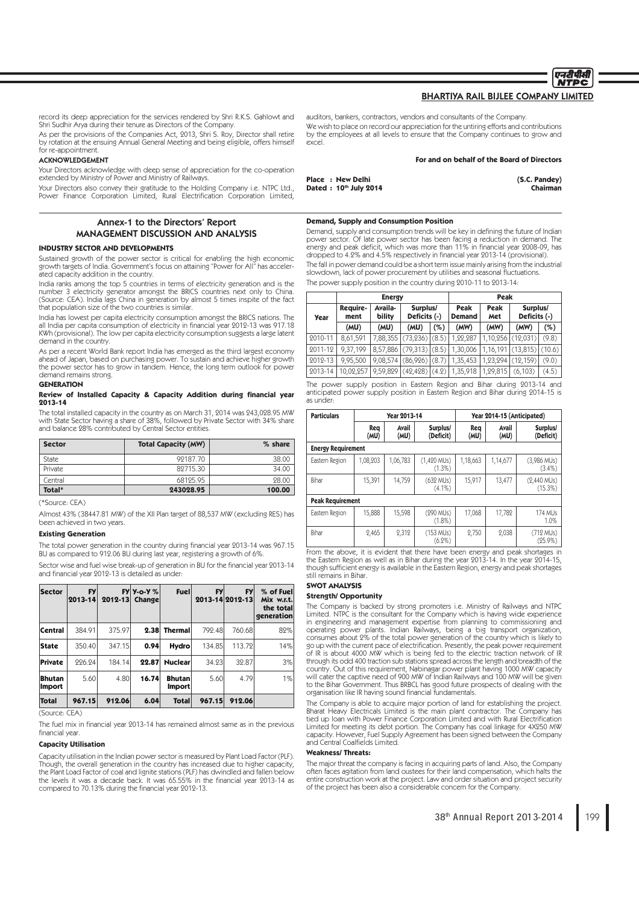# BHARTIYA RAIL BIJLEE COMPANY LIMITED

record its deep appreciation for the services rendered by Shri R.K.S. Gahlowt and Shri Sudhir Arya during their tenure as Directors of the Company.

As per the provisions of the Companies Act, 2013, Shri S. Roy, Director shall retire by rotation at the ensuing Annual General Meeting and being eligible, offers himself for re-appointment.

#### ACKNOWLEDGEMENT

Your Directors acknowledge with deep sense of appreciation for the co-operation extended by Ministry of Power and Ministry of Railways.

Your Directors also convey their gratitude to the Holding Company i.e. NTPC Ltd., Power Finance Corporation Limited, Rural Electrification Corporation Limited,

# Annex-1 to the Directors' Report MANAGEMENT DISCUSSION AND ANALYSIS

#### **INDUSTRY SECTOR AND DEVELOPMENTS**

Sustained growth of the power sector is critical for enabling the high economic growth targets of India. Government's focus on attaining "Power for All" has accelerated capacity addition in the country.

India ranks among the top 5 countries in terms of electricity generation and is the number 3 electricity generator amongst the BRICS countries next only to China. (Source: CEA). India lags China in generation by almost 5 times inspite of the fact that population size of the two countries is similar.

India has lowest per capita electricity consumption amongst the BRICS nations. The<br>all India per capita consumption of electricity in financial year 2012-13 was 917.18<br>KWh (provisional). The low per capita electricity cons demand in the country.

As per a recent World Bank report India has emerged as the third largest economy ahead of Japan, based on purchasing power. To sustain and achieve higher growth the power sector has to grow in tandem. Hence, the long term outlook for power demand remains strong.

#### **GENERATION**

#### Review of Installed Capacity & Capacity Addition during financial year **2013-14**

The total installed capacity in the country as on March 31, 2014 was 243,028.95 MW with State Sector having a share of 38%, followed by Private Sector with 34% share and balance 28% contributed by Central Sector entities.

| <b>Sector</b> | <b>Total Capacity (MW)</b> | $%$ share |
|---------------|----------------------------|-----------|
| <b>State</b>  | 99187.70                   | 38.00     |
| Private.      | 89715.30                   | 34.00     |
| Central       | 68195.95                   | 28.00     |
| Total*        | 243028.95                  | 100.00    |

(\*Source: CEA)

Almost 43% (38447.81 MW) of the XII Plan target of 88,537 MW (excluding RES) has been achieved in two years.

#### **Existing Generation**

The total power generation in the country during financial year 2013-14 was 967.15 BU as compared to 912.06 BU during last year, registering a growth of 6%

Sector wise and fuel wise break-up of generation in BU for the financial year 2013-14 and financial year 2012-13 is detailed as under-

| <b>Sector</b>    | <b>FY</b><br>2013-14 | 2012-13 | $FY Y-o-Y$ %<br>Changel | <b>Fuel</b>                    | <b>FY</b> | <b>FY</b><br>2013-14 2012-13 | % of Fuel<br>Mix w.r.t.<br>the total<br>generation |
|------------------|----------------------|---------|-------------------------|--------------------------------|-----------|------------------------------|----------------------------------------------------|
| Central          | 384.91               | 375.97  | 2.38                    | <b>Thermal</b>                 | 792.48    | 760.68                       | 82%                                                |
| State            | 350.40               | 347.15  | 0.94                    | Hydro                          | 134.85    | 113.72                       | 14%                                                |
| Private          | 996.94               | 184.14  | 22.87                   | <b>Nuclear</b>                 | 34.23     | 32.87                        | 3%                                                 |
| Bhutan<br>Import | 5.60                 | 4.80    | 16.74                   | <b>Bhutan</b><br><b>Import</b> | 5.60      | 4.79                         | 1%                                                 |
| Total            | 967.15               | 912.06  | 6.04                    | <b>Total</b>                   | 967.15    | 912.06                       |                                                    |

(Source: CEA)

The fuel mix in financial year 2013-14 has remained almost same as in the previous financial year.

#### **Capacity Utilisation**

Capacity utilisation in the Indian power sector is measured by Plant Load Factor (PLF). Though, the overall generation in the country has increased due to higher capacity,<br>the Plant Load Factor of coal and lignite stations (PLF) has dwindled and fallen below<br>the levels it was a decade back. It was 65.55% in t compared to 70.13% during the financial year 2012-13.

auditors, bankers, contractors, vendors and consultants of the Company. We wish to place on record our appreciation for the untiring efforts and contributions by the employees at all levels to ensure that the Company continues to grow and excel.

#### **For and on behalf of the Board of Directors**

Place : New Delhi (S.C. Pandey) **Dated : 10th July 2014 Chairman**

एनदीपीसी **NTDC** 

#### **Demand, Supply and Consumption Position**

Demand, supply and consumption trends will be key in defining the future of Indian<br>power sector. Of late power sector has been facing a reduction in demand. The<br>energy and peak deficit, which was more than 11% in financial dropped to 4.2% and 4.5% respectively in financial year 2013-14 (provisional). The fall in power demand could be a short term issue mainly arising from the industrial slowdown, lack of power procurement by utilities and seasonal fluctuations. The power supply position in the country during 2010-11 to 2013-14

|         |                  | <b>Energy</b>     |                           |       | Peak                  |                          |                          |       |
|---------|------------------|-------------------|---------------------------|-------|-----------------------|--------------------------|--------------------------|-------|
| Year    | Require-<br>ment | Availa-<br>bility | Surplus/<br>Deficits (-)  |       | Peak<br><b>Demand</b> | Peak<br>Met              | Surplus/<br>Deficits (-) |       |
|         | (MU)             | (MU)              | (MU)                      | (% )  | (MW)                  | (MW)                     | (MW)                     | (%)   |
| 2010-11 | 8,61,591         |                   | 7,88,355 (73,236)         | (8.5) | 1,22,287              | 1,10,256 (12,031)        |                          | (9.8) |
| 2011-12 | 9,37,199         |                   | $8,57,886$ (79,313) (8.5) |       | 1,30,006              | (1,16,191)(13,815)(10.6) |                          |       |
| 2012-13 | 9.95.500         |                   | $9,08,574$ (86,926) (8.7) |       | 1,35,453              |                          | 1,23,294 (12,159)        | (9.0) |
| 2013-14 | 10.02.257        |                   | $9,59,829$ (42,428) (4.2) |       | 1,35,918              | 1,29,815                 | (6, 103)                 | (4.5) |

The power supply position in Eastern Region and Bihar during 2013-14 and anticipated power supply position in Eastern Region and Bihar during 2014-15 is as under:

| <b>Particulars</b>        |             | <b>Year 2013-14</b> |                          |             | Year 2014-15 (Anticipated) |                            |
|---------------------------|-------------|---------------------|--------------------------|-------------|----------------------------|----------------------------|
|                           | Req<br>(MU) | Avail<br>(MU)       | Surplus/<br>(Deficit)    | Req<br>(MU) | Avail<br>(MU)              | Surplus/<br>(Deficit)      |
| <b>Energy Requirement</b> |             |                     |                          |             |                            |                            |
| Eastern Region            | 1,08,203    | 1,06,783            | (1.420 MUs)<br>$(1.3\%)$ | 1,18,663    | 1,14,677                   | $(3,986$ MUs)<br>$(3.4\%)$ |
| Bihar                     | 15,391      | 14,759              | $(632$ MUs)<br>$(4.1\%)$ | 15,917      | 13,477                     | (2.440 MUs)<br>$(15.3\%)$  |
| <b>Peak Requirement</b>   |             |                     |                          |             |                            |                            |
| Eastern Region            | 15,888      | 15,598              | (290 MUs)<br>$(1.8\%)$   | 17,068      | 17,782                     | <b>174 MUs</b><br>1.0%     |
| Bihar                     | 2,465       | 2,312               | (153 MUs)<br>$(6.2\%)$   | 2,750       | 2,038                      | (712 MUs)<br>$(25.9\%)$    |

From the above, it is evident that there have been energy and peak shortages in the Eastern Region as well as in Bihar during the year 2013-14. In the year 2014-15, though sufficient energy is available in the Eastern Region, energy and peak shortages still remains in Bihar. **SWOT ANALYSIS**

# **Strength/ Opportunity**

The Company is backed by strong promoters i.e. Ministry of Railways and NTPC Limited. NTPC is the consultant for the Company which is having wide experience in engineering and management expertise from planning to commissioning and operating power plants. Indian Railways, being a big transport organization, consumes about 2% of the total power generation of the country which is likely to<br>go up with the current pace of electrification. Presently, the peak power requirement of IR is about 4000 MW which is being fed to the electric traction network of IR through its odd 400 traction sub stations spread across the length and breadth of the<br>country. Out of this requirement, Nabinagar power plant having 1000 MW capacity<br>will cater the captive need of 900 MW of Indian Railways organisation like IR having sound fi nancial fundamentals.

The Company is able to acquire major portion of land for establishing the project. Bharat Heavy Electricals Limited is the main plant contractor. The Company has<br>tied up Ioan with Power Finance Corporation Limited and with Rural Electrification<br>Limited for meeting its debt portion. The Company has coal l capacity. However, Fuel Supply Agreement has been signed between the Company and Central Coalfields Limited.

#### **Weakness/ Threats:**

The major threat the company is facing in acquiring parts of land. Also, the Company often faces agitation from land oustees for their land compensation, which halts the entire construction work at the project. Law and order situation and project security of the project has been also a considerable concern for the Company.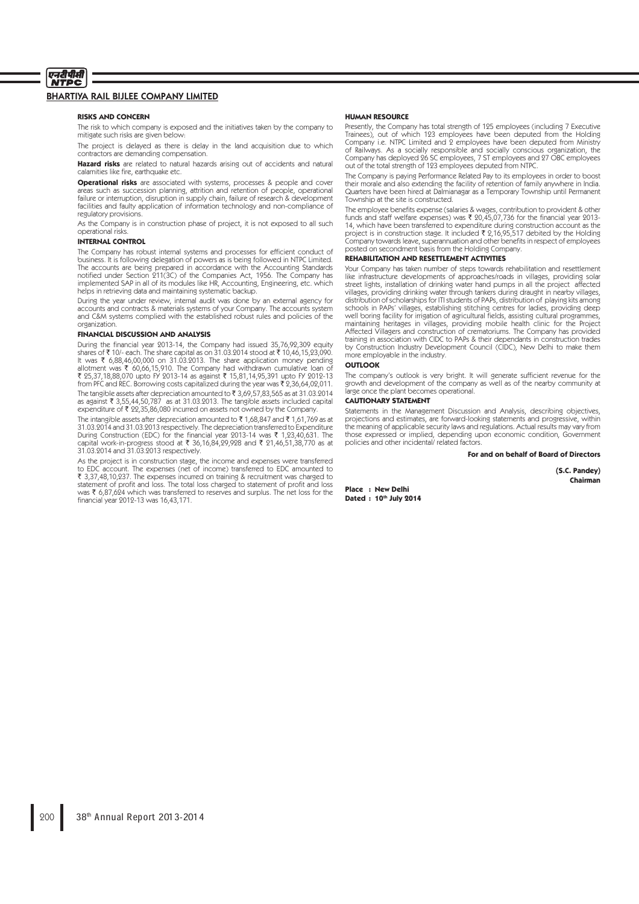# BHARTIYA RAIL BIJLEE COMPANY LIMITED

#### **RISKS AND CONCERN**

एनदीपीसी **NTPC** 

> The risk to which company is exposed and the initiatives taken by the company to mitigate such risks are given below:

The project is delayed as there is delay in the land acquisition due to which contractors are demanding compensation.

**Hazard risks** are related to natural hazards arising out of accidents and natural calamities like fire, earthquake etc.

**Operational risks** are associated with systems, processes & people and cover<br>areas such as succession planning, attrition and retention of people, operational<br>failure or interruption, disruption in supply chain, failure o facilities and faulty application of information technology and non-compliance of regulatory provisions.

As the Company is in construction phase of project, it is not exposed to all such operational risks.

#### **INTERNAL CONTROL**

The Company has robust internal systems and processes for efficient conduct of business. It is following delegation of powers as is being followed in NTPC Limited.<br>The accounts are being prepared in accordance with the Accounting Standards<br>notified under Section 211(3C) of the Companies Act, 1956. Th implemented SAP in all of its modules like HR, Accounting, Engineering, etc. which helps in retrieving data and maintaining systematic backup

During the year under review, internal audit was done by an external agency for accounts and contracts & materials systems of your Company. The accounts system and C&M systems complied with the established robust rules and policies of the organization.

#### **FINANCIAL DISCUSSION AND ANALYSIS**

During the financial year 2013-14, the Company had issued 35,76,92,309 equity shares of ₹10/- each. The share capital as on 31.03.2014 stood at ₹10,46,15,23,090. It was ₹ 6,88,46,00,000 on 31.03.2013. The share application money pending<br>allotment was ₹ 60,66,15,910. The Company had withdrawn cumulative Ioan of<br>₹ 25,37,18,88,070 upto FY 2013-14 as against ₹ 15,81,14,95,391 upto FY from PFC and REC. Borrowing costs capitalized during the year was  $\bar{\tau}$  2,36,64,02,011. The tangible assets after depreciation amounted to ₹3,69,57,83,565 as at 31.03.2014<br>as against ₹ 3,55,44,50,787 as at 31.03.2013. The tangible assets included capital expenditure of ` 22,35,86,080 incurred on assets not owned by the Company.

The intangible assets after depreciation amounted to  $\bar{\tau}$  1,68,847 and  $\bar{\tau}$  1,61,769 as at 31.03.2014 and 31.03.2013 respectively. The depreciation transferred to Expenditure<br>During Construction (EDC) for the financial year 2013-14 was ₹ 1,23,40,631. The<br>capital work-in-progress stood at ₹ 36,16,84,29,928 and ₹ 31.03.2014 and 31.03.2013 respectively.

As the project is in construction stage, the income and expenses were transferred to EDC account. The expenses (net of income) transferred to EDC amounted to ` 3,37,48,10,237. The expenses incurred on training & recruitment was charged to statement of profit and loss. The total loss charged to statement of profit and loss was  $\bar{\tau}$  6,87,624 which was transferred to reserves and surplus. The net loss for the fi nancial year 2012-13 was 16,43,171.

#### **HUMAN RESOURCE**

Presently, the Company has total strength of 125 employees (including 7 Executive Trainees), out of which 123 employees have been deputed from the Holding Company i.e. NTPC Limited and 2 employees have been deputed from Ministry of Railways. As a socially responsible and socially conscious organization, the Company has deployed 26 SC employees, 7 ST employees and 27 OBC employees out of the total strength of 123 employees deputed from NTPC.

The Company is paying Performance Related Pay to its employees in order to boost their morale and also extending the facility of retention of family anywhere in India. Quarters have been hired at Dalmianagar as a Temporary Township until Permanent Township at the site is constructed.

The employee benefits expense (salaries & wages, contribution to provident & other<br>funds and staff welfare expenses) was ₹ 20,45,07,736 for the financial year 2013-14, which have been transferred to expenditure during construction account as the<br>project is in construction stage. It included ₹ 2,16,95,517 debited by the Holding<br>Company towards leave, superannuation and other benefits

#### **REHABILITATION AND RESETTLEMENT ACTIVITIES**

Your Company has taken number of steps towards rehabilitation and resettlement like infrastructure developments of approaches/roads in villages, providing solar street lights, installation of drinking water hand pumps in all the project affected villages, providing drinking water through tankers during draught in nearby villages, distribution of scholarships for ITI students of PAPs, distribution of playing kits among schools in PAPs' villages, establishing stitching centres for ladies, providing deep well boring facility for irrigation of agricultural fields, assisting cultural programmes, maintaining heritages in villages, providing mobile health clinic for the Project Affected Villagers and construction of crematoriums. The Company has provided training in association with CIDC to PAPs & their dependants in construction trades by Construction Industry Development Council (CIDC), New Delhi to make them more employable in the industry.

#### **OUTLOOK**

The company's outlook is very bright. It will generate sufficient revenue for the growth and development of the company as well as of the nearby community at growth and development of the company as well as of the nearby community at large once the plant becomes operational.

#### **CAUTIONARY STATEMENT**

Statements in the Management Discussion and Analysis, describing objectives, projections and estimates, are forward-looking statements and progressive, within the meaning of applicable security laws and regulations. Actual results may vary from those expressed or implied, depending upon economic condition, Government policies and other incidental/ related factors.

#### **For and on behalf of Board of Directors**

**(S.C. Pandey) Chairman**

**Place : New Delhi Dated : 10th July 2014**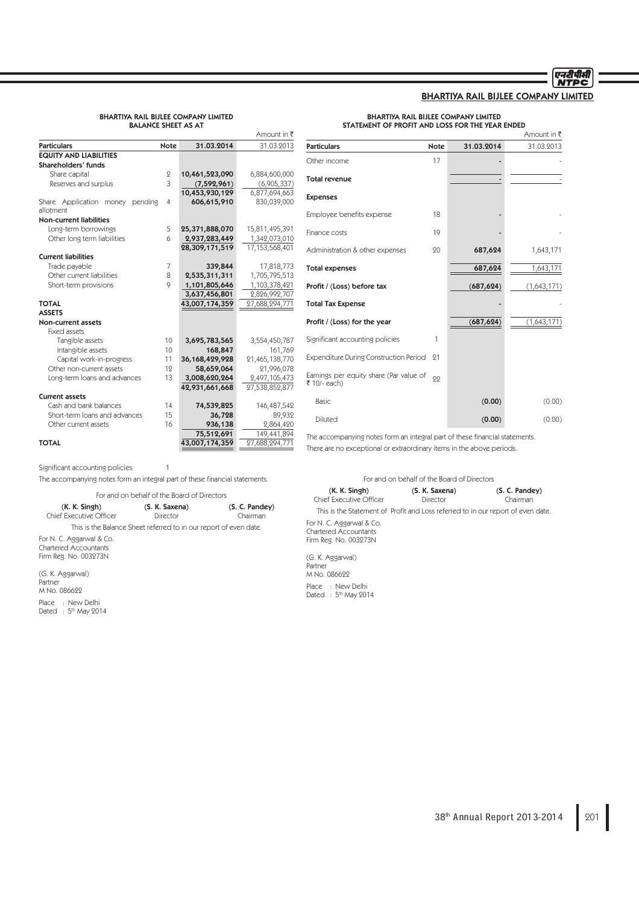# एनदीपीसी

# BHARTIYA RAIL BIJLEE COMPANY LIMITED

#### BHARTIYA RAIL BIJLEE COMPANY LIMITED BALANCE SHEET AS AT

| BALANCE SHEET AS AT                          | Amount in ₹    | SIAIEMENI UF PRUFII AND L      |                                |                                                         |                |
|----------------------------------------------|----------------|--------------------------------|--------------------------------|---------------------------------------------------------|----------------|
| <b>Particulars</b>                           | <b>Note</b>    | 31.03.2014                     | 31.03.2013                     | <b>Particulars</b>                                      | No             |
| <b>EQUITY AND LIABILITIES</b>                |                |                                |                                |                                                         |                |
| Shareholders' funds                          |                |                                |                                | Other income                                            | $\overline{1}$ |
| Share capital                                | $\overline{2}$ | 10,461,523,090                 | 6,884,600,000                  | <b>Total revenue</b>                                    |                |
| Reserves and surplus                         | 3              | (7,592,961)                    | (6,905,337)                    |                                                         |                |
|                                              |                | 10,453,930,129                 | 6,877,694,663                  | <b>Expenses</b>                                         |                |
| Share Application money pending<br>allotment | $\overline{4}$ | 606,615,910                    | 830,039,000                    | Employee benefits expense                               | 18             |
| <b>Non-current liabilities</b>               |                |                                |                                |                                                         |                |
| Long-term borrowings                         | 5              | 25,371,888,070                 | 15,811,495,391                 | Finance costs                                           | 1 <sup>6</sup> |
| Other long term liabilities                  | 6              | 2,937,283,449                  | 1,342,073,010                  |                                                         |                |
|                                              |                | 28,309,171,519                 | 17,153,568,401                 | Administration & other expenses                         | $\overline{2}$ |
| <b>Current liabilities</b>                   |                |                                |                                |                                                         |                |
| Trade payable                                | $\overline{7}$ | 339,844                        | 17,818,773                     | <b>Total expenses</b>                                   |                |
| Other current liabilities                    | 8<br>9         | 2,535,311,311                  | 1,705,795,513                  |                                                         |                |
| Short-term provisions                        |                | 1,101,805,646<br>3,637,456,801 | 1,103,378,421<br>2,826,992,707 | Profit / (Loss) before tax                              |                |
| <b>TOTAL</b>                                 |                | 43,007,174,359                 | 27,688,294,771                 | <b>Total Tax Expense</b>                                |                |
| <b>ASSETS</b>                                |                |                                |                                |                                                         |                |
| Non-current assets                           |                |                                |                                | Profit / (Loss) for the year                            |                |
| Fixed assets                                 |                |                                |                                |                                                         |                |
| Tangible assets                              | 10             | 3,695,783,565                  | 3,554,450,787                  | Significant accounting policies                         | 1              |
| Intangible assets                            | 10             | 168,847                        | 161,769                        |                                                         |                |
| Capital work-in-progress                     | 11             | 36, 168, 429, 928              | 21,465,138,770                 | Expenditure During Construction Period 21               |                |
| Other non-current assets                     | 12             | 58,659,064                     | 21,996,078                     |                                                         |                |
| Long-term loans and advances                 | 13             | 3,008,620,264                  | 2,497,105,473                  | Earnings per equity share (Par value of<br>₹ 10/- each) | $\mathcal{O}$  |
|                                              |                | 42,931,661,668                 | 27,538,852,877                 |                                                         |                |
| <b>Current assets</b>                        |                |                                |                                | Basic                                                   |                |
| Cash and bank balances                       | 14             | 74,539,825                     | 146,487,542                    |                                                         |                |
| Short-term loans and advances                | 15             | 36,728                         | 89,932                         | Diluted                                                 |                |
| Other current assets                         | 16             | 936,138                        | 2,864,420                      |                                                         |                |
| <b>TOTAL</b>                                 |                | 75,512,691<br>43,007,174,359   | 149,441,894<br>27,688,294,771  | The accompanying notes form an integral p               |                |
|                                              |                |                                |                                | There are no exceptional or extraordinary it            |                |

|                                 |             |            | Amount in $\bar{\tau}$ |
|---------------------------------|-------------|------------|------------------------|
| <b>Particulars</b>              | <b>Note</b> | 31.03.2014 | 31.03.2013             |
| Other income                    | 17          |            |                        |
| Total revenue                   |             |            |                        |
| <b>Expenses</b>                 |             |            |                        |
| Employee benefits expense       | 18          |            |                        |
| Finance costs                   | 19          |            |                        |
| Administration & other expenses | 20          | 687,624    | 1,643,171              |
| Total expenses                  |             | 687,624    | 1,643,171              |
| Profit / (Loss) before tax      |             | (687, 624) | (1,643,171)            |
| <b>Total Tax Expense</b>        |             |            |                        |
| Profit / (Loss) for the year    |             | (687, 624) | (1,643,171)            |
|                                 |             |            |                        |

Expenditure During Construction Period 21 Earnings per equity share (Par value of <sub>22</sub><br>₹ 10/- each) Basic (0.00) (0.00) (0.00) Diluted (0.00) (0.00)

The accompanying notes form an integral part of these financial statements. There are no exceptional or extraordinary items in the above periods.

Significant accounting policies 1

The accompanying notes form an integral part of these financial statements.

For and on behalf of the Board of Directors

| $(K. K.$ Singh $)$      | (S. K. Saxena)                                                    | (S. C. Pandey) |
|-------------------------|-------------------------------------------------------------------|----------------|
| Chief Executive Officer | Director                                                          | Chairman       |
|                         | This is the Balance Sheet referred to in our report of even date. |                |
| $\sim N$ $\sim$ $\sim$  |                                                                   |                |

For N. C. Aggarwal & Co. Chartered Accountants Firm Reg. No. 003273N

(G. K. Aggarwal) Partner M No. 086622 Place : New Delhi

Dated : 5<sup>th</sup> May 2014

For and on behalf of the Board of Directors

| $(K. K.$ Singh $)$<br>Chief Executive Officer                              | (S. K. Saxena)<br>Director                                                       | (S. C. Pandey)<br>Chairman |
|----------------------------------------------------------------------------|----------------------------------------------------------------------------------|----------------------------|
|                                                                            | This is the Statement of Profit and Loss referred to in our report of even date. |                            |
| For N. C. Aggarwal & Co.<br>Chartered Accountants<br>Firm Reg. No. 003273N |                                                                                  |                            |
| (G. K. Aggarwal)<br>Partner<br>M No. 086699                                |                                                                                  |                            |
| Place : New Delhi<br>Dated : 5 <sup>th</sup> May 2014                      |                                                                                  |                            |

### BHARTIYA RAIL BIJLEE COMPANY LIMITED STATEMENT OF PROFIT AND LOSS FOR THE YEAR ENDED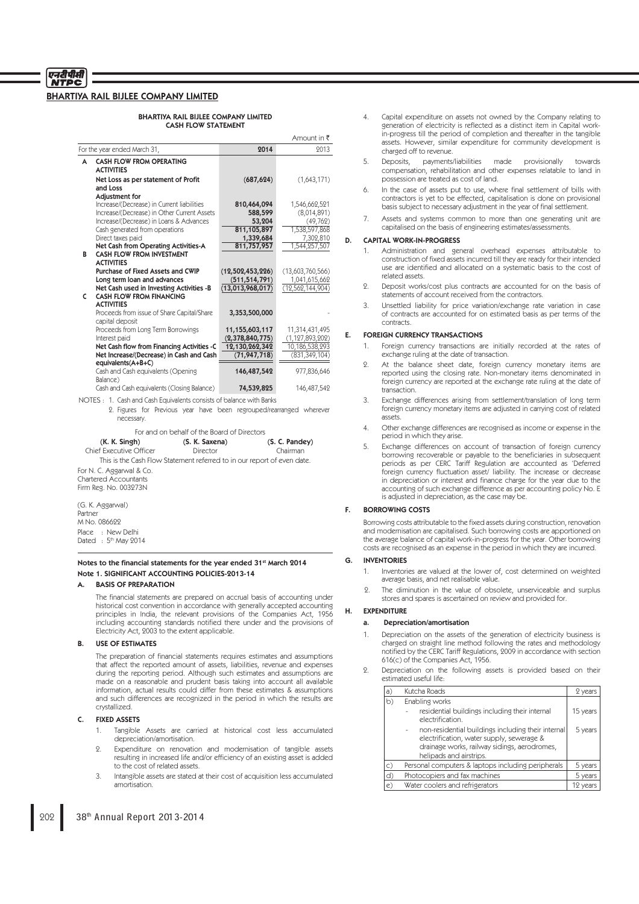# **NTPC** BHARTIYA RAIL BIJLEE COMPANY LIMITED

एनरीपीसी

#### BHARTIYA RAIL BIJLEE COMPANY LIMITED CASH FLOW STATEMENT

|   |                                                                                                                                      |                                                         | Amount in ₹                                           |
|---|--------------------------------------------------------------------------------------------------------------------------------------|---------------------------------------------------------|-------------------------------------------------------|
|   | For the year ended March 31,                                                                                                         | 2014                                                    | 9013                                                  |
| A | <b>CASH FLOW FROM OPERATING</b><br><b>ACTIVITIES</b>                                                                                 |                                                         |                                                       |
|   | Net Loss as per statement of Profit<br>and Loss<br>Adjustment for                                                                    | (687, 624)                                              | (1,643,171)                                           |
|   | Increase/(Decrease) in Current liabilities<br>Increase/(Decrease) in Other Current Assets<br>Increase/(Decrease) in Loans & Advances | 810,464,094<br>588,599<br>53,204                        | 1,546,662,521<br>(8,014,891)<br>(49, 762)             |
|   | Cash generated from operations<br>Direct taxes paid                                                                                  | 811,105,897<br>1,339,684                                | 1,538,597,868<br>7,302,810                            |
| B | Net Cash from Operating Activities-A<br><b>CASH FLOW FROM INVESTMENT</b><br><b>ACTIVITIES</b>                                        | 811,757,957                                             | 1,544,257,507                                         |
|   | Purchase of Fixed Assets and CWIP<br>Long term loan and advances<br>Net Cash used in Investing Activities -B                         | (12,502,453,226)<br>(511, 514, 791)<br>(13,013,968,017) | (13,603,760,566)<br>1,041,615,662<br>(12,562,144,904) |
| c | <b>CASH FLOW FROM FINANCING</b><br><b>ACTIVITIES</b>                                                                                 |                                                         |                                                       |
|   | Proceeds from issue of Share Capital/Share<br>capital deposit                                                                        | 3,353,500,000                                           |                                                       |
|   | Proceeds from Long Term Borrowings<br>Interest paid                                                                                  | 11,155,603,117<br>(2,378,840,775)                       | 11,314,431,495<br>(1, 127, 893, 202)                  |
|   | Net Cash flow from Financing Activities -C<br>Net Increase/(Decrease) in Cash and Cash                                               | 12,130,262,342<br>(71.947.718)                          | 10,186,538,293<br>(831, 349, 104)                     |
|   | equivalents(A+B+C)<br>Cash and Cash equivalents (Opening<br>Balance)                                                                 | 146,487,542                                             | 977,836,646                                           |
|   | Cash and Cash equivalents (Closing Balance)                                                                                          | 74,539,825                                              | 146,487,542                                           |

NOTES : 1. Cash and Cash Equivalents consists of balance with Banks

 2. Figures for Previous year have been regrouped/rearranged wherever necessary.

#### For and on behalf of the Board of Directors

(K. K. Singh) Chief Executive Officer (S. K. Saxena) Director (S. C. Pandey) Chairman This is the Cash Flow Statement referred to in our report of even date. For N. C. Aggarwal & Co. Chartered Accountants Firm Reg. No. 003273N

(G. K. Aggarwal) Partner M No. 086622 Place : New Delhi Dated : 5<sup>th</sup> May 2014

Notes to the financial statements for the year ended 31<sup>st</sup> March 2014 Note 1. SIGNIFICANT ACCOUNTING POLICIES-2013-14

# A. BASIS OF PREPARATION

The financial statements are prepared on accrual basis of accounting under historical cost convention in accordance with generally accepted accounting principles in India, the relevant provisions of the Companies Act, 1956 including accounting standards notified there under and the provisions of Electricity Act, 2003 to the extent applicable.

#### B. USE OF ESTIMATES

The preparation of financial statements requires estimates and assumptions that affect the reported amount of assets, liabilities, revenue and expenses during the reporting period. Although such estimates and assumptions are made on a reasonable and prudent basis taking into account all available information, actual results could differ from these estimates & assumptions and such differences are recognized in the period in which the results are crystallized.

#### C. FIXED ASSETS

- 1. Tangible Assets are carried at historical cost less accumulated depreciation/amortisation.
- 2. Expenditure on renovation and modernisation of tangible assets resulting in increased life and/or efficiency of an existing asset is added to the cost of related assets.
- 3. Intangible assets are stated at their cost of acquisition less accumulated amortisation.
- 4. Capital expenditure on assets not owned by the Company relating to generation of electricity is reflected as a distinct item in Capital workin-progress till the period of completion and thereafter in the tangible assets. However, similar expenditure for community development is charged off to revenue.
- Deposits, payments/liabilities made provisionally towards compensation, rehabilitation and other expenses relatable to land in possession are treated as cost of land.
- 6. In the case of assets put to use, where final settlement of bills with contractors is yet to be effected, capitalisation is done on provisional basis subject to necessary adjustment in the year of final settlement.
- 7. Assets and systems common to more than one generating unit are capitalised on the basis of engineering estimates/assessments.

# D. CAPITAL WORK-IN-PROGRESS

- 1. Administration and general overhead expenses attributable to construction of fixed assets incurred till they are ready for their intended use are identified and allocated on a systematic basis to the cost of related assets.
- 2. Deposit works/cost plus contracts are accounted for on the basis of statements of account received from the contractors.
- 3. Unsettled liability for price variation/exchange rate variation in case of contracts are accounted for on estimated basis as per terms of the contracts.

#### E. FOREIGN CURRENCY TRANSACTIONS

- 1. Foreign currency transactions are initially recorded at the rates of exchange ruling at the date of transaction.
- 2. At the balance sheet date, foreign currency monetary items are reported using the closing rate. Non-monetary items denominated in foreign currency are reported at the exchange rate ruling at the date of transaction.
- Exchange differences arising from settlement/translation of long term foreign currency monetary items are adjusted in carrying cost of related assets.
- 4. Other exchange differences are recognised as income or expense in the period in which they arise.
- 5. Exchange differences on account of transaction of foreign currency borrowing recoverable or payable to the beneficiaries in subsequent periods as per CERC Tariff Regulation are accounted as 'Deferred<br>foreign currency fluctuation asset/ liability. The increase or decrease in depreciation or interest and finance charge for the year due to the accounting of such exchange difference as per accounting policy No. E is adjusted in depreciation, as the case may be.

## F. BORROWING COSTS

Borrowing costs attributable to the fixed assets during construction, renovation and modernisation are capitalised. Such borrowing costs are apportioned on the average balance of capital work-in-progress for the year. Other borrowing costs are recognised as an expense in the period in which they are incurred.

### G. INVENTORIES

- 1. Inventories are valued at the lower of, cost determined on weighted average basis, and net realisable value.
- 2. The diminution in the value of obsolete, unserviceable and surplus stores and spares is ascertained on review and provided for.

#### H. EXPENDITURE

#### a. Depreciation/amortisation

- 1. Depreciation on the assets of the generation of electricity business is charged on straight line method following the rates and methodology notified by the CERC Tariff Regulations, 2009 in accordance with section 616(c) of the Companies Act, 1956.
	- 2. Depreciation on the following assets is provided based on their estimated useful life:

| a) | Kutcha Roads                                                                                                                                                               | 2 years  |
|----|----------------------------------------------------------------------------------------------------------------------------------------------------------------------------|----------|
| b) | Enabling works                                                                                                                                                             |          |
|    | residential buildings including their internal<br>electrification.                                                                                                         | 15 years |
|    | non-residential buildings including their internal<br>electrification, water supply, sewerage &<br>drainage works, railway sidings, aerodromes,<br>helipads and airstrips. | 5 years  |
| C) | Personal computers & laptops including peripherals                                                                                                                         | 5 years  |
| ď  | Photocopiers and fax machines                                                                                                                                              | 5 years  |
| eì | Water coolers and refrigerators                                                                                                                                            | 12 vears |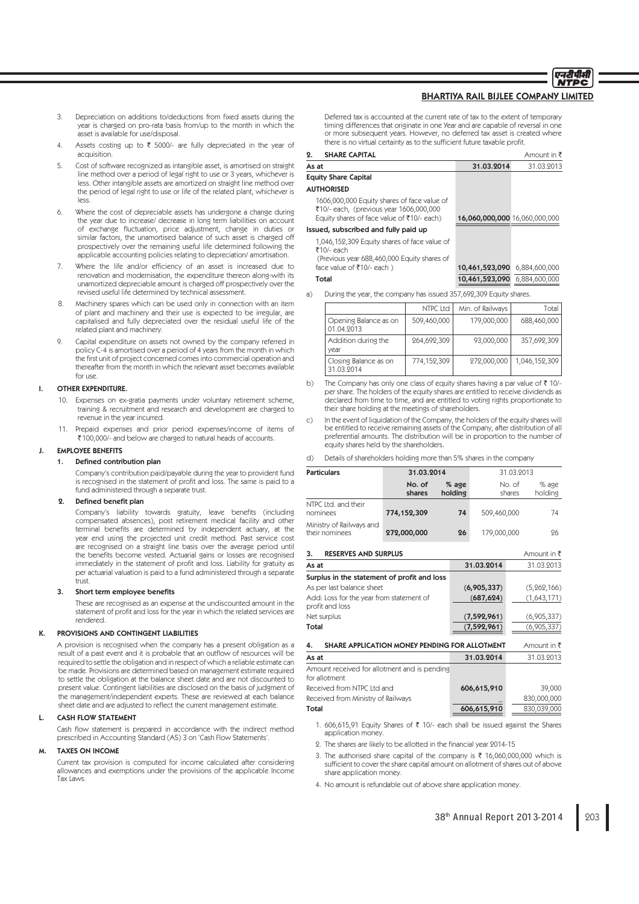# BHARTIYA RAIL BIJLEE COMPANY LIMITED

एनटीपीसी **NTDC** 

- 3. Depreciation on additions to/deductions from fixed assets during the year is charged on pro-rata basis from/up to the month in which the asset is available for use/disposal.
- 4. Assets costing up to  $\bar{\tau}$  5000/- are fully depreciated in the year of acquisition.
- 5. Cost of software recognized as intangible asset, is amortised on straight line method over a period of legal right to use or 3 years, whichever is less. Other intangible assets are amortized on straight line method over the period of legal right to use or life of the related plant, whichever is less.
- 6. Where the cost of depreciable assets has undergone a change during the year due to increase/ decrease in long term liabilities on account of exchange fluctuation, price adjustment, change in duties or similar factors, the unamortised balance of such asset is charged off prospectively over the remaining useful life determined following the applicable accounting policies relating to depreciation/ amortisation.
- 7. Where the life and/or efficiency of an asset is increased due to renovation and modernisation, the expenditure thereon along-with its unamortized depreciable amount is charged off prospectively over the revised useful life determined by technical assessment.
- Machinery spares which can be used only in connection with an item of plant and machinery and their use is expected to be irregular, are capitalised and fully depreciated over the residual useful life of the related plant and machinery.
- 9. Capital expenditure on assets not owned by the company referred in policy C-4 is amortised over a period of 4 years from the month in which the first unit of project concerned comes into commercial operation and thereafter from the month in which the relevant asset becomes available for use.

#### OTHER EXPENDITURE.

- 10. Expenses on ex-gratia payments under voluntary retirement scheme, training & recruitment and research and development are charged to revenue in the year incurred.
- 11. Prepaid expenses and prior period expenses/income of items of ` 100,000/- and below are charged to natural heads of accounts.

#### J. EMPLOYEE BENEFITS

#### 1. Defined contribution plan

 Company's contribution paid/payable during the year to provident fund is recognised in the statement of profit and loss. The same is paid to a fund administered through a separate trust.

#### 2. Defined benefit plan

Company's liability towards gratuity, leave benefits (including compensated absences), post retirement medical facility and other terminal benefits are determined by independent actuary, at the year end using the projected unit credit method. Past service cost are recognised on a straight line basis over the average period until the benefits become vested. Actuarial gains or losses are recognised immediately in the statement of profit and loss. Liability for gratuity as per actuarial valuation is paid to a fund administered through a separate trust.

#### 3. Short term employee benefits

 These are recognised as an expense at the undiscounted amount in the statement of profit and loss for the year in which the related services are rendered.

#### K. PROVISIONS AND CONTINGENT LIABILITIES

 A provision is recognised when the company has a present obligation as a result of a past event and it is probable that an outflow of resources will be required to settle the obligation and in respect of which a reliable estimate can be made. Provisions are determined based on management estimate required to settle the obligation at the balance sheet date and are not discounted to present value. Contingent liabilities are disclosed on the basis of judgment of the management/independent experts. These are reviewed at each balance sheet date and are adjusted to reflect the current management estimate.

#### CASH FLOW STATEMENT

Cash flow statement is prepared in accordance with the indirect method prescribed in Accounting Standard (AS) 3 on 'Cash Flow Statements'.

#### TAXES ON INCOME

 Current tax provision is computed for income calculated after considering allowances and exemptions under the provisions of the applicable Income Tax Laws.

 Deferred tax is accounted at the current rate of tax to the extent of temporary timing differences that originate in one Year and are capable of reversal in one or more subsequent years. However, no deferred tax asset is created where there is no virtual certainty as to the sufficient future taxable profit.

| 2.                                                                                                        | <b>SHARE CAPITAL</b>                                                                                                                 |                               | Amount in $\bar{\tau}$       |               |
|-----------------------------------------------------------------------------------------------------------|--------------------------------------------------------------------------------------------------------------------------------------|-------------------------------|------------------------------|---------------|
| As at                                                                                                     |                                                                                                                                      | 31.03.2014                    | 31.03.2013                   |               |
|                                                                                                           | <b>Equity Share Capital</b>                                                                                                          |                               |                              |               |
|                                                                                                           | <b>AUTHORISED</b>                                                                                                                    |                               |                              |               |
|                                                                                                           | 1606,000,000 Equity shares of face value of<br>₹10/- each, (previous year 1606,000,000<br>Equity shares of face value of ₹10/- each) | 16,060,000,000 16,060,000,000 |                              |               |
|                                                                                                           | Issued, subscribed and fully paid up                                                                                                 |                               |                              |               |
| 1,046,152,309 Equity shares of face value of<br>₹10/- each<br>(Previous year 688,460,000 Equity shares of |                                                                                                                                      |                               |                              |               |
|                                                                                                           | face value of ₹10/- each)                                                                                                            |                               | 10,461,523,090               | 6,884,600,000 |
| Total                                                                                                     |                                                                                                                                      |                               | 10,461,523,090 6,884,600,000 |               |
| During the year, the company has issued 357,692,309 Equity shares.<br>a)                                  |                                                                                                                                      |                               |                              |               |
|                                                                                                           |                                                                                                                                      | NTPC Ltd                      | Min. of Railways             | Total         |
|                                                                                                           | Opening Balance as on                                                                                                                | 509,460,000                   | 179,000,000                  | 688,460,000   |

| Opening Balance as on<br>01.04.9013 | 509,460,000 | 179,000,000 | 688,460,000   |
|-------------------------------------|-------------|-------------|---------------|
| Addition during the<br>vear         | 264,692,309 | 93,000,000  | 357,692,309   |
| Closing Balance as on<br>31.03.9014 | 774,152,309 | 272,000,000 | 1,046,152,309 |

- b) The Company has only one class of equity shares having a par value of  $\bar{z}$  10/per share. The holders of the equity shares are entitled to receive dividends as declared from time to time, and are entitled to voting rights proportionate to their share holding at the meetings of shareholders.
- c) In the event of liquidation of the Company, the holders of the equity shares will be entitled to receive remaining assets of the Company, after distribution of all preferential amounts. The distribution will be in proportion to the number of equity shares held by the shareholders.

#### d) Details of shareholders holding more than 5% shares in the company

| <b>Particulars</b>                               | 31.03.2014       |                    |             | 31.03.2013       |                    |
|--------------------------------------------------|------------------|--------------------|-------------|------------------|--------------------|
|                                                  | No. of<br>shares | $%$ age<br>holding |             | No. of<br>shares | $%$ age<br>holding |
| NTPC Ltd. and their<br>nominees                  | 774,152,309      | 74                 | 509,460,000 |                  | 74                 |
| Ministry of Railways and<br>their nominees       | 272,000,000      | 26                 | 179,000,000 |                  | 96                 |
| <b>RESERVES AND SURPLUS</b><br>Amount in ₹<br>3. |                  |                    |             |                  |                    |
| As at                                            |                  |                    | 31.03.2014  |                  | 31.03.2013         |
|                                                  |                  |                    |             |                  |                    |

| Surplus in the statement of profit and loss                   |             |               |
|---------------------------------------------------------------|-------------|---------------|
| As per last balance sheet                                     | (6,905,337) | (5, 262, 166) |
| Add: Loss for the year from statement of<br>profit and loss   | (687, 624)  | (1,643,171)   |
| Net surplus                                                   | (7,592,961) | (6,905,337)   |
| Total                                                         | (7,592,961) | (6,905,337)   |
| 4.<br>SHARE APPLICATION MONEY PENDING FOR ALLOTMENT           |             | Amount in ₹   |
| As at                                                         | 31.03.2014  | 31.03.2013    |
| Amount received for allotment and is pending<br>for allotment |             |               |
| Received from NTPC Ltd and                                    | 606,615,910 | 39,000        |
| Received from Ministry of Railways                            |             | 830,000,000   |
| Total                                                         | 606,615,910 | 830,039,000   |

- 1. 606,615,91 Equity Shares of ₹ 10/- each shall be issued against the Shares application money.
- 2. The shares are likely to be allotted in the financial year 2014-15
- 3. The authorised share capital of the company is ₹ 16,060,000,000 which is sufficient to cover the share capital amount on allotment of shares out of above share application money.
- 4. No amount is refundable out of above share application money.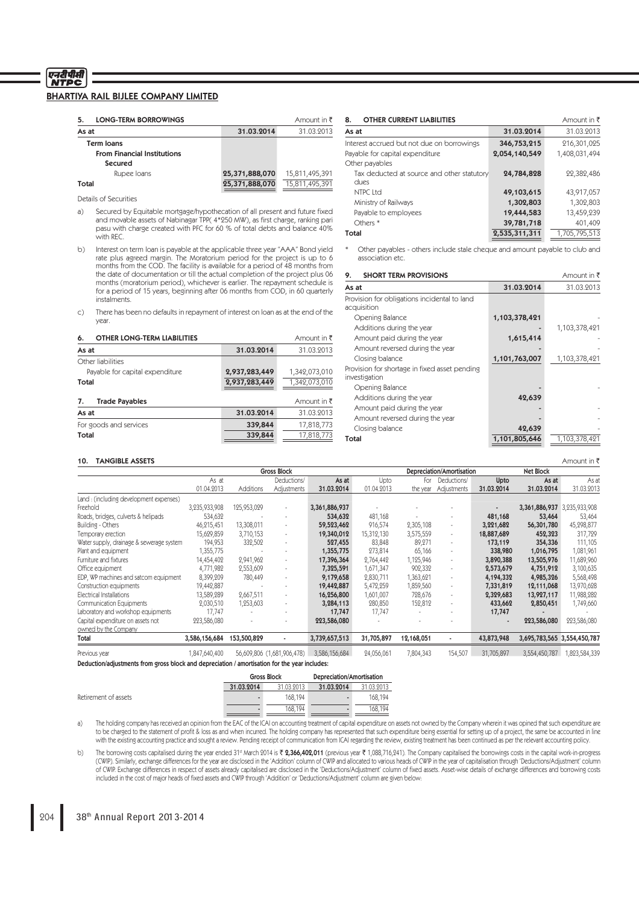# BHARTIYA RAIL BIJLEE COMPANY LIMITED

| <b>LONG-TERM BORROWINGS</b><br>5.  |                | Amount in ₹    |
|------------------------------------|----------------|----------------|
| As at                              | 31.03.2014     | 31.03.2013     |
| <b>Term loans</b>                  |                |                |
| <b>From Financial Institutions</b> |                |                |
| Secured                            |                |                |
| Rupee Ioans                        | 25,371,888,070 | 15,811,495,391 |
| Total                              | 25,371,888,070 | 15,811,495,391 |
|                                    |                |                |

Details of Securities

एन्टीपीसी **NTPC** 

- a) Secured by Equitable mortgage/hypothecation of all present and future fixed and movable assets of Nabinagar TPP( 4\*250 MW), as first charge, ranking pari pasu with charge created with PFC for 60 % of total debts and balance 40% with RFC
- b) Interest on term loan is payable at the applicable three year "AAA" Bond yield rate plus agreed margin. The Moratorium period for the project is up to 6 months from the COD. The facility is available for a period of 48 months from the date of documentation or till the actual completion of the project plus 06 months (moratorium period), whichever is earlier. The repayment schedule is for a period of 15 years, beginning after 06 months from COD, in 60 quarterly instalments.

c) There has been no defaults in repayment of interest on loan as at the end of the year.

| <b>OTHER LONG-TERM LIABILITIES</b><br>6. |               | Amount in $\bar{z}$    |
|------------------------------------------|---------------|------------------------|
| As at                                    | 31.03.2014    | 31.03.2013             |
| Other liabilities                        |               |                        |
| Payable for capital expenditure          | 2,937,283,449 | 1,342,073,010          |
| Total                                    | 2,937,283,449 | 1,342,073,010          |
| <b>Trade Payables</b><br>7.              |               | Amount in $\bar{\tau}$ |
| As at                                    | 31.03.2014    | 31.03.9013             |
| For goods and services                   | 339,844       | 17,818,773             |
| Total                                    | 339,844       | 17,818,773             |

| <b>TANGIBLE ASSETS</b><br>10.            |               |             |                            |               |            |                |                           |            |                             | Amount in ₹   |
|------------------------------------------|---------------|-------------|----------------------------|---------------|------------|----------------|---------------------------|------------|-----------------------------|---------------|
|                                          |               |             | <b>Gross Block</b>         |               |            |                | Depreciation/Amortisation |            | <b>Net Block</b>            |               |
|                                          | As at         |             | Deductions/                | As at         | Upto       | For            | Deductions/               | Upto       | As at                       | As at         |
|                                          | 01.04.2013    | Additions   | Adjustments                | 31.03.2014    | 01.04.2013 | the year       | Adjustments               | 31.03.2014 | 31.03.2014                  | 31.03.2013    |
| Land : (including development expenses)  |               |             |                            |               |            |                |                           |            |                             |               |
| Freehold                                 | 3,235,933,908 | 125,953,029 |                            | 3,361,886,937 |            |                |                           |            | 3,361,886,937 3,235,933,908 |               |
| Roads, bridges, culverts & helipads      | 534,632       |             |                            | 534,632       | 481,168    | $\overline{a}$ | ٠                         | 481,168    | 53,464                      | 53,464        |
| Building - Others                        | 46,215,451    | 13,308,011  |                            | 59,523,462    | 916,574    | 2,305,108      | L                         | 3,221,682  | 56,301,780                  | 45,298,877    |
| Temporary erection                       | 15,629,859    | 3,710,153   |                            | 19,340,012    | 15,312,130 | 3,575,559      | ÷                         | 18,887,689 | 452,323                     | 317,729       |
| Water supply, drainage & sewerage system | 194,953       | 332,502     |                            | 527,455       | 83,848     | 89,271         | ٠                         | 173,119    | 354,336                     | 111,105       |
| Plant and equipment                      | 1,355,775     |             |                            | 1,355,775     | 273,814    | 65,166         | $\overline{a}$            | 338,980    | 1,016,795                   | 1,081,961     |
| Furniture and fixtures                   | 14,454,402    | 2,941,962   |                            | 17,396,364    | 2,764,442  | 1,125,946      | -                         | 3,890,388  | 13,505,976                  | 11,689,960    |
| Office equipment                         | 4,771,982     | 2,553,609   |                            | 7,325,591     | 1,671,347  | 902,332        |                           | 2,573,679  | 4,751,912                   | 3,100,635     |
| EDP, WP machines and satcom equipment    | 8,399,209     | 780,449     |                            | 9,179,658     | 2,830,711  | 1,363,621      | ٠                         | 4,194,332  | 4,985,326                   | 5,568,498     |
| Construction equipments                  | 19,442,887    |             |                            | 19,442,887    | 5,472,259  | 1,859,560      | $\overline{a}$            | 7,331,819  | 12,111,068                  | 13,970,628    |
| Electrical Installations                 | 13,589,289    | 2,667,511   |                            | 16,256,800    | 1,601,007  | 728,676        | $\overline{a}$            | 2,329,683  | 13,927,117                  | 11,988,282    |
| <b>Communication Equipments</b>          | 2,030,510     | 1,253,603   |                            | 3,284,113     | 280,850    | 152,812        | ٠                         | 433,662    | 2,850,451                   | 1,749,660     |
| Laboratory and workshop equipments       | 17,747        |             |                            | 17,747        | 17,747     |                |                           | 17,747     |                             |               |
| Capital expenditure on assets not        | 223,586,080   |             |                            | 223,586,080   |            |                |                           |            | 223,586,080                 | 223,586,080   |
| owned by the Company                     |               |             |                            |               |            |                |                           |            |                             |               |
| Total                                    | 3,586,156,684 | 153,500,829 |                            | 3,739,657,513 | 31,705,897 | 12,168,051     |                           | 43,873,948 | 3,695,783,565 3,554,450,787 |               |
| Previous year                            | 1,847,640,400 |             | 56,609,806 (1,681,906,478) | 3,586,156,684 | 24,056,061 | 7,804,343      | 154,507                   | 31,705,897 | 3,554,450,787               | 1,823,584,339 |

Deduction/adjustments from gross block and depreciation / amortisation for the year includes:

|                      |            | <b>Gross Block</b> | Depreciation/Amortisation |            |
|----------------------|------------|--------------------|---------------------------|------------|
|                      | 31.03.2014 | 31.03.9013         | 31.03.2014                | 31.03.2013 |
| Retirement of assets |            | 168.194            |                           | 168.194    |
|                      |            | 168.194            |                           | 168.194    |

a) The holding company has received an opinion from the EAC of the ICAI on accounting treatment of capital expenditure on assets not owned by the Company wherein it was opined that such expenditure are to be charged to the statement of profit & loss as and when incurred. The holding company has represented that such expenditure being essential for setting up of a project, the same be accounted in line with the existing accounting practice and sought a review. Pending receipt of communication from ICAI regarding the review, existing treatment has been continued as per the relevant accounting policy.

b) The borrowing costs capitalised during the year ended 31<sup>st</sup> March 2014 is ₹ 2,366,402,011 (previous year ₹ 1,088,716,241). The Company capitalised the borrowings costs in the capital work-in-progress (CWIP). Similarly, exchange differences for the year are disclosed in the "Addition" column of CWIP and allocated to various heads of CWIP in the year of capitalisation through "Deductions/Adjustment" column<br>of CWIP. Excha included in the cost of major heads of fixed assets and CWIP through 'Addition' or 'Deductions/Adjustment' column are given below:

# **8.** OTHER CURRENT LIABILITIES **AMOUNT** Amount in  $\bar{\tau}$ As at 31.03.2014 31.03.2013

| Interest accrued but not due on borrowings         | 346,753,215   | 216,301,025   |
|----------------------------------------------------|---------------|---------------|
| Payable for capital expenditure                    | 2,054,140,549 | 1,408,031,494 |
| Other payables                                     |               |               |
| Tax deducted at source and other statutory<br>dues | 24,784,828    | 22,382,486    |
| NTPC Ltd                                           | 49,103,615    | 43,917,057    |
| Ministry of Railways                               | 1,302,803     | 1,302,803     |
| Payable to employees                               | 19,444,583    | 13,459,239    |
| Others <sup>*</sup>                                | 39,781,718    | 401,409       |
| Total                                              | 2,535,311,311 | 1,705,795,513 |
|                                                    |               |               |

\* Other payables - others include stale cheque and amount payable to club and association etc.

| <b>SHORT TERM PROVISIONS</b><br>9.                             |               | Amount in ₹   |
|----------------------------------------------------------------|---------------|---------------|
| As at                                                          | 31.03.2014    | 31.03.2013    |
| Provision for obligations incidental to land<br>acquisition    |               |               |
| Opening Balance                                                | 1,103,378,421 |               |
| Additions during the year                                      |               | 1,103,378,421 |
| Amount paid during the year                                    | 1,615,414     |               |
| Amount reversed during the year                                |               |               |
| Closing balance                                                | 1,101,763,007 | 1,103,378,421 |
| Provision for shortage in fixed asset pending<br>investigation |               |               |
| Opening Balance                                                |               |               |
| Additions during the year                                      | 42,639        |               |
| Amount paid during the year                                    |               |               |
| Amount reversed during the year                                |               |               |
| Closing balance                                                | 42,639        |               |
| Total                                                          | 1,101,805,646 | 1,103,378,421 |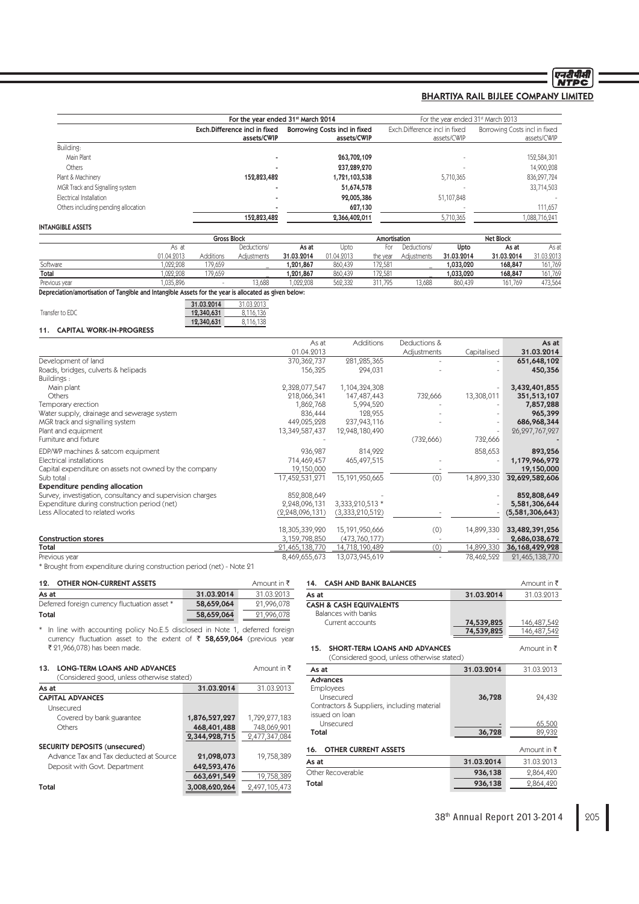# एनदीपीसी<br>NTPC

# BHARTIYA RAIL BIJLEE COMPANY LIMITED

|                                     |                                              | For the year ended 31 <sup>st</sup> March 2014 | For the year ended 31 <sup>st</sup> March 2013 |                                              |
|-------------------------------------|----------------------------------------------|------------------------------------------------|------------------------------------------------|----------------------------------------------|
|                                     | Exch.Difference incl in fixed<br>assets/CWIP | Borrowing Costs incl in fixed<br>assets/CWIP   | Exch.Difference incl in fixed<br>assets/CWIP   | Borrowing Costs incl in fixed<br>assets/CWIP |
| Building:                           |                                              |                                                |                                                |                                              |
| Main Plant                          | -                                            | 263,702,109                                    |                                                | 152,584,301                                  |
| <b>Others</b>                       |                                              | 237,289,270                                    |                                                | 14,900,208                                   |
| Plant & Machinery                   | 152,823,482                                  | 1,721,103,538                                  | 5,710,365                                      | 836, 297, 724                                |
| MGR Track and Signalling system     |                                              | 51,674,578                                     |                                                | 33,714,503                                   |
| Electrical Installation             |                                              | 92,005,386                                     | 51,107,848                                     |                                              |
| Others including pending allocation |                                              | 627,130                                        |                                                | 111,657                                      |
|                                     | 152,823,482                                  | 2,366,402,011                                  | 5,710,365                                      | 1,088,716,241                                |

# INTANGIBLE ASSETS

|                                                                                                       |            | <b>Gross Block</b>       |             |            |            | Amortisation |             |            | <b>Net Block</b> |            |
|-------------------------------------------------------------------------------------------------------|------------|--------------------------|-------------|------------|------------|--------------|-------------|------------|------------------|------------|
|                                                                                                       | As at      |                          | Deductions/ | As at      | Upto       | For          | Deductions/ | Upto       | As at            | As at      |
|                                                                                                       | 01.04.2013 | <b>Additions</b>         | Adjustments | 31.03.2014 | 01.04.2013 | the year     | Adiustments | 31.03.2014 | 31.03.2014       | 31.03.2013 |
| Software                                                                                              | .022.208   | 179.659                  |             | 1,201,867  | 860.439    | 172.581      |             | 1,033,020  | 168,847          | 161,769    |
| Total                                                                                                 | .022.208   | 179.659                  |             | 1,201,867  | 860.439    | 172.581      |             | 1,033,020  | 168,847          | 161,769    |
| Previous year                                                                                         | .035.896   | $\overline{\phantom{a}}$ | 13.688      | .022.208   | 562.332    | 311,795      | 13.688      | 860.439    | 161.769          | 473,564    |
| Depreciation/amortication of Tangible and Intangible Accets for the vear is allocated as given below: |            |                          |             |            |            |              |             |            |                  |            |

Depreciation/amortisation of Tangible and Intangible Assets for the year is allocated as given below:

**31.03.2014** 31.03.2013<br>**12,340,631** 8,116,136 Transfer to EDC 12,340,631 8,116,136<br>12,340,631 8,116,138

 $12,340,631$ 

# 11. CAPITAL WORK-IN-PROGRESS

|                                                            | As at           | <b>Additions</b> | Deductions & |             | As at             |
|------------------------------------------------------------|-----------------|------------------|--------------|-------------|-------------------|
|                                                            | 01.04.2013      |                  | Adjustments  | Capitalised | 31.03.2014        |
| Development of land                                        | 370,362,737     | 281,285,365      |              |             | 651,648,102       |
| Roads, bridges, culverts & helipads                        | 156,325         | 294,031          |              |             | 450,356           |
| Buildings:                                                 |                 |                  |              |             |                   |
| Main plant                                                 | 2,328,077,547   | 1,104,324,308    |              |             | 3,432,401,855     |
| Others                                                     | 218,066,341     | 147,487,443      | 732,666      | 13,308,011  | 351,513,107       |
| Temporary erection                                         | 1,862,768       | 5,994,520        |              |             | 7,857,288         |
| Water supply, drainage and sewerage system                 | 836,444         | 128,955          |              |             | 965,399           |
| MGR track and signalling system                            | 449,025,228     | 237,943,116      |              |             | 686,968,344       |
| Plant and equipment                                        | 13,349,587,437  | 12,948,180,490   |              |             | 26, 297, 767, 927 |
| Furniture and fixture                                      |                 |                  | (732,666)    | 732,666     |                   |
| EDP/WP machines & satcom equipment                         | 936,987         | 814,922          |              | 858,653     | 893,256           |
| Electrical installations                                   | 714,469,457     | 465,497,515      |              |             | 1,179,966,972     |
| Capital expenditure on assets not owned by the company     | 19,150,000      |                  |              |             | 19,150,000        |
| Sub total:                                                 | 17,452,531,271  | 15,191,950,665   | (0)          | 14,899,330  | 32,629,582,606    |
| <b>Expenditure pending allocation</b>                      |                 |                  |              |             |                   |
| Survey, investigation, consultancy and supervision charges | 852,808,649     |                  |              |             | 852,808,649       |
| Expenditure during construction period (net)               | 2,248,096,131   | 3,333,210,513 *  |              |             | 5,581,306,644     |
| Less Allocated to related works                            | (2,248,096,131) | (3,333,210,512)  |              |             | (5,581,306,643)   |
|                                                            |                 |                  |              |             |                   |
|                                                            | 18,305,339,920  | 15,191,950,666   | (0)          | 14,899,330  | 33,482,391,256    |
| <b>Construction stores</b>                                 | 3,159,798,850   | (473,760,177)    |              |             | 2,686,038,672     |
| Total                                                      | 21,465,138,770  | 14,718,190,489   | (0)          | 14,899,330  | 36,168,429,928    |
| Previous year                                              | 8,469,655,673   | 13,073,945,619   |              | 78,462,522  | 21,465,138,770    |

\* Brought from expenditure during construction period (net) - Note 21

| <b>OTHER NON-CURRENT ASSETS</b><br>12.        | Amount in ₹ |            |
|-----------------------------------------------|-------------|------------|
| As at                                         | 31.03.2014  | 31.03.2013 |
| Deferred foreign currency fluctuation asset * | 58,659,064  | 21,996,078 |
| Total                                         | 58,659,064  | 21,996,078 |

\* In line with accounting policy No.E.5 disclosed in Note 1, deferred foreign currency fluctuation asset to the extent of  $\bar{\tau}$  58,659,064 (previous year ₹ 21,966,078) has been made.

| <b>LONG-TERM LOANS AND ADVANCES</b><br>13. |               | Amount in ₹   |
|--------------------------------------------|---------------|---------------|
| (Considered good, unless otherwise stated) |               |               |
| As at                                      | 31.03.2014    | 31.03.2013    |
| <b>CAPITAL ADVANCES</b>                    |               |               |
| Unsecured                                  |               |               |
| Covered by bank guarantee                  | 1,876,527,227 | 1,729,277,183 |
| Others                                     | 468,401,488   | 748,069,901   |
|                                            | 2,344,928,715 | 2,477,347,084 |
| <b>SECURITY DEPOSITS (unsecured)</b>       |               |               |
| Advance Tax and Tax deducted at Source     | 21,098,073    | 19,758,389    |
| Deposit with Govt. Department              | 642,593,476   |               |
|                                            | 663,691,549   | 19,758,389    |
| Total                                      | 3,008,620,264 | 2,497,105,473 |
|                                            |               |               |

| 14.<br><b>CASH AND BANK BALANCES</b>                                                                                                    |                  | Amount in ₹                |
|-----------------------------------------------------------------------------------------------------------------------------------------|------------------|----------------------------|
| As at                                                                                                                                   | 31.03.2014       | 31.03.2013                 |
| <b>CASH &amp; CASH EQUIVALENTS</b><br>Balances with banks                                                                               |                  |                            |
| Current accounts                                                                                                                        | 74,539,825       | 146,487,542                |
|                                                                                                                                         | 74,539,825       | 146,487,542                |
| 15.<br><b>SHORT-TERM LOANS AND ADVANCES</b><br>(Considered good, unless otherwise stated)                                               |                  | Amount in ₹                |
| As at                                                                                                                                   | 31.03.2014       | 31.03.2013                 |
| <b>Advances</b><br><b>Employees</b><br>Unsecured<br>Contractors & Suppliers, including material<br>issued on loan<br>Unsecured<br>Total | 36,728<br>36,728 | 24,432<br>65,500<br>89,932 |
| <b>OTHER CURRENT ASSETS</b><br>16.                                                                                                      |                  | Amount in ₹                |
| As at                                                                                                                                   | 31.03.2014       | 31.03.2013                 |
| Other Recoverable                                                                                                                       | 936,138          | 2,864,420                  |
| Total                                                                                                                                   | 936,138          | 2,864,420                  |
|                                                                                                                                         |                  |                            |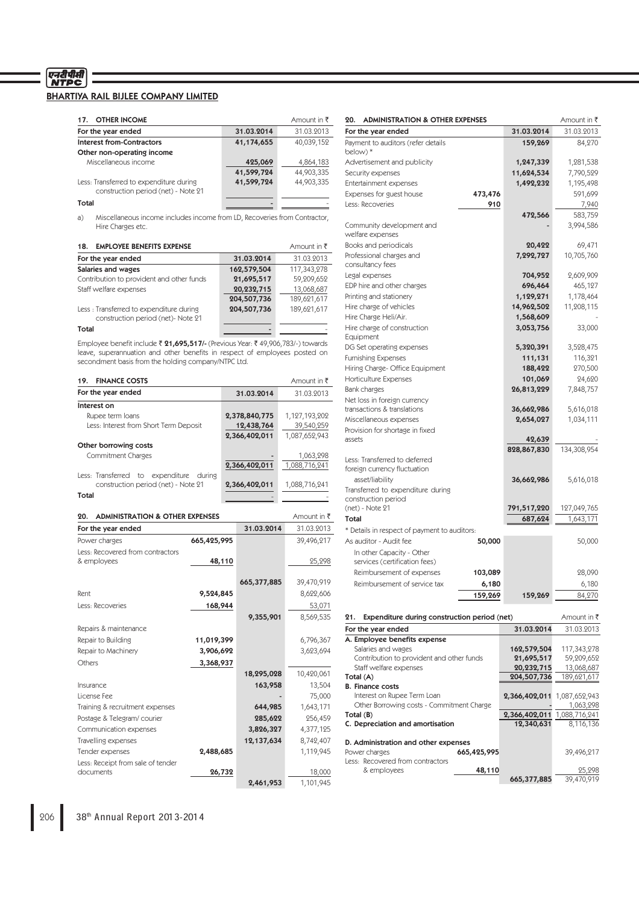# एनदीपीसी<br>NTPC BHARTIYA RAIL BIJLEE COMPANY LIMITED

| 17. OTHER INCOME                                                               |            | Amount in ₹ |
|--------------------------------------------------------------------------------|------------|-------------|
| For the year ended                                                             | 31.03.2014 | 31.03.2013  |
| <b>Interest from-Contractors</b>                                               | 41,174,655 | 40,039,152  |
| Other non-operating income                                                     |            |             |
| Miscellaneous income                                                           | 425,069    | 4,864,183   |
|                                                                                | 41,599,724 | 44,903,335  |
| Less: Transferred to expenditure during<br>construction period (net) - Note 21 | 41,599,724 | 44,903,335  |
| Total                                                                          |            |             |

a) Miscellaneous income includes income from LD, Recoveries from Contractor, Hire Charges etc.

| <b>EMPLOYEE BENEFITS EXPENSE</b><br>18.                                       |             | Amount in $\bar{\tau}$ |
|-------------------------------------------------------------------------------|-------------|------------------------|
| For the year ended                                                            | 31.03.2014  | 31.03.2013             |
| <b>Salaries and wages</b>                                                     | 162,579,504 | 117,343,278            |
| Contribution to provident and other funds                                     | 21,695,517  | 59,209,652             |
| Staff welfare expenses                                                        | 20,232,715  | 13,068,687             |
|                                                                               | 204,507,736 | 189,621,617            |
| Less: Transferred to expenditure during<br>construction period (net)- Note 21 | 204,507,736 | 189,621,617            |
| Total                                                                         | -           |                        |

Employee benefit include  $\bar{\tau}$  21,695,517/- (Previous Year:  $\bar{\tau}$  49,906,783/-) towards leave, superannuation and other benefits in respect of employees posted on secondment basis from the holding company/NTPC Ltd.

| <b>FINANCE COSTS</b><br>19.                |               | Amount in $\bar{\tau}$ |
|--------------------------------------------|---------------|------------------------|
| For the year ended                         | 31.03.2014    | 31.03.9013             |
| Interest on                                |               |                        |
| Rupee term loans                           | 2,378,840,775 | 1,127,193,202          |
| Less: Interest from Short Term Deposit     | 12,438,764    | 39,540,259             |
|                                            | 2,366,402,011 | 1,087,652,943          |
| Other borrowing costs                      |               |                        |
| Commitment Charges                         |               | 1,063,298              |
|                                            | 2,366,402,011 | 1,088,716,241          |
| Less: Transferred to expenditure<br>during |               |                        |
| construction period (net) - Note 21        | 2,366,402,011 | 1,088,716,241          |
| Total                                      |               |                        |

| <b>ADMINISTRATION &amp; OTHER EXPENSES</b><br>20. |             |             | Amount in ₹ |
|---------------------------------------------------|-------------|-------------|-------------|
| For the year ended                                |             | 31.03.2014  | 31.03.2013  |
| Power charges                                     | 665,425,995 |             | 39,496,217  |
| Less: Recovered from contractors                  |             |             |             |
| & employees                                       | 48,110      |             | 25,298      |
|                                                   |             | 665,377,885 | 39,470,919  |
| Rent                                              | 9,524,845   |             | 8,622,606   |
| Less: Recoveries                                  | 168,944     |             | 53,071      |
|                                                   |             | 9,355,901   | 8,569,535   |
| Repairs & maintenance                             |             |             |             |
| Repair to Building                                | 11,019,399  |             | 6,796,367   |
| Repair to Machinery                               | 3,906,692   |             | 3,623,694   |
| Others                                            | 3,368,937   |             |             |
|                                                   |             | 18,295,028  | 10,420,061  |
| Insurance                                         |             | 163,958     | 13,504      |
| License Fee                                       |             |             | 75,000      |
| Training & recruitment expenses                   |             | 644,985     | 1,643,171   |
| Postage & Telegram/courier                        |             | 285,622     | 256,459     |
| Communication expenses                            |             | 3,826,327   | 4,377,125   |
| Travelling expenses                               |             | 12,137,634  | 8,742,407   |
| Tender expenses                                   | 2,488,685   |             | 1,119,945   |
| Less: Receipt from sale of tender                 |             |             |             |
| documents                                         | 26,732      |             | 18,000      |
|                                                   |             | 2,461,953   | 1,101,945   |

| <b>ADMINISTRATION &amp; OTHER EXPENSES</b><br>20.   |             |                             | Amount in ₹ |
|-----------------------------------------------------|-------------|-----------------------------|-------------|
| For the year ended                                  |             | 31.03.2014                  | 31.03.2013  |
| Payment to auditors (refer details<br>below) *      |             | 159,269                     | 84,270      |
| Advertisement and publicity                         |             | 1,247,339                   | 1,281,538   |
| Security expenses                                   |             | 11,624,534                  | 7,790,529   |
| Entertainment expenses                              |             | 1,492,232                   | 1,195,498   |
| Expenses for guest house                            | 473,476     |                             | 591,699     |
| Less: Recoveries                                    | 910         |                             | 7,940       |
|                                                     |             | 472,566                     | 583,759     |
| Community development and<br>welfare expenses       |             |                             | 3,994,586   |
| Books and periodicals                               |             | 20,422                      | 69,471      |
| Professional charges and                            |             | 7,292,727                   | 10,705,760  |
| consultancy fees                                    |             |                             |             |
| Legal expenses                                      |             | 704,952                     | 2,609,909   |
| EDP hire and other charges                          |             | 696,464                     | 465,127     |
| Printing and stationery                             |             | 1,129,271                   | 1,178,464   |
| Hire charge of vehicles                             |             | 14,962,502                  | 11,208,115  |
| Hire Charge Heli/Air.                               |             | 1,568,609                   |             |
| Hire charge of construction<br>Equipment            |             | 3,053,756                   | 33,000      |
| DG Set operating expenses                           |             | 5,320,391                   | 3,528,475   |
| <b>Furnishing Expenses</b>                          |             | 111,131                     | 116,321     |
| Hiring Charge- Office Equipment                     |             | 188,422                     | 270,500     |
| Horticulture Expenses                               |             | 101,069                     | 24,620      |
| Bank charges                                        |             | 26,813,229                  | 7,848,757   |
| Net loss in foreign currency                        |             |                             |             |
| transactions & translations                         |             | 36,662,986                  | 5,616,018   |
| Miscellaneous expenses                              |             | 2,654,027                   | 1,034,111   |
| Provision for shortage in fixed<br>assets           |             |                             |             |
|                                                     |             | 42,639<br>828,867,830       | 134,308,954 |
| Less: Transferred to deferred                       |             |                             |             |
| foreign currency fluctuation                        |             |                             |             |
| asset/liability                                     |             | 36,662,986                  | 5,616,018   |
| Transferred to expenditure during                   |             |                             |             |
| construction period                                 |             |                             |             |
| (net) - Note 21                                     |             | 791,517,220                 | 127,049,765 |
| Total                                               |             | 687,624                     | 1,643,171   |
| * Details in respect of payment to auditors:        |             |                             |             |
| As auditor - Audit fee                              | 50,000      |                             | 50,000      |
| In other Capacity - Other                           |             |                             |             |
| services (certification fees)                       |             |                             |             |
| Reimbursement of expenses                           | 103,089     |                             | 28,090      |
| Reimbursement of service tax                        | 6,180       |                             | 6,180       |
|                                                     | 159,269     | 159,269                     | 84,270      |
| Expenditure during construction period (net)<br>21. |             |                             | Amount in ₹ |
| For the year ended                                  |             | 31.03.2014                  | 31.03.2013  |
| A. Employee benefits expense                        |             |                             |             |
| Salaries and wages                                  |             | 162,579,504                 | 117,343,278 |
| Contribution to provident and other funds           |             | 21,695,517                  | 59,209,652  |
| Staff welfare expenses<br>Total (A)                 |             | 20,232,715<br>204,507,736   | 13,068,687  |
| <b>B. Finance costs</b>                             |             |                             | 189,621,617 |
| Interest on Rupee Term Loan                         |             | 2,366,402,011 1,087,652,943 |             |
| Other Borrowing costs - Commitment Charge           |             |                             | 1,063,298   |
| Total (B)                                           |             | 2,366,402,011 1,088,716,241 |             |
| C. Depreciation and amortisation                    |             | 12,340,631                  | 8,116,136   |
| D. Administration and other expenses                |             |                             |             |
| Power charges<br>Less: Recovered from contractors   | 665,425,995 |                             | 39,496,217  |

& employees  $\frac{48,110}{48,110}$   $\frac{25,298}{39,470,919}$ 

665,377,885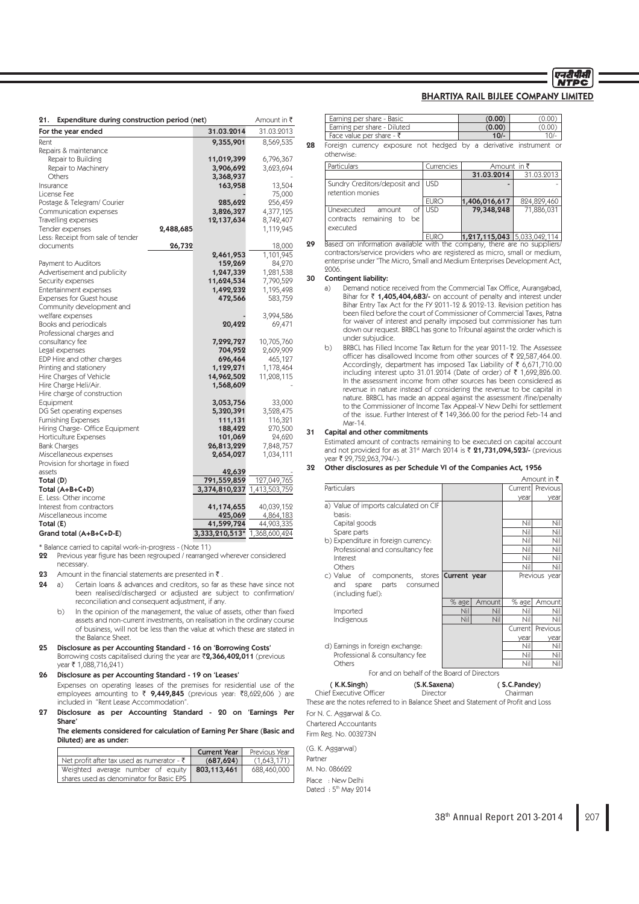| 21.<br>Expenditure during construction period (net) |           |               | Amount in ₹   |  |
|-----------------------------------------------------|-----------|---------------|---------------|--|
| For the year ended                                  |           | 31.03.2014    | 31.03.2013    |  |
| Rent                                                |           | 9,355,901     | 8,569,535     |  |
| Repairs & maintenance                               |           |               |               |  |
| Repair to Building                                  |           | 11,019,399    | 6,796,367     |  |
| Repair to Machinery                                 |           | 3,906,692     | 3,623,694     |  |
| Others                                              |           | 3,368,937     |               |  |
| Insurance                                           |           | 163,958       | 13,504        |  |
| License Fee                                         |           |               | 75,000        |  |
| Postage & Telegram/Courier                          |           | 285,622       | 256,459       |  |
| Communication expenses                              |           | 3,826,327     | 4,377,125     |  |
| Travelling expenses                                 |           | 12,137,634    | 8,742,407     |  |
| Tender expenses                                     | 2,488,685 |               | 1,119,945     |  |
| Less: Receipt from sale of tender                   |           |               |               |  |
| documents                                           | 26,732    |               | 18,000        |  |
|                                                     |           | 2,461,953     | 1,101,945     |  |
| Payment to Auditors                                 |           | 159,269       | 84,270        |  |
| Advertisement and publicity                         |           | 1,247,339     | 1,281,538     |  |
| Security expenses                                   |           | 11,624,534    | 7,790,529     |  |
| Entertainment expenses                              |           | 1,492,232     | 1,195,498     |  |
| <b>Expenses for Guest house</b>                     |           | 472,566       | 583,759       |  |
| Community development and                           |           |               |               |  |
| welfare expenses                                    |           |               | 3,994,586     |  |
| Books and periodicals                               |           | 20,422        | 69,471        |  |
| Professional charges and                            |           |               |               |  |
| consultancy fee                                     |           | 7,292,727     | 10,705,760    |  |
| Legal expenses                                      |           | 704,952       | 2,609,909     |  |
| EDP Hire and other charges                          |           | 696,464       | 465,127       |  |
| Printing and stationery                             |           | 1,129,271     | 1,178,464     |  |
| Hire Charges of Vehicle                             |           | 14,962,502    | 11,208,115    |  |
| Hire Charge Heli/Air.                               |           | 1,568,609     |               |  |
| Hire charge of construction                         |           |               |               |  |
| Equipment                                           |           | 3,053,756     | 33,000        |  |
| DG Set operating expenses                           |           | 5,320,391     | 3,528,475     |  |
| <b>Furnishing Expenses</b>                          |           | 111,131       | 116,321       |  |
| Hiring Charge- Office Equipment                     |           | 188,422       | 270,500       |  |
| Horticulture Expenses                               |           | 101,069       | 24,620        |  |
| <b>Bank Charges</b>                                 |           | 26,813,229    | 7,848,757     |  |
| Miscellaneous expenses                              |           | 2,654,027     | 1,034,111     |  |
| Provision for shortage in fixed                     |           |               |               |  |
| assets                                              |           | 42,639        |               |  |
| Total (D)                                           |           | 791,559,859   | 127,049,765   |  |
| Total $(A+B+C+D)$                                   |           | 3,374,810,237 | 1,413,503,759 |  |
| E. Less: Other income                               |           |               |               |  |
| Interest from contractors                           |           | 41,174,655    | 40,039,152    |  |
| Miscellaneous income                                |           | 425,069       | 4,864,183     |  |
| Total (E)                                           |           | 41,599,724    | 44,903,335    |  |

Grand total (A+B+C+D-E) 3,333,210,513\* 1,368,600,424

\* Balance carried to capital work-in-progress - (Note 11)

Previous year figure has been regrouped / rearranged wherever considered necessary.

- 24 a) Certain loans & advances and creditors, so far as these have since not been realised/discharged or adjusted are subject to confirmation/ reconciliation and consequent adjustment, if any.
	- b) In the opinion of the management, the value of assets, other than fixed assets and non-current investments, on realisation in the ordinary course of business, will not be less than the value at which these are stated in the Balance Sheet.
- 25 Disclosure as per Accounting Standard 16 on 'Borrowing Costs' Borrowing costs capitalised during the year are ₹2,366,402,011 (previous  $year$   $*$  1,088,716,241)
- 26 Disclosure as per Accounting Standard 19 on 'Leases' Expenses on operating leases of the premises for residential use of the employees amounting to  $\overline{\zeta}$  9,449,845 (previous year:  $\overline{\zeta}8,622,606$ ) are included in "Rent Lease Accommodation".
- 27 Disclosure as per Accounting Standard 20 on 'Earnings Per Share'

 The elements considered for calculation of Earning Per Share (Basic and Diluted) are as under:

|                                            | <b>Current Year</b> | Previous Year |
|--------------------------------------------|---------------------|---------------|
| Net profit after tax used as numerator - ₹ | (687.624)           | (1.643.171)   |
| Weighted average number of equity          | 803,113,461         | 688,460,000   |
| shares used as denominator for Basic EPS   |                     |               |

# BHARTIYA RAIL BIJLEE COMPANY LIMITED

एनदीपीसी **NTPC** 

|    | Earning per share - Basic                                                        | (0.00) | (0.00) |
|----|----------------------------------------------------------------------------------|--------|--------|
|    | Earning per share - Diluted                                                      | (0.00) | (0.00) |
|    | Face value per share - ₹                                                         | $10/-$ | $10/-$ |
| 28 | Foreign currency exposure not hedged by a derivative instrument or<br>otherwise: |        |        |

| Particulars                                                              | Currencies  | Amount in $\bar{\tau}$        |             |
|--------------------------------------------------------------------------|-------------|-------------------------------|-------------|
|                                                                          |             | 31.03.2014                    | 31.03.2013  |
| Sundry Creditors/deposit and   USD<br>retention monies                   |             |                               |             |
|                                                                          | <b>EURO</b> | 1,406,016,617                 | 824,829,460 |
| Unexecuted<br>amount<br>contracts remaining to<br>be.<br>executed        | of USD      | 79,348,248                    | 71,886,031  |
|                                                                          | <b>EURO</b> | $1,217,115,043$ 5,033,042,114 |             |
| Based on information available with the company, there are no suppliers/ |             |                               |             |

contractors/service providers who are registered as micro, small or medium, enterprise under "The Micro, Small and Medium Enterprises Development Act, 2006.

#### 30 Contingent liability:

- a) Demand notice received from the Commercial Tax Office, Aurangabad, Bihar for ₹ **1,405,404,683/-** on account of penalty and interest under<br>Bihar Entry Tax Act for the FY 2011-12 & 2012-13. Revision petition has been filed before the court of Commissioner of Commercial Taxes, Patna for waiver of interest and penalty imposed but commissioner has turn down our request. BRBCL has gone to Tribunal against the order which is under subjudice.
- b) BRBCL has Filled Income Tax Return for the year 2011-12. The Assessee officer has disallowed Income from other sources of  $\bar{\tau}$  22,587,464.00. Accordingly, department has imposed Tax Liability of  $\bar{\tau}$  6,671,710.00 including interest upto 31.01.2014 (Date of order) of ₹ 1,692,826.00. In the assessment income from other sources has been considered as revenue in nature instead of considering the revenue to be capital in nature. BRBCL has made an appeal against the assessment /fine/penalty to the Commissioner of Income Tax Appeal-V New Delhi for settlement of the issue. Further Interest of ` 149,366.00 for the period Feb-14 and Mar-14.

#### 31 Capital and other commitments

Estimated amount of contracts remaining to be executed on capital account<br>and not provided for as at 31st March 2014 is **₹ 21,731,094,523/-** (previous year ₹ 29,752,263,794/-).

## 32 Other disclosures as per Schedule VI of the Companies Act, 1956

| Amount in ₹                                        |         |        |               |                  |
|----------------------------------------------------|---------|--------|---------------|------------------|
| Particulars                                        |         |        |               | Current Previous |
|                                                    |         |        | year          | vear             |
| a) Value of imports calculated on CIF              |         |        |               |                  |
| basis:                                             |         |        |               |                  |
| Capital goods                                      |         |        | Nil           | Nil              |
| Spare parts                                        |         |        | Nil           | Nil              |
| b) Expenditure in foreign currency:                |         |        | Nil           | Nil              |
| Professional and consultancy fee                   |         |        | Nil           | Nil              |
| Interest                                           |         |        | Nil           | Nil              |
| Others                                             |         |        | Nil           | Nil              |
| c) Value of components, stores <b>Current year</b> |         |        | Previous year |                  |
| and<br>parts<br>consumed<br>spare                  |         |        |               |                  |
| (including fuel):                                  |         |        |               |                  |
|                                                    | $%$ age | Amount | $%$ age       | Amount           |
| Imported                                           | Nil     | Nil    | Nil           | Nil              |
| Indigenous                                         | Nil     | Nil    | Nil           | Nil              |
|                                                    |         |        | Current       | Previous         |
|                                                    |         |        | year          | year             |
| d) Earnings in foreign exchange:                   |         |        | Nil           | Nil              |
| Professional & consultancy fee                     |         |        | Nil           | Nil              |
| Others                                             |         |        | Nil           | Nil              |
| For and on behalf of the Board of Directors        |         |        |               |                  |

( K.K.Singh) (S.K.Saxena) ( S.C.Pandey) Chief Executive Officer **Director** Chairman

These are the notes referred to in Balance Sheet and Statement of Profit and Loss

For N. C. Aggarwal & Co. Chartered Accountants

Firm Reg. No. 003273N

(G. K. Aggarwal) Partner

M. No. 086622 Place : New Delhi Dated : 5<sup>th</sup> May 2014

<sup>23</sup> Amount in the financial statements are presented in  $\bar{\tau}$ .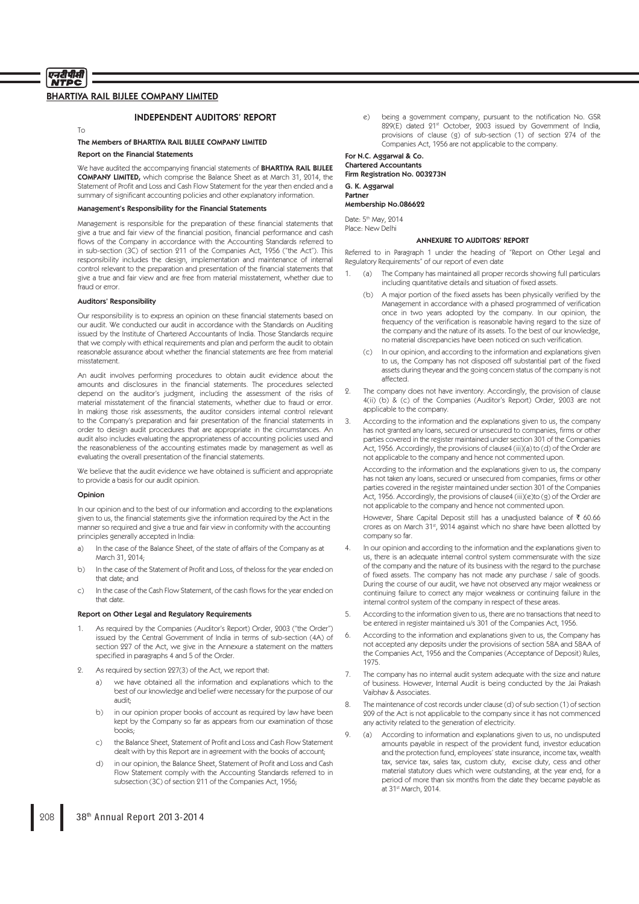# एन्टीपीसी **NTDC** BHARTIYA RAIL BIJLEE COMPANY LIMITED

#### INDEPENDENT AUDITORS' REPORT

## $T<sub>O</sub>$

#### The Members of BHARTIYA RAIL BIJLEE COMPANY LIMITED

#### Report on the Financial Statements

We have audited the accompanying financial statements of **BHARTIYA RAIL BIJLEE** COMPANY LIMITED, which comprise the Balance Sheet as at March 31, 2014, the Statement of Profit and Loss and Cash Flow Statement for the year then ended and a summary of significant accounting policies and other explanatory information.

#### Management's Responsibility for the Financial Statements

Management is responsible for the preparation of these financial statements that give a true and fair view of the financial position, financial performance and cash flows of the Company in accordance with the Accounting Standards referred to in sub-section (3C) of section 211 of the Companies Act, 1956 ("the Act"). This responsibility includes the design, implementation and maintenance of internal control relevant to the preparation and presentation of the financial statements that give a true and fair view and are free from material misstatement, whether due to fraud or error.

### Auditors' Responsibility

Our responsibility is to express an opinion on these financial statements based on our audit. We conducted our audit in accordance with the Standards on Auditing issued by the Institute of Chartered Accountants of India. Those Standards require that we comply with ethical requirements and plan and perform the audit to obtain reasonable assurance about whether the financial statements are free from material misstatement.

An audit involves performing procedures to obtain audit evidence about the amounts and disclosures in the financial statements. The procedures selected depend on the auditor's judgment, including the assessment of the risks of material misstatement of the financial statements, whether due to fraud or error. In making those risk assessments, the auditor considers internal control relevant to the Company's preparation and fair presentation of the financial statements in order to design audit procedures that are appropriate in the circumstances. An audit also includes evaluating the appropriateness of accounting policies used and the reasonableness of the accounting estimates made by management as well as evaluating the overall presentation of the financial statements.

We believe that the audit evidence we have obtained is sufficient and appropriate to provide a basis for our audit opinion.

#### Opinion

In our opinion and to the best of our information and according to the explanations given to us, the financial statements give the information required by the Act in the manner so required and give a true and fair view in conformity with the accounting principles generally accepted in India:

- a) In the case of the Balance Sheet, of the state of affairs of the Company as at March 31, 2014;
- b) In the case of the Statement of Profit and Loss, of theloss for the year ended on that date; and
- c) In the case of the Cash Flow Statement, of the cash flows for the year ended on that date.

#### Report on Other Legal and Regulatory Requirements

- 1. As required by the Companies (Auditor's Report) Order, 2003 ("the Order") issued by the Central Government of India in terms of sub-section (4A) of section 227 of the Act, we give in the Annexure a statement on the matters specified in paragraphs 4 and 5 of the Order.
- 2. As required by section 227(3) of the Act, we report that:
	- a) we have obtained all the information and explanations which to the best of our knowledge and belief were necessary for the purpose of our audit;
	- b) in our opinion proper books of account as required by law have been kept by the Company so far as appears from our examination of those books;
	- c) the Balance Sheet, Statement of Profit and Loss and Cash Flow Statement dealt with by this Report are in agreement with the books of account;
	- d) in our opinion, the Balance Sheet, Statement of Profit and Loss and Cash Flow Statement comply with the Accounting Standards referred to in subsection (3C) of section 211 of the Companies Act, 1956;

e) being a government company, pursuant to the notification No. GSR 829(E) dated 21st October, 2003 issued by Government of India, provisions of clause (g) of sub-section (1) of section 274 of the Companies Act, 1956 are not applicable to the company.

#### For N.C. Aggarwal & Co. Chartered Accountants Firm Registration No. 003273N

G. K. Aggarwal

# Partner

Membership No.086622

Date: 5<sup>th</sup> May, 2014 Place: New Delhi

#### ANNEXURE TO AUDITORS' REPORT

Referred to in Paragraph 1 under the heading of "Report on Other Legal and Regulatory Requirements" of our report of even date

- The Company has maintained all proper records showing full particulars including quantitative details and situation of fixed assets.
- (b) A major portion of the fixed assets has been physically verified by the Management in accordance with a phased programmed of verification once in two years adopted by the company. In our opinion, the frequency of the verification is reasonable having regard to the size of the company and the nature of its assets. To the best of our knowledge, no material discrepancies have been noticed on such verification.
- (c) In our opinion, and according to the information and explanations given to us, the Company has not disposed off substantial part of the fixed assets during theyear and the going concern status of the company is not affected.
- 2. The company does not have inventory. Accordingly, the provision of clause 4(ii) (b) & (c) of the Companies (Auditor's Report) Order, 2003 are not applicable to the company.
- According to the information and the explanations given to us, the company has not granted any loans, secured or unsecured to companies, firms or other parties covered in the register maintained under section 301 of the Companies Act, 1956. Accordingly, the provisions of clause4 (iii)(a) to (d) of the Order are not applicable to the company and hence not commented upon.

 According to the information and the explanations given to us, the company has not taken any loans, secured or unsecured from companies, firms or other parties covered in the register maintained under section 301 of the Companies Act, 1956. Accordingly, the provisions of clause4 (iii)(e)to (g) of the Order are not applicable to the company and hence not commented upon.

However, Share Capital Deposit still has a unadjusted balance of  $\bar{\tau}$  60.66 crores as on March 31st, 2014 against which no share have been allotted by company so far.

- In our opinion and according to the information and the explanations given to us, there is an adequate internal control system commensurate with the size of the company and the nature of its business with the regard to the purchase of fixed assets. The company has not made any purchase / sale of goods. During the course of our audit, we have not observed any major weakness or continuing failure to correct any major weakness or continuing failure in the internal control system of the company in respect of these areas.
- 5. According to the information given to us, there are no transactions that need to be entered in register maintained u/s 301 of the Companies Act, 1956.
- 6. According to the information and explanations given to us, the Company has not accepted any deposits under the provisions of section 58A and 58AA of the Companies Act, 1956 and the Companies (Acceptance of Deposit) Rules, 1975.
- The company has no internal audit system adequate with the size and nature of business. However, Internal Audit is being conducted by the Jai Prakash Vaibhav & Associates.
- 8. The maintenance of cost records under clause (d) of sub section (1) of section 209 of the Act is not applicable to the company since it has not commenced any activity related to the generation of electricity.
- 9. (a) According to information and explanations given to us, no undisputed amounts payable in respect of the provident fund, investor education and the protection fund, employees' state insurance, income tax, wealth tax, service tax, sales tax, custom duty, excise duty, cess and other material statutory dues which were outstanding, at the year end, for a period of more than six months from the date they became payable as at 31st March, 2014.